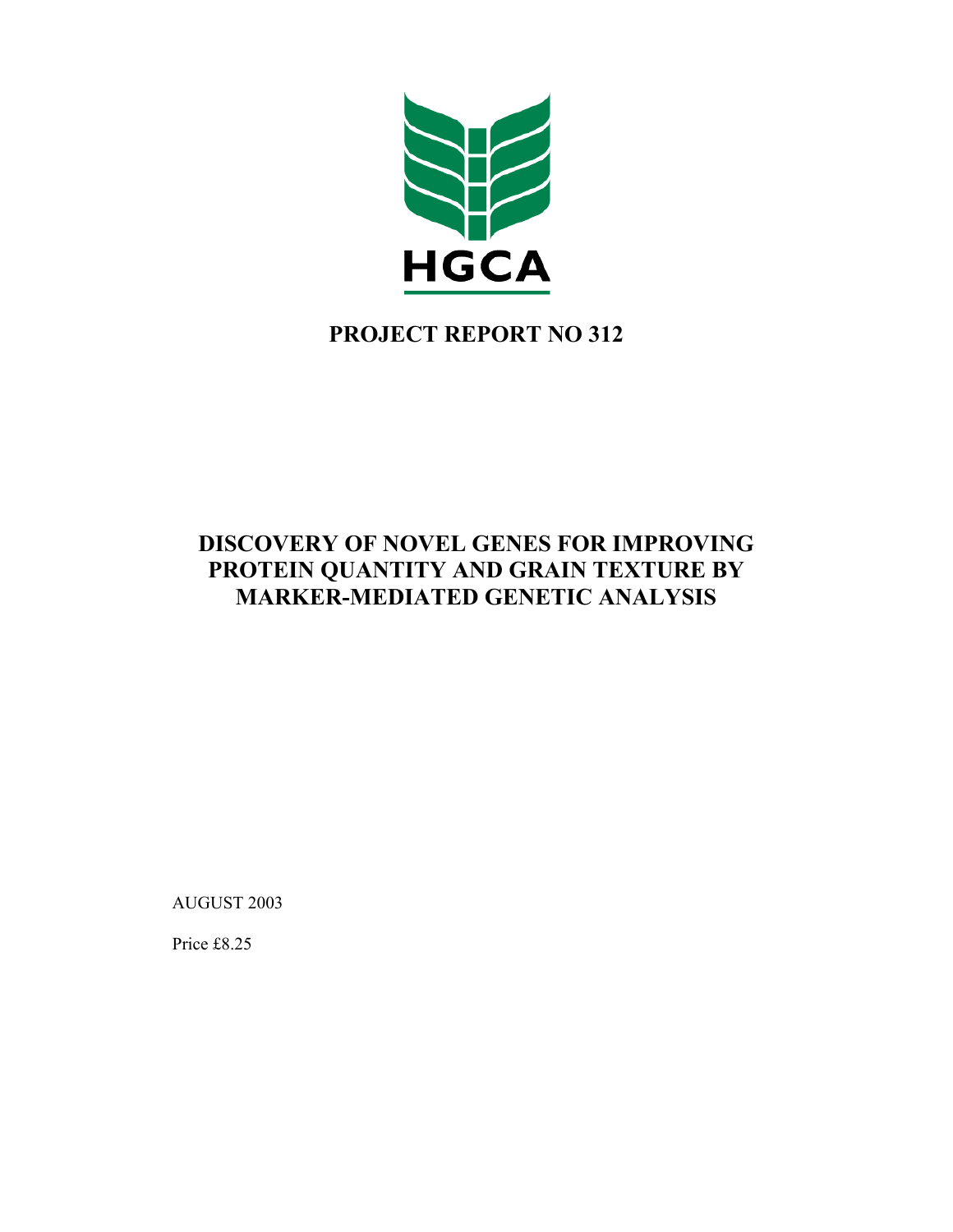

# **PROJECT REPORT NO 312**

# **DISCOVERY OF NOVEL GENES FOR IMPROVING PROTEIN QUANTITY AND GRAIN TEXTURE BY MARKER-MEDIATED GENETIC ANALYSIS**

AUGUST 2003

Price £8.25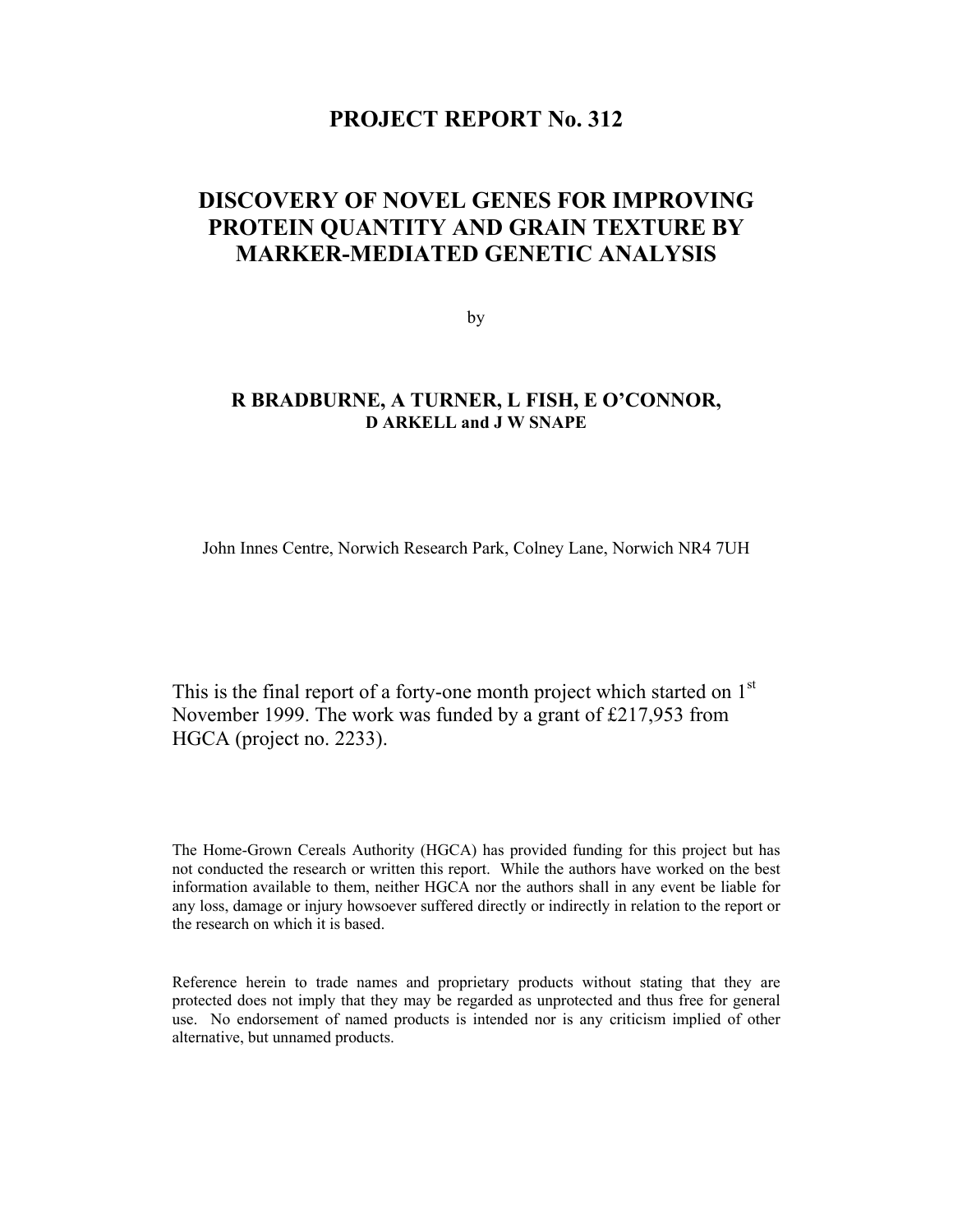# **PROJECT REPORT No. 312**

# **DISCOVERY OF NOVEL GENES FOR IMPROVING PROTEIN QUANTITY AND GRAIN TEXTURE BY MARKER-MEDIATED GENETIC ANALYSIS**

by

# **R BRADBURNE, A TURNER, L FISH, E O'CONNOR, D ARKELL and J W SNAPE**

John Innes Centre, Norwich Research Park, Colney Lane, Norwich NR4 7UH

This is the final report of a forty-one month project which started on  $1<sup>st</sup>$ November 1999. The work was funded by a grant of £217,953 from HGCA (project no. 2233).

The Home-Grown Cereals Authority (HGCA) has provided funding for this project but has not conducted the research or written this report. While the authors have worked on the best information available to them, neither HGCA nor the authors shall in any event be liable for any loss, damage or injury howsoever suffered directly or indirectly in relation to the report or the research on which it is based.

Reference herein to trade names and proprietary products without stating that they are protected does not imply that they may be regarded as unprotected and thus free for general use. No endorsement of named products is intended nor is any criticism implied of other alternative, but unnamed products.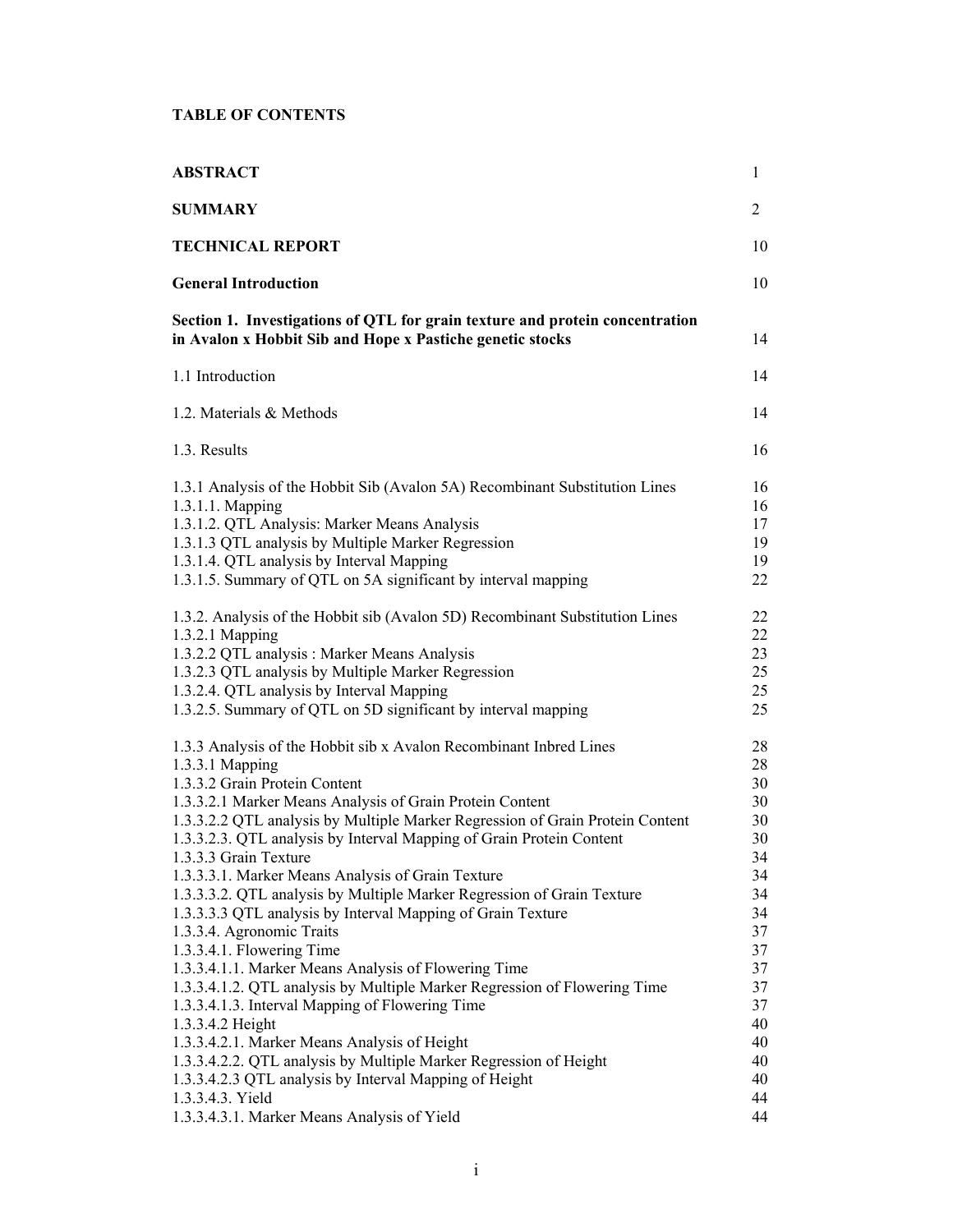# **TABLE OF CONTENTS**

| <b>ABSTRACT</b>                                                                                                                                                                                                                                                                                                                                                                                                                                                                                                                                                                                                                                                                      | 1                                                                          |
|--------------------------------------------------------------------------------------------------------------------------------------------------------------------------------------------------------------------------------------------------------------------------------------------------------------------------------------------------------------------------------------------------------------------------------------------------------------------------------------------------------------------------------------------------------------------------------------------------------------------------------------------------------------------------------------|----------------------------------------------------------------------------|
| <b>SUMMARY</b>                                                                                                                                                                                                                                                                                                                                                                                                                                                                                                                                                                                                                                                                       | 2                                                                          |
| <b>TECHNICAL REPORT</b>                                                                                                                                                                                                                                                                                                                                                                                                                                                                                                                                                                                                                                                              | 10                                                                         |
| <b>General Introduction</b>                                                                                                                                                                                                                                                                                                                                                                                                                                                                                                                                                                                                                                                          | 10                                                                         |
| Section 1. Investigations of QTL for grain texture and protein concentration<br>in Avalon x Hobbit Sib and Hope x Pastiche genetic stocks                                                                                                                                                                                                                                                                                                                                                                                                                                                                                                                                            | 14                                                                         |
| 1.1 Introduction                                                                                                                                                                                                                                                                                                                                                                                                                                                                                                                                                                                                                                                                     | 14                                                                         |
| 1.2. Materials & Methods                                                                                                                                                                                                                                                                                                                                                                                                                                                                                                                                                                                                                                                             | 14                                                                         |
| 1.3. Results                                                                                                                                                                                                                                                                                                                                                                                                                                                                                                                                                                                                                                                                         | 16                                                                         |
| 1.3.1 Analysis of the Hobbit Sib (Avalon 5A) Recombinant Substitution Lines<br>1.3.1.1. Mapping<br>1.3.1.2. QTL Analysis: Marker Means Analysis<br>1.3.1.3 QTL analysis by Multiple Marker Regression<br>1.3.1.4. QTL analysis by Interval Mapping<br>1.3.1.5. Summary of QTL on 5A significant by interval mapping                                                                                                                                                                                                                                                                                                                                                                  | 16<br>16<br>17<br>19<br>19<br>22                                           |
| 1.3.2. Analysis of the Hobbit sib (Avalon 5D) Recombinant Substitution Lines<br>1.3.2.1 Mapping<br>1.3.2.2 QTL analysis: Marker Means Analysis<br>1.3.2.3 QTL analysis by Multiple Marker Regression<br>1.3.2.4. QTL analysis by Interval Mapping<br>1.3.2.5. Summary of QTL on 5D significant by interval mapping                                                                                                                                                                                                                                                                                                                                                                   | 22<br>22<br>23<br>25<br>25<br>25                                           |
| 1.3.3 Analysis of the Hobbit sib x Avalon Recombinant Inbred Lines<br>1.3.3.1 Mapping<br>1.3.3.2 Grain Protein Content<br>1.3.3.2.1 Marker Means Analysis of Grain Protein Content<br>1.3.3.2.2 QTL analysis by Multiple Marker Regression of Grain Protein Content<br>1.3.3.2.3. QTL analysis by Interval Mapping of Grain Protein Content<br>1.3.3.3 Grain Texture<br>1.3.3.3.1. Marker Means Analysis of Grain Texture<br>1.3.3.3.2. QTL analysis by Multiple Marker Regression of Grain Texture<br>1.3.3.3.3 QTL analysis by Interval Mapping of Grain Texture<br>1.3.3.4. Agronomic Traits<br>1.3.3.4.1. Flowering Time<br>1.3.3.4.1.1. Marker Means Analysis of Flowering Time | 28<br>28<br>30<br>30<br>30<br>30<br>34<br>34<br>34<br>34<br>37<br>37<br>37 |
| 1.3.3.4.1.2. QTL analysis by Multiple Marker Regression of Flowering Time<br>1.3.3.4.1.3. Interval Mapping of Flowering Time<br>1.3.3.4.2 Height<br>1.3.3.4.2.1. Marker Means Analysis of Height<br>1.3.3.4.2.2. QTL analysis by Multiple Marker Regression of Height<br>1.3.3.4.2.3 QTL analysis by Interval Mapping of Height<br>1.3.3.4.3. Yield<br>1.3.3.4.3.1. Marker Means Analysis of Yield                                                                                                                                                                                                                                                                                   | 37<br>37<br>40<br>40<br>40<br>40<br>44<br>44                               |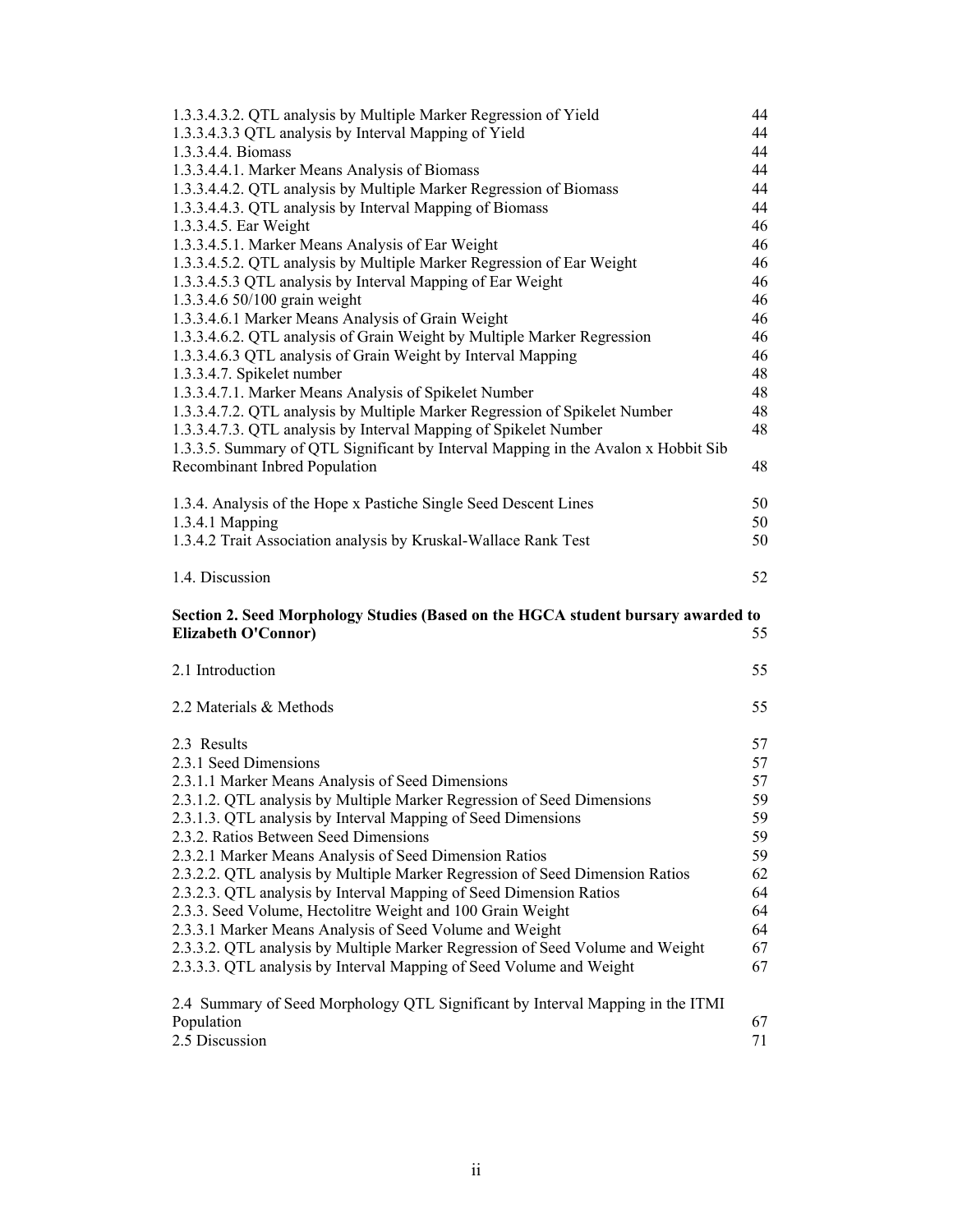| 1.3.3.4.3.2. QTL analysis by Multiple Marker Regression of Yield                   | 44       |
|------------------------------------------------------------------------------------|----------|
| 1.3.3.4.3.3 QTL analysis by Interval Mapping of Yield                              | 44       |
| 1.3.3.4.4. Biomass                                                                 | 44       |
| 1.3.3.4.4.1. Marker Means Analysis of Biomass                                      | 44       |
| 1.3.3.4.4.2. QTL analysis by Multiple Marker Regression of Biomass                 | 44       |
| 1.3.3.4.4.3. QTL analysis by Interval Mapping of Biomass                           | 44       |
| 1.3.3.4.5. Ear Weight                                                              | 46       |
| 1.3.3.4.5.1. Marker Means Analysis of Ear Weight                                   | 46       |
| 1.3.3.4.5.2. QTL analysis by Multiple Marker Regression of Ear Weight              | 46       |
| 1.3.3.4.5.3 QTL analysis by Interval Mapping of Ear Weight                         | 46       |
| 1.3.3.4.6 50/100 grain weight                                                      | 46       |
| 1.3.3.4.6.1 Marker Means Analysis of Grain Weight                                  | 46       |
| 1.3.3.4.6.2. QTL analysis of Grain Weight by Multiple Marker Regression            |          |
|                                                                                    | 46       |
| 1.3.3.4.6.3 QTL analysis of Grain Weight by Interval Mapping                       | 46       |
| 1.3.3.4.7. Spikelet number                                                         | 48       |
| 1.3.3.4.7.1. Marker Means Analysis of Spikelet Number                              | 48       |
| 1.3.3.4.7.2. QTL analysis by Multiple Marker Regression of Spikelet Number         | 48       |
| 1.3.3.4.7.3. QTL analysis by Interval Mapping of Spikelet Number                   | 48       |
| 1.3.3.5. Summary of QTL Significant by Interval Mapping in the Avalon x Hobbit Sib |          |
| Recombinant Inbred Population                                                      | 48       |
|                                                                                    |          |
| 1.3.4. Analysis of the Hope x Pastiche Single Seed Descent Lines                   | 50       |
| 1.3.4.1 Mapping                                                                    | 50       |
| 1.3.4.2 Trait Association analysis by Kruskal-Wallace Rank Test                    | 50       |
|                                                                                    |          |
| 1.4. Discussion                                                                    | 52       |
|                                                                                    |          |
|                                                                                    |          |
| Section 2. Seed Morphology Studies (Based on the HGCA student bursary awarded to   |          |
| <b>Elizabeth O'Connor)</b>                                                         | 55       |
|                                                                                    | 55       |
| 2.1 Introduction                                                                   |          |
| 2.2 Materials & Methods                                                            | 55       |
|                                                                                    |          |
| 2.3 Results                                                                        | 57       |
| 2.3.1 Seed Dimensions                                                              | 57       |
|                                                                                    | 57       |
| 2.3.1.1 Marker Means Analysis of Seed Dimensions                                   |          |
| 2.3.1.2. QTL analysis by Multiple Marker Regression of Seed Dimensions             | 59       |
| 2.3.1.3. QTL analysis by Interval Mapping of Seed Dimensions                       | 59       |
| 2.3.2. Ratios Between Seed Dimensions                                              | 59       |
| 2.3.2.1 Marker Means Analysis of Seed Dimension Ratios                             | 59       |
| 2.3.2.2. QTL analysis by Multiple Marker Regression of Seed Dimension Ratios       | 62       |
| 2.3.2.3. QTL analysis by Interval Mapping of Seed Dimension Ratios                 | 64       |
| 2.3.3. Seed Volume, Hectolitre Weight and 100 Grain Weight                         | 64       |
| 2.3.3.1 Marker Means Analysis of Seed Volume and Weight                            | 64       |
| 2.3.3.2. QTL analysis by Multiple Marker Regression of Seed Volume and Weight      | 67       |
| 2.3.3.3. QTL analysis by Interval Mapping of Seed Volume and Weight                | 67       |
|                                                                                    |          |
| 2.4 Summary of Seed Morphology QTL Significant by Interval Mapping in the ITMI     |          |
| Population<br>2.5 Discussion                                                       | 67<br>71 |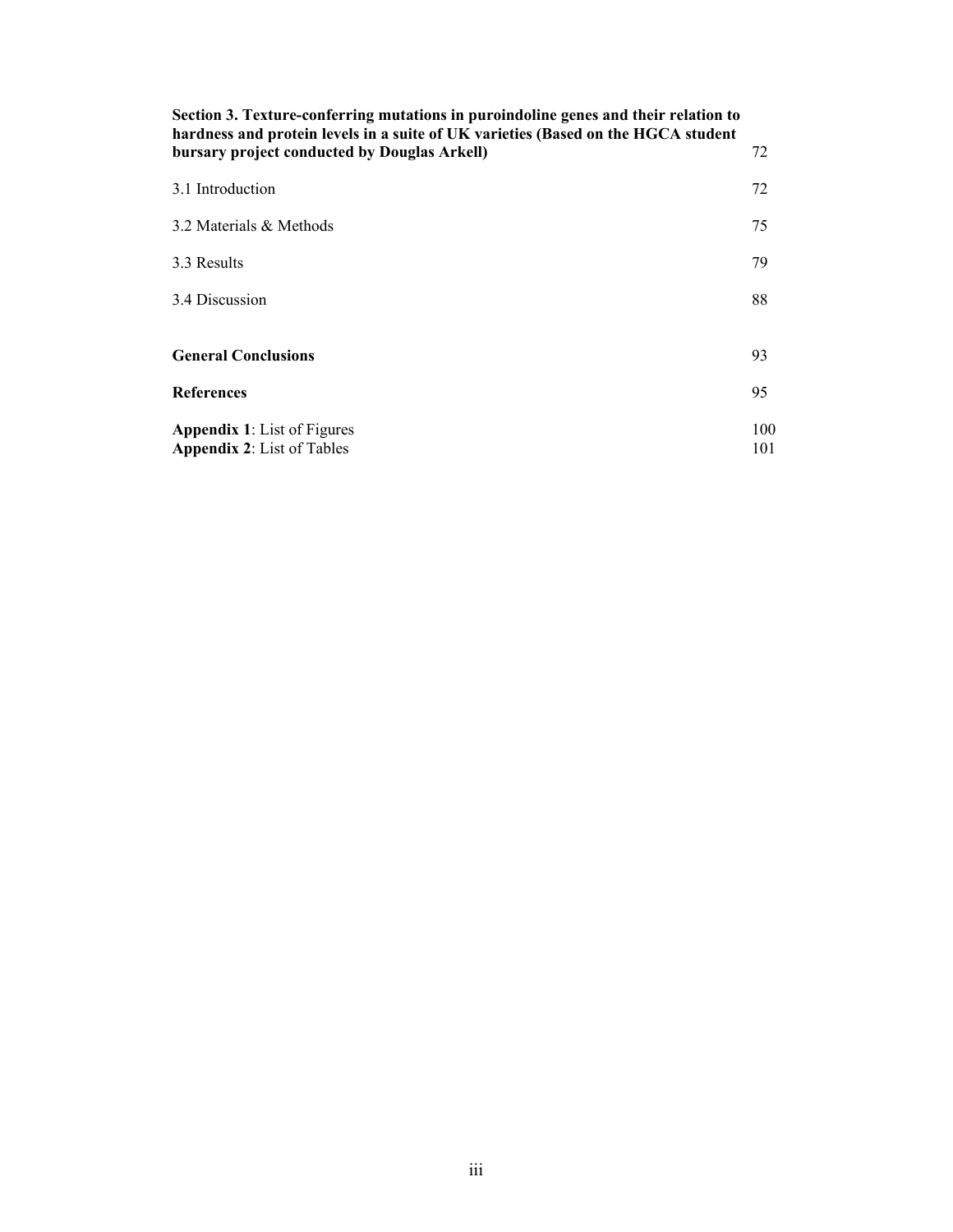| Section 3. Texture-conferring mutations in puroindoline genes and their relation to<br>hardness and protein levels in a suite of UK varieties (Based on the HGCA student |            |
|--------------------------------------------------------------------------------------------------------------------------------------------------------------------------|------------|
| bursary project conducted by Douglas Arkell)                                                                                                                             | 72         |
| 3.1 Introduction                                                                                                                                                         | 72         |
| 3.2 Materials & Methods                                                                                                                                                  | 75         |
| 3.3 Results                                                                                                                                                              | 79         |
| 3.4 Discussion                                                                                                                                                           | 88         |
|                                                                                                                                                                          |            |
| <b>General Conclusions</b>                                                                                                                                               | 93         |
| <b>References</b>                                                                                                                                                        | 95         |
| <b>Appendix 1:</b> List of Figures<br><b>Appendix 2:</b> List of Tables                                                                                                  | 100<br>101 |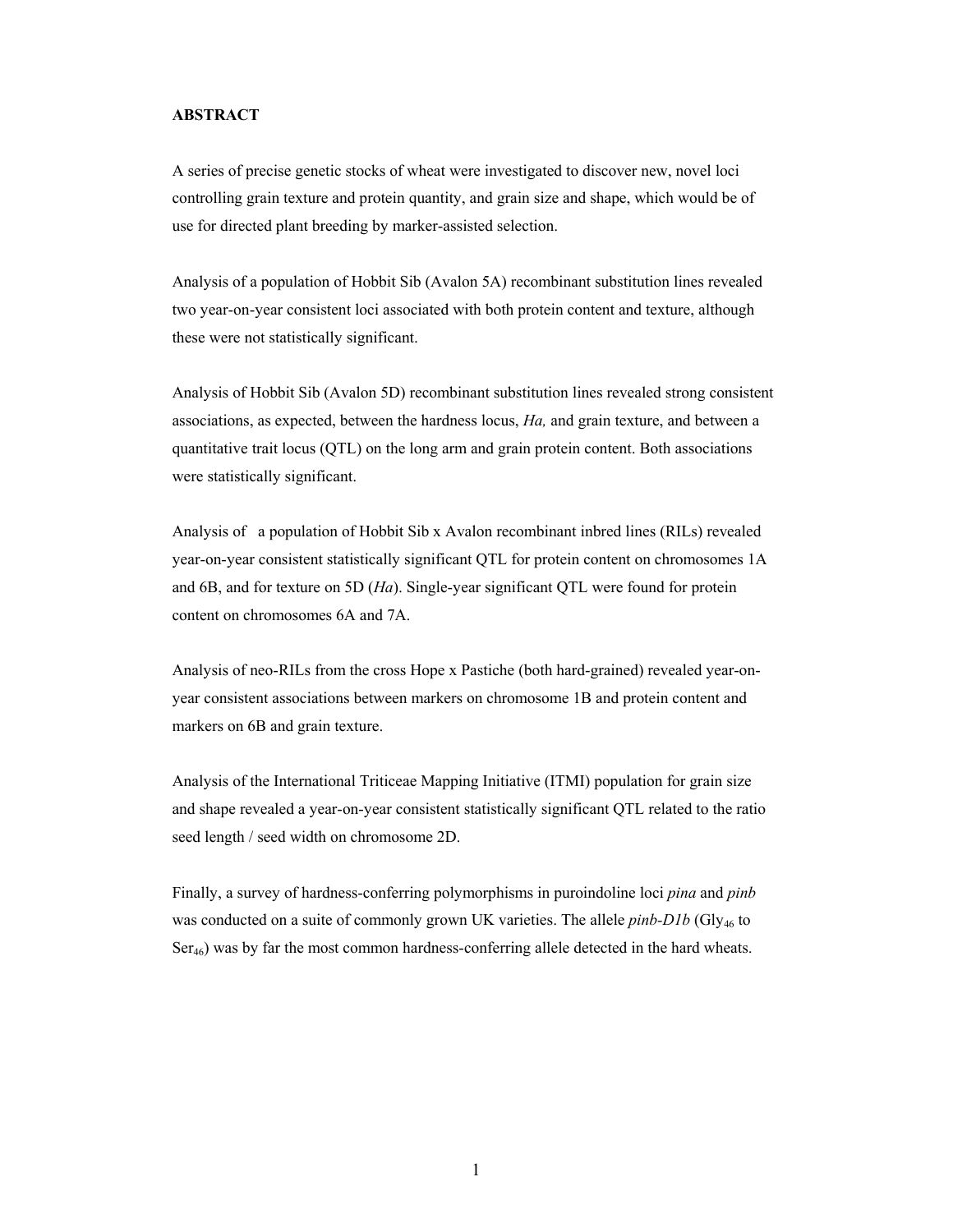# **ABSTRACT**

A series of precise genetic stocks of wheat were investigated to discover new, novel loci controlling grain texture and protein quantity, and grain size and shape, which would be of use for directed plant breeding by marker-assisted selection.

Analysis of a population of Hobbit Sib (Avalon 5A) recombinant substitution lines revealed two year-on-year consistent loci associated with both protein content and texture, although these were not statistically significant.

Analysis of Hobbit Sib (Avalon 5D) recombinant substitution lines revealed strong consistent associations, as expected, between the hardness locus, *Ha,* and grain texture, and between a quantitative trait locus (QTL) on the long arm and grain protein content. Both associations were statistically significant.

Analysis of a population of Hobbit Sib x Avalon recombinant inbred lines (RILs) revealed year-on-year consistent statistically significant QTL for protein content on chromosomes 1A and 6B, and for texture on 5D (*Ha*). Single-year significant QTL were found for protein content on chromosomes 6A and 7A.

Analysis of neo-RILs from the cross Hope x Pastiche (both hard-grained) revealed year-onyear consistent associations between markers on chromosome 1B and protein content and markers on 6B and grain texture.

Analysis of the International Triticeae Mapping Initiative (ITMI) population for grain size and shape revealed a year-on-year consistent statistically significant QTL related to the ratio seed length / seed width on chromosome 2D.

Finally, a survey of hardness-conferring polymorphisms in puroindoline loci *pina* and *pinb* was conducted on a suite of commonly grown UK varieties. The allele *pinb-D1b* (Gly<sub>46</sub> to  $Ser_{46}$ ) was by far the most common hardness-conferring allele detected in the hard wheats.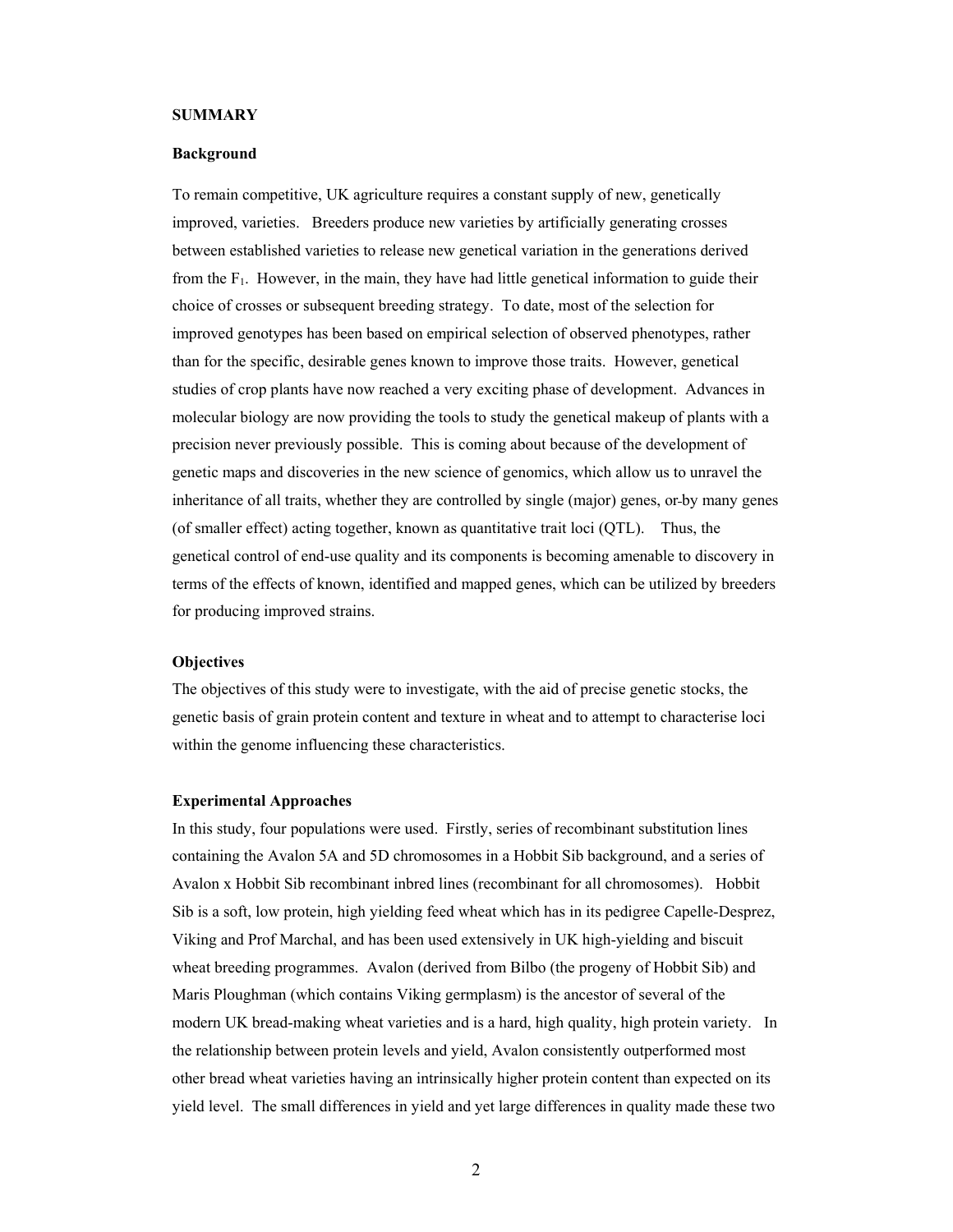### **SUMMARY**

### **Background**

To remain competitive, UK agriculture requires a constant supply of new, genetically improved, varieties. Breeders produce new varieties by artificially generating crosses between established varieties to release new genetical variation in the generations derived from the  $F_1$ . However, in the main, they have had little genetical information to guide their choice of crosses or subsequent breeding strategy. To date, most of the selection for improved genotypes has been based on empirical selection of observed phenotypes, rather than for the specific, desirable genes known to improve those traits. However, genetical studies of crop plants have now reached a very exciting phase of development. Advances in molecular biology are now providing the tools to study the genetical makeup of plants with a precision never previously possible. This is coming about because of the development of genetic maps and discoveries in the new science of genomics, which allow us to unravel the inheritance of all traits, whether they are controlled by single (major) genes, or by many genes (of smaller effect) acting together, known as quantitative trait loci (QTL). Thus, the genetical control of end-use quality and its components is becoming amenable to discovery in terms of the effects of known, identified and mapped genes, which can be utilized by breeders for producing improved strains.

# **Objectives**

The objectives of this study were to investigate, with the aid of precise genetic stocks, the genetic basis of grain protein content and texture in wheat and to attempt to characterise loci within the genome influencing these characteristics.

#### **Experimental Approaches**

In this study, four populations were used. Firstly, series of recombinant substitution lines containing the Avalon 5A and 5D chromosomes in a Hobbit Sib background, and a series of Avalon x Hobbit Sib recombinant inbred lines (recombinant for all chromosomes). Hobbit Sib is a soft, low protein, high yielding feed wheat which has in its pedigree Capelle-Desprez, Viking and Prof Marchal, and has been used extensively in UK high-yielding and biscuit wheat breeding programmes. Avalon (derived from Bilbo (the progeny of Hobbit Sib) and Maris Ploughman (which contains Viking germplasm) is the ancestor of several of the modern UK bread-making wheat varieties and is a hard, high quality, high protein variety. In the relationship between protein levels and yield, Avalon consistently outperformed most other bread wheat varieties having an intrinsically higher protein content than expected on its yield level. The small differences in yield and yet large differences in quality made these two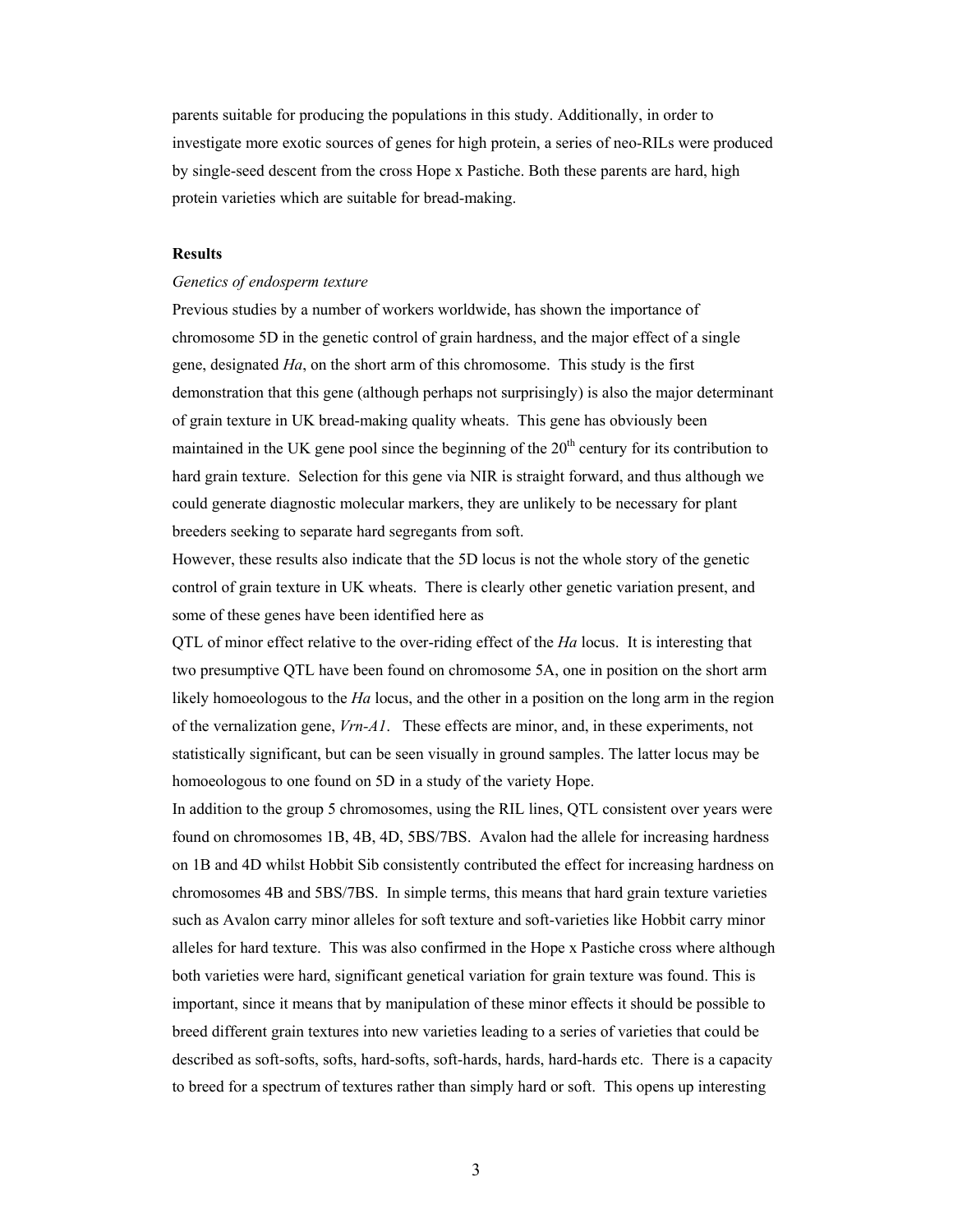parents suitable for producing the populations in this study. Additionally, in order to investigate more exotic sources of genes for high protein, a series of neo-RILs were produced by single-seed descent from the cross Hope x Pastiche. Both these parents are hard, high protein varieties which are suitable for bread-making.

### **Results**

### *Genetics of endosperm texture*

Previous studies by a number of workers worldwide, has shown the importance of chromosome 5D in the genetic control of grain hardness, and the major effect of a single gene, designated *Ha*, on the short arm of this chromosome. This study is the first demonstration that this gene (although perhaps not surprisingly) is also the major determinant of grain texture in UK bread-making quality wheats. This gene has obviously been maintained in the UK gene pool since the beginning of the  $20<sup>th</sup>$  century for its contribution to hard grain texture. Selection for this gene via NIR is straight forward, and thus although we could generate diagnostic molecular markers, they are unlikely to be necessary for plant breeders seeking to separate hard segregants from soft.

However, these results also indicate that the 5D locus is not the whole story of the genetic control of grain texture in UK wheats. There is clearly other genetic variation present, and some of these genes have been identified here as

QTL of minor effect relative to the over-riding effect of the *Ha* locus. It is interesting that two presumptive QTL have been found on chromosome 5A, one in position on the short arm likely homoeologous to the *Ha* locus, and the other in a position on the long arm in the region of the vernalization gene, *Vrn-A1*. These effects are minor, and, in these experiments, not statistically significant, but can be seen visually in ground samples. The latter locus may be homoeologous to one found on 5D in a study of the variety Hope.

In addition to the group 5 chromosomes, using the RIL lines, QTL consistent over years were found on chromosomes 1B, 4B, 4D, 5BS/7BS. Avalon had the allele for increasing hardness on 1B and 4D whilst Hobbit Sib consistently contributed the effect for increasing hardness on chromosomes 4B and 5BS/7BS. In simple terms, this means that hard grain texture varieties such as Avalon carry minor alleles for soft texture and soft-varieties like Hobbit carry minor alleles for hard texture. This was also confirmed in the Hope x Pastiche cross where although both varieties were hard, significant genetical variation for grain texture was found. This is important, since it means that by manipulation of these minor effects it should be possible to breed different grain textures into new varieties leading to a series of varieties that could be described as soft-softs, softs, hard-softs, soft-hards, hards, hard-hards etc. There is a capacity to breed for a spectrum of textures rather than simply hard or soft. This opens up interesting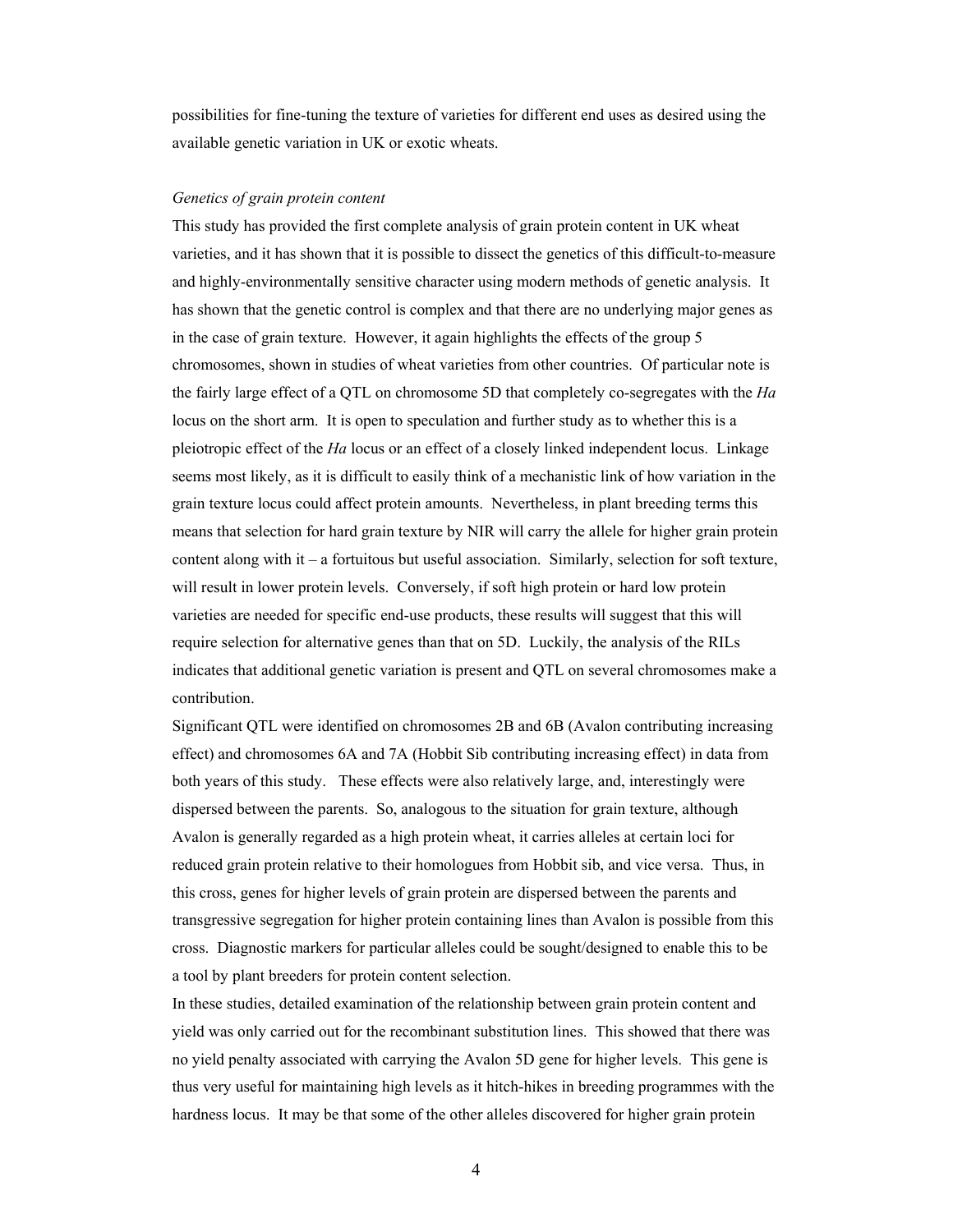possibilities for fine-tuning the texture of varieties for different end uses as desired using the available genetic variation in UK or exotic wheats.

### *Genetics of grain protein content*

This study has provided the first complete analysis of grain protein content in UK wheat varieties, and it has shown that it is possible to dissect the genetics of this difficult-to-measure and highly-environmentally sensitive character using modern methods of genetic analysis. It has shown that the genetic control is complex and that there are no underlying major genes as in the case of grain texture. However, it again highlights the effects of the group 5 chromosomes, shown in studies of wheat varieties from other countries. Of particular note is the fairly large effect of a QTL on chromosome 5D that completely co-segregates with the *Ha* locus on the short arm. It is open to speculation and further study as to whether this is a pleiotropic effect of the *Ha* locus or an effect of a closely linked independent locus. Linkage seems most likely, as it is difficult to easily think of a mechanistic link of how variation in the grain texture locus could affect protein amounts. Nevertheless, in plant breeding terms this means that selection for hard grain texture by NIR will carry the allele for higher grain protein content along with it – a fortuitous but useful association. Similarly, selection for soft texture, will result in lower protein levels. Conversely, if soft high protein or hard low protein varieties are needed for specific end-use products, these results will suggest that this will require selection for alternative genes than that on 5D. Luckily, the analysis of the RILs indicates that additional genetic variation is present and QTL on several chromosomes make a contribution.

Significant QTL were identified on chromosomes 2B and 6B (Avalon contributing increasing effect) and chromosomes 6A and 7A (Hobbit Sib contributing increasing effect) in data from both years of this study. These effects were also relatively large, and, interestingly were dispersed between the parents. So, analogous to the situation for grain texture, although Avalon is generally regarded as a high protein wheat, it carries alleles at certain loci for reduced grain protein relative to their homologues from Hobbit sib, and vice versa. Thus, in this cross, genes for higher levels of grain protein are dispersed between the parents and transgressive segregation for higher protein containing lines than Avalon is possible from this cross. Diagnostic markers for particular alleles could be sought/designed to enable this to be a tool by plant breeders for protein content selection.

In these studies, detailed examination of the relationship between grain protein content and yield was only carried out for the recombinant substitution lines. This showed that there was no yield penalty associated with carrying the Avalon 5D gene for higher levels. This gene is thus very useful for maintaining high levels as it hitch-hikes in breeding programmes with the hardness locus. It may be that some of the other alleles discovered for higher grain protein

4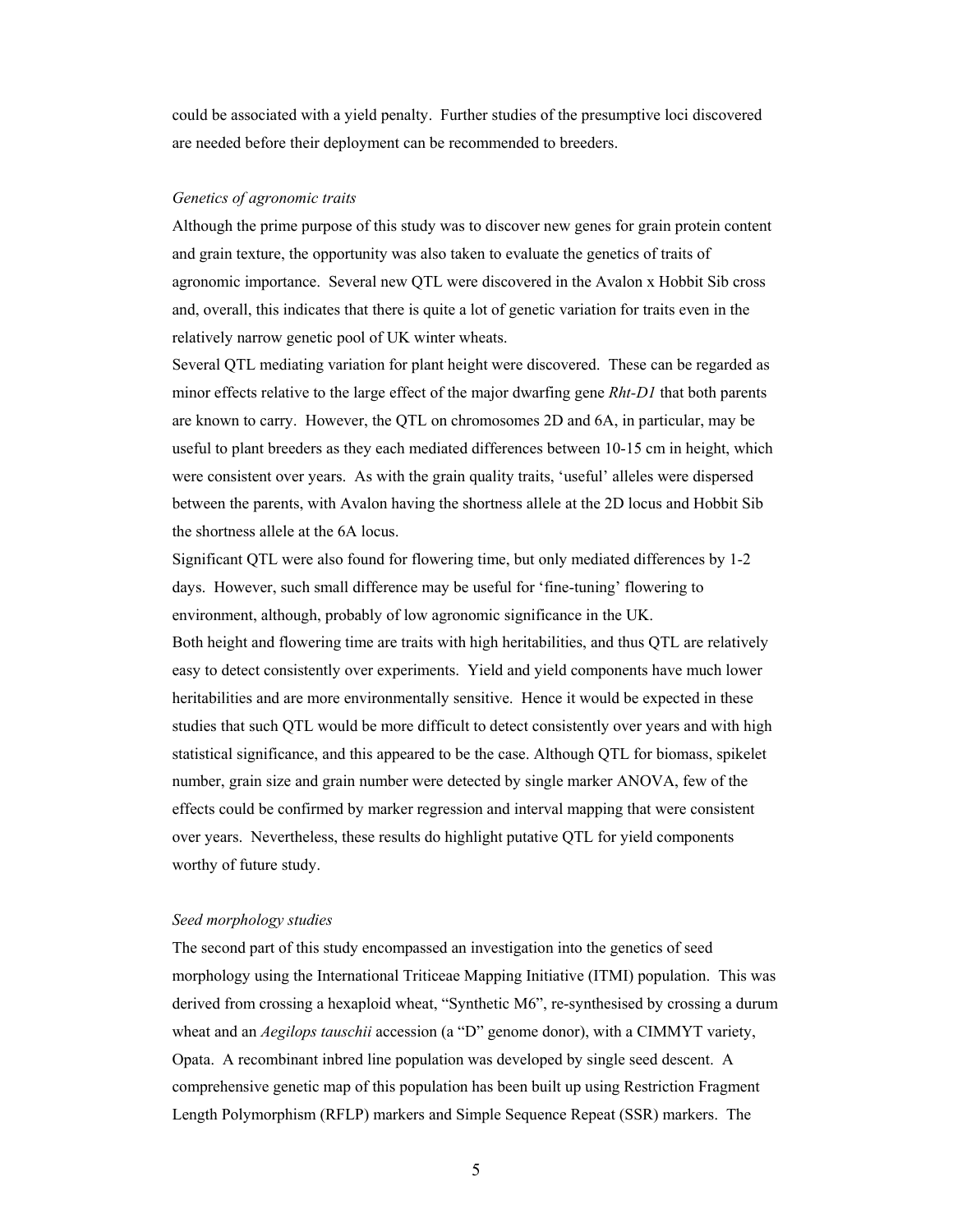could be associated with a yield penalty. Further studies of the presumptive loci discovered are needed before their deployment can be recommended to breeders.

### *Genetics of agronomic traits*

Although the prime purpose of this study was to discover new genes for grain protein content and grain texture, the opportunity was also taken to evaluate the genetics of traits of agronomic importance. Several new QTL were discovered in the Avalon x Hobbit Sib cross and, overall, this indicates that there is quite a lot of genetic variation for traits even in the relatively narrow genetic pool of UK winter wheats.

Several QTL mediating variation for plant height were discovered. These can be regarded as minor effects relative to the large effect of the major dwarfing gene *Rht-D1* that both parents are known to carry. However, the QTL on chromosomes 2D and 6A, in particular, may be useful to plant breeders as they each mediated differences between 10-15 cm in height, which were consistent over years. As with the grain quality traits, 'useful' alleles were dispersed between the parents, with Avalon having the shortness allele at the 2D locus and Hobbit Sib the shortness allele at the 6A locus.

Significant QTL were also found for flowering time, but only mediated differences by 1-2 days. However, such small difference may be useful for 'fine-tuning' flowering to environment, although, probably of low agronomic significance in the UK. Both height and flowering time are traits with high heritabilities, and thus QTL are relatively easy to detect consistently over experiments. Yield and yield components have much lower heritabilities and are more environmentally sensitive. Hence it would be expected in these studies that such QTL would be more difficult to detect consistently over years and with high statistical significance, and this appeared to be the case. Although QTL for biomass, spikelet number, grain size and grain number were detected by single marker ANOVA, few of the effects could be confirmed by marker regression and interval mapping that were consistent over years. Nevertheless, these results do highlight putative QTL for yield components worthy of future study.

### *Seed morphology studies*

The second part of this study encompassed an investigation into the genetics of seed morphology using the International Triticeae Mapping Initiative (ITMI) population. This was derived from crossing a hexaploid wheat, "Synthetic M6", re-synthesised by crossing a durum wheat and an *Aegilops tauschii* accession (a "D" genome donor), with a CIMMYT variety, Opata. A recombinant inbred line population was developed by single seed descent. A comprehensive genetic map of this population has been built up using Restriction Fragment Length Polymorphism (RFLP) markers and Simple Sequence Repeat (SSR) markers. The

 $\sim$  5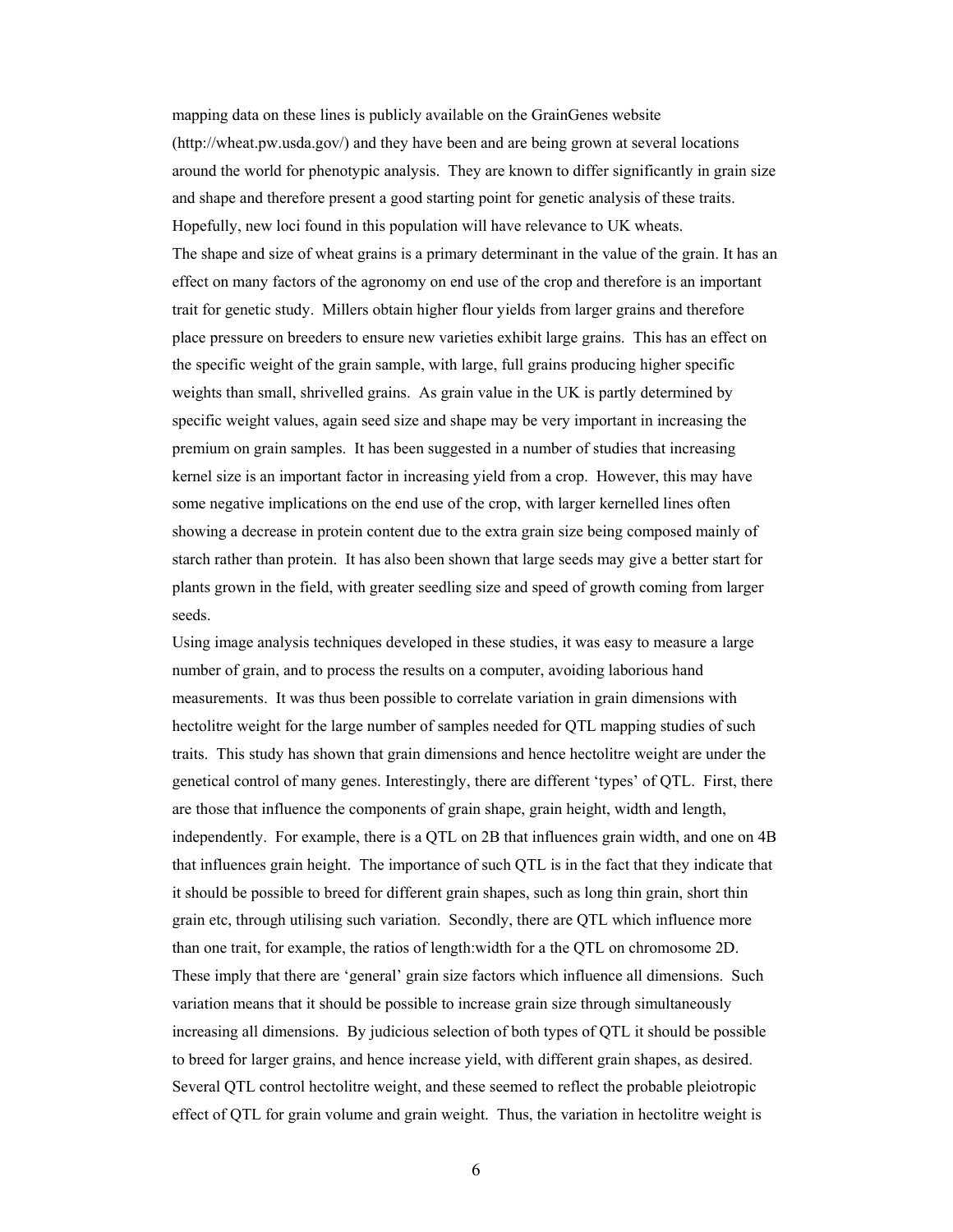mapping data on these lines is publicly available on the GrainGenes website (http://wheat.pw.usda.gov/) and they have been and are being grown at several locations around the world for phenotypic analysis. They are known to differ significantly in grain size and shape and therefore present a good starting point for genetic analysis of these traits. Hopefully, new loci found in this population will have relevance to UK wheats. The shape and size of wheat grains is a primary determinant in the value of the grain. It has an effect on many factors of the agronomy on end use of the crop and therefore is an important trait for genetic study. Millers obtain higher flour yields from larger grains and therefore place pressure on breeders to ensure new varieties exhibit large grains. This has an effect on the specific weight of the grain sample, with large, full grains producing higher specific weights than small, shrivelled grains. As grain value in the UK is partly determined by specific weight values, again seed size and shape may be very important in increasing the premium on grain samples. It has been suggested in a number of studies that increasing kernel size is an important factor in increasing yield from a crop. However, this may have some negative implications on the end use of the crop, with larger kernelled lines often showing a decrease in protein content due to the extra grain size being composed mainly of starch rather than protein. It has also been shown that large seeds may give a better start for plants grown in the field, with greater seedling size and speed of growth coming from larger seeds.

Using image analysis techniques developed in these studies, it was easy to measure a large number of grain, and to process the results on a computer, avoiding laborious hand measurements. It was thus been possible to correlate variation in grain dimensions with hectolitre weight for the large number of samples needed for QTL mapping studies of such traits. This study has shown that grain dimensions and hence hectolitre weight are under the genetical control of many genes. Interestingly, there are different 'types' of QTL. First, there are those that influence the components of grain shape, grain height, width and length, independently. For example, there is a QTL on 2B that influences grain width, and one on 4B that influences grain height. The importance of such QTL is in the fact that they indicate that it should be possible to breed for different grain shapes, such as long thin grain, short thin grain etc, through utilising such variation. Secondly, there are QTL which influence more than one trait, for example, the ratios of length:width for a the QTL on chromosome 2D. These imply that there are 'general' grain size factors which influence all dimensions. Such variation means that it should be possible to increase grain size through simultaneously increasing all dimensions. By judicious selection of both types of QTL it should be possible to breed for larger grains, and hence increase yield, with different grain shapes, as desired. Several QTL control hectolitre weight, and these seemed to reflect the probable pleiotropic effect of QTL for grain volume and grain weight. Thus, the variation in hectolitre weight is

 $\sim$  6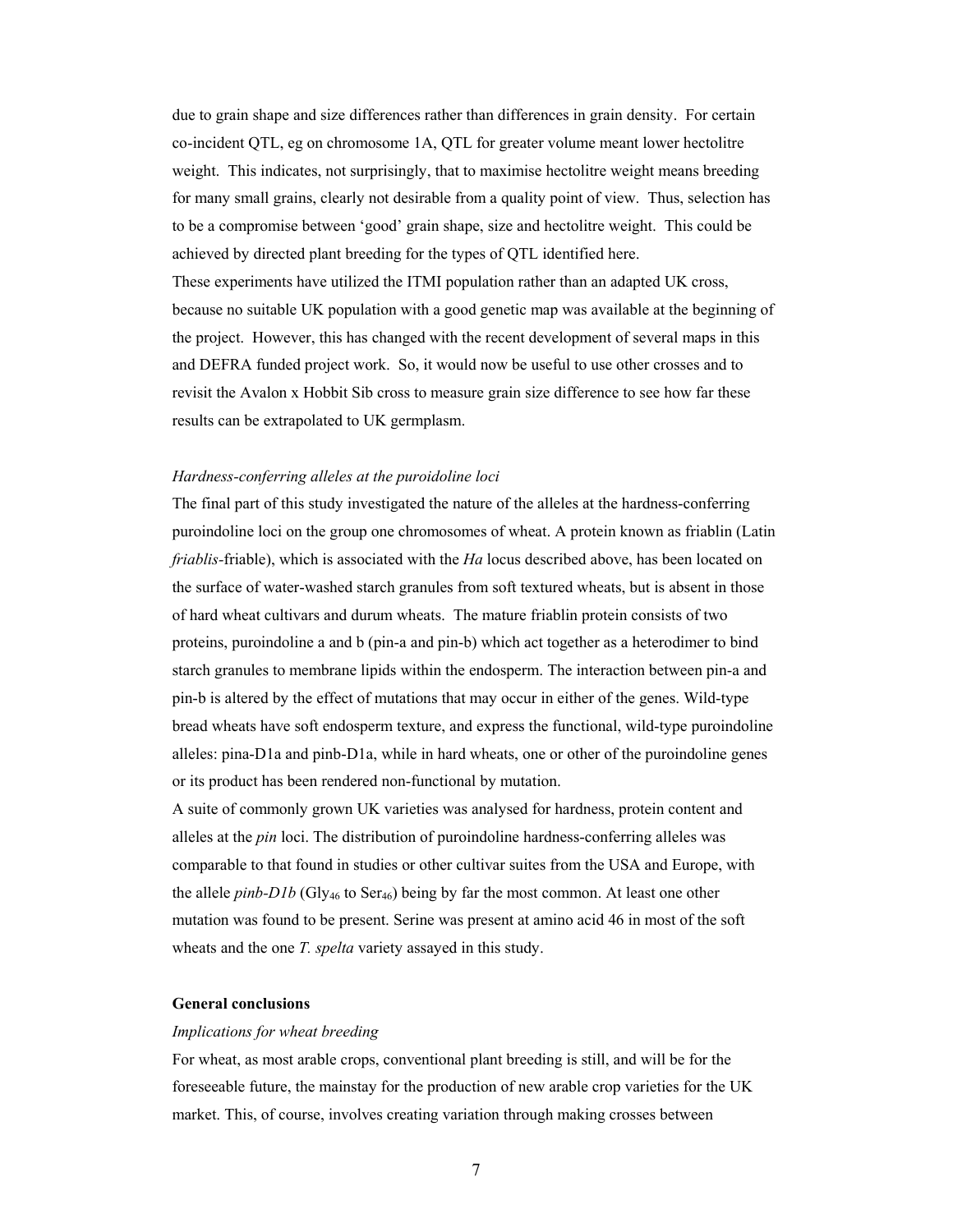due to grain shape and size differences rather than differences in grain density. For certain co-incident QTL, eg on chromosome 1A, QTL for greater volume meant lower hectolitre weight. This indicates, not surprisingly, that to maximise hectolitre weight means breeding for many small grains, clearly not desirable from a quality point of view. Thus, selection has to be a compromise between 'good' grain shape, size and hectolitre weight. This could be achieved by directed plant breeding for the types of QTL identified here. These experiments have utilized the ITMI population rather than an adapted UK cross, because no suitable UK population with a good genetic map was available at the beginning of the project. However, this has changed with the recent development of several maps in this and DEFRA funded project work. So, it would now be useful to use other crosses and to revisit the Avalon x Hobbit Sib cross to measure grain size difference to see how far these results can be extrapolated to UK germplasm.

### *Hardness-conferring alleles at the puroidoline loci*

The final part of this study investigated the nature of the alleles at the hardness-conferring puroindoline loci on the group one chromosomes of wheat. A protein known as friablin (Latin *friablis-*friable), which is associated with the *Ha* locus described above, has been located on the surface of water-washed starch granules from soft textured wheats, but is absent in those of hard wheat cultivars and durum wheats. The mature friablin protein consists of two proteins, puroindoline a and b (pin-a and pin-b) which act together as a heterodimer to bind starch granules to membrane lipids within the endosperm. The interaction between pin-a and pin-b is altered by the effect of mutations that may occur in either of the genes. Wild-type bread wheats have soft endosperm texture, and express the functional, wild-type puroindoline alleles: pina-D1a and pinb-D1a, while in hard wheats, one or other of the puroindoline genes or its product has been rendered non-functional by mutation.

A suite of commonly grown UK varieties was analysed for hardness, protein content and alleles at the *pin* loci. The distribution of puroindoline hardness-conferring alleles was comparable to that found in studies or other cultivar suites from the USA and Europe, with the allele *pinb-D1b* (Gly<sub>46</sub> to Ser<sub>46</sub>) being by far the most common. At least one other mutation was found to be present. Serine was present at amino acid 46 in most of the soft wheats and the one *T. spelta* variety assayed in this study.

# **General conclusions**

#### *Implications for wheat breeding*

For wheat, as most arable crops, conventional plant breeding is still, and will be for the foreseeable future, the mainstay for the production of new arable crop varieties for the UK market. This, of course, involves creating variation through making crosses between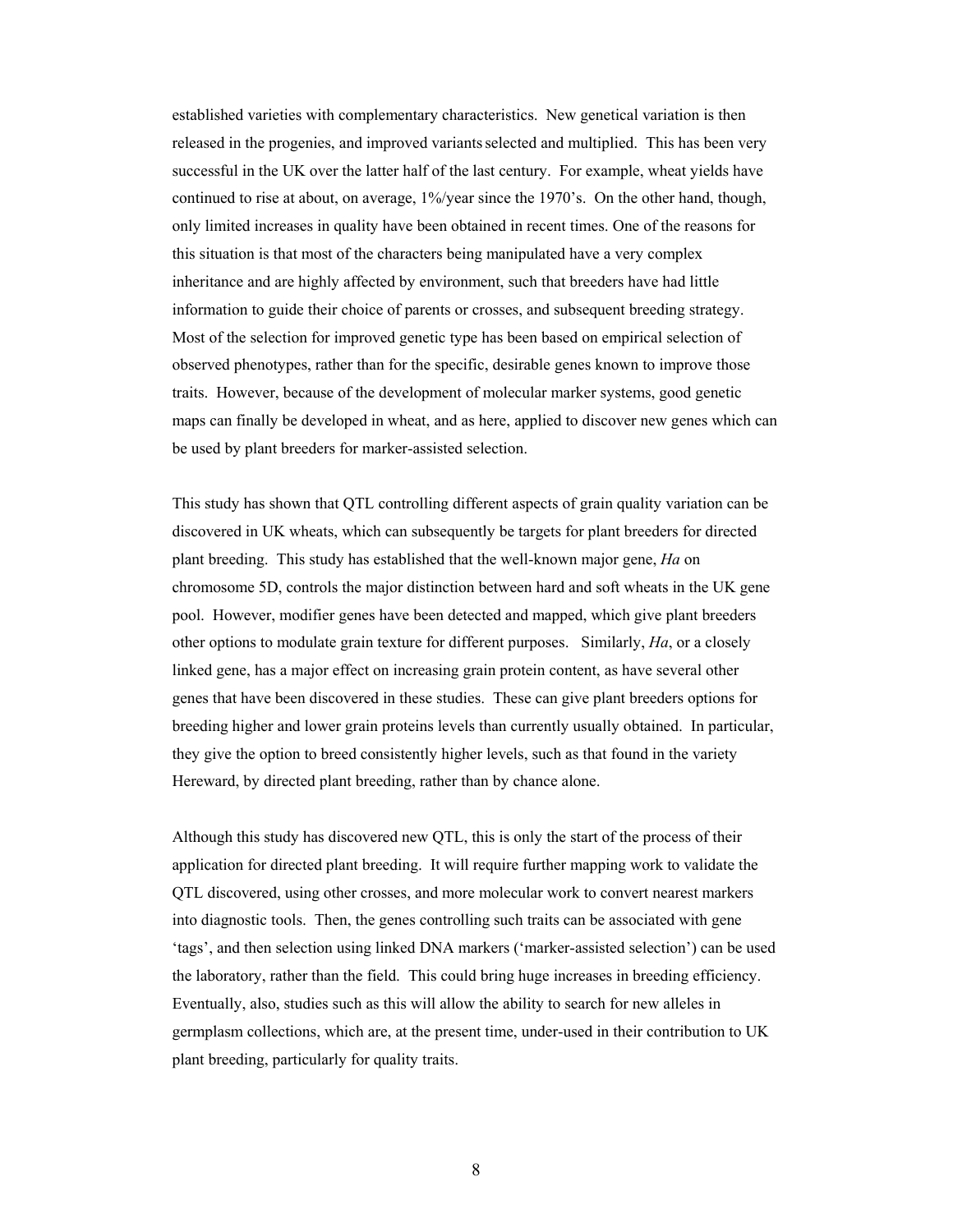established varieties with complementary characteristics. New genetical variation is then released in the progenies, and improved variants selected and multiplied. This has been very successful in the UK over the latter half of the last century. For example, wheat yields have continued to rise at about, on average, 1%/year since the 1970's. On the other hand, though, only limited increases in quality have been obtained in recent times. One of the reasons for this situation is that most of the characters being manipulated have a very complex inheritance and are highly affected by environment, such that breeders have had little information to guide their choice of parents or crosses, and subsequent breeding strategy. Most of the selection for improved genetic type has been based on empirical selection of observed phenotypes, rather than for the specific, desirable genes known to improve those traits. However, because of the development of molecular marker systems, good genetic maps can finally be developed in wheat, and as here, applied to discover new genes which can be used by plant breeders for marker-assisted selection.

This study has shown that QTL controlling different aspects of grain quality variation can be discovered in UK wheats, which can subsequently be targets for plant breeders for directed plant breeding. This study has established that the well-known major gene, *Ha* on chromosome 5D, controls the major distinction between hard and soft wheats in the UK gene pool. However, modifier genes have been detected and mapped, which give plant breeders other options to modulate grain texture for different purposes. Similarly, *Ha*, or a closely linked gene, has a major effect on increasing grain protein content, as have several other genes that have been discovered in these studies. These can give plant breeders options for breeding higher and lower grain proteins levels than currently usually obtained. In particular, they give the option to breed consistently higher levels, such as that found in the variety Hereward, by directed plant breeding, rather than by chance alone.

Although this study has discovered new QTL, this is only the start of the process of their application for directed plant breeding. It will require further mapping work to validate the QTL discovered, using other crosses, and more molecular work to convert nearest markers into diagnostic tools. Then, the genes controlling such traits can be associated with gene 'tags', and then selection using linked DNA markers ('marker-assisted selection') can be used the laboratory, rather than the field. This could bring huge increases in breeding efficiency. Eventually, also, studies such as this will allow the ability to search for new alleles in germplasm collections, which are, at the present time, under-used in their contribution to UK plant breeding, particularly for quality traits.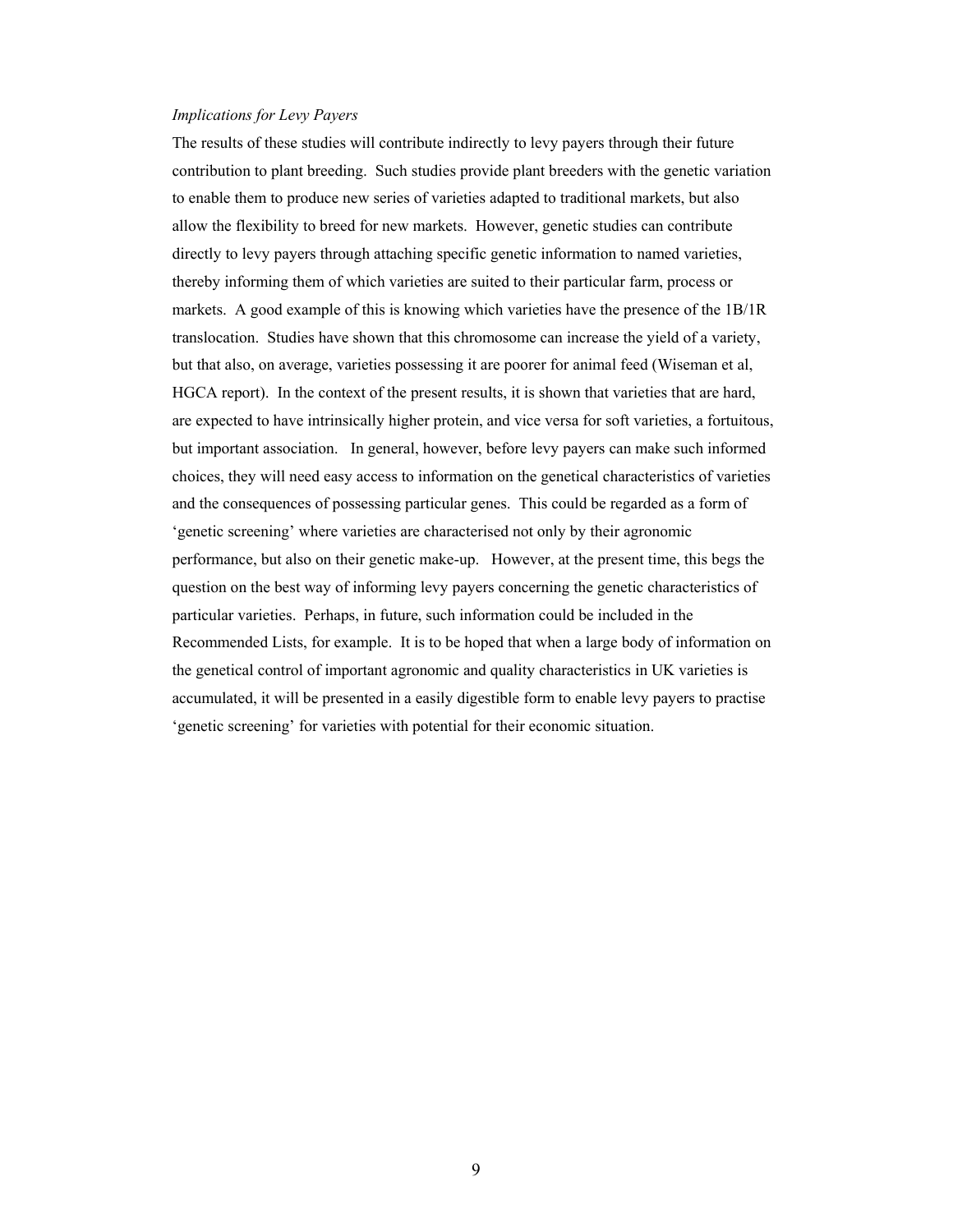### *Implications for Levy Payers*

The results of these studies will contribute indirectly to levy payers through their future contribution to plant breeding. Such studies provide plant breeders with the genetic variation to enable them to produce new series of varieties adapted to traditional markets, but also allow the flexibility to breed for new markets. However, genetic studies can contribute directly to levy payers through attaching specific genetic information to named varieties, thereby informing them of which varieties are suited to their particular farm, process or markets. A good example of this is knowing which varieties have the presence of the 1B/1R translocation. Studies have shown that this chromosome can increase the yield of a variety, but that also, on average, varieties possessing it are poorer for animal feed (Wiseman et al, HGCA report). In the context of the present results, it is shown that varieties that are hard, are expected to have intrinsically higher protein, and vice versa for soft varieties, a fortuitous, but important association. In general, however, before levy payers can make such informed choices, they will need easy access to information on the genetical characteristics of varieties and the consequences of possessing particular genes. This could be regarded as a form of 'genetic screening' where varieties are characterised not only by their agronomic performance, but also on their genetic make-up. However, at the present time, this begs the question on the best way of informing levy payers concerning the genetic characteristics of particular varieties. Perhaps, in future, such information could be included in the Recommended Lists, for example. It is to be hoped that when a large body of information on the genetical control of important agronomic and quality characteristics in UK varieties is accumulated, it will be presented in a easily digestible form to enable levy payers to practise 'genetic screening' for varieties with potential for their economic situation.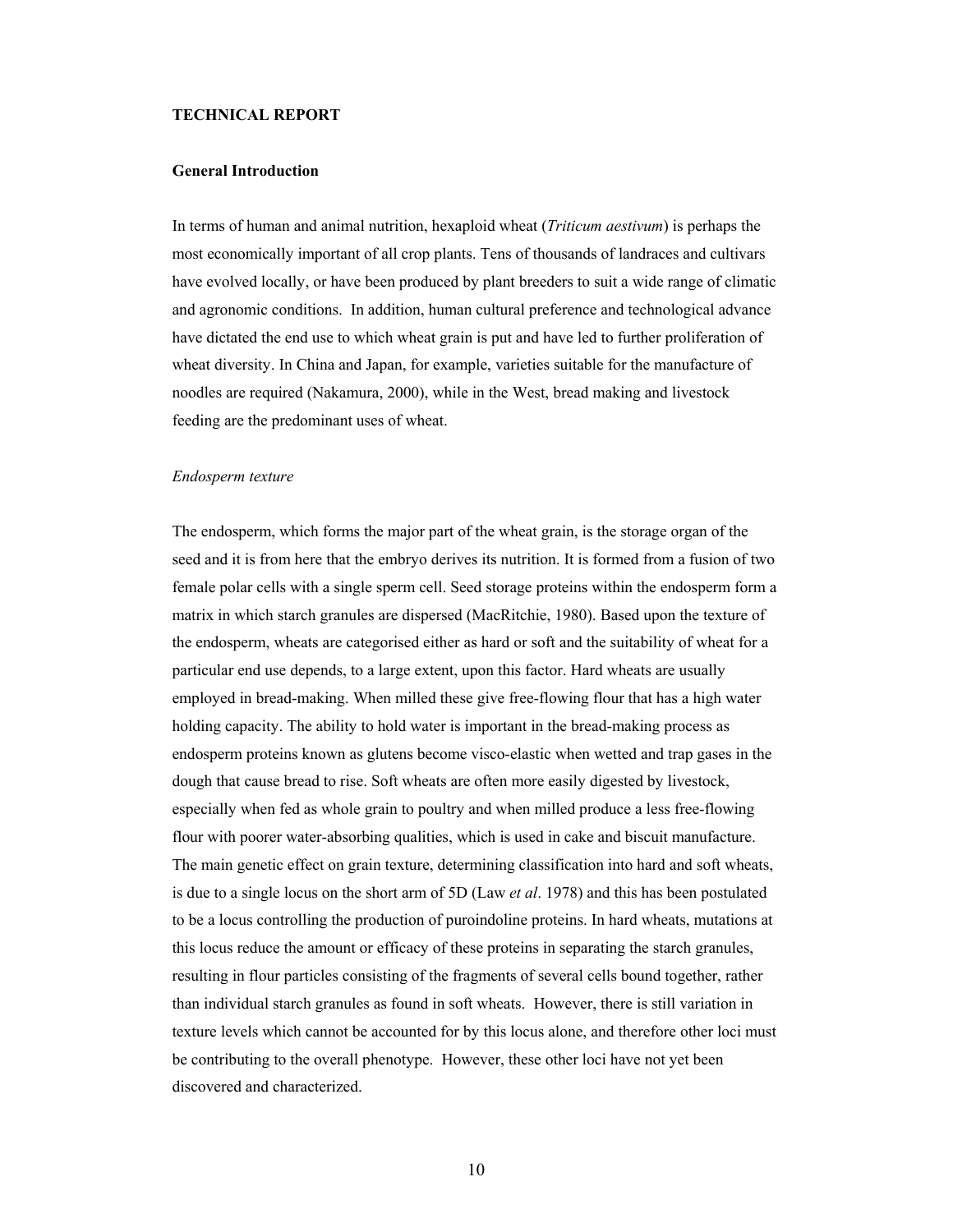### **TECHNICAL REPORT**

## **General Introduction**

In terms of human and animal nutrition, hexaploid wheat (*Triticum aestivum*) is perhaps the most economically important of all crop plants. Tens of thousands of landraces and cultivars have evolved locally, or have been produced by plant breeders to suit a wide range of climatic and agronomic conditions. In addition, human cultural preference and technological advance have dictated the end use to which wheat grain is put and have led to further proliferation of wheat diversity. In China and Japan, for example, varieties suitable for the manufacture of noodles are required (Nakamura, 2000), while in the West, bread making and livestock feeding are the predominant uses of wheat.

#### *Endosperm texture*

The endosperm, which forms the major part of the wheat grain, is the storage organ of the seed and it is from here that the embryo derives its nutrition. It is formed from a fusion of two female polar cells with a single sperm cell. Seed storage proteins within the endosperm form a matrix in which starch granules are dispersed (MacRitchie, 1980). Based upon the texture of the endosperm, wheats are categorised either as hard or soft and the suitability of wheat for a particular end use depends, to a large extent, upon this factor. Hard wheats are usually employed in bread-making. When milled these give free-flowing flour that has a high water holding capacity. The ability to hold water is important in the bread-making process as endosperm proteins known as glutens become visco-elastic when wetted and trap gases in the dough that cause bread to rise. Soft wheats are often more easily digested by livestock, especially when fed as whole grain to poultry and when milled produce a less free-flowing flour with poorer water-absorbing qualities, which is used in cake and biscuit manufacture. The main genetic effect on grain texture, determining classification into hard and soft wheats, is due to a single locus on the short arm of 5D (Law *et al*. 1978) and this has been postulated to be a locus controlling the production of puroindoline proteins. In hard wheats, mutations at this locus reduce the amount or efficacy of these proteins in separating the starch granules, resulting in flour particles consisting of the fragments of several cells bound together, rather than individual starch granules as found in soft wheats. However, there is still variation in texture levels which cannot be accounted for by this locus alone, and therefore other loci must be contributing to the overall phenotype. However, these other loci have not yet been discovered and characterized.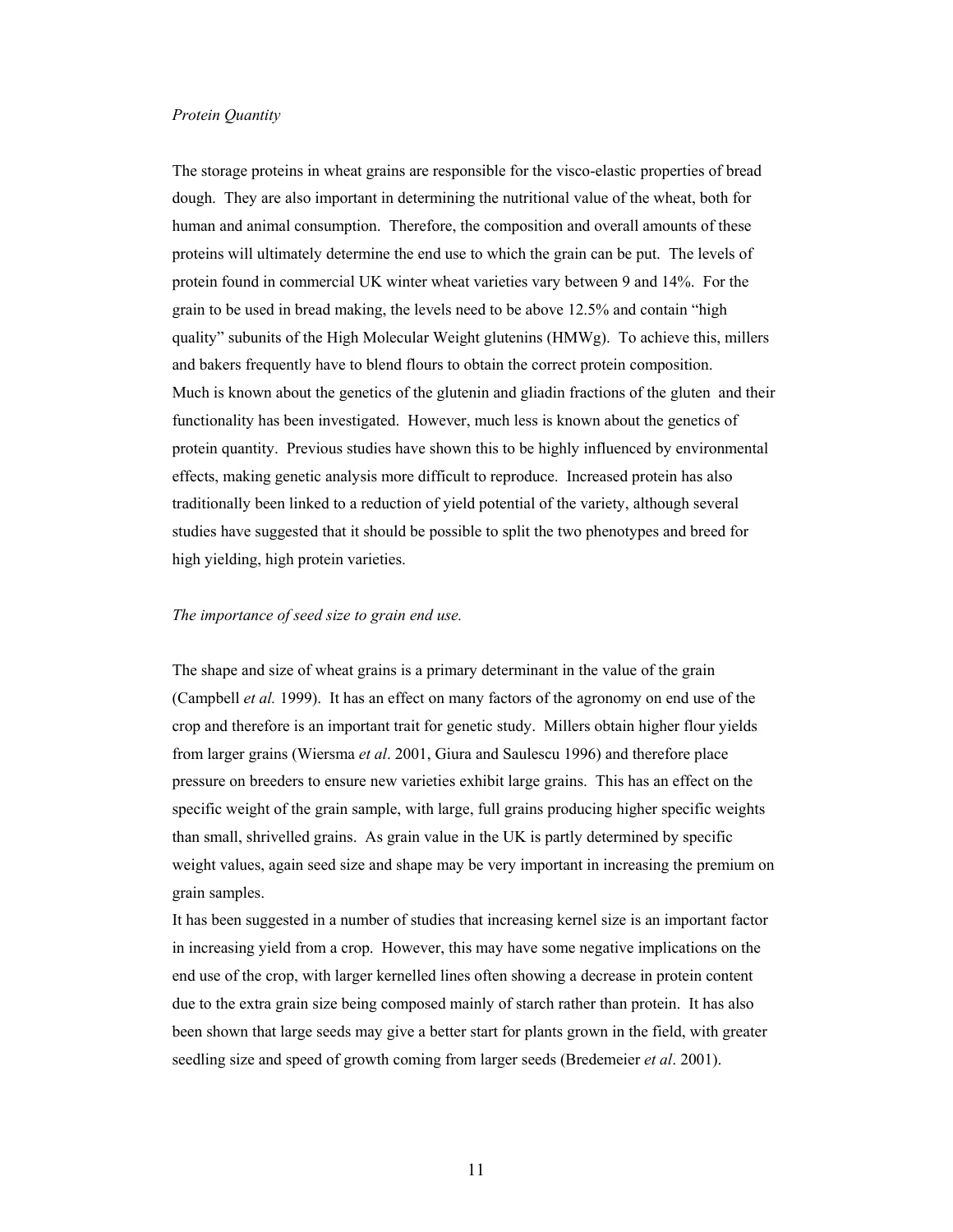### *Protein Quantity*

The storage proteins in wheat grains are responsible for the visco-elastic properties of bread dough. They are also important in determining the nutritional value of the wheat, both for human and animal consumption. Therefore, the composition and overall amounts of these proteins will ultimately determine the end use to which the grain can be put. The levels of protein found in commercial UK winter wheat varieties vary between 9 and 14%. For the grain to be used in bread making, the levels need to be above 12.5% and contain "high quality" subunits of the High Molecular Weight glutenins (HMWg). To achieve this, millers and bakers frequently have to blend flours to obtain the correct protein composition. Much is known about the genetics of the glutenin and gliadin fractions of the gluten and their functionality has been investigated. However, much less is known about the genetics of protein quantity. Previous studies have shown this to be highly influenced by environmental effects, making genetic analysis more difficult to reproduce. Increased protein has also traditionally been linked to a reduction of yield potential of the variety, although several studies have suggested that it should be possible to split the two phenotypes and breed for high yielding, high protein varieties.

# *The importance of seed size to grain end use.*

The shape and size of wheat grains is a primary determinant in the value of the grain (Campbell *et al.* 1999). It has an effect on many factors of the agronomy on end use of the crop and therefore is an important trait for genetic study. Millers obtain higher flour yields from larger grains (Wiersma *et al*. 2001, Giura and Saulescu 1996) and therefore place pressure on breeders to ensure new varieties exhibit large grains. This has an effect on the specific weight of the grain sample, with large, full grains producing higher specific weights than small, shrivelled grains. As grain value in the UK is partly determined by specific weight values, again seed size and shape may be very important in increasing the premium on grain samples.

It has been suggested in a number of studies that increasing kernel size is an important factor in increasing yield from a crop. However, this may have some negative implications on the end use of the crop, with larger kernelled lines often showing a decrease in protein content due to the extra grain size being composed mainly of starch rather than protein. It has also been shown that large seeds may give a better start for plants grown in the field, with greater seedling size and speed of growth coming from larger seeds (Bredemeier *et al*. 2001).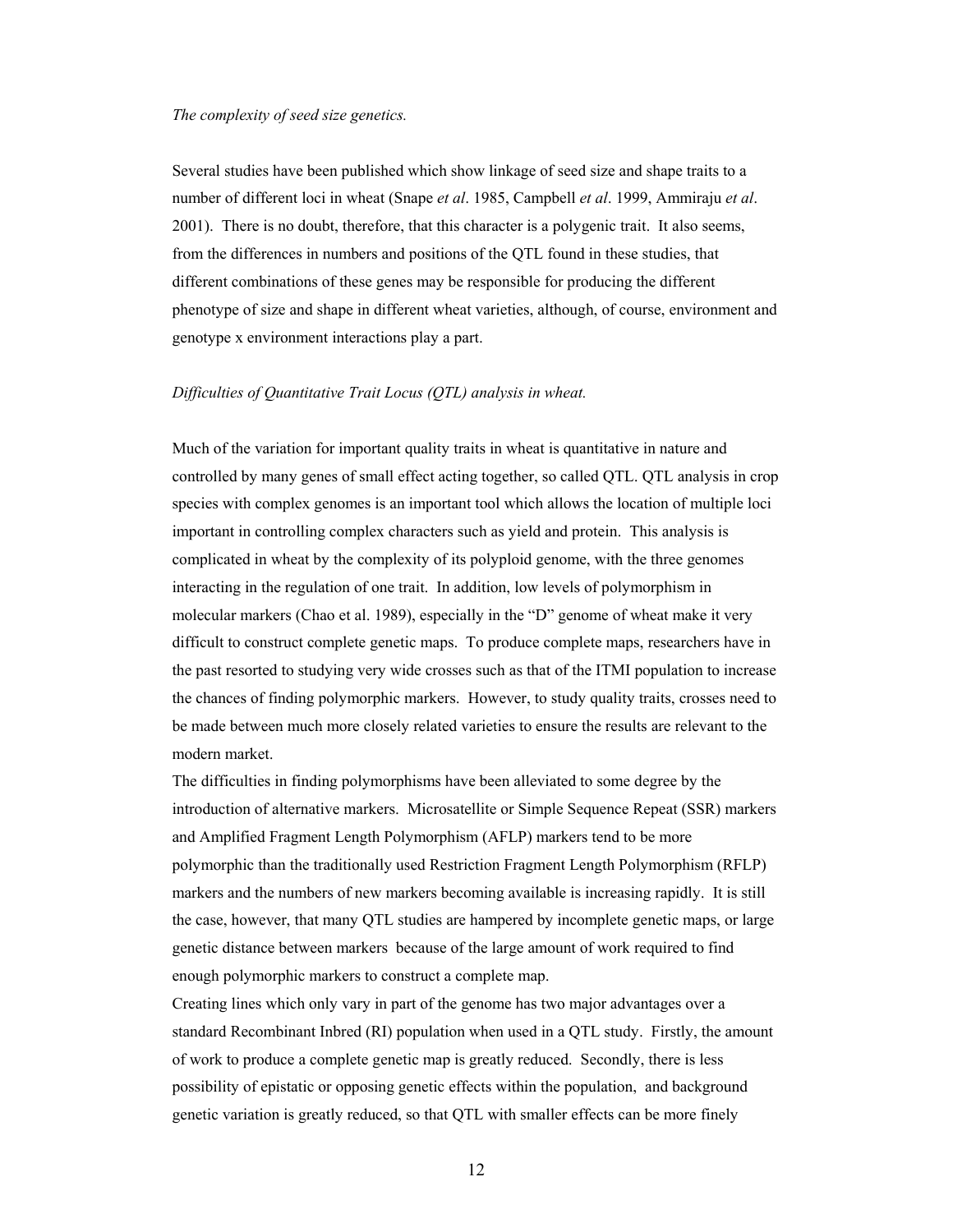### *The complexity of seed size genetics.*

Several studies have been published which show linkage of seed size and shape traits to a number of different loci in wheat (Snape *et al*. 1985, Campbell *et al*. 1999, Ammiraju *et al*. 2001). There is no doubt, therefore, that this character is a polygenic trait. It also seems, from the differences in numbers and positions of the QTL found in these studies, that different combinations of these genes may be responsible for producing the different phenotype of size and shape in different wheat varieties, although, of course, environment and genotype x environment interactions play a part.

# *Difficulties of Quantitative Trait Locus (QTL) analysis in wheat.*

Much of the variation for important quality traits in wheat is quantitative in nature and controlled by many genes of small effect acting together, so called QTL. QTL analysis in crop species with complex genomes is an important tool which allows the location of multiple loci important in controlling complex characters such as yield and protein. This analysis is complicated in wheat by the complexity of its polyploid genome, with the three genomes interacting in the regulation of one trait. In addition, low levels of polymorphism in molecular markers (Chao et al. 1989), especially in the "D" genome of wheat make it very difficult to construct complete genetic maps. To produce complete maps, researchers have in the past resorted to studying very wide crosses such as that of the ITMI population to increase the chances of finding polymorphic markers. However, to study quality traits, crosses need to be made between much more closely related varieties to ensure the results are relevant to the modern market.

The difficulties in finding polymorphisms have been alleviated to some degree by the introduction of alternative markers. Microsatellite or Simple Sequence Repeat (SSR) markers and Amplified Fragment Length Polymorphism (AFLP) markers tend to be more polymorphic than the traditionally used Restriction Fragment Length Polymorphism (RFLP) markers and the numbers of new markers becoming available is increasing rapidly. It is still the case, however, that many QTL studies are hampered by incomplete genetic maps, or large genetic distance between markers because of the large amount of work required to find enough polymorphic markers to construct a complete map.

Creating lines which only vary in part of the genome has two major advantages over a standard Recombinant Inbred (RI) population when used in a QTL study. Firstly, the amount of work to produce a complete genetic map is greatly reduced. Secondly, there is less possibility of epistatic or opposing genetic effects within the population, and background genetic variation is greatly reduced, so that QTL with smaller effects can be more finely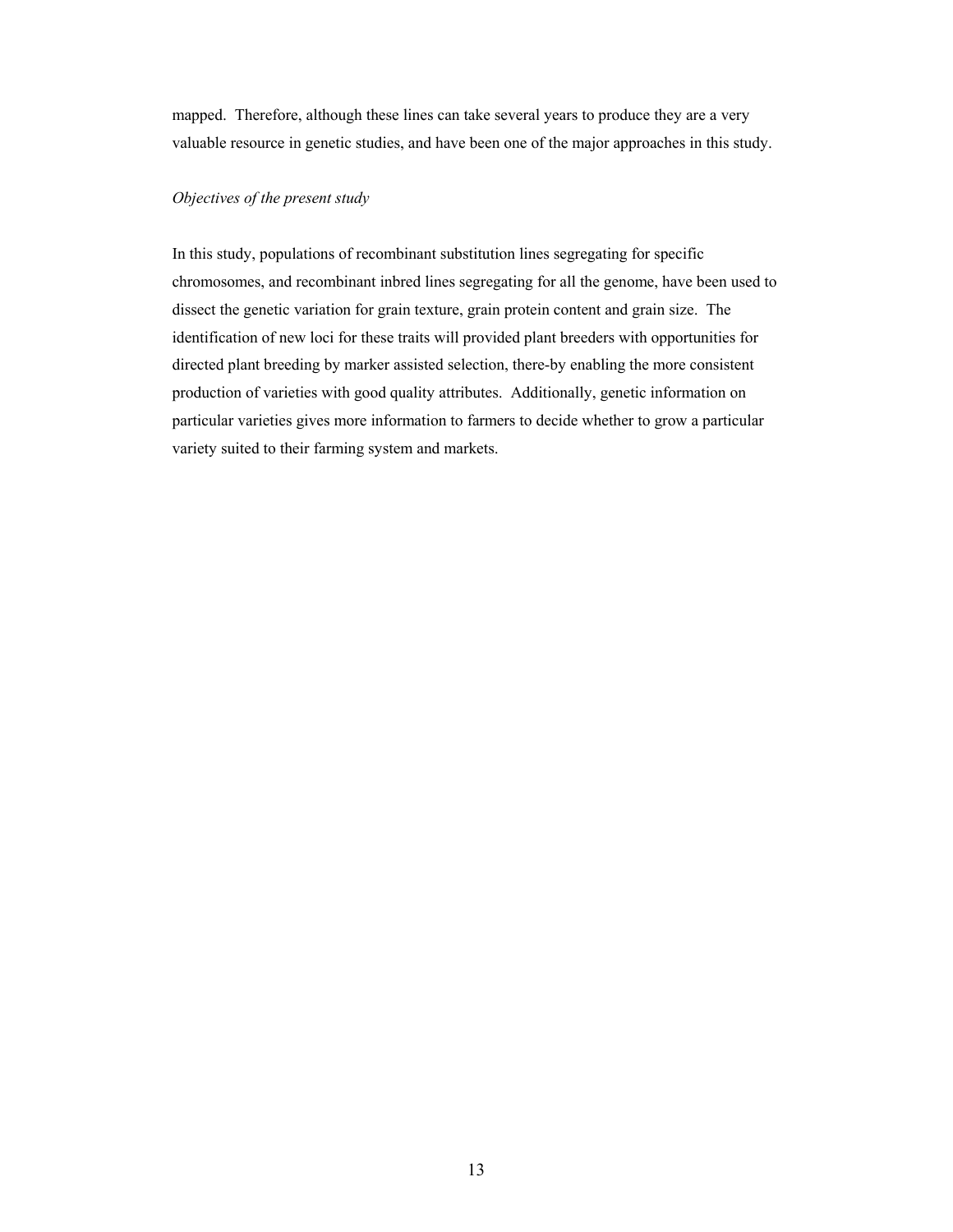mapped. Therefore, although these lines can take several years to produce they are a very valuable resource in genetic studies, and have been one of the major approaches in this study.

# *Objectives of the present study*

In this study, populations of recombinant substitution lines segregating for specific chromosomes, and recombinant inbred lines segregating for all the genome, have been used to dissect the genetic variation for grain texture, grain protein content and grain size. The identification of new loci for these traits will provided plant breeders with opportunities for directed plant breeding by marker assisted selection, there-by enabling the more consistent production of varieties with good quality attributes. Additionally, genetic information on particular varieties gives more information to farmers to decide whether to grow a particular variety suited to their farming system and markets.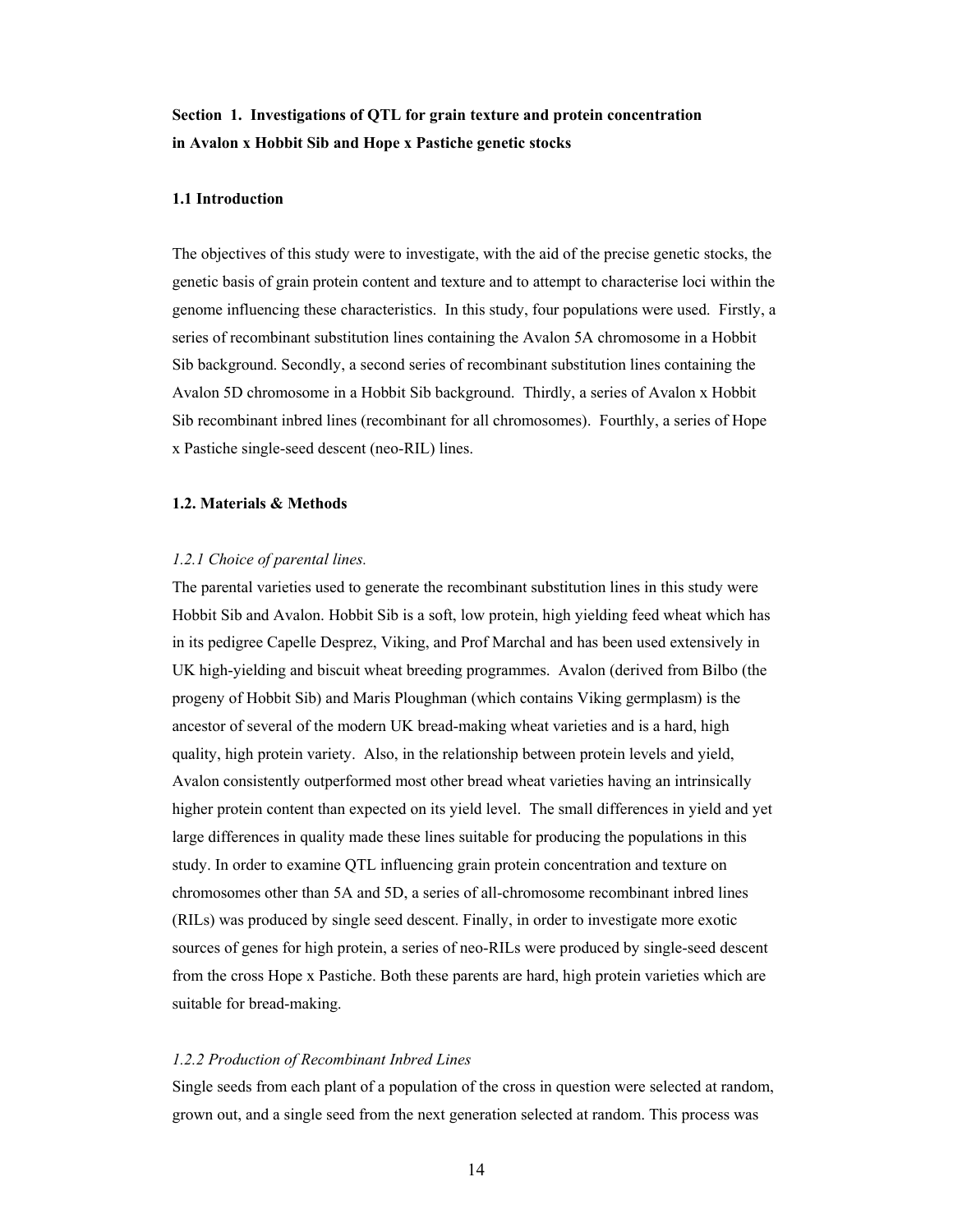# **Section 1. Investigations of QTL for grain texture and protein concentration in Avalon x Hobbit Sib and Hope x Pastiche genetic stocks**

# **1.1 Introduction**

The objectives of this study were to investigate, with the aid of the precise genetic stocks, the genetic basis of grain protein content and texture and to attempt to characterise loci within the genome influencing these characteristics. In this study, four populations were used. Firstly, a series of recombinant substitution lines containing the Avalon 5A chromosome in a Hobbit Sib background. Secondly, a second series of recombinant substitution lines containing the Avalon 5D chromosome in a Hobbit Sib background. Thirdly, a series of Avalon x Hobbit Sib recombinant inbred lines (recombinant for all chromosomes). Fourthly, a series of Hope x Pastiche single-seed descent (neo-RIL) lines.

# **1.2. Materials & Methods**

### *1.2.1 Choice of parental lines.*

The parental varieties used to generate the recombinant substitution lines in this study were Hobbit Sib and Avalon. Hobbit Sib is a soft, low protein, high yielding feed wheat which has in its pedigree Capelle Desprez, Viking, and Prof Marchal and has been used extensively in UK high-yielding and biscuit wheat breeding programmes. Avalon (derived from Bilbo (the progeny of Hobbit Sib) and Maris Ploughman (which contains Viking germplasm) is the ancestor of several of the modern UK bread-making wheat varieties and is a hard, high quality, high protein variety. Also, in the relationship between protein levels and yield, Avalon consistently outperformed most other bread wheat varieties having an intrinsically higher protein content than expected on its yield level. The small differences in yield and yet large differences in quality made these lines suitable for producing the populations in this study. In order to examine QTL influencing grain protein concentration and texture on chromosomes other than 5A and 5D, a series of all-chromosome recombinant inbred lines (RILs) was produced by single seed descent. Finally, in order to investigate more exotic sources of genes for high protein, a series of neo-RILs were produced by single-seed descent from the cross Hope x Pastiche. Both these parents are hard, high protein varieties which are suitable for bread-making.

### *1.2.2 Production of Recombinant Inbred Lines*

Single seeds from each plant of a population of the cross in question were selected at random, grown out, and a single seed from the next generation selected at random. This process was

14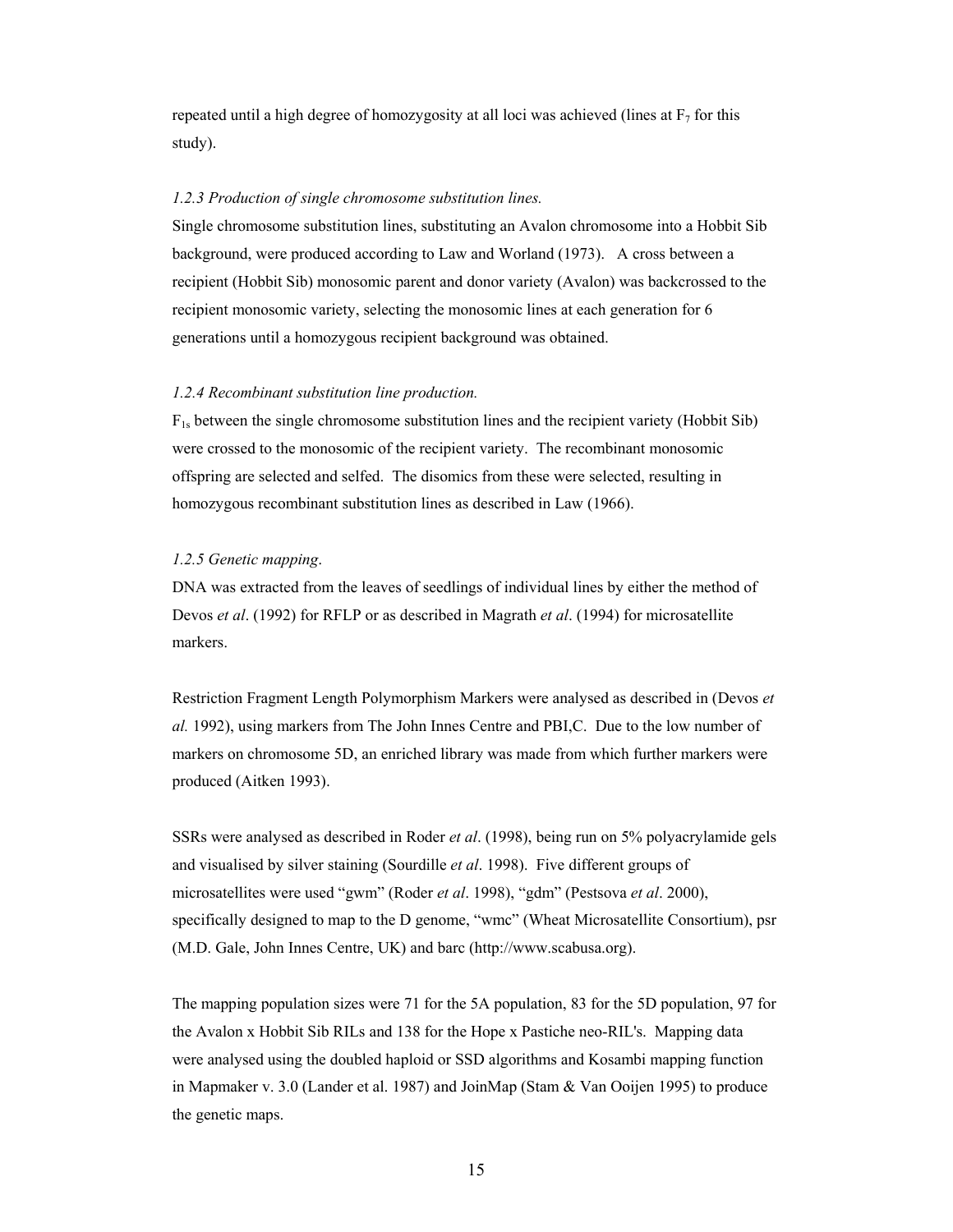repeated until a high degree of homozygosity at all loci was achieved (lines at  $F<sub>7</sub>$  for this study).

# *1.2.3 Production of single chromosome substitution lines.*

Single chromosome substitution lines, substituting an Avalon chromosome into a Hobbit Sib background, were produced according to Law and Worland (1973). A cross between a recipient (Hobbit Sib) monosomic parent and donor variety (Avalon) was backcrossed to the recipient monosomic variety, selecting the monosomic lines at each generation for 6 generations until a homozygous recipient background was obtained.

### *1.2.4 Recombinant substitution line production.*

 $F_{1s}$  between the single chromosome substitution lines and the recipient variety (Hobbit Sib) were crossed to the monosomic of the recipient variety. The recombinant monosomic offspring are selected and selfed. The disomics from these were selected, resulting in homozygous recombinant substitution lines as described in Law (1966).

### *1.2.5 Genetic mapping*.

DNA was extracted from the leaves of seedlings of individual lines by either the method of Devos *et al*. (1992) for RFLP or as described in Magrath *et al*. (1994) for microsatellite markers.

Restriction Fragment Length Polymorphism Markers were analysed as described in (Devos *et al.* 1992), using markers from The John Innes Centre and PBI,C. Due to the low number of markers on chromosome 5D, an enriched library was made from which further markers were produced (Aitken 1993).

SSRs were analysed as described in Roder *et al*. (1998), being run on 5% polyacrylamide gels and visualised by silver staining (Sourdille *et al*. 1998). Five different groups of microsatellites were used "gwm" (Roder *et al*. 1998), "gdm" (Pestsova *et al*. 2000), specifically designed to map to the D genome, "wmc" (Wheat Microsatellite Consortium), psr (M.D. Gale, John Innes Centre, UK) and barc (http://www.scabusa.org).

The mapping population sizes were 71 for the 5A population, 83 for the 5D population, 97 for the Avalon x Hobbit Sib RILs and 138 for the Hope x Pastiche neo-RIL's. Mapping data were analysed using the doubled haploid or SSD algorithms and Kosambi mapping function in Mapmaker v. 3.0 (Lander et al. 1987) and JoinMap (Stam & Van Ooijen 1995) to produce the genetic maps.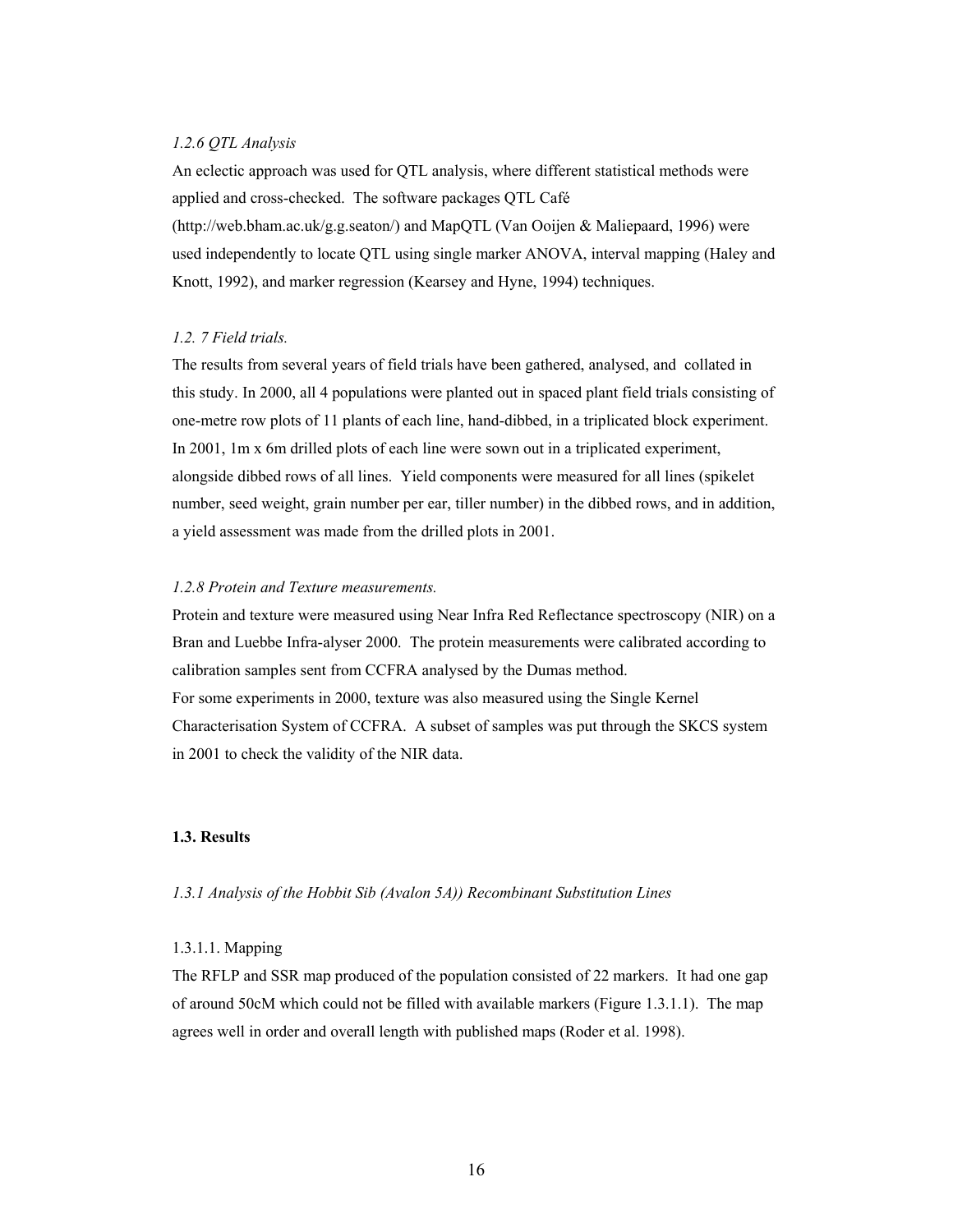# *1.2.6 QTL Analysis*

An eclectic approach was used for QTL analysis, where different statistical methods were applied and cross-checked. The software packages QTL Café (http://web.bham.ac.uk/g.g.seaton/) and MapQTL (Van Ooijen & Maliepaard, 1996) were used independently to locate QTL using single marker ANOVA, interval mapping (Haley and Knott, 1992), and marker regression (Kearsey and Hyne, 1994) techniques.

# *1.2. 7 Field trials.*

The results from several years of field trials have been gathered, analysed, and collated in this study. In 2000, all 4 populations were planted out in spaced plant field trials consisting of one-metre row plots of 11 plants of each line, hand-dibbed, in a triplicated block experiment. In 2001, 1m x 6m drilled plots of each line were sown out in a triplicated experiment, alongside dibbed rows of all lines. Yield components were measured for all lines (spikelet number, seed weight, grain number per ear, tiller number) in the dibbed rows, and in addition, a yield assessment was made from the drilled plots in 2001.

### *1.2.8 Protein and Texture measurements.*

Protein and texture were measured using Near Infra Red Reflectance spectroscopy (NIR) on a Bran and Luebbe Infra-alyser 2000. The protein measurements were calibrated according to calibration samples sent from CCFRA analysed by the Dumas method. For some experiments in 2000, texture was also measured using the Single Kernel Characterisation System of CCFRA. A subset of samples was put through the SKCS system in 2001 to check the validity of the NIR data.

# **1.3. Results**

*1.3.1 Analysis of the Hobbit Sib (Avalon 5A)) Recombinant Substitution Lines* 

### 1.3.1.1. Mapping

The RFLP and SSR map produced of the population consisted of 22 markers. It had one gap of around 50cM which could not be filled with available markers (Figure 1.3.1.1). The map agrees well in order and overall length with published maps (Roder et al. 1998).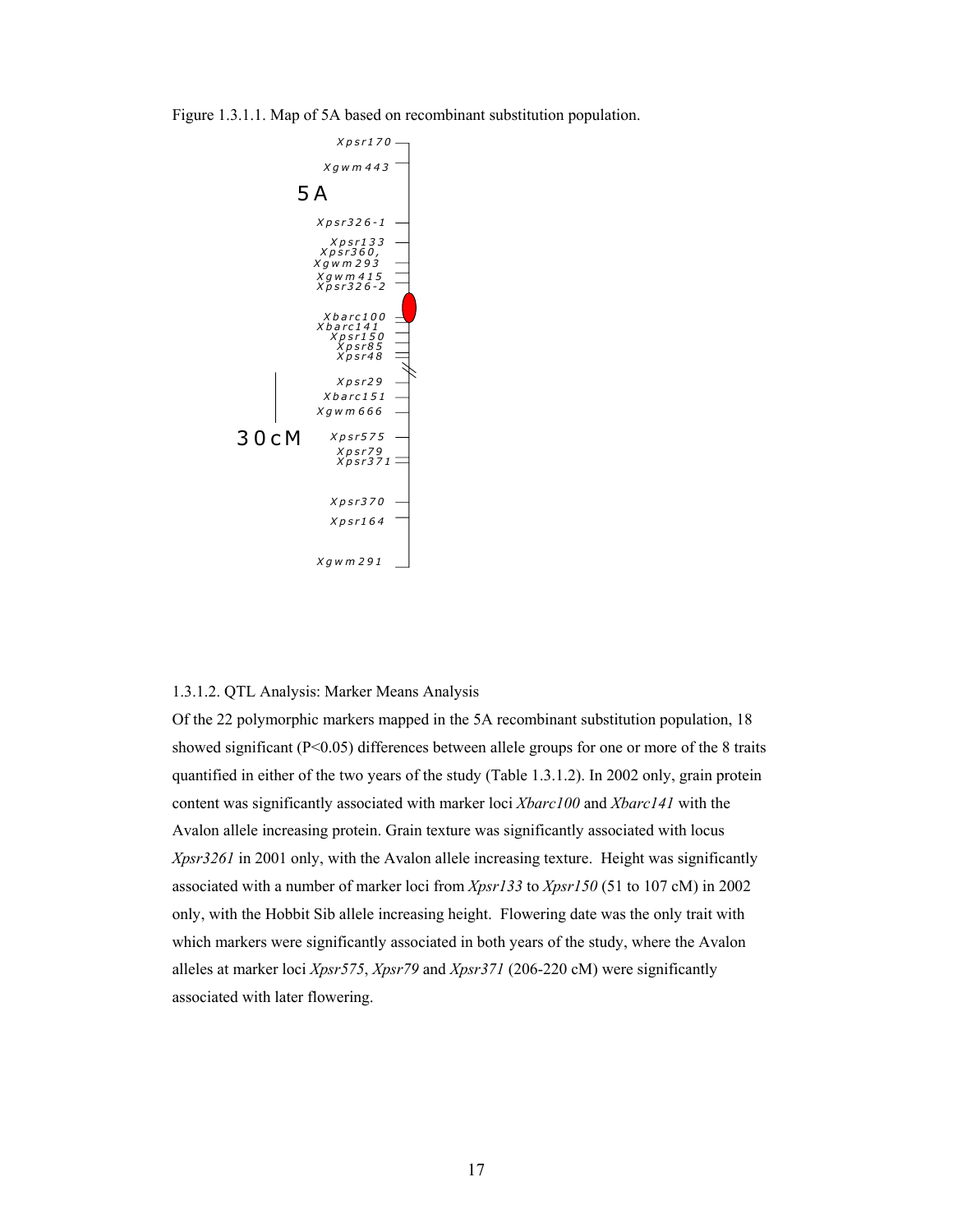Figure 1.3.1.1. Map of 5A based on recombinant substitution population.



# 1.3.1.2. QTL Analysis: Marker Means Analysis

Of the 22 polymorphic markers mapped in the 5A recombinant substitution population, 18 showed significant ( $P \le 0.05$ ) differences between allele groups for one or more of the 8 traits quantified in either of the two years of the study (Table 1.3.1.2). In 2002 only, grain protein content was significantly associated with marker loci *Xbarc100* and *Xbarc141* with the Avalon allele increasing protein. Grain texture was significantly associated with locus *Xpsr3261* in 2001 only, with the Avalon allele increasing texture. Height was significantly associated with a number of marker loci from *Xpsr133* to *Xpsr150* (51 to 107 cM) in 2002 only, with the Hobbit Sib allele increasing height. Flowering date was the only trait with which markers were significantly associated in both years of the study, where the Avalon alleles at marker loci *Xpsr575*, *Xpsr79* and *Xpsr371* (206-220 cM) were significantly associated with later flowering.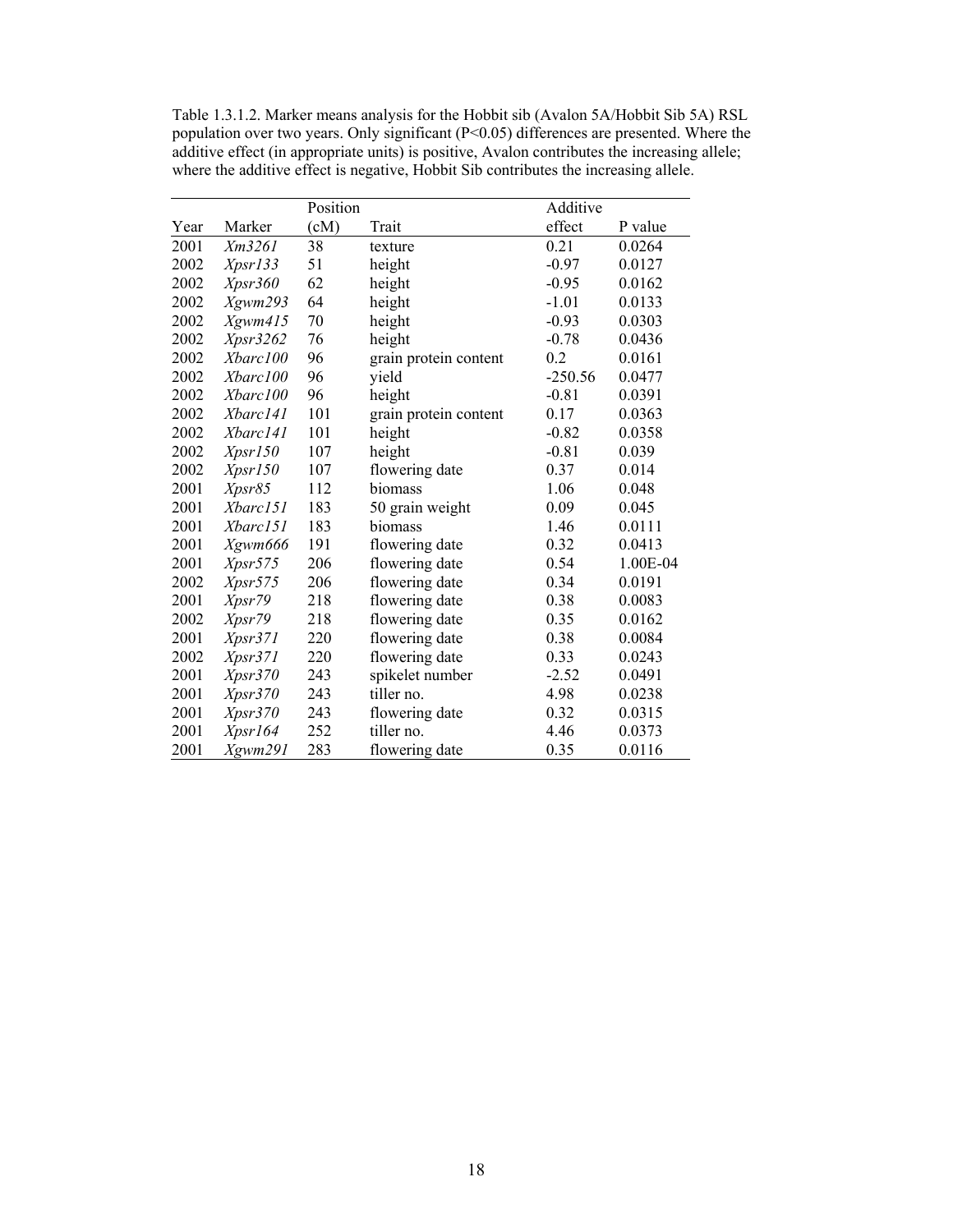Table 1.3.1.2. Marker means analysis for the Hobbit sib (Avalon 5A/Hobbit Sib 5A) RSL population over two years. Only significant (P<0.05) differences are presented. Where the additive effect (in appropriate units) is positive, Avalon contributes the increasing allele; where the additive effect is negative, Hobbit Sib contributes the increasing allele.

|      |          | Position |                       | Additive  |          |
|------|----------|----------|-----------------------|-----------|----------|
| Year | Marker   | (cM)     | Trait                 | effect    | P value  |
| 2001 | Xm3261   | 38       | texture               | 0.21      | 0.0264   |
| 2002 | Xpsr133  | 51       | height                | $-0.97$   | 0.0127   |
| 2002 | Xpsr360  | 62       | height                | $-0.95$   | 0.0162   |
| 2002 | Xgwm293  | 64       | height                | $-1.01$   | 0.0133   |
| 2002 | Xgwm415  | 70       | height                | $-0.93$   | 0.0303   |
| 2002 | Xpsr3262 | 76       | height                | $-0.78$   | 0.0436   |
| 2002 | Xbarc100 | 96       | grain protein content | 0.2       | 0.0161   |
| 2002 | Xbarc100 | 96       | yield                 | $-250.56$ | 0.0477   |
| 2002 | Xbarc100 | 96       | height                | $-0.81$   | 0.0391   |
| 2002 | Xbarc141 | 101      | grain protein content | 0.17      | 0.0363   |
| 2002 | Xbarc141 | 101      | height                | $-0.82$   | 0.0358   |
| 2002 | Xpsr150  | 107      | height                | $-0.81$   | 0.039    |
| 2002 | Xpsr150  | 107      | flowering date        | 0.37      | 0.014    |
| 2001 | Xpsr85   | 112      | biomass               | 1.06      | 0.048    |
| 2001 | Xbarc151 | 183      | 50 grain weight       | 0.09      | 0.045    |
| 2001 | Xbarc151 | 183      | biomass               | 1.46      | 0.0111   |
| 2001 | Xgwm666  | 191      | flowering date        | 0.32      | 0.0413   |
| 2001 | Xpsr575  | 206      | flowering date        | 0.54      | 1.00E-04 |
| 2002 | Xpsr575  | 206      | flowering date        | 0.34      | 0.0191   |
| 2001 | Xpsr79   | 218      | flowering date        | 0.38      | 0.0083   |
| 2002 | Xpsr79   | 218      | flowering date        | 0.35      | 0.0162   |
| 2001 | Xpsr371  | 220      | flowering date        | 0.38      | 0.0084   |
| 2002 | Xpsr371  | 220      | flowering date        | 0.33      | 0.0243   |
| 2001 | Xpsr370  | 243      | spikelet number       | $-2.52$   | 0.0491   |
| 2001 | Xpsr370  | 243      | tiller no.            | 4.98      | 0.0238   |
| 2001 | Xpsr370  | 243      | flowering date        | 0.32      | 0.0315   |
| 2001 | Xpsr164  | 252      | tiller no.            | 4.46      | 0.0373   |
| 2001 | Xgwm291  | 283      | flowering date        | 0.35      | 0.0116   |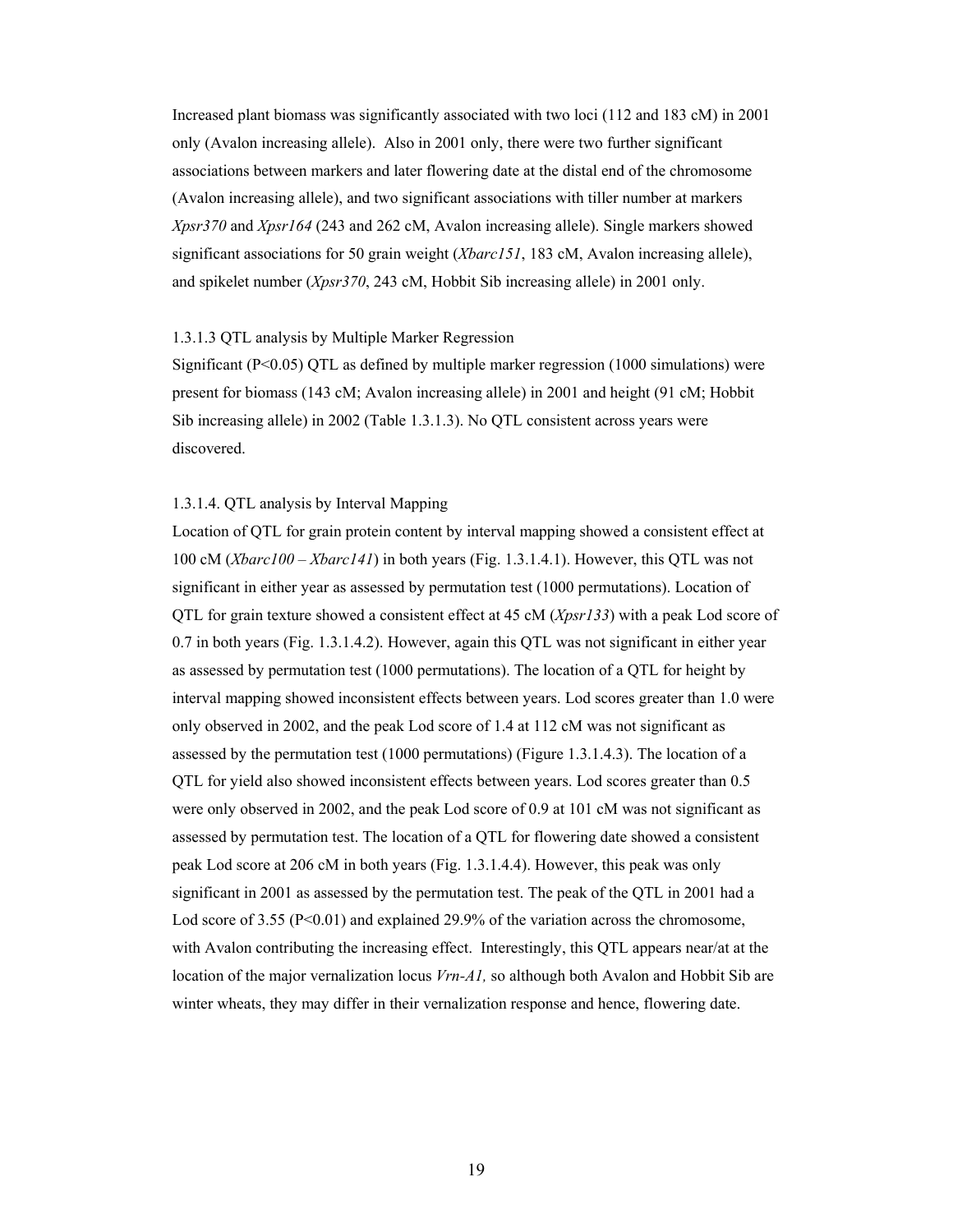Increased plant biomass was significantly associated with two loci (112 and 183 cM) in 2001 only (Avalon increasing allele). Also in 2001 only, there were two further significant associations between markers and later flowering date at the distal end of the chromosome (Avalon increasing allele), and two significant associations with tiller number at markers *Xpsr370* and *Xpsr164* (243 and 262 cM, Avalon increasing allele). Single markers showed significant associations for 50 grain weight (*Xbarc151*, 183 cM, Avalon increasing allele), and spikelet number (*Xpsr370*, 243 cM, Hobbit Sib increasing allele) in 2001 only.

# 1.3.1.3 QTL analysis by Multiple Marker Regression

Significant ( $P<0.05$ ) QTL as defined by multiple marker regression (1000 simulations) were present for biomass (143 cM; Avalon increasing allele) in 2001 and height (91 cM; Hobbit Sib increasing allele) in 2002 (Table 1.3.1.3). No QTL consistent across years were discovered.

### 1.3.1.4. QTL analysis by Interval Mapping

Location of QTL for grain protein content by interval mapping showed a consistent effect at 100 cM (*Xbarc100* – *Xbarc141*) in both years (Fig. 1.3.1.4.1). However, this QTL was not significant in either year as assessed by permutation test (1000 permutations). Location of QTL for grain texture showed a consistent effect at 45 cM (*Xpsr133*) with a peak Lod score of 0.7 in both years (Fig. 1.3.1.4.2). However, again this QTL was not significant in either year as assessed by permutation test (1000 permutations). The location of a QTL for height by interval mapping showed inconsistent effects between years. Lod scores greater than 1.0 were only observed in 2002, and the peak Lod score of 1.4 at 112 cM was not significant as assessed by the permutation test (1000 permutations) (Figure 1.3.1.4.3). The location of a QTL for yield also showed inconsistent effects between years. Lod scores greater than 0.5 were only observed in 2002, and the peak Lod score of 0.9 at 101 cM was not significant as assessed by permutation test. The location of a QTL for flowering date showed a consistent peak Lod score at 206 cM in both years (Fig. 1.3.1.4.4). However, this peak was only significant in 2001 as assessed by the permutation test. The peak of the QTL in 2001 had a Lod score of 3.55 ( $P<0.01$ ) and explained 29.9% of the variation across the chromosome, with Avalon contributing the increasing effect. Interestingly, this QTL appears near/at at the location of the major vernalization locus *Vrn-A1,* so although both Avalon and Hobbit Sib are winter wheats, they may differ in their vernalization response and hence, flowering date.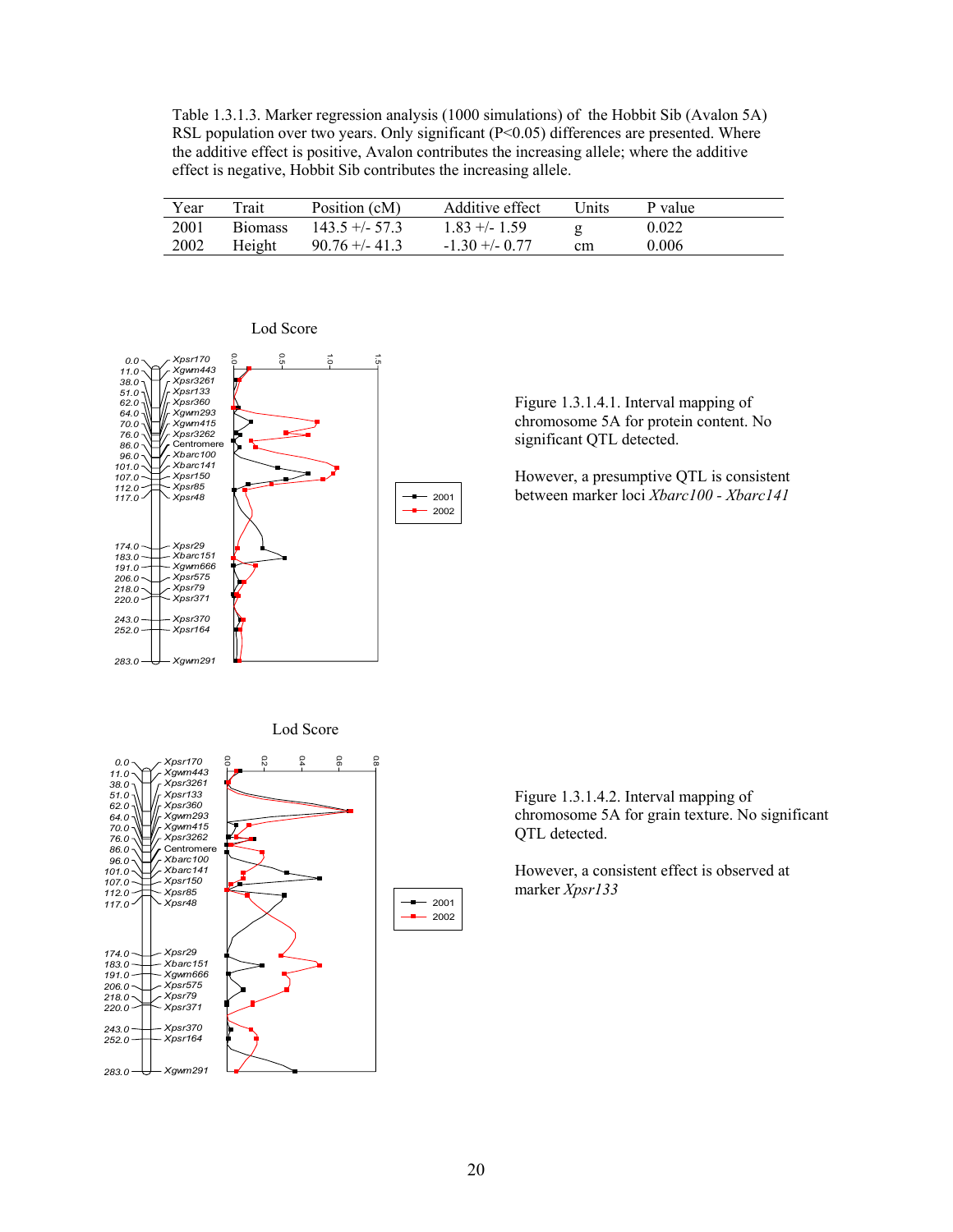Table 1.3.1.3. Marker regression analysis (1000 simulations) of the Hobbit Sib (Avalon 5A) RSL population over two years. Only significant  $(P< 0.05)$  differences are presented. Where the additive effect is positive, Avalon contributes the increasing allele; where the additive effect is negative, Hobbit Sib contributes the increasing allele.

| Year | Trait          | Position (cM)     | Additive effect  | Units | P value |
|------|----------------|-------------------|------------------|-------|---------|
| 2001 | <b>Biomass</b> | $143.5 + (-57.3)$ | $1.83 + - 1.59$  |       | 0.022   |
| 2002 | Height         | $90.76 + -41.3$   | $-1$ 30 +/- 0 77 | cm    | 0.006   |



### Lod Score

Figure 1.3.1.4.1. Interval mapping of chromosome 5A for protein content. No significant QTL detected.

However, a presumptive QTL is consistent between marker loci *Xbarc100 - Xbarc141* 

Lod Score



Figure 1.3.1.4.2. Interval mapping of chromosome 5A for grain texture. No significant QTL detected.

However, a consistent effect is observed at marker *Xpsr133*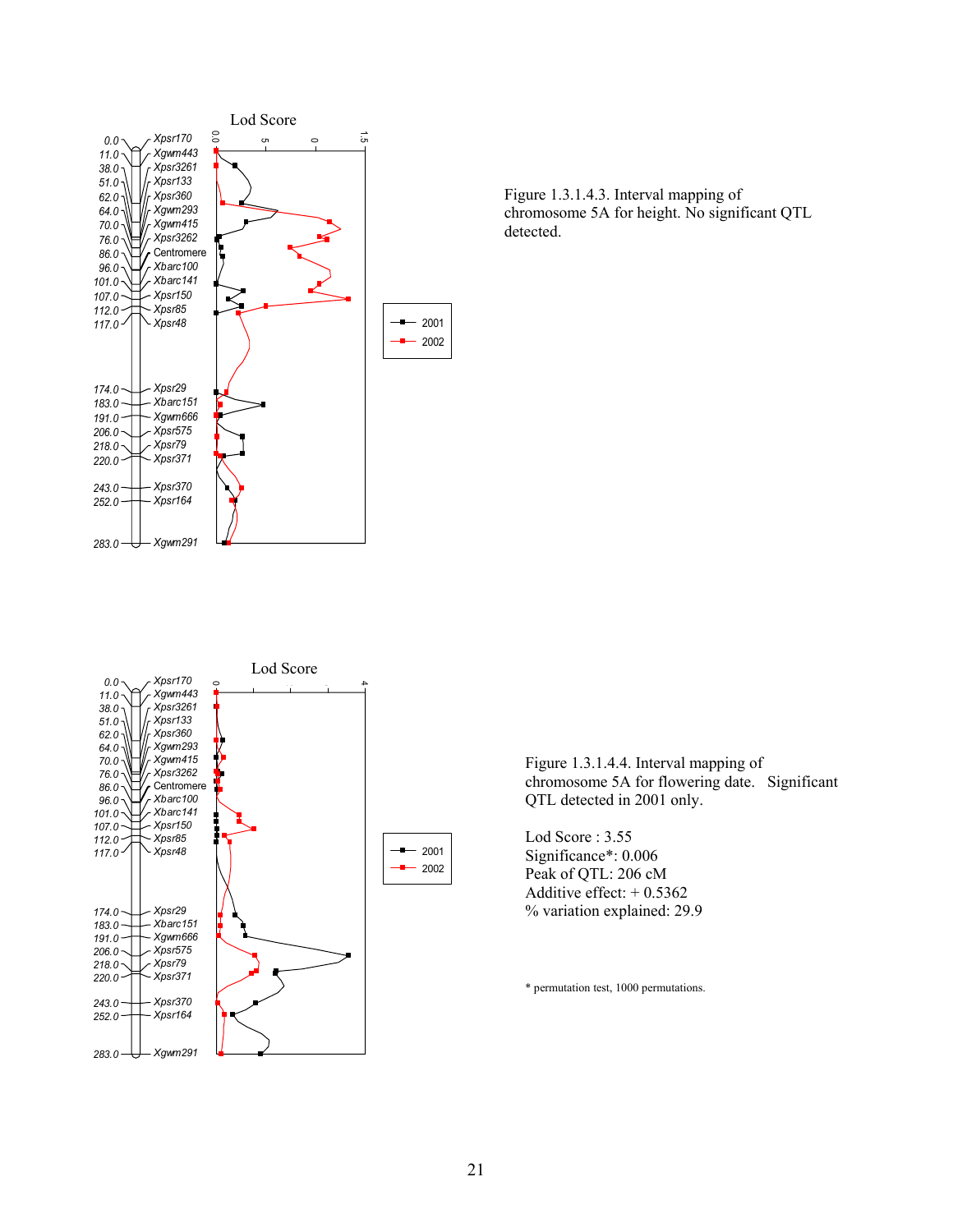





Figure 1.3.1.4.4. Interval mapping of chromosome 5A for flowering date. Significant QTL detected in 2001 only.

Lod Score : 3.55 Significance\*: 0.006 Peak of QTL: 206 cM Additive effect: + 0.5362 % variation explained: 29.9

\* permutation test, 1000 permutations.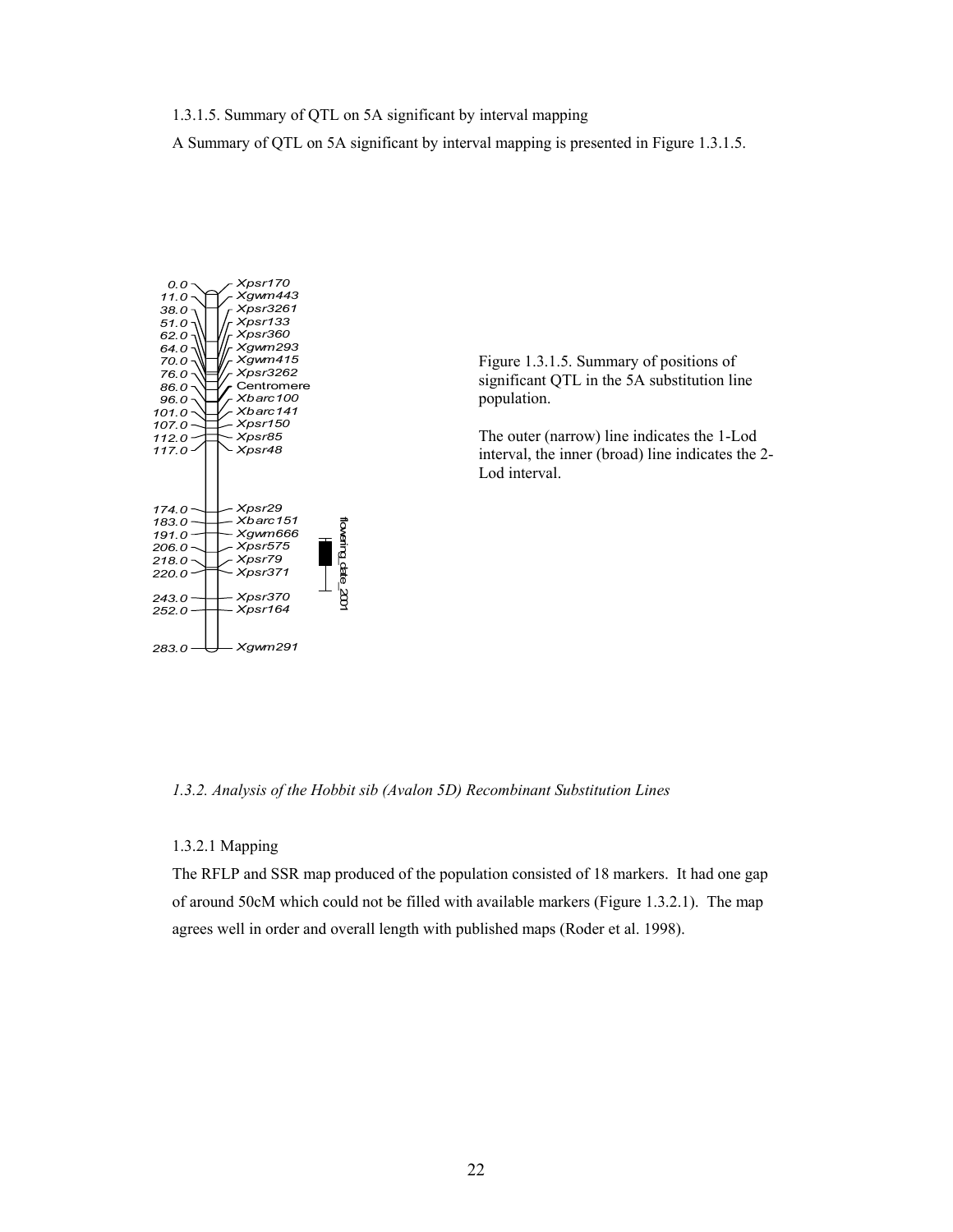1.3.1.5. Summary of QTL on 5A significant by interval mapping

A Summary of QTL on 5A significant by interval mapping is presented in Figure 1.3.1.5.



Figure 1.3.1.5. Summary of positions of significant QTL in the 5A substitution line population.

The outer (narrow) line indicates the 1-Lod interval, the inner (broad) line indicates the 2- Lod interval.

*1.3.2. Analysis of the Hobbit sib (Avalon 5D) Recombinant Substitution Lines* 

# 1.3.2.1 Mapping

The RFLP and SSR map produced of the population consisted of 18 markers. It had one gap of around 50cM which could not be filled with available markers (Figure 1.3.2.1). The map agrees well in order and overall length with published maps (Roder et al. 1998).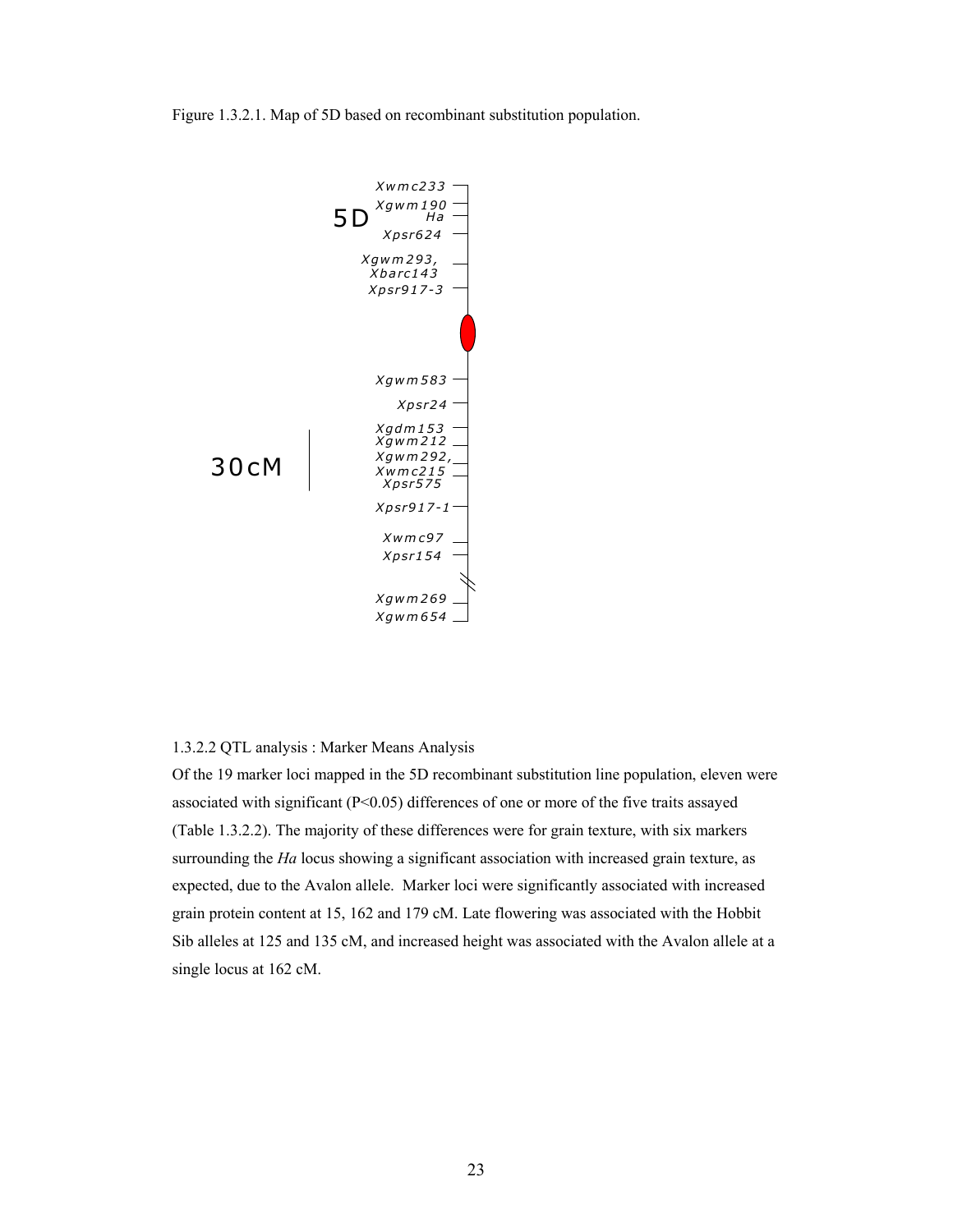Figure 1.3.2.1. Map of 5D based on recombinant substitution population.



# 1.3.2.2 QTL analysis : Marker Means Analysis

Of the 19 marker loci mapped in the 5D recombinant substitution line population, eleven were associated with significant (P<0.05) differences of one or more of the five traits assayed (Table 1.3.2.2). The majority of these differences were for grain texture, with six markers surrounding the *Ha* locus showing a significant association with increased grain texture, as expected, due to the Avalon allele. Marker loci were significantly associated with increased grain protein content at 15, 162 and 179 cM. Late flowering was associated with the Hobbit Sib alleles at 125 and 135 cM, and increased height was associated with the Avalon allele at a single locus at 162 cM.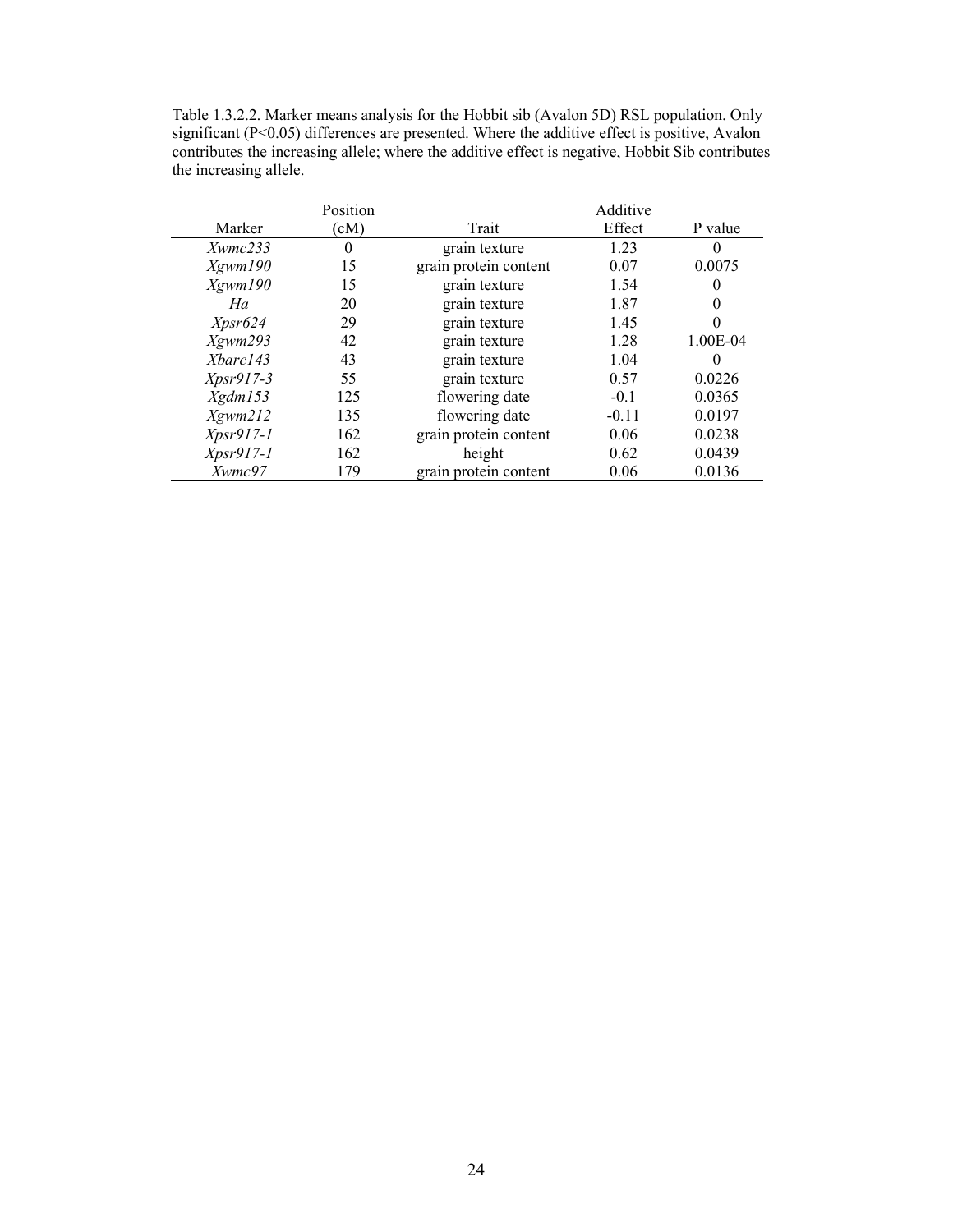Table 1.3.2.2. Marker means analysis for the Hobbit sib (Avalon 5D) RSL population. Only significant (P<0.05) differences are presented. Where the additive effect is positive, Avalon contributes the increasing allele; where the additive effect is negative, Hobbit Sib contributes the increasing allele.

|                       | Position |                       | Additive |                  |
|-----------------------|----------|-----------------------|----------|------------------|
| Marker                | (cM)     | Trait                 | Effect   | P value          |
| $X \text{w}$ mc $233$ | $\theta$ | grain texture         | 1.23     | $\left( \right)$ |
| Xgwm190               | 15       | grain protein content | 0.07     | 0.0075           |
| Xgwm190               | 15       | grain texture         | 1.54     | 0                |
| Ha                    | 20       | grain texture         | 1.87     | $\theta$         |
| Xpsr624               | 29       | grain texture         | 1.45     | 0                |
| Xgwm293               | 42       | grain texture         | 1.28     | 1.00E-04         |
| Xbarc143              | 43       | grain texture         | 1.04     | $\Omega$         |
| $Xpsr917-3$           | 55       | grain texture         | 0.57     | 0.0226           |
| Xgdm153               | 125      | flowering date        | $-0.1$   | 0.0365           |
| X <sub>g</sub> wm212  | 135      | flowering date        | $-0.11$  | 0.0197           |
| $Xpsr917-1$           | 162      | grain protein content | 0.06     | 0.0238           |
| $Xpsr917-1$           | 162      | height                | 0.62     | 0.0439           |
| Xwmc97                | 179      | grain protein content | 0.06     | 0.0136           |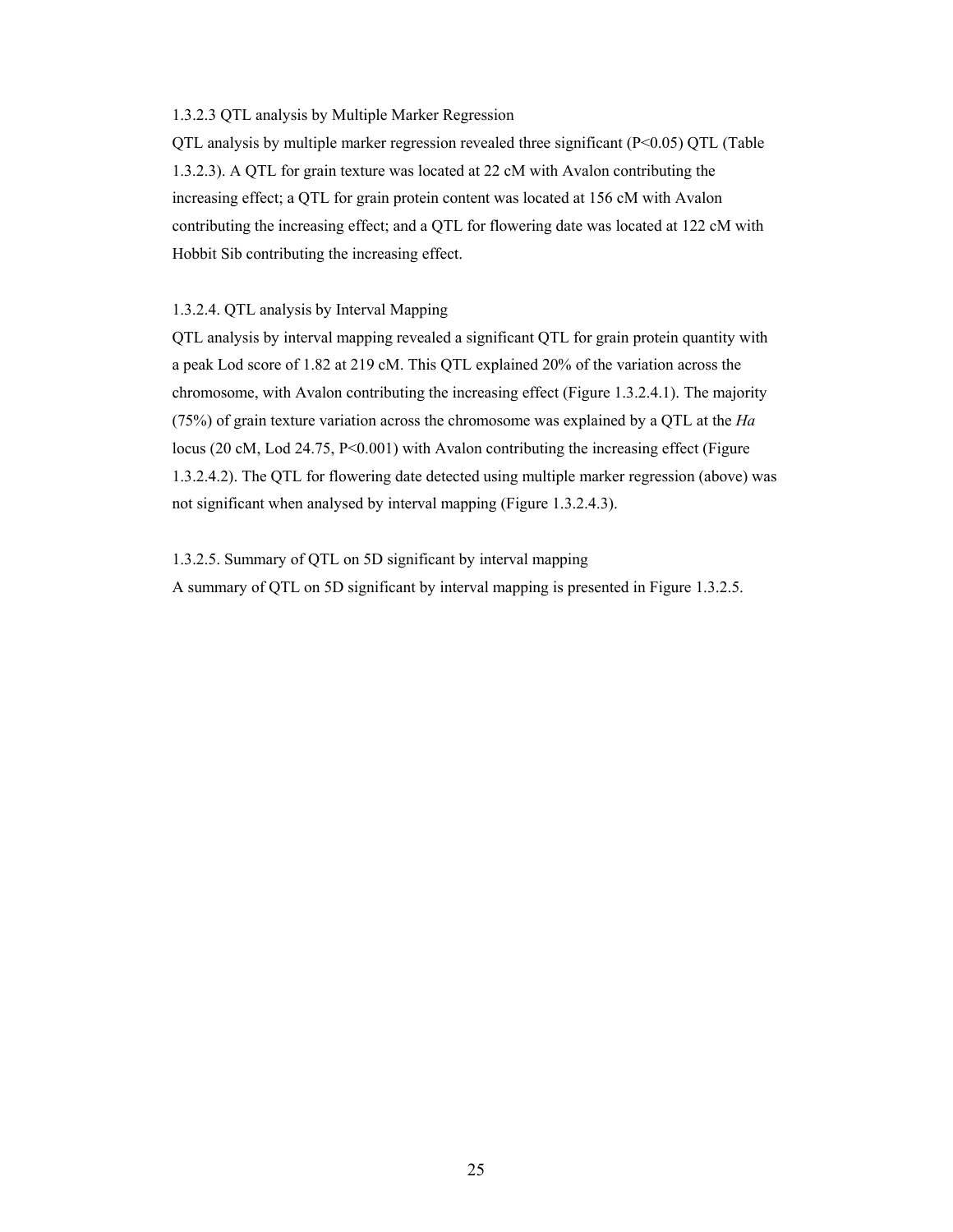# 1.3.2.3 QTL analysis by Multiple Marker Regression

QTL analysis by multiple marker regression revealed three significant (P<0.05) QTL (Table 1.3.2.3). A QTL for grain texture was located at 22 cM with Avalon contributing the increasing effect; a QTL for grain protein content was located at 156 cM with Avalon contributing the increasing effect; and a QTL for flowering date was located at 122 cM with Hobbit Sib contributing the increasing effect.

# 1.3.2.4. QTL analysis by Interval Mapping

QTL analysis by interval mapping revealed a significant QTL for grain protein quantity with a peak Lod score of 1.82 at 219 cM. This QTL explained 20% of the variation across the chromosome, with Avalon contributing the increasing effect (Figure 1.3.2.4.1). The majority (75%) of grain texture variation across the chromosome was explained by a QTL at the *Ha* locus (20 cM, Lod 24.75,  $P \le 0.001$ ) with Avalon contributing the increasing effect (Figure 1.3.2.4.2). The QTL for flowering date detected using multiple marker regression (above) was not significant when analysed by interval mapping (Figure 1.3.2.4.3).

1.3.2.5. Summary of QTL on 5D significant by interval mapping

A summary of QTL on 5D significant by interval mapping is presented in Figure 1.3.2.5.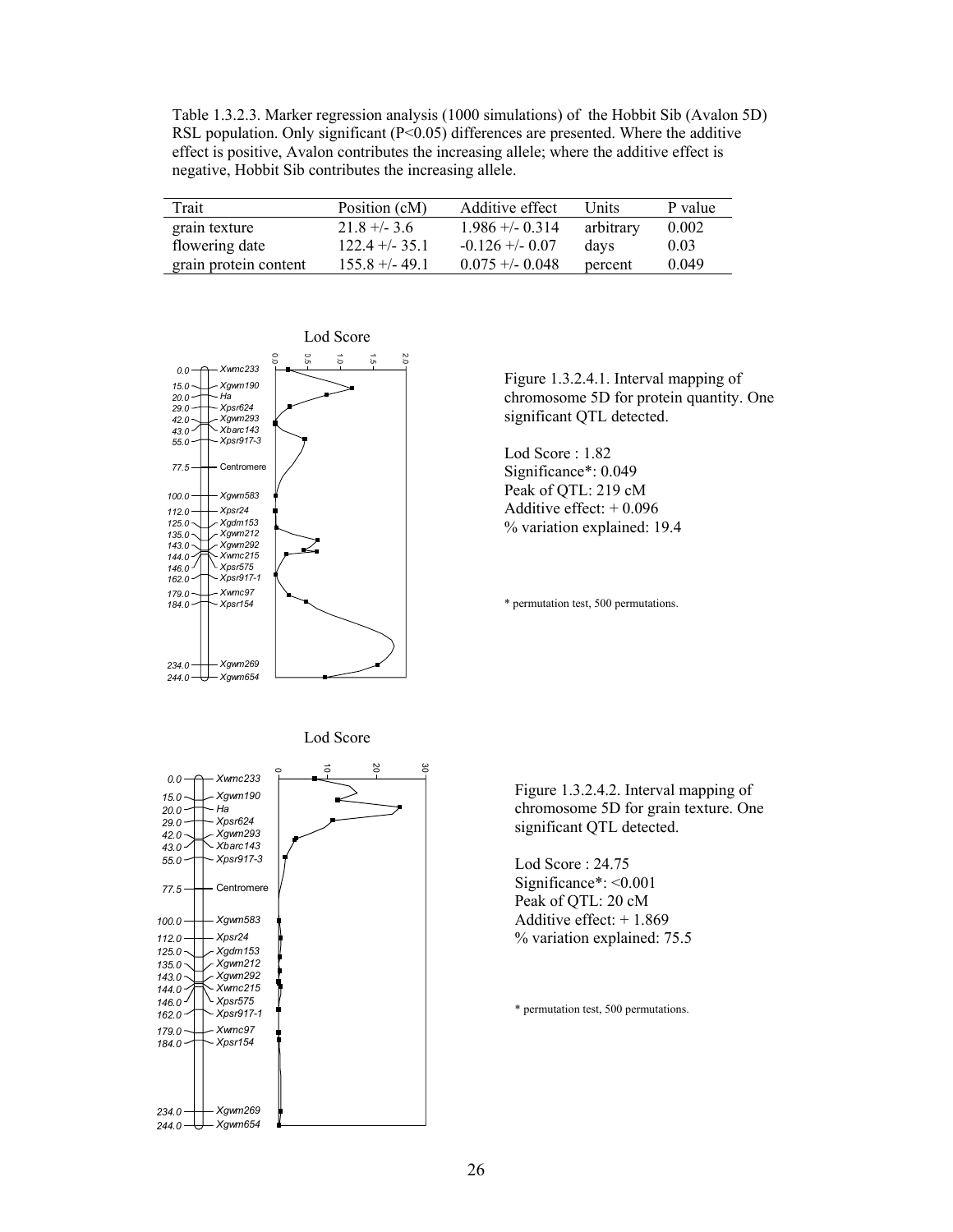Table 1.3.2.3. Marker regression analysis (1000 simulations) of the Hobbit Sib (Avalon 5D) RSL population. Only significant (P<0.05) differences are presented. Where the additive effect is positive, Avalon contributes the increasing allele; where the additive effect is negative, Hobbit Sib contributes the increasing allele.

| Trait                 | Position (cM)   | Additive effect    | Units     | P value |
|-----------------------|-----------------|--------------------|-----------|---------|
| grain texture         | $21.8 + -3.6$   | $1.986 + (-0.314)$ | arbitrary | 0.002   |
| flowering date        | $122.4 + -35.1$ | $-0.126 + (-0.07)$ | davs      | 0.03    |
| grain protein content | $155.8 + -49.1$ | $0.075 + -0.048$   | percent   | 0.049   |



Figure 1.3.2.4.1. Interval mapping of chromosome 5D for protein quantity. One significant QTL detected.

Lod Score : 1.82 Significance\*: 0.049 Peak of QTL: 219 cM Additive effect:  $+0.096$ % variation explained: 19.4

\* permutation test, 500 permutations.





Figure 1.3.2.4.2. Interval mapping of chromosome 5D for grain texture. One significant QTL detected.

Lod Score : 24.75 Significance\*: <0.001 Peak of QTL: 20 cM Additive effect: + 1.869 % variation explained: 75.5

\* permutation test, 500 permutations.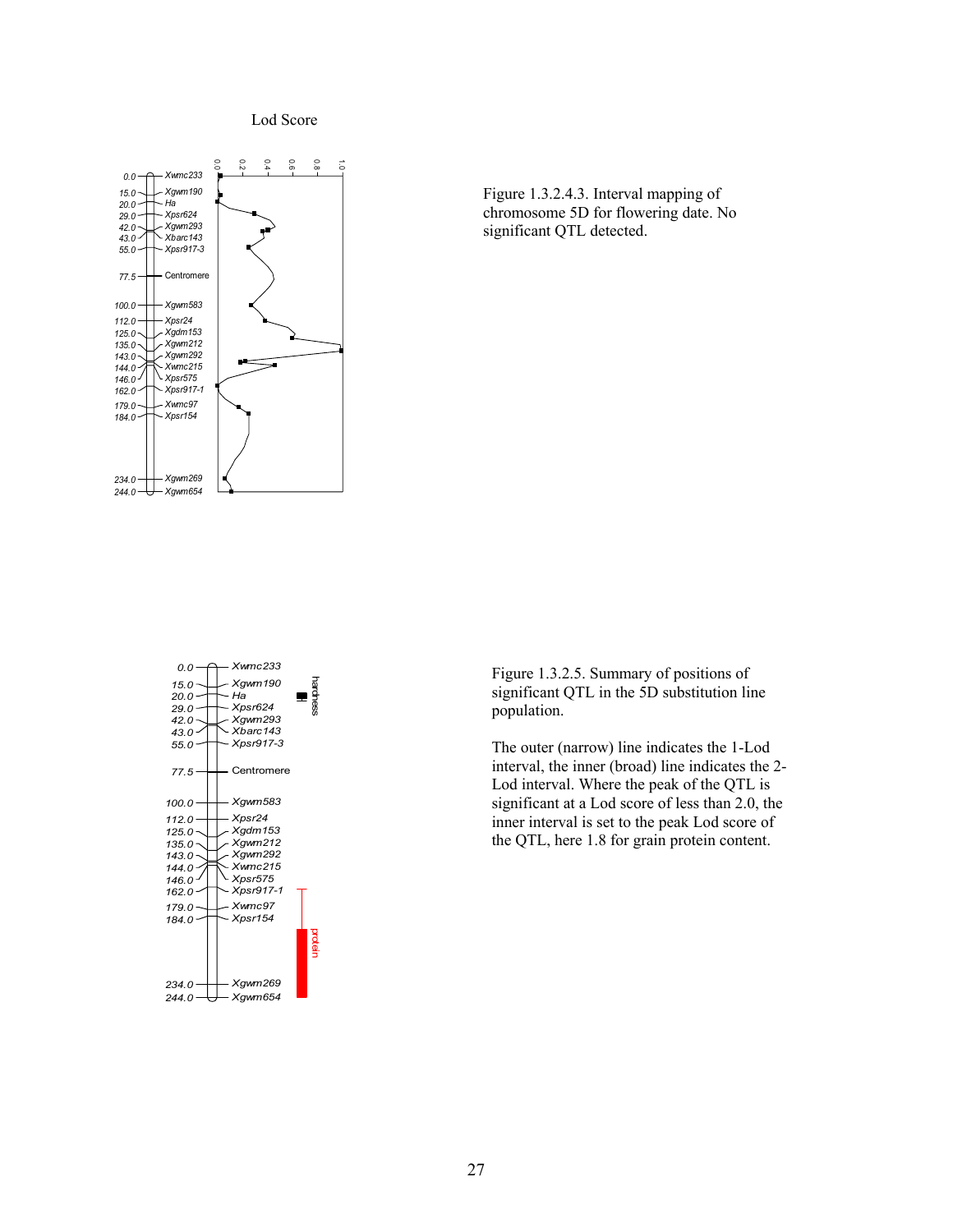Lod Score







Figure 1.3.2.5. Summary of positions of significant QTL in the 5D substitution line population.

The outer (narrow) line indicates the 1-Lod interval, the inner (broad) line indicates the 2- Lod interval. Where the peak of the QTL is significant at a Lod score of less than 2.0, the inner interval is set to the peak Lod score of the QTL, here 1.8 for grain protein content.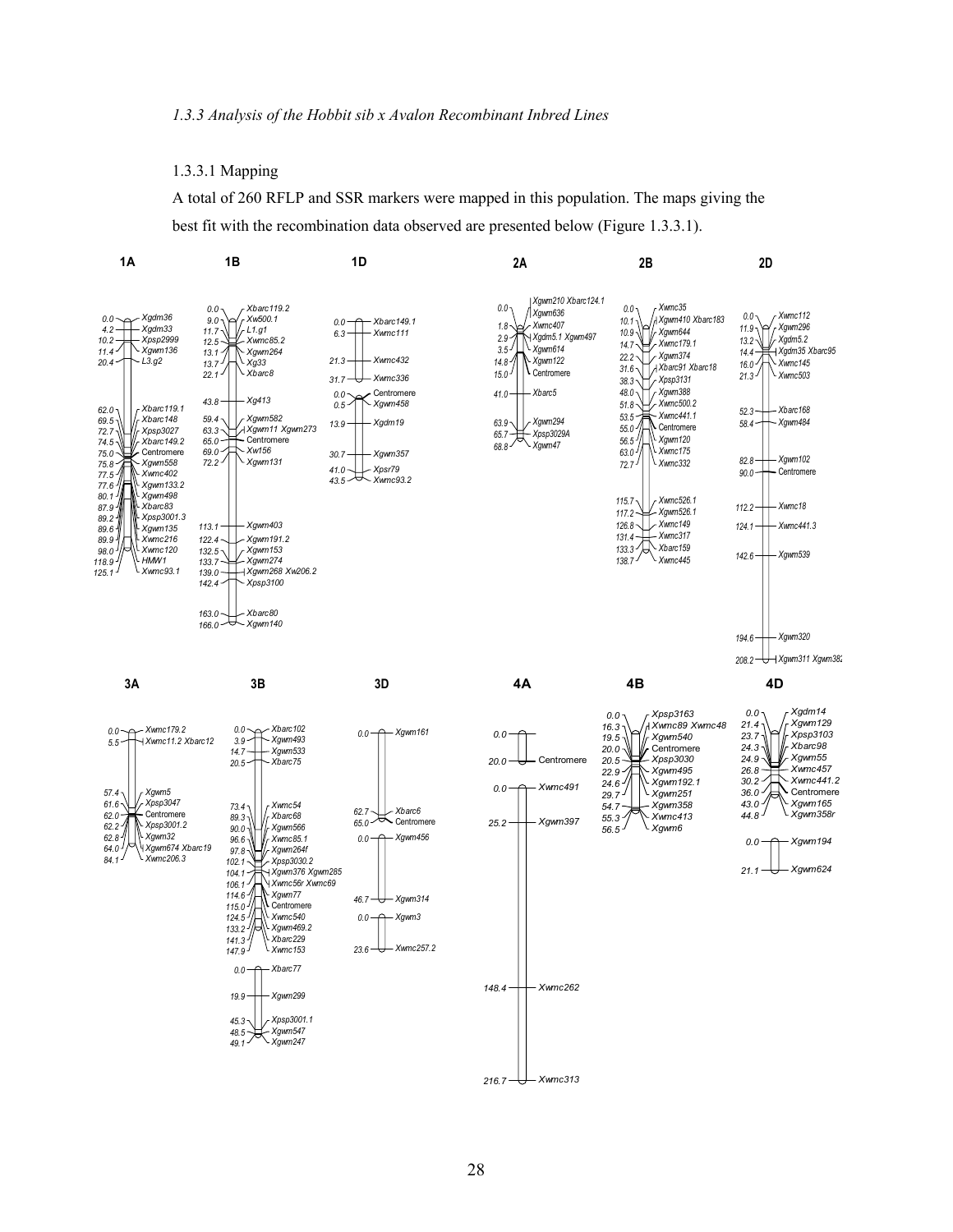# 1.3.3.1 Mapping

A total of 260 RFLP and SSR markers were mapped in this population. The maps giving the best fit with the recombination data observed are presented below (Figure 1.3.3.1).

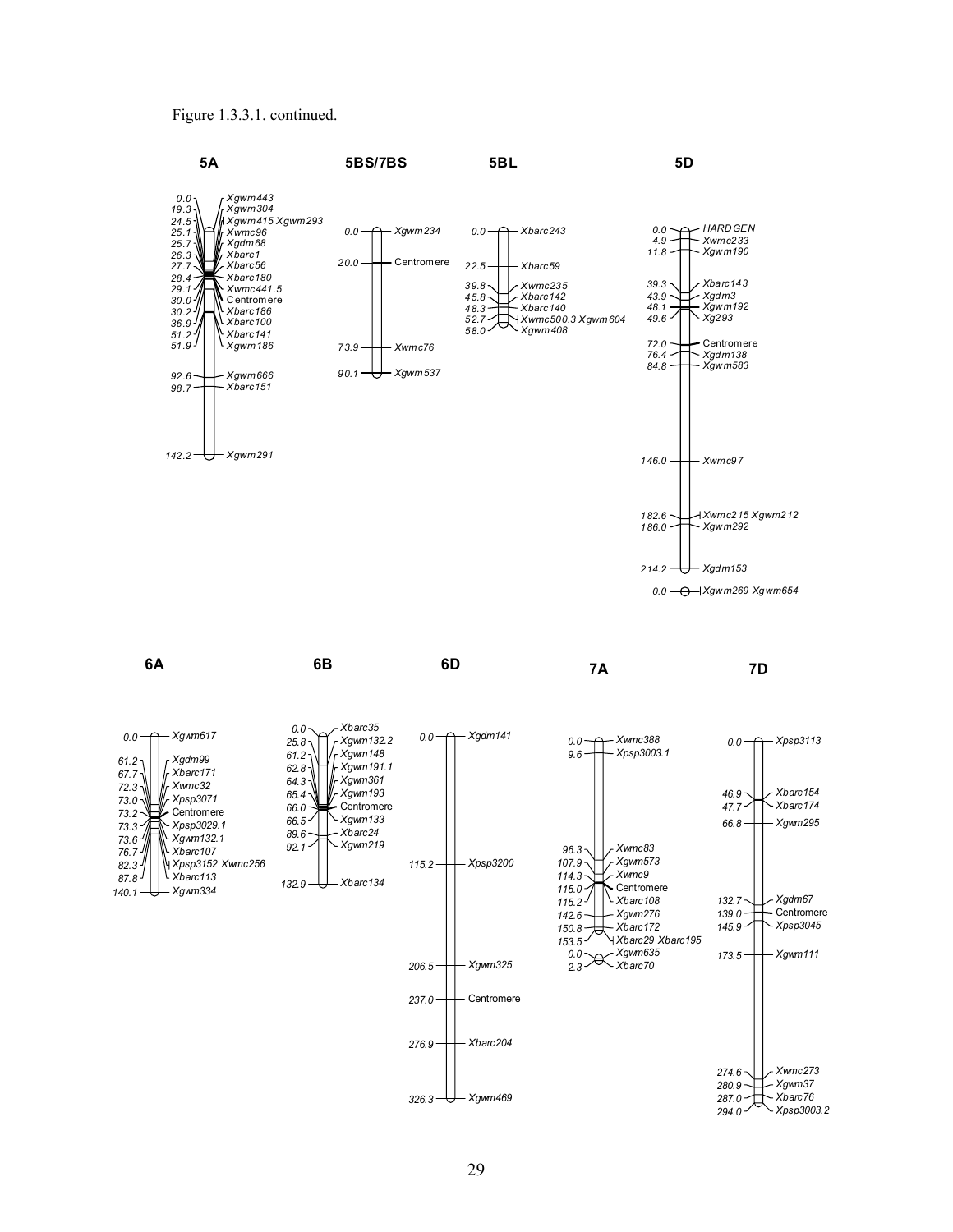Figure 1.3.3.1. continued.

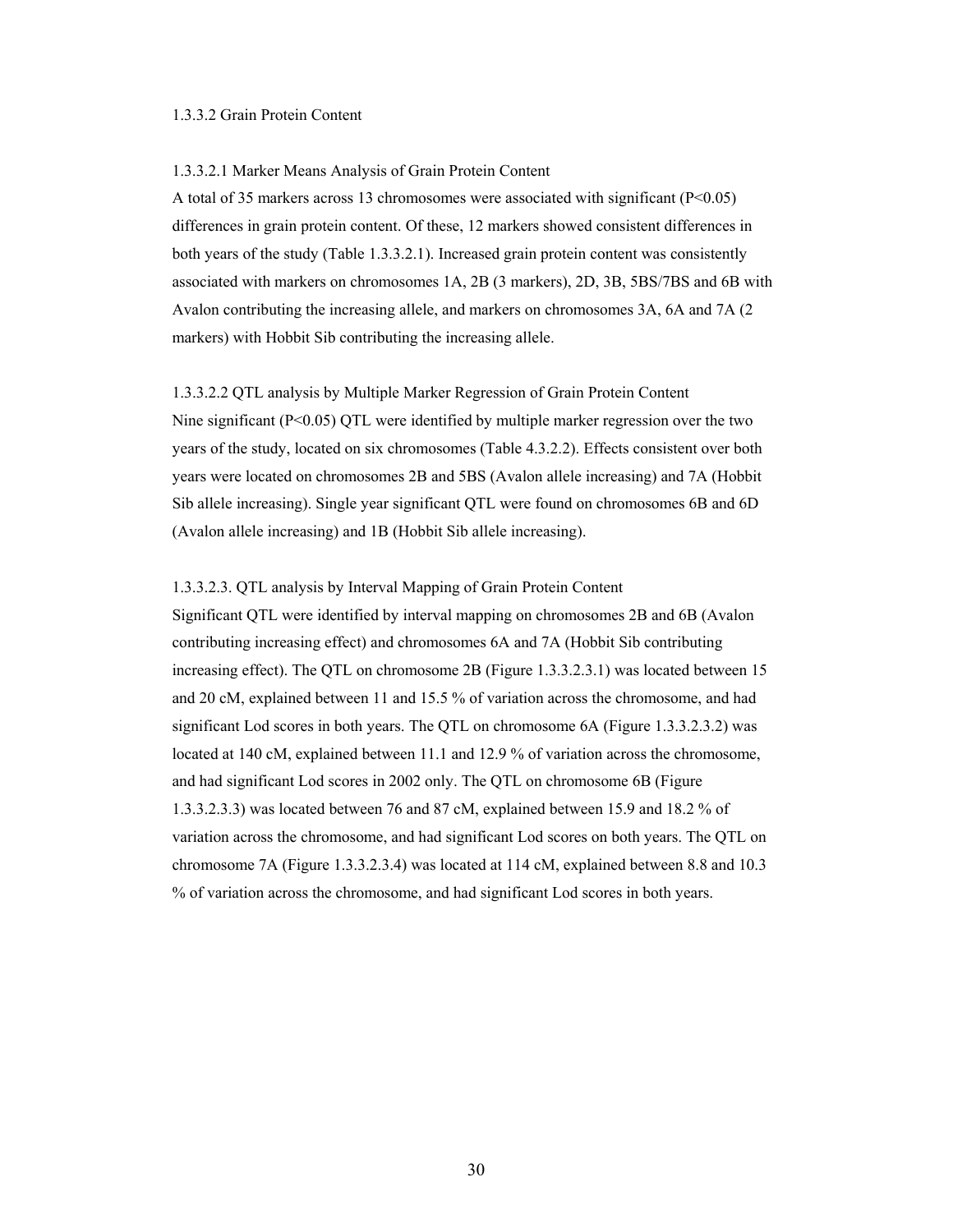# 1.3.3.2 Grain Protein Content

### 1.3.3.2.1 Marker Means Analysis of Grain Protein Content

A total of 35 markers across 13 chromosomes were associated with significant (P<0.05) differences in grain protein content. Of these, 12 markers showed consistent differences in both years of the study (Table 1.3.3.2.1). Increased grain protein content was consistently associated with markers on chromosomes 1A, 2B (3 markers), 2D, 3B, 5BS/7BS and 6B with Avalon contributing the increasing allele, and markers on chromosomes 3A, 6A and 7A (2 markers) with Hobbit Sib contributing the increasing allele.

1.3.3.2.2 QTL analysis by Multiple Marker Regression of Grain Protein Content Nine significant  $(P<0.05)$  QTL were identified by multiple marker regression over the two years of the study, located on six chromosomes (Table 4.3.2.2). Effects consistent over both years were located on chromosomes 2B and 5BS (Avalon allele increasing) and 7A (Hobbit Sib allele increasing). Single year significant QTL were found on chromosomes 6B and 6D (Avalon allele increasing) and 1B (Hobbit Sib allele increasing).

1.3.3.2.3. QTL analysis by Interval Mapping of Grain Protein Content

Significant QTL were identified by interval mapping on chromosomes 2B and 6B (Avalon contributing increasing effect) and chromosomes 6A and 7A (Hobbit Sib contributing increasing effect). The QTL on chromosome 2B (Figure 1.3.3.2.3.1) was located between 15 and 20 cM, explained between 11 and 15.5 % of variation across the chromosome, and had significant Lod scores in both years. The QTL on chromosome 6A (Figure 1.3.3.2.3.2) was located at 140 cM, explained between 11.1 and 12.9 % of variation across the chromosome, and had significant Lod scores in 2002 only. The QTL on chromosome 6B (Figure 1.3.3.2.3.3) was located between 76 and 87 cM, explained between 15.9 and 18.2 % of variation across the chromosome, and had significant Lod scores on both years. The QTL on chromosome 7A (Figure 1.3.3.2.3.4) was located at 114 cM, explained between 8.8 and 10.3 % of variation across the chromosome, and had significant Lod scores in both years.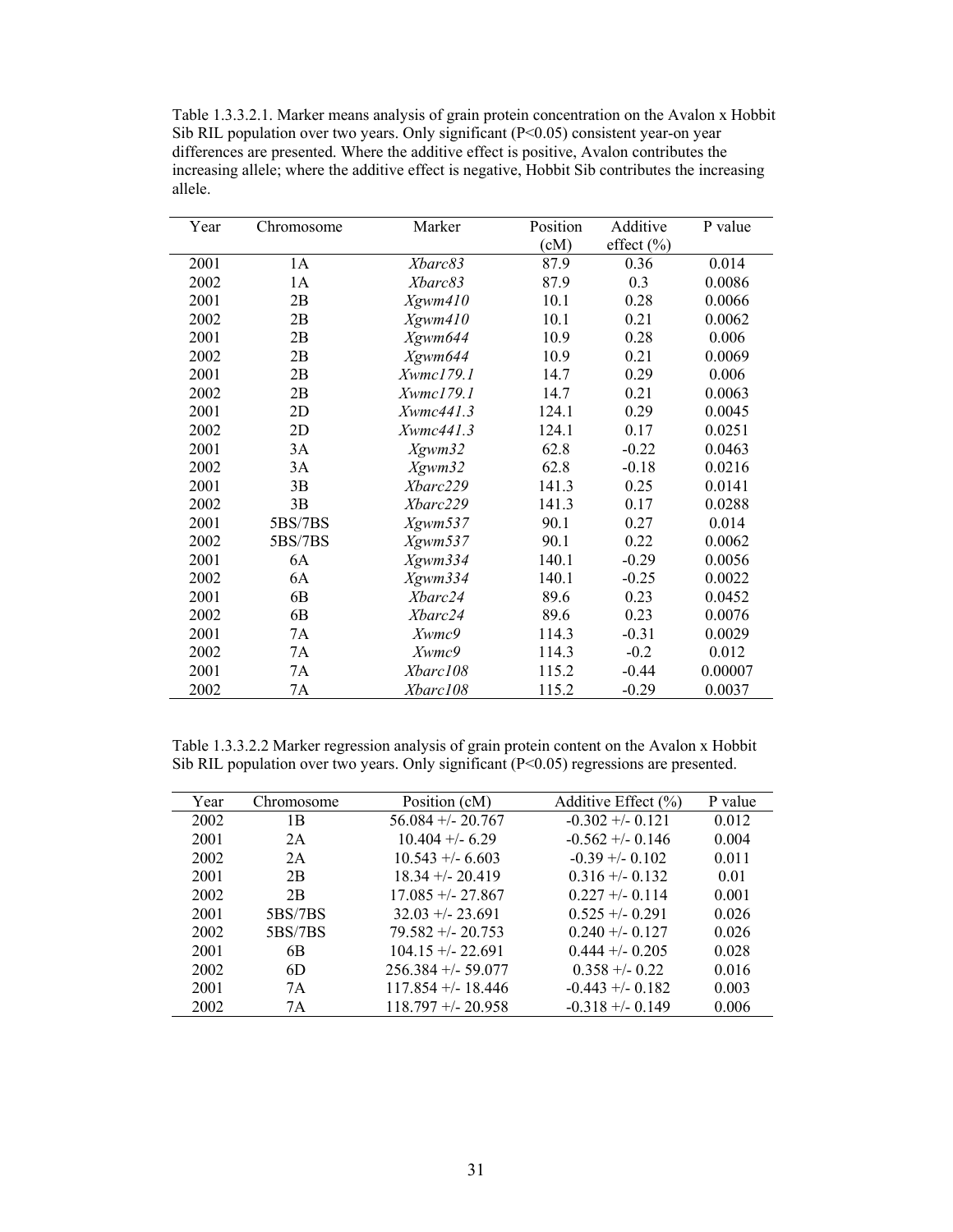Table 1.3.3.2.1. Marker means analysis of grain protein concentration on the Avalon x Hobbit Sib RIL population over two years. Only significant (P<0.05) consistent year-on year differences are presented. Where the additive effect is positive, Avalon contributes the increasing allele; where the additive effect is negative, Hobbit Sib contributes the increasing allele.

| Year | Chromosome     | Marker    | Position | Additive       | P value |
|------|----------------|-----------|----------|----------------|---------|
|      |                |           | (cM)     | effect $(\% )$ |         |
| 2001 | 1A             | Xbarc83   | 87.9     | 0.36           | 0.014   |
| 2002 | 1A             | Xbarc83   | 87.9     | 0.3            | 0.0086  |
| 2001 | 2B             | Xgwm410   | 10.1     | 0.28           | 0.0066  |
| 2002 | 2B             | Xgwm410   | 10.1     | 0.21           | 0.0062  |
| 2001 | 2B             | Xgwm644   | 10.9     | 0.28           | 0.006   |
| 2002 | 2B             | Xgwm644   | 10.9     | 0.21           | 0.0069  |
| 2001 | 2B             | Xwmc179.1 | 14.7     | 0.29           | 0.006   |
| 2002 | 2B             | Xwmc179.1 | 14.7     | 0.21           | 0.0063  |
| 2001 | 2D             | Xwmc441.3 | 124.1    | 0.29           | 0.0045  |
| 2002 | 2D             | Xwmc441.3 | 124.1    | 0.17           | 0.0251  |
| 2001 | 3A             | Xgwm32    | 62.8     | $-0.22$        | 0.0463  |
| 2002 | 3A             | $Xg$ wm32 | 62.8     | $-0.18$        | 0.0216  |
| 2001 | 3B             | Xbarc229  | 141.3    | 0.25           | 0.0141  |
| 2002 | 3B             | Xbarc229  | 141.3    | 0.17           | 0.0288  |
| 2001 | 5BS/7BS        | Xgwm537   | 90.1     | 0.27           | 0.014   |
| 2002 | 5BS/7BS        | Xgwm537   | 90.1     | 0.22           | 0.0062  |
| 2001 | 6A             | Xgwm334   | 140.1    | $-0.29$        | 0.0056  |
| 2002 | 6A             | Xgwm334   | 140.1    | $-0.25$        | 0.0022  |
| 2001 | 6B             | Xbarc24   | 89.6     | 0.23           | 0.0452  |
| 2002 | 6 <sub>B</sub> | Xbarc24   | 89.6     | 0.23           | 0.0076  |
| 2001 | 7A             | Xwmc9     | 114.3    | $-0.31$        | 0.0029  |
| 2002 | 7A             | Xwmc9     | 114.3    | $-0.2$         | 0.012   |
| 2001 | 7A             | Xbarc108  | 115.2    | $-0.44$        | 0.00007 |
| 2002 | 7Α             | Xbarc108  | 115.2    | $-0.29$        | 0.0037  |

Table 1.3.3.2.2 Marker regression analysis of grain protein content on the Avalon x Hobbit Sib RIL population over two years. Only significant  $(P<0.05)$  regressions are presented.

| Year | Chromosome | Position (cM)        | Additive Effect (%) | P value |
|------|------------|----------------------|---------------------|---------|
| 2002 | 1B         | $56.084 + - 20.767$  | $-0.302 + (-0.121)$ | 0.012   |
| 2001 | 2A         | $10.404 + -6.29$     | $-0.562 + -0.146$   | 0.004   |
| 2002 | 2A         | $10.543 + -6.603$    | $-0.39 + -0.102$    | 0.011   |
| 2001 | 2B         | $18.34 + - 20.419$   | $0.316 + (-0.132)$  | 0.01    |
| 2002 | 2B         | $17.085 + -27.867$   | $0.227 + 0.114$     | 0.001   |
| 2001 | 5BS/7BS    | $32.03 + - 23.691$   | $0.525 + -0.291$    | 0.026   |
| 2002 | 5BS/7BS    | $79.582 + 20.753$    | $0.240 + -0.127$    | 0.026   |
| 2001 | 6B         | $104.15 + -22.691$   | $0.444 + (-0.205)$  | 0.028   |
| 2002 | 6D         | $256.384 + - 59.077$ | $0.358 + -0.22$     | 0.016   |
| 2001 | 7A         | $117.854 + - 18.446$ | $-0.443 + (-0.182)$ | 0.003   |
| 2002 | 7Α         | $118.797 + 20.958$   | $-0.318 + (-0.149)$ | 0.006   |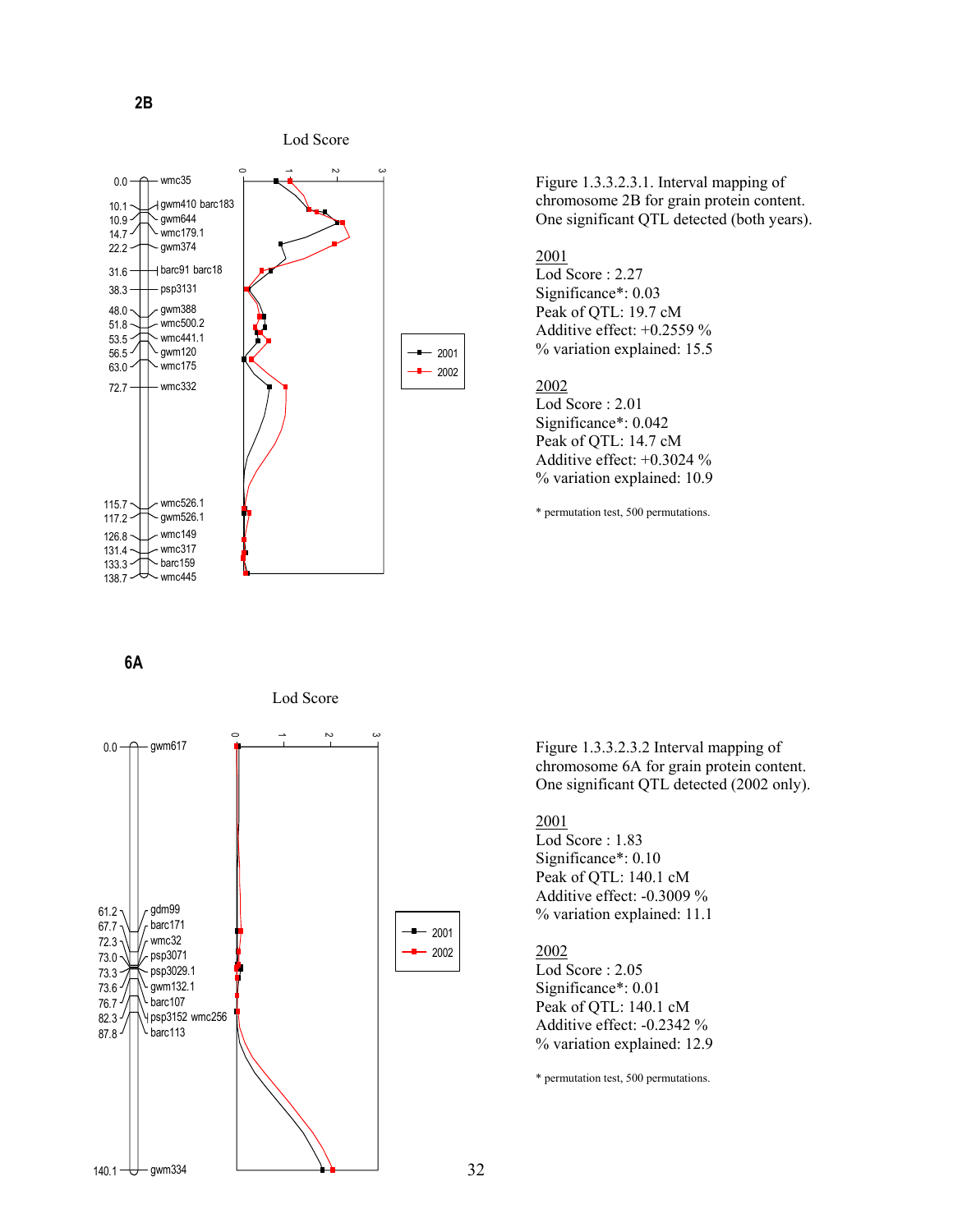

Figure 1.3.3.2.3.1. Interval mapping of chromosome 2B for grain protein content. One significant QTL detected (both years).

# 2001

Lod Score : 2.27 Significance\*: 0.03 Peak of QTL: 19.7 cM Additive effect: +0.2559 % % variation explained: 15.5

#### 2002

Lod Score : 2.01 Significance\*: 0.042 Peak of QTL: 14.7 cM Additive effect: +0.3024 % % variation explained: 10.9

\* permutation test, 500 permutations.

**6A**



Lod Score

Figure 1.3.3.2.3.2 Interval mapping of chromosome 6A for grain protein content. One significant QTL detected (2002 only).

#### 2001

Lod Score : 1.83 Significance\*: 0.10 Peak of QTL: 140.1 cM Additive effect: -0.3009 % % variation explained: 11.1

# 2002

Lod Score : 2.05 Significance\*: 0.01 Peak of QTL: 140.1 cM Additive effect: -0.2342 % % variation explained: 12.9

\* permutation test, 500 permutations.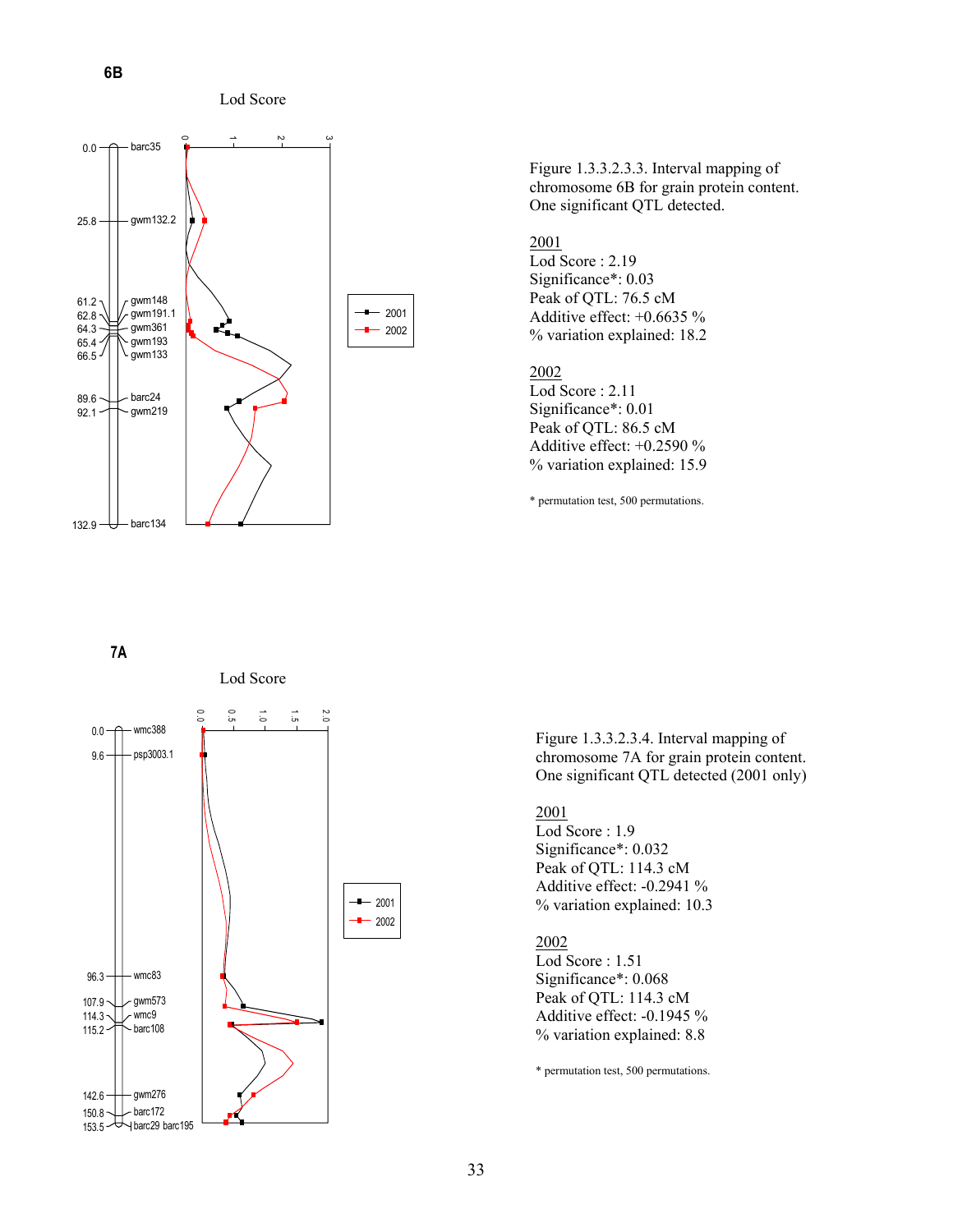**6B**





Figure 1.3.3.2.3.3. Interval mapping of chromosome 6B for grain protein content. One significant QTL detected.

# 2001

Lod Score : 2.19 Significance\*: 0.03 Peak of QTL: 76.5 cM Additive effect: +0.6635 % % variation explained: 18.2

#### 2002

Lod Score : 2.11 Significance\*: 0.01 Peak of QTL: 86.5 cM Additive effect: +0.2590 % % variation explained: 15.9

\* permutation test, 500 permutations.

#### **7A**



Figure 1.3.3.2.3.4. Interval mapping of chromosome 7A for grain protein content. One significant QTL detected (2001 only)

# 2001

Lod Score : 1.9 Significance\*: 0.032 Peak of QTL: 114.3 cM Additive effect: -0.2941 % % variation explained: 10.3

# 2002

Lod Score : 1.51 Significance\*: 0.068 Peak of QTL: 114.3 cM Additive effect: -0.1945 % % variation explained: 8.8

\* permutation test, 500 permutations.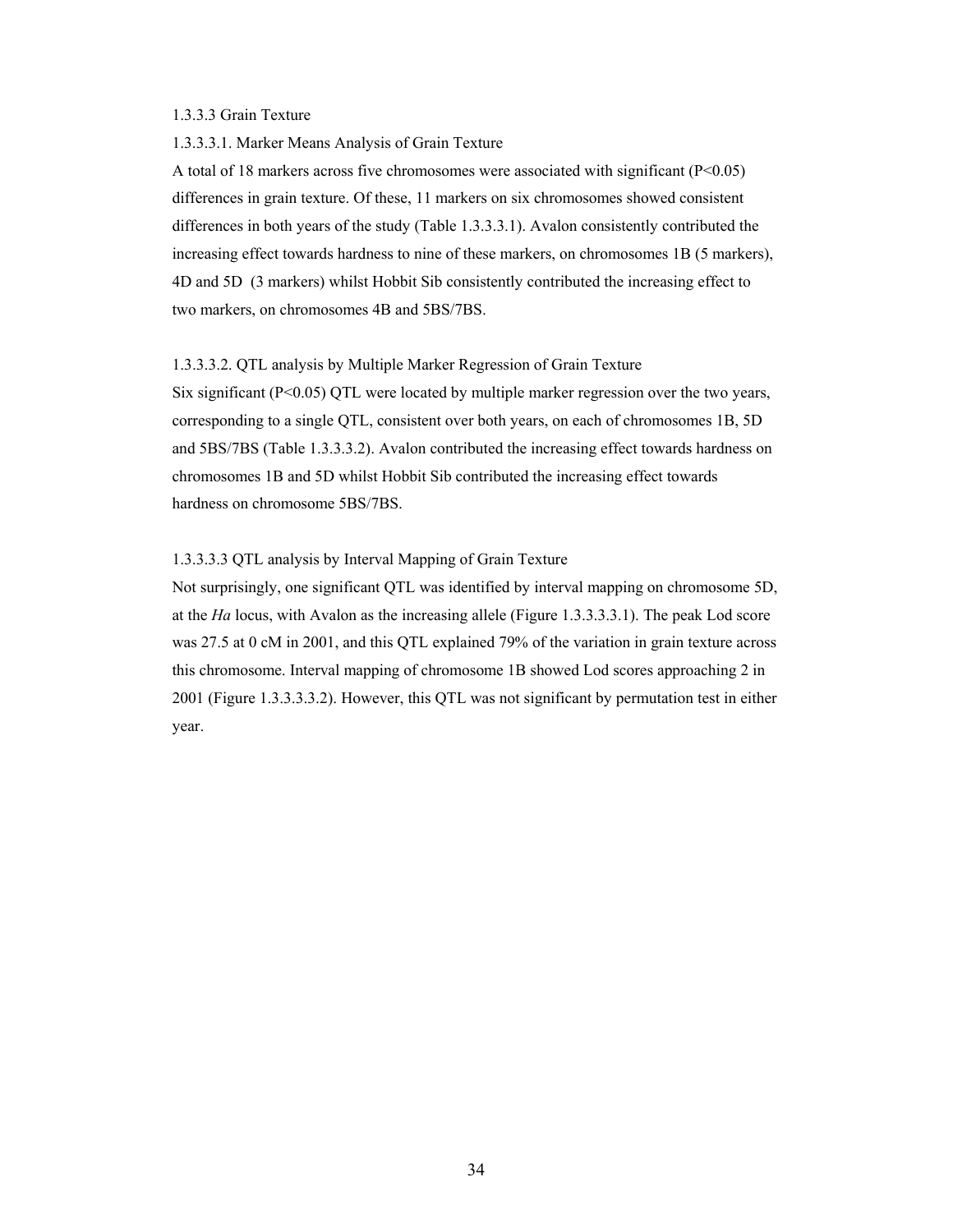# 1.3.3.3 Grain Texture

#### 1.3.3.3.1. Marker Means Analysis of Grain Texture

A total of 18 markers across five chromosomes were associated with significant (P<0.05) differences in grain texture. Of these, 11 markers on six chromosomes showed consistent differences in both years of the study (Table 1.3.3.3.1). Avalon consistently contributed the increasing effect towards hardness to nine of these markers, on chromosomes 1B (5 markers), 4D and 5D (3 markers) whilst Hobbit Sib consistently contributed the increasing effect to two markers, on chromosomes 4B and 5BS/7BS.

#### 1.3.3.3.2. QTL analysis by Multiple Marker Regression of Grain Texture

Six significant (P<0.05) QTL were located by multiple marker regression over the two years, corresponding to a single QTL, consistent over both years, on each of chromosomes 1B, 5D and 5BS/7BS (Table 1.3.3.3.2). Avalon contributed the increasing effect towards hardness on chromosomes 1B and 5D whilst Hobbit Sib contributed the increasing effect towards hardness on chromosome 5BS/7BS.

# 1.3.3.3.3 QTL analysis by Interval Mapping of Grain Texture

Not surprisingly, one significant QTL was identified by interval mapping on chromosome 5D, at the *Ha* locus, with Avalon as the increasing allele (Figure 1.3.3.3.3.1). The peak Lod score was 27.5 at 0 cM in 2001, and this QTL explained 79% of the variation in grain texture across this chromosome. Interval mapping of chromosome 1B showed Lod scores approaching 2 in 2001 (Figure 1.3.3.3.3.2). However, this QTL was not significant by permutation test in either year.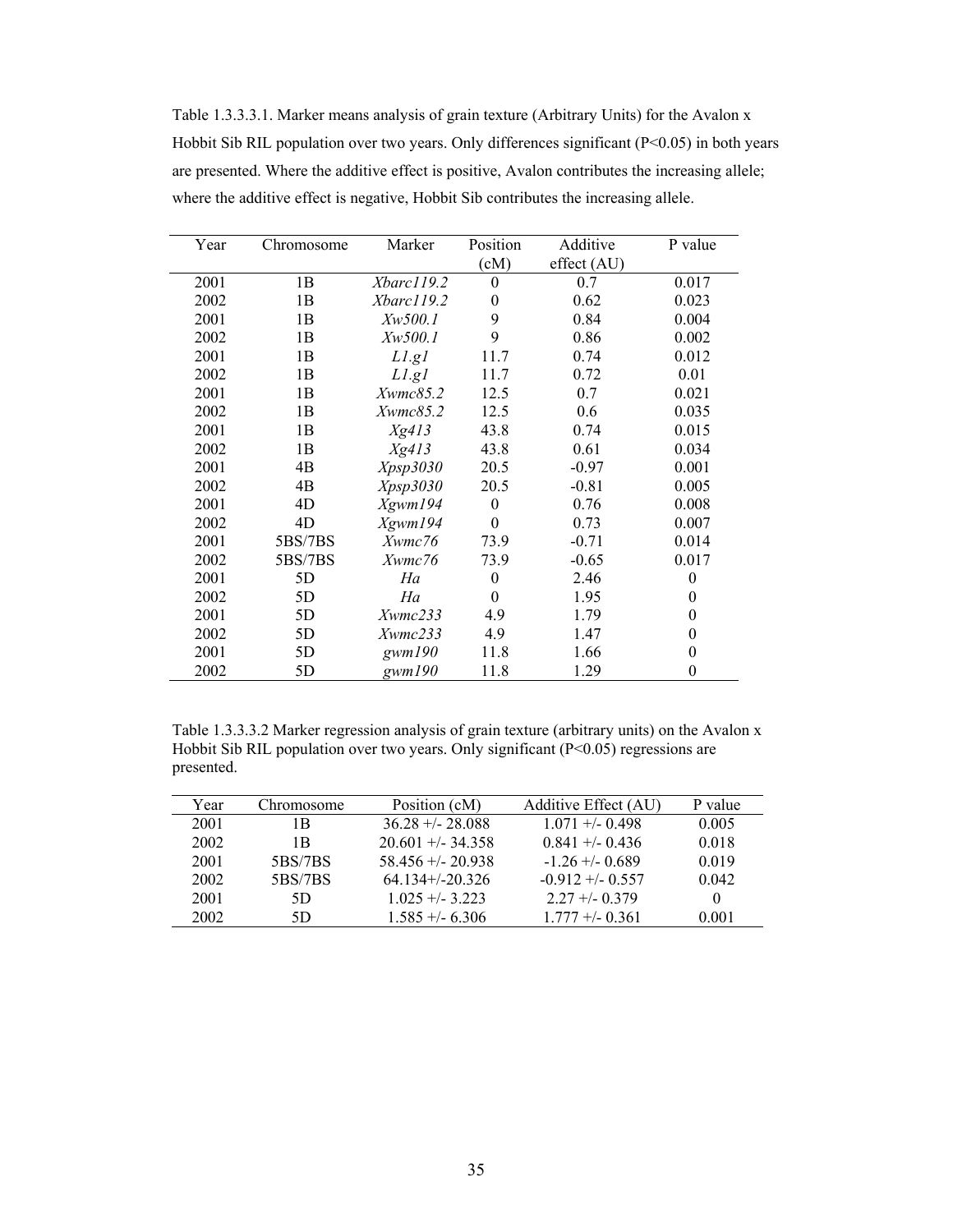Table 1.3.3.3.1. Marker means analysis of grain texture (Arbitrary Units) for the Avalon x Hobbit Sib RIL population over two years. Only differences significant (P<0.05) in both years are presented. Where the additive effect is positive, Avalon contributes the increasing allele; where the additive effect is negative, Hobbit Sib contributes the increasing allele.

| Year | Chromosome | Marker             | Position | Additive    | P value          |
|------|------------|--------------------|----------|-------------|------------------|
|      |            |                    | (cM)     | effect (AU) |                  |
| 2001 | 1B         | Xbarc119.2         | $\theta$ | 0.7         | 0.017            |
| 2002 | 1B         | Xbarc119.2         | $\theta$ | 0.62        | 0.023            |
| 2001 | 1B         | Xw500.1            | 9        | 0.84        | 0.004            |
| 2002 | 1B         | <i>Xw500.1</i>     | 9        | 0.86        | 0.002            |
| 2001 | 1B         | $Ll$ .gl           | 11.7     | 0.74        | 0.012            |
| 2002 | 1B         | $LI$ .gl           | 11.7     | 0.72        | 0.01             |
| 2001 | 1B         | Xwmc85.2           | 12.5     | 0.7         | 0.021            |
| 2002 | 1B         | $X \text{wmc}85.2$ | 12.5     | 0.6         | 0.035            |
| 2001 | 1B         | Xg413              | 43.8     | 0.74        | 0.015            |
| 2002 | 1B         | Xg413              | 43.8     | 0.61        | 0.034            |
| 2001 | 4B         | Xpsp3030           | 20.5     | $-0.97$     | 0.001            |
| 2002 | 4B         | Xpsp3030           | 20.5     | $-0.81$     | 0.005            |
| 2001 | 4D         | Xgwm194            | $\theta$ | 0.76        | 0.008            |
| 2002 | 4D         | Xgwm194            | $\theta$ | 0.73        | 0.007            |
| 2001 | 5BS/7BS    | Xwmc76             | 73.9     | $-0.71$     | 0.014            |
| 2002 | 5BS/7BS    | Xwmc76             | 73.9     | $-0.65$     | 0.017            |
| 2001 | 5D         | Ha                 | $\theta$ | 2.46        | $\theta$         |
| 2002 | 5D         | Ha                 | $\theta$ | 1.95        | $\bf{0}$         |
| 2001 | 5D         | Xwmc233            | 4.9      | 1.79        | $\theta$         |
| 2002 | 5D         | Xwmc233            | 4.9      | 1.47        | $\theta$         |
| 2001 | 5D         | gwm190             | 11.8     | 1.66        | $\boldsymbol{0}$ |
| 2002 | 5D         | gwm190             | 11.8     | 1.29        | $\theta$         |

Table 1.3.3.3.2 Marker regression analysis of grain texture (arbitrary units) on the Avalon x Hobbit Sib RIL population over two years. Only significant (P<0.05) regressions are presented.

| Year | Chromosome | Position (cM)        | Additive Effect (AU) | P value |
|------|------------|----------------------|----------------------|---------|
| 2001 | 1 B        | $36.28 + - 28.088$   | $1.071 + -0.498$     | 0.005   |
| 2002 | 1B         | $20.601 + -34.358$   | $0.841 + -0.436$     | 0.018   |
| 2001 | 5BS/7BS    | $58.456 + (-20.938)$ | $-1.26 + (-0.689)$   | 0.019   |
| 2002 | 5BS/7BS    | $64.134+/-20.326$    | $-0.912 + (-0.557)$  | 0.042   |
| 2001 | 5D         | $1.025 + -3.223$     | $2.27 + -0.379$      |         |
| 2002 | 5D         | $1.585 + - 6.306$    | $1.777 + -0.361$     | 0.001   |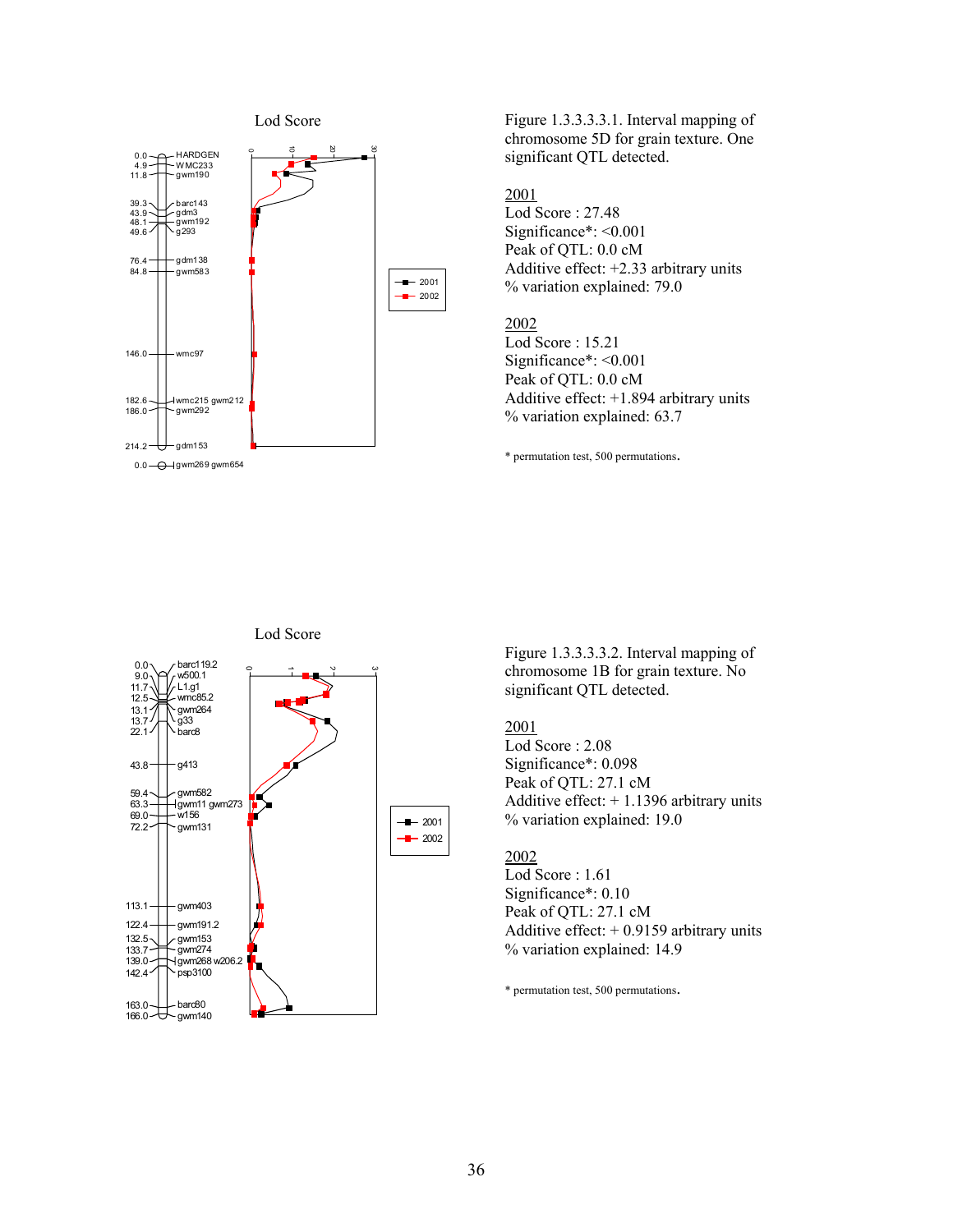

Figure 1.3.3.3.3.1. Interval mapping of chromosome 5D for grain texture. One significant QTL detected.

#### 2001

Lod Score : 27.48 Significance\*: <0.001 Peak of QTL: 0.0 cM Additive effect: +2.33 arbitrary units % variation explained: 79.0

# 2002

Lod Score : 15.21 Significance\*: <0.001 Peak of QTL: 0.0 cM Additive effect: +1.894 arbitrary units % variation explained: 63.7

\* permutation test, 500 permutations.



Figure 1.3.3.3.3.2. Interval mapping of chromosome 1B for grain texture. No significant QTL detected.

# 2001

Lod Score : 2.08 Significance\*: 0.098 Peak of QTL: 27.1 cM Additive effect: + 1.1396 arbitrary units % variation explained: 19.0

# 2002

Lod Score : 1.61 Significance\*: 0.10 Peak of QTL: 27.1 cM Additive effect:  $+ 0.9159$  arbitrary units % variation explained: 14.9

\* permutation test, 500 permutations.

# Lod Score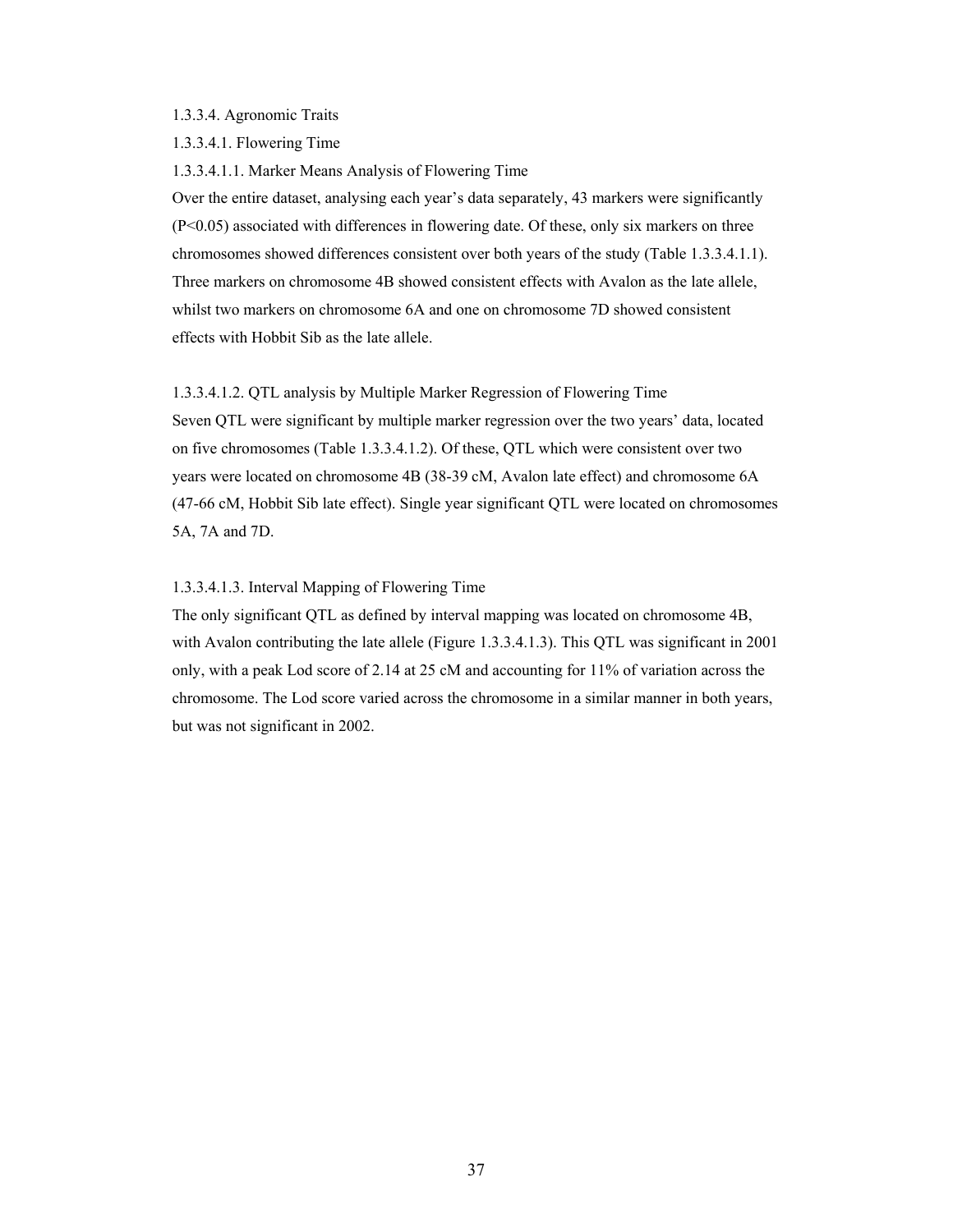#### 1.3.3.4. Agronomic Traits

1.3.3.4.1. Flowering Time

1.3.3.4.1.1. Marker Means Analysis of Flowering Time

Over the entire dataset, analysing each year's data separately, 43 markers were significantly (P<0.05) associated with differences in flowering date. Of these, only six markers on three chromosomes showed differences consistent over both years of the study (Table 1.3.3.4.1.1). Three markers on chromosome 4B showed consistent effects with Avalon as the late allele, whilst two markers on chromosome 6A and one on chromosome 7D showed consistent effects with Hobbit Sib as the late allele.

1.3.3.4.1.2. QTL analysis by Multiple Marker Regression of Flowering Time

Seven QTL were significant by multiple marker regression over the two years' data, located on five chromosomes (Table 1.3.3.4.1.2). Of these, QTL which were consistent over two years were located on chromosome 4B (38-39 cM, Avalon late effect) and chromosome 6A (47-66 cM, Hobbit Sib late effect). Single year significant QTL were located on chromosomes 5A, 7A and 7D.

1.3.3.4.1.3. Interval Mapping of Flowering Time

The only significant QTL as defined by interval mapping was located on chromosome 4B, with Avalon contributing the late allele (Figure 1.3.3.4.1.3). This QTL was significant in 2001 only, with a peak Lod score of 2.14 at 25 cM and accounting for 11% of variation across the chromosome. The Lod score varied across the chromosome in a similar manner in both years, but was not significant in 2002.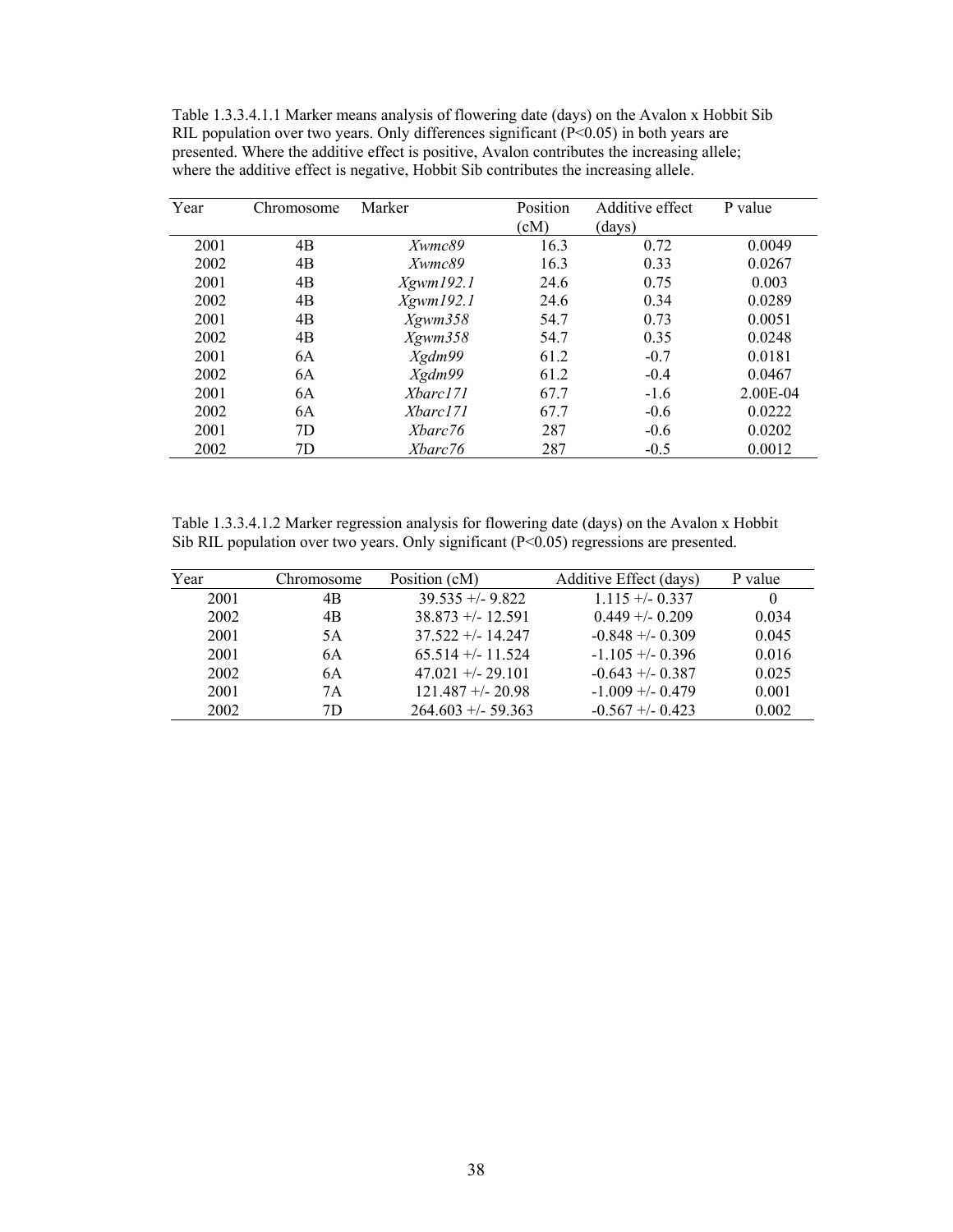Table 1.3.3.4.1.1 Marker means analysis of flowering date (days) on the Avalon x Hobbit Sib RIL population over two years. Only differences significant  $(P<0.05)$  in both years are presented. Where the additive effect is positive, Avalon contributes the increasing allele; where the additive effect is negative, Hobbit Sib contributes the increasing allele.

| Year | Chromosome | Marker    | Position<br>(cM) | Additive effect<br>(days) | P value  |
|------|------------|-----------|------------------|---------------------------|----------|
| 2001 | 4B         | Xwmc89    | 16.3             | 0.72                      | 0.0049   |
| 2002 | 4B         | Xwmc89    | 16.3             | 0.33                      | 0.0267   |
| 2001 | 4B         | Xgwm192.1 | 24.6             | 0.75                      | 0.003    |
| 2002 | 4B         | Xgwm192.1 | 24.6             | 0.34                      | 0.0289   |
| 2001 | 4B         | Xgwm358   | 54.7             | 0.73                      | 0.0051   |
| 2002 | 4B         | Xgwm358   | 54.7             | 0.35                      | 0.0248   |
| 2001 | 6A         | Xgdm99    | 61.2             | $-0.7$                    | 0.0181   |
| 2002 | 6A         | Xgdm99    | 61.2             | $-0.4$                    | 0.0467   |
| 2001 | 6A         | Xbarc171  | 67.7             | $-1.6$                    | 2.00E-04 |
| 2002 | 6A         | Xbarc171  | 67.7             | $-0.6$                    | 0.0222   |
| 2001 | 7D         | Xbarc76   | 287              | $-0.6$                    | 0.0202   |
| 2002 | 7D         | Xbarc76   | 287              | $-0.5$                    | 0.0012   |

Table 1.3.3.4.1.2 Marker regression analysis for flowering date (days) on the Avalon x Hobbit Sib RIL population over two years. Only significant  $(P<0.05)$  regressions are presented.

| Year | Chromosome | Position (cM)        | Additive Effect (days) | P value  |
|------|------------|----------------------|------------------------|----------|
| 2001 | 4B         | $39.535 + 9.822$     | $1.115 + -0.337$       | $\theta$ |
| 2002 | 4B         | $38.873 + (-12.591)$ | $0.449 + -0.209$       | 0.034    |
| 2001 | 5A         | $37.522 + - 14.247$  | $-0.848 + (-0.309)$    | 0.045    |
| 2001 | 6A         | $65.514 + (-11.524)$ | $-1.105 + (-0.396)$    | 0.016    |
| 2002 | 6A         | $47.021 + -29.101$   | $-0.643 + (-0.387)$    | 0.025    |
| 2001 | 7Α         | $121.487 + - 20.98$  | $-1.009 + -0.479$      | 0.001    |
| 2002 | 7D         | $264.603 + -59.363$  | $-0.567 + -0.423$      | 0.002    |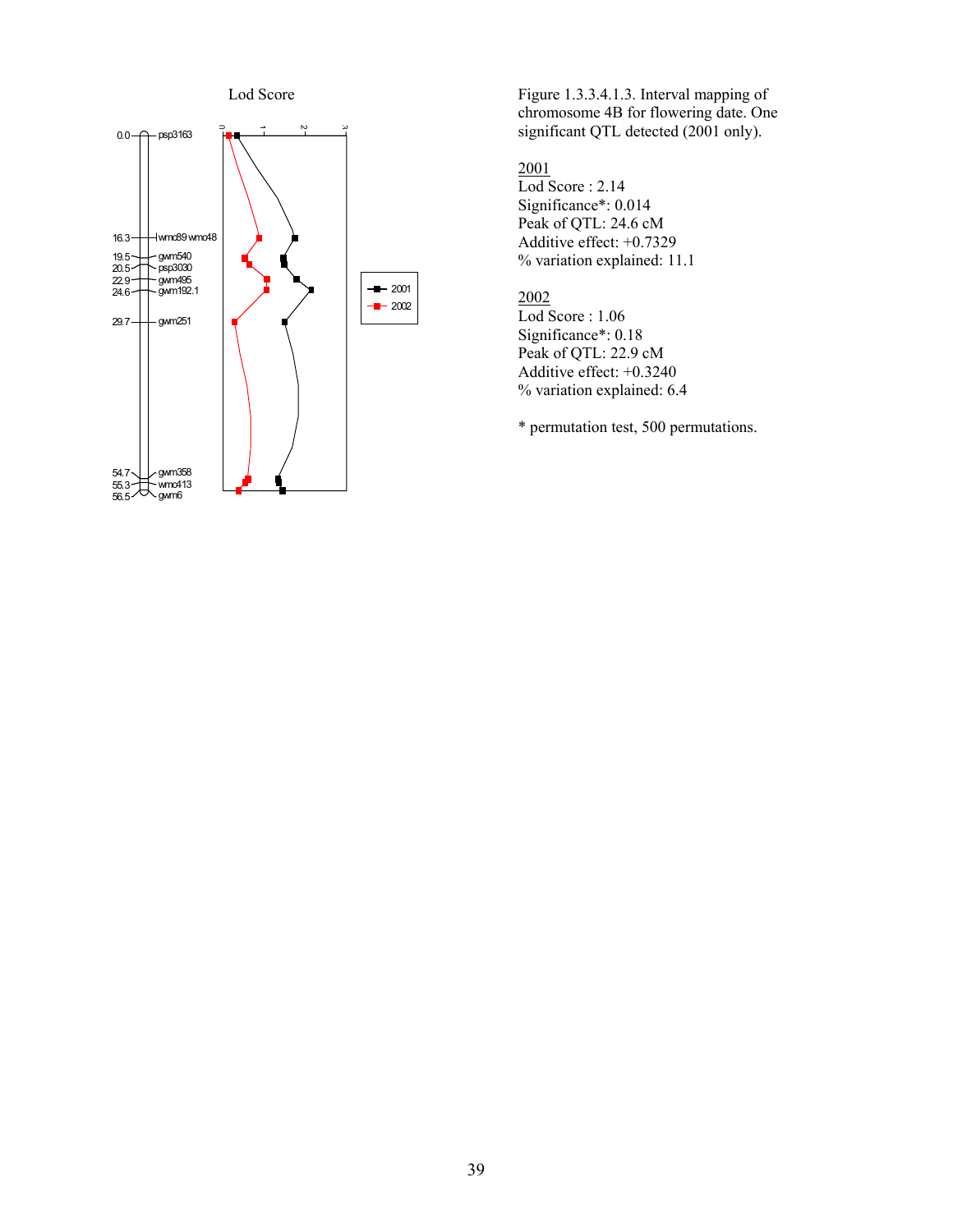

Figure 1.3.3.4.1.3. Interval mapping of chromosome 4B for flowering date. One significant QTL detected (2001 only).

2001

Lod Score : 2.14 Significance\*: 0.014 Peak of QTL: 24.6 cM Additive effect: +0.7329 % variation explained: 11.1

2002

Lod Score : 1.06 Significance\*: 0.18 Peak of QTL: 22.9 cM Additive effect: +0.3240 % variation explained: 6.4

\* permutation test, 500 permutations.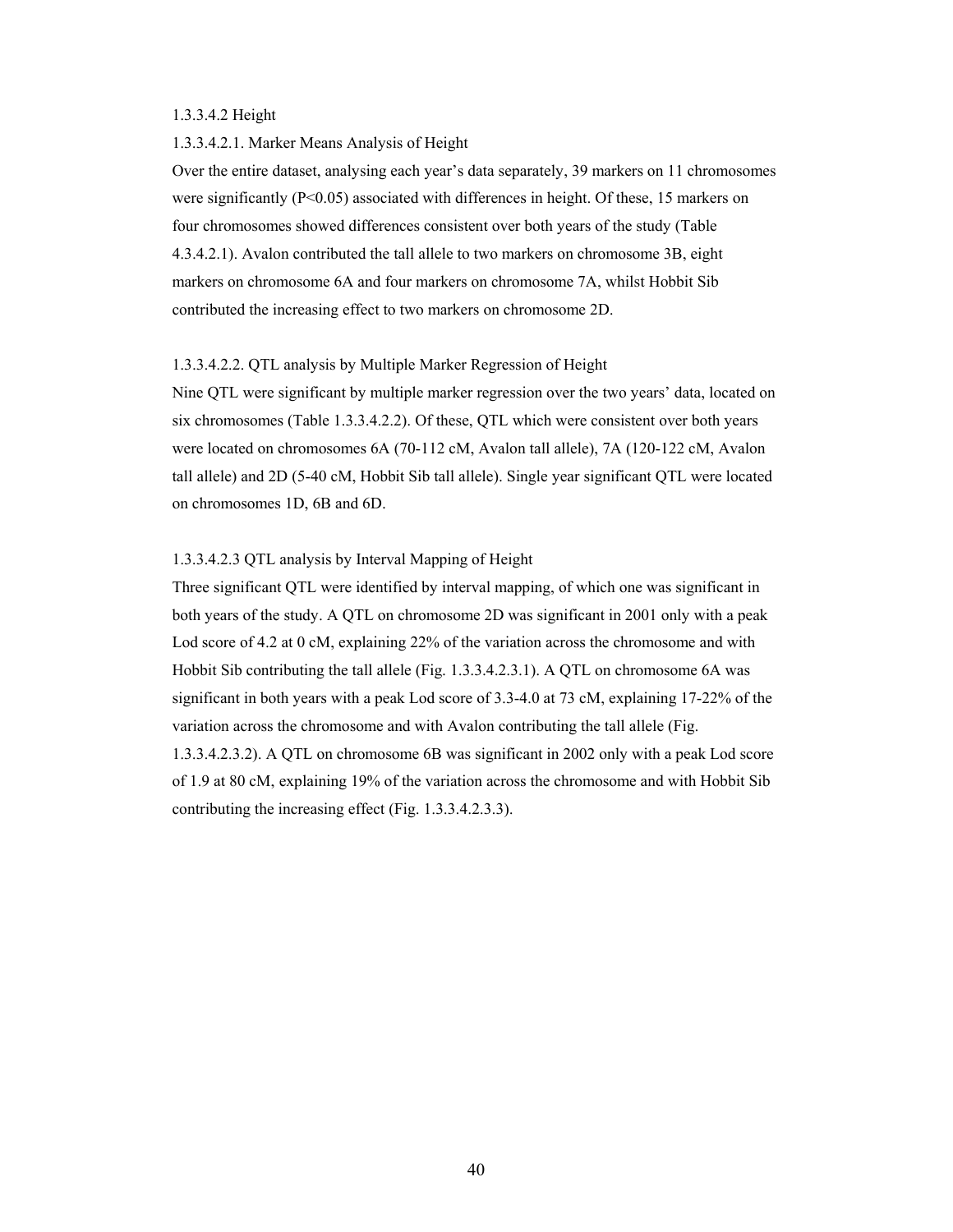#### 1.3.3.4.2 Height

#### 1.3.3.4.2.1. Marker Means Analysis of Height

Over the entire dataset, analysing each year's data separately, 39 markers on 11 chromosomes were significantly  $(P<0.05)$  associated with differences in height. Of these, 15 markers on four chromosomes showed differences consistent over both years of the study (Table 4.3.4.2.1). Avalon contributed the tall allele to two markers on chromosome 3B, eight markers on chromosome 6A and four markers on chromosome 7A, whilst Hobbit Sib contributed the increasing effect to two markers on chromosome 2D.

#### 1.3.3.4.2.2. QTL analysis by Multiple Marker Regression of Height

Nine QTL were significant by multiple marker regression over the two years' data, located on six chromosomes (Table 1.3.3.4.2.2). Of these, QTL which were consistent over both years were located on chromosomes 6A (70-112 cM, Avalon tall allele), 7A (120-122 cM, Avalon tall allele) and 2D (5-40 cM, Hobbit Sib tall allele). Single year significant QTL were located on chromosomes 1D, 6B and 6D.

# 1.3.3.4.2.3 QTL analysis by Interval Mapping of Height

Three significant QTL were identified by interval mapping, of which one was significant in both years of the study. A QTL on chromosome 2D was significant in 2001 only with a peak Lod score of 4.2 at 0 cM, explaining 22% of the variation across the chromosome and with Hobbit Sib contributing the tall allele (Fig. 1.3.3.4.2.3.1). A QTL on chromosome 6A was significant in both years with a peak Lod score of 3.3-4.0 at 73 cM, explaining 17-22% of the variation across the chromosome and with Avalon contributing the tall allele (Fig. 1.3.3.4.2.3.2). A QTL on chromosome 6B was significant in 2002 only with a peak Lod score of 1.9 at 80 cM, explaining 19% of the variation across the chromosome and with Hobbit Sib contributing the increasing effect (Fig. 1.3.3.4.2.3.3).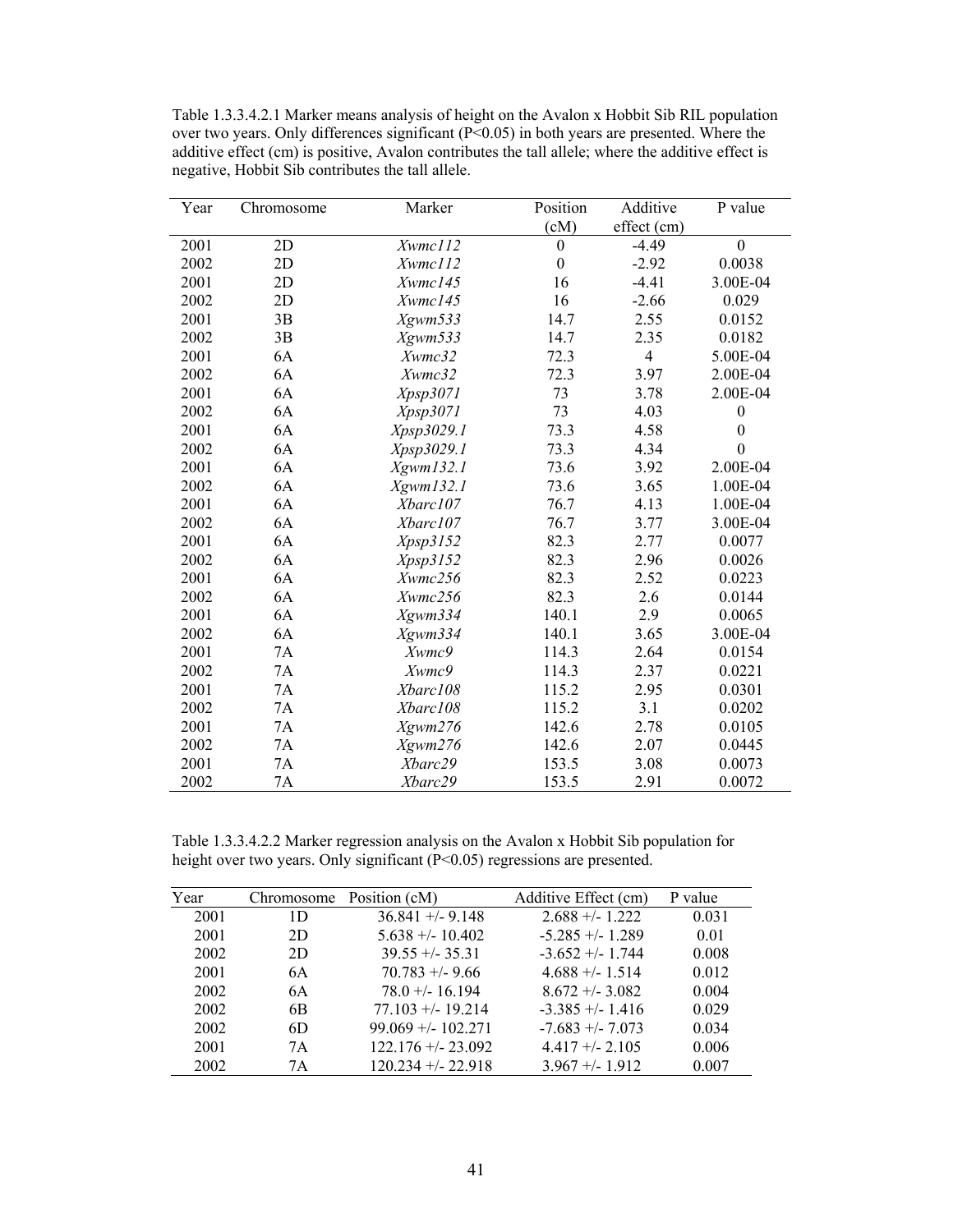Table 1.3.3.4.2.1 Marker means analysis of height on the Avalon x Hobbit Sib RIL population over two years. Only differences significant (P<0.05) in both years are presented. Where the additive effect (cm) is positive, Avalon contributes the tall allele; where the additive effect is negative, Hobbit Sib contributes the tall allele.

| Year | Chromosome | Marker     | Position         | Additive       | P value          |
|------|------------|------------|------------------|----------------|------------------|
|      |            |            | (cM)             | effect (cm)    |                  |
| 2001 | 2D         | Xwmc112    | $\boldsymbol{0}$ | $-4.49$        | $\overline{0}$   |
| 2002 | 2D         | Xwmc112    | $\overline{0}$   | $-2.92$        | 0.0038           |
| 2001 | 2D         | Xwmc145    | 16               | $-4.41$        | 3.00E-04         |
| 2002 | 2D         | Xwmc145    | 16               | $-2.66$        | 0.029            |
| 2001 | 3B         | Xgwm533    | 14.7             | 2.55           | 0.0152           |
| 2002 | 3B         | Xgwm533    | 14.7             | 2.35           | 0.0182           |
| 2001 | 6A         | Xwmc32     | 72.3             | $\overline{4}$ | 5.00E-04         |
| 2002 | 6A         | Xwmc32     | 72.3             | 3.97           | 2.00E-04         |
| 2001 | 6A         | Xpsp3071   | 73               | 3.78           | 2.00E-04         |
| 2002 | 6A         | Xpsp3071   | 73               | 4.03           | $\boldsymbol{0}$ |
| 2001 | 6A         | Xpsp3029.1 | 73.3             | 4.58           | $\boldsymbol{0}$ |
| 2002 | 6A         | Xpsp3029.1 | 73.3             | 4.34           | $\mathbf{0}$     |
| 2001 | 6A         | Xgwm132.1  | 73.6             | 3.92           | 2.00E-04         |
| 2002 | 6A         | Xgwm132.1  | 73.6             | 3.65           | 1.00E-04         |
| 2001 | 6A         | Xbarc107   | 76.7             | 4.13           | 1.00E-04         |
| 2002 | 6A         | Xbarc107   | 76.7             | 3.77           | 3.00E-04         |
| 2001 | 6A         | Xpsp3152   | 82.3             | 2.77           | 0.0077           |
| 2002 | 6A         | Xpsp3152   | 82.3             | 2.96           | 0.0026           |
| 2001 | 6A         | Xwmc256    | 82.3             | 2.52           | 0.0223           |
| 2002 | 6A         | Xwmc256    | 82.3             | 2.6            | 0.0144           |
| 2001 | 6A         | Xgwm334    | 140.1            | 2.9            | 0.0065           |
| 2002 | 6A         | Xgwm334    | 140.1            | 3.65           | 3.00E-04         |
| 2001 | 7A         | Xwmc9      | 114.3            | 2.64           | 0.0154           |
| 2002 | 7A         | Xwmc9      | 114.3            | 2.37           | 0.0221           |
| 2001 | 7A         | Xbarc108   | 115.2            | 2.95           | 0.0301           |
| 2002 | 7A         | Xbarc108   | 115.2            | 3.1            | 0.0202           |
| 2001 | 7A         | Xgwm276    | 142.6            | 2.78           | 0.0105           |
| 2002 | 7A         | Xgwm276    | 142.6            | 2.07           | 0.0445           |
| 2001 | 7A         | Xbarc29    | 153.5            | 3.08           | 0.0073           |
| 2002 | 7A         | Xbarc29    | 153.5            | 2.91           | 0.0072           |

Table 1.3.3.4.2.2 Marker regression analysis on the Avalon x Hobbit Sib population for height over two years. Only significant (P<0.05) regressions are presented.

| Year |                | Chromosome Position (cM) | Additive Effect (cm) | P value |
|------|----------------|--------------------------|----------------------|---------|
| 2001 | 1D             | $36.841 + - 9.148$       | $2.688 + - 1.222$    | 0.031   |
| 2001 | 2D             | $5.638 + - 10.402$       | $-5.285 + (-1.289)$  | 0.01    |
| 2002 | 2D             | $39.55 + - 35.31$        | $-3.652 + (-1.744)$  | 0.008   |
| 2001 | 6A             | $70.783 + 9.66$          | $4.688 + (-1.514)$   | 0.012   |
| 2002 | 6A             | $78.0 + (-16.194)$       | $8.672 + (-3.082)$   | 0.004   |
| 2002 | 6 <sub>B</sub> | $77.103 + (-19.214)$     | $-3.385 + (-1.416)$  | 0.029   |
| 2002 | 6D             | $99.069 + - 102.271$     | $-7.683 + -7.073$    | 0.034   |
| 2001 | 7A             | $122.176 + - 23.092$     | $4.417 + (-2.105$    | 0.006   |
| 2002 | 7Α             | $120.234 + 22.918$       | $3.967 + - 1.912$    | 0.007   |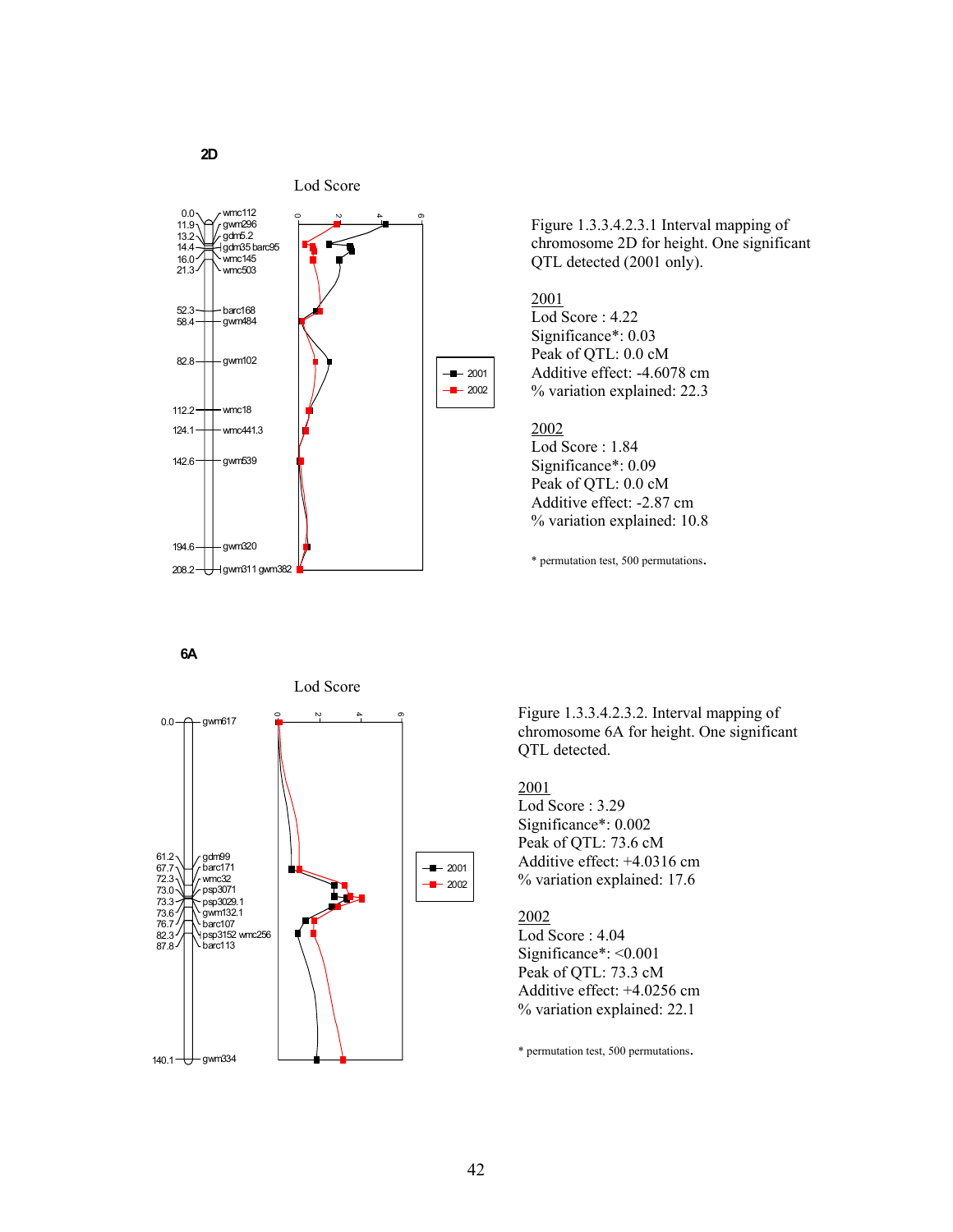



Figure 1.3.3.4.2.3.1 Interval mapping of chromosome 2D for height. One significant QTL detected (2001 only).

# 2001

Lod Score : 4.22 Significance\*: 0.03 Peak of QTL: 0.0 cM Additive effect: -4.6078 cm % variation explained: 22.3

# 2002

Lod Score : 1.84 Significance\*: 0.09 Peak of OTL: 0.0 cM Additive effect: -2.87 cm % variation explained: 10.8

\* permutation test, 500 permutations.

**6A**



Figure 1.3.3.4.2.3.2. Interval mapping of chromosome 6A for height. One significant QTL detected.

# 2001

Lod Score : 3.29 Significance\*: 0.002 Peak of QTL: 73.6 cM Additive effect: +4.0316 cm % variation explained: 17.6

#### 2002

Lod Score : 4.04 Significance\*: <0.001 Peak of QTL: 73.3 cM Additive effect: +4.0256 cm % variation explained: 22.1

\* permutation test, 500 permutations.

# **2D**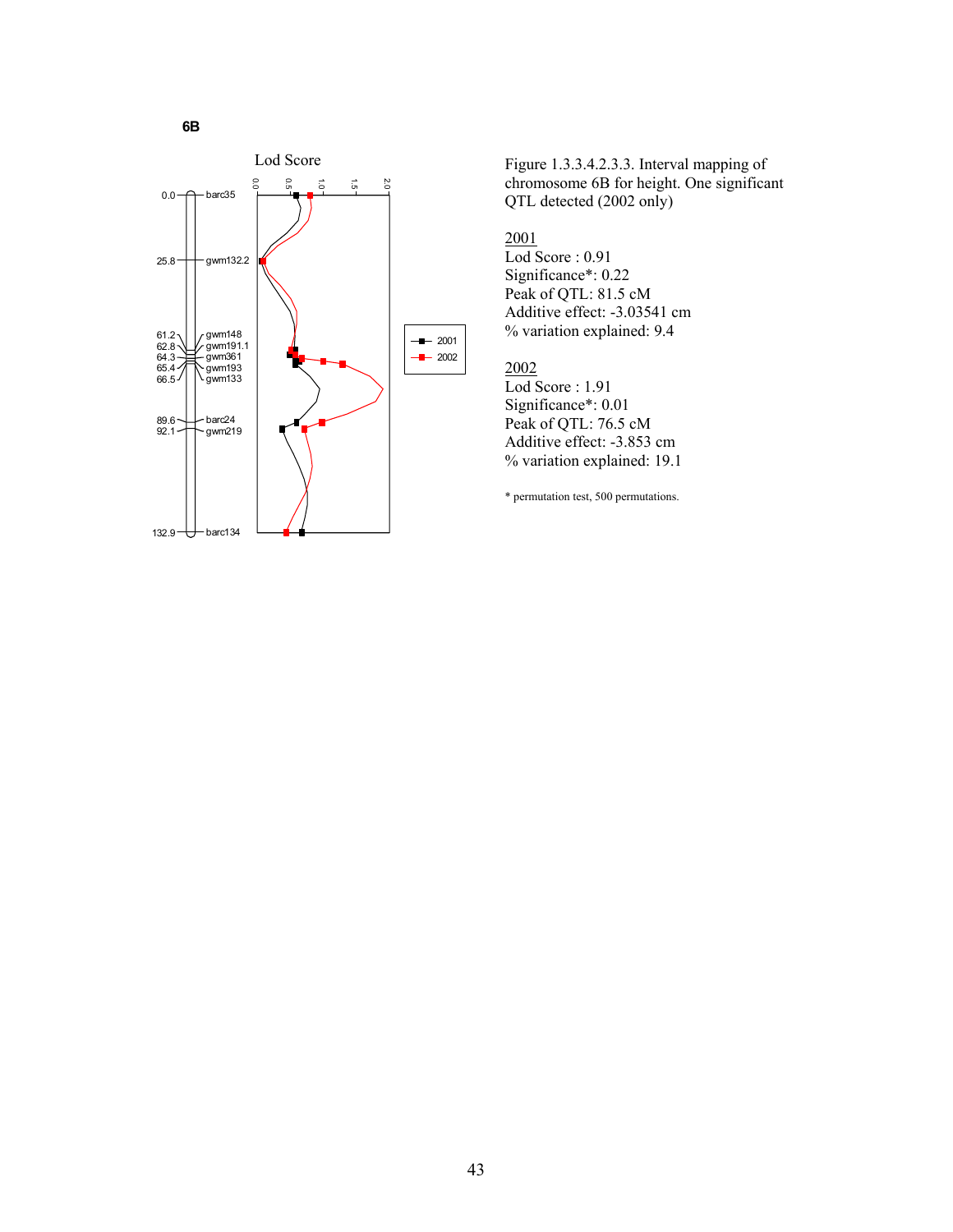

Figure 1.3.3.4.2.3.3. Interval mapping of chromosome 6B for height. One significant QTL detected (2002 only)

# 2001

Lod Score : 0.91 Significance\*: 0.22 Peak of QTL: 81.5 cM Additive effect: -3.03541 cm % variation explained: 9.4

# 2002

Lod Score : 1.91 Significance\*: 0.01 Peak of QTL: 76.5 cM Additive effect: -3.853 cm % variation explained: 19.1

\* permutation test, 500 permutations.

**6B**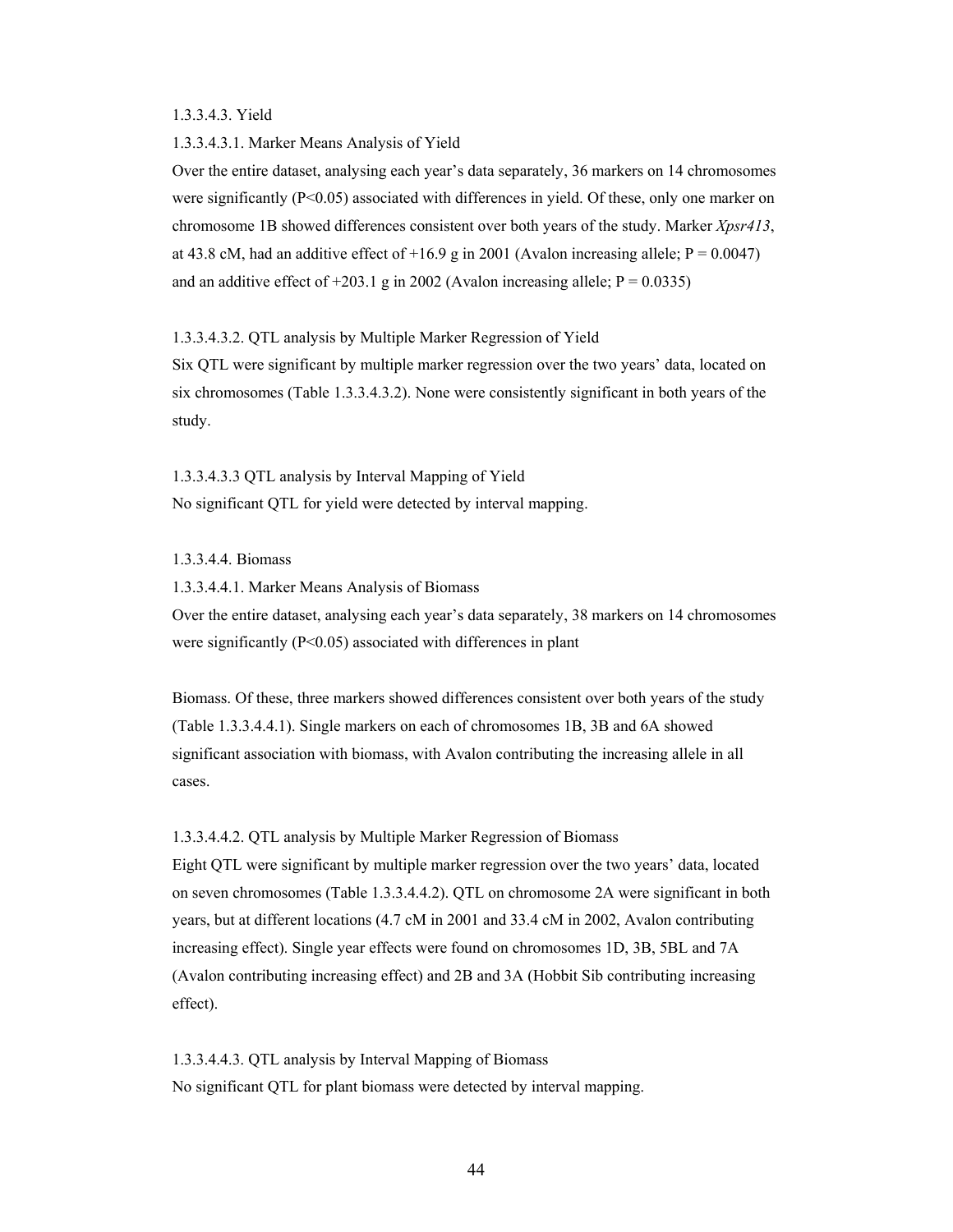#### 1.3.3.4.3. Yield

#### 1.3.3.4.3.1. Marker Means Analysis of Yield

Over the entire dataset, analysing each year's data separately, 36 markers on 14 chromosomes were significantly ( $P \le 0.05$ ) associated with differences in yield. Of these, only one marker on chromosome 1B showed differences consistent over both years of the study. Marker *Xpsr413*, at 43.8 cM, had an additive effect of +16.9 g in 2001 (Avalon increasing allele;  $P = 0.0047$ ) and an additive effect of  $+203.1$  g in 2002 (Avalon increasing allele;  $P = 0.0335$ )

### 1.3.3.4.3.2. QTL analysis by Multiple Marker Regression of Yield

Six QTL were significant by multiple marker regression over the two years' data, located on six chromosomes (Table 1.3.3.4.3.2). None were consistently significant in both years of the study.

1.3.3.4.3.3 QTL analysis by Interval Mapping of Yield No significant QTL for yield were detected by interval mapping.

# 1.3.3.4.4. Biomass

1.3.3.4.4.1. Marker Means Analysis of Biomass

Over the entire dataset, analysing each year's data separately, 38 markers on 14 chromosomes were significantly (P<0.05) associated with differences in plant

Biomass. Of these, three markers showed differences consistent over both years of the study (Table 1.3.3.4.4.1). Single markers on each of chromosomes 1B, 3B and 6A showed significant association with biomass, with Avalon contributing the increasing allele in all cases.

# 1.3.3.4.4.2. QTL analysis by Multiple Marker Regression of Biomass

Eight QTL were significant by multiple marker regression over the two years' data, located on seven chromosomes (Table 1.3.3.4.4.2). QTL on chromosome 2A were significant in both years, but at different locations (4.7 cM in 2001 and 33.4 cM in 2002, Avalon contributing increasing effect). Single year effects were found on chromosomes 1D, 3B, 5BL and 7A (Avalon contributing increasing effect) and 2B and 3A (Hobbit Sib contributing increasing effect).

1.3.3.4.4.3. QTL analysis by Interval Mapping of Biomass No significant QTL for plant biomass were detected by interval mapping.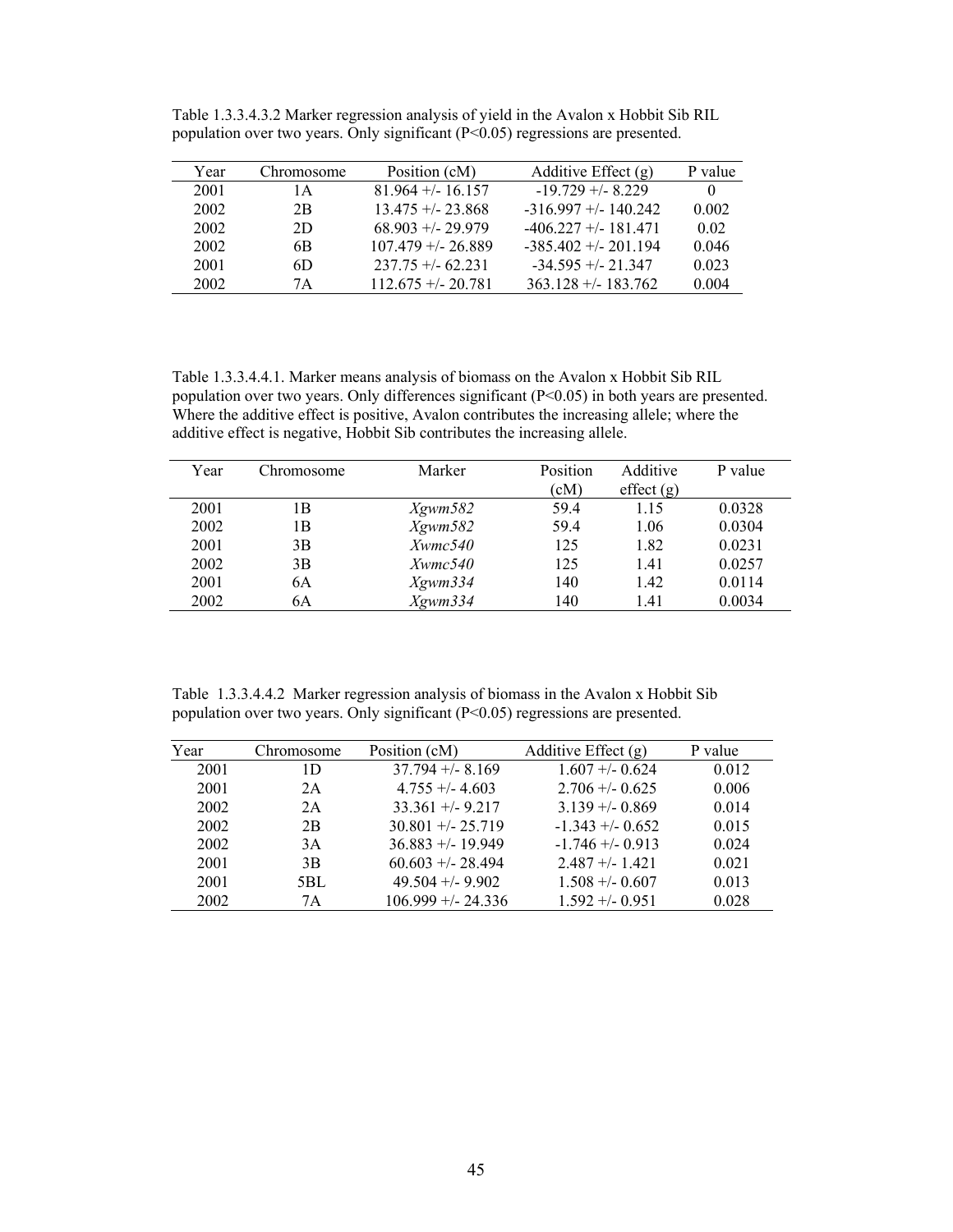| Year | Chromosome | Position (cM)        | Additive Effect $(g)$   | P value  |
|------|------------|----------------------|-------------------------|----------|
| 2001 | 1 A        | $81.964 + (-16.157$  | $-19.729 + -8.229$      | $\theta$ |
| 2002 | 2B         | $13.475 + - 23.868$  | $-316.997 + (-140.242)$ | 0.002    |
| 2002 | 2D         | $68.903 + 29.979$    | $-406.227 + (-181.471)$ | 0.02     |
| 2002 | 6B         | $107.479 + - 26.889$ | $-385.402 + -201.194$   | 0.046    |
| 2001 | 6D         | $237.75 + -62.231$   | $-34.595 + -21.347$     | 0.023    |
| 2002 | 7A         | $112.675 + - 20.781$ | $363.128 + - 183.762$   | 0.004    |

Table 1.3.3.4.3.2 Marker regression analysis of yield in the Avalon x Hobbit Sib RIL population over two years. Only significant (P<0.05) regressions are presented.

Table 1.3.3.4.4.1. Marker means analysis of biomass on the Avalon x Hobbit Sib RIL population over two years. Only differences significant (P<0.05) in both years are presented. Where the additive effect is positive, Avalon contributes the increasing allele; where the additive effect is negative, Hobbit Sib contributes the increasing allele.

| Year | Chromosome | Marker                             | Position | Additive  | P value |
|------|------------|------------------------------------|----------|-----------|---------|
|      |            |                                    | (cM)     | effect(g) |         |
| 2001 | 1Β         | X <sub>g</sub> wm 582              | 59.4     | 1.15      | 0.0328  |
| 2002 | 1B         | X <sub>g</sub> wm 582              | 59.4     | 1.06      | 0.0304  |
| 2001 | 3B         | $X \text{w} \text{m} \text{c} 540$ | 125      | 1.82      | 0.0231  |
| 2002 | 3B         | $X \text{w} \text{m} \text{c} 540$ | 125      | 1.41      | 0.0257  |
| 2001 | 6A         | Xgwm334                            | 140      | 1.42      | 0.0114  |
| 2002 | 6A         | X <sub>g</sub> wm334               | 140      | 1.41      | 0.0034  |

Table 1.3.3.4.4.2 Marker regression analysis of biomass in the Avalon x Hobbit Sib population over two years. Only significant (P<0.05) regressions are presented.

| Year | Chromosome | Position (cM)         | Additive Effect $(g)$ | P value |
|------|------------|-----------------------|-----------------------|---------|
| 2001 | 1D         | $37.794 + - 8.169$    | $1.607 + - 0.624$     | 0.012   |
| 2001 | 2A         | $4.755 + (-4.603)$    | $2.706 + - 0.625$     | 0.006   |
| 2002 | 2A         | $33.361 + -9.217$     | $3.139 + -0.869$      | 0.014   |
| 2002 | 2B         | $30.801 + (-25.719)$  | $-1.343 + (-0.652)$   | 0.015   |
| 2002 | 3A         | $36.883 + 1 - 19.949$ | $-1.746 + (-0.913)$   | 0.024   |
| 2001 | 3B         | $60.603 + 28.494$     | $2.487 + - 1.421$     | 0.021   |
| 2001 | 5BL        | $49.504 + - 9.902$    | $1.508 + - 0.607$     | 0.013   |
| 2002 | 7Α         | $106.999 + - 24.336$  | $1.592 + - 0.951$     | 0.028   |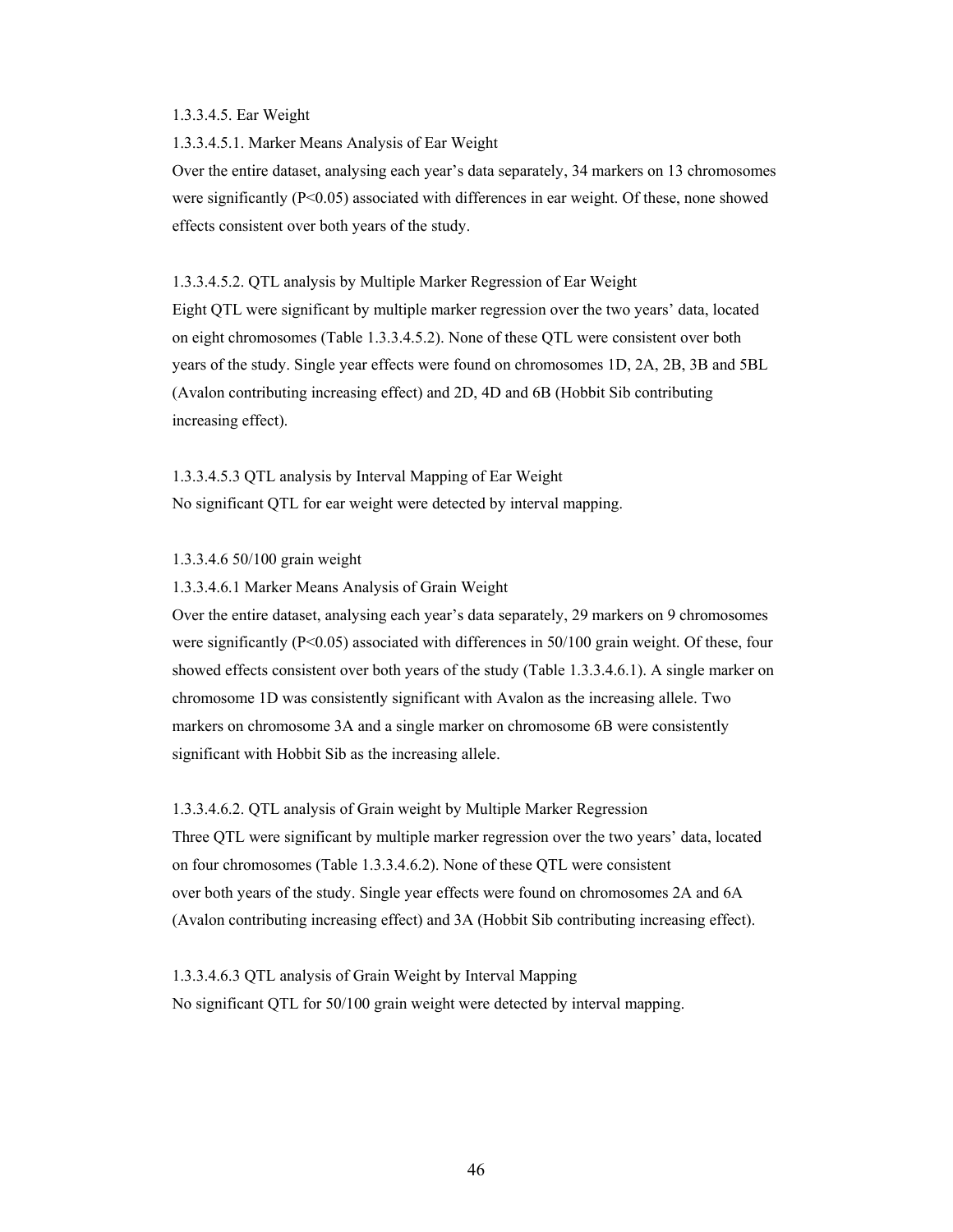#### 1.3.3.4.5. Ear Weight

1.3.3.4.5.1. Marker Means Analysis of Ear Weight

Over the entire dataset, analysing each year's data separately, 34 markers on 13 chromosomes were significantly  $(P<0.05)$  associated with differences in ear weight. Of these, none showed effects consistent over both years of the study.

1.3.3.4.5.2. QTL analysis by Multiple Marker Regression of Ear Weight

Eight QTL were significant by multiple marker regression over the two years' data, located on eight chromosomes (Table 1.3.3.4.5.2). None of these QTL were consistent over both years of the study. Single year effects were found on chromosomes 1D, 2A, 2B, 3B and 5BL (Avalon contributing increasing effect) and 2D, 4D and 6B (Hobbit Sib contributing increasing effect).

1.3.3.4.5.3 QTL analysis by Interval Mapping of Ear Weight No significant QTL for ear weight were detected by interval mapping.

1.3.3.4.6 50/100 grain weight

1.3.3.4.6.1 Marker Means Analysis of Grain Weight

Over the entire dataset, analysing each year's data separately, 29 markers on 9 chromosomes were significantly  $(P<0.05)$  associated with differences in 50/100 grain weight. Of these, four showed effects consistent over both years of the study (Table 1.3.3.4.6.1). A single marker on chromosome 1D was consistently significant with Avalon as the increasing allele. Two markers on chromosome 3A and a single marker on chromosome 6B were consistently significant with Hobbit Sib as the increasing allele.

1.3.3.4.6.2. QTL analysis of Grain weight by Multiple Marker Regression Three QTL were significant by multiple marker regression over the two years' data, located on four chromosomes (Table 1.3.3.4.6.2). None of these QTL were consistent over both years of the study. Single year effects were found on chromosomes 2A and 6A (Avalon contributing increasing effect) and 3A (Hobbit Sib contributing increasing effect).

1.3.3.4.6.3 QTL analysis of Grain Weight by Interval Mapping No significant QTL for 50/100 grain weight were detected by interval mapping.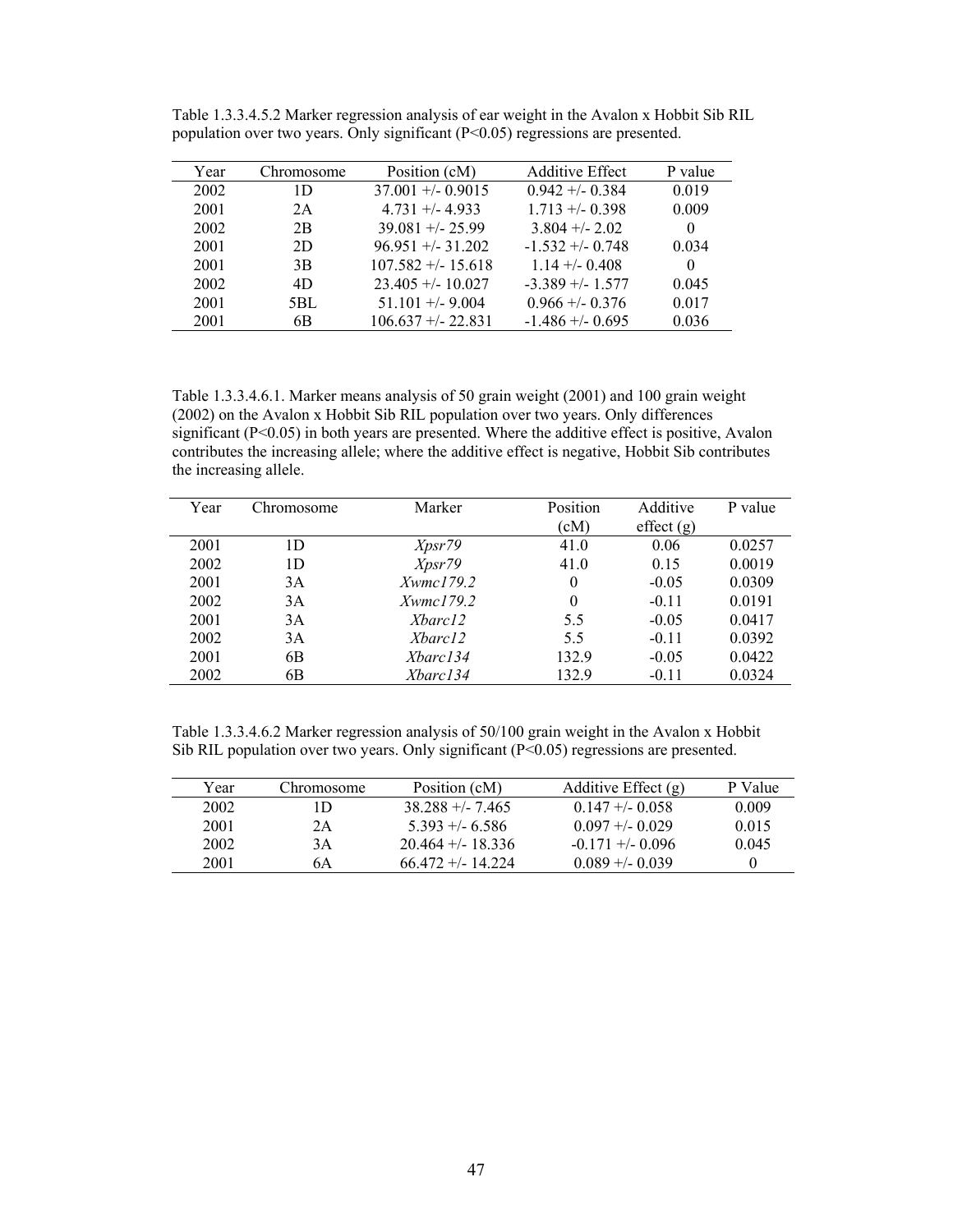| Year | Chromosome | Position (cM)        | <b>Additive Effect</b> | P value  |
|------|------------|----------------------|------------------------|----------|
| 2002 | 1D         | $37.001 + (-0.9015$  | $0.942 + 0.384$        | 0.019    |
| 2001 | 2A         | $4.731 + 4.933$      | $1.713 + (-0.398)$     | 0.009    |
| 2002 | 2B         | $39.081 + - 25.99$   | $3.804 + - 2.02$       | 0        |
| 2001 | 2D         | $96.951 + -31.202$   | $-1$ 532 +/- 0 748     | 0.034    |
| 2001 | 3B         | $107.582 + - 15.618$ | $1.14 + - 0.408$       | $\Omega$ |
| 2002 | 4D         | $23.405 + - 10.027$  | $-3.389 + (-1.577)$    | 0.045    |
| 2001 | 5BL        | $51.101 + -9.004$    | $0.966 + - 0.376$      | 0.017    |
| 2001 | 6B         | $106.637 + -22.831$  | $-1.486 + (-0.695)$    | 0.036    |

Table 1.3.3.4.5.2 Marker regression analysis of ear weight in the Avalon x Hobbit Sib RIL population over two years. Only significant (P<0.05) regressions are presented.

Table 1.3.3.4.6.1. Marker means analysis of 50 grain weight (2001) and 100 grain weight (2002) on the Avalon x Hobbit Sib RIL population over two years. Only differences significant (P<0.05) in both years are presented. Where the additive effect is positive, Avalon contributes the increasing allele; where the additive effect is negative, Hobbit Sib contributes the increasing allele.

| Year | Chromosome | Marker          | Position | Additive  | P value |
|------|------------|-----------------|----------|-----------|---------|
|      |            |                 | (cM)     | effect(g) |         |
| 2001 | 1D         | Xpsr79          | 41.0     | 0.06      | 0.0257  |
| 2002 | 1D         | Xpsr79          | 41.0     | 0.15      | 0.0019  |
| 2001 | 3A         | Xwmc179.2       | $\theta$ | $-0.05$   | 0.0309  |
| 2002 | 3A         | $X$ wmc $179.2$ | $\theta$ | $-0.11$   | 0.0191  |
| 2001 | 3A         | Xbarc12         | 5.5      | $-0.05$   | 0.0417  |
| 2002 | 3A         | Xbarc12         | 5.5      | $-0.11$   | 0.0392  |
| 2001 | 6B         | Xbarc134        | 132.9    | $-0.05$   | 0.0422  |
| 2002 | 6B         | Xbarc134        | 132.9    | $-0.11$   | 0.0324  |

Table 1.3.3.4.6.2 Marker regression analysis of 50/100 grain weight in the Avalon x Hobbit Sib RIL population over two years. Only significant  $(P<0.05)$  regressions are presented.

| Year | Chromosome | Position (cM)        | Additive Effect $(g)$ | P Value  |
|------|------------|----------------------|-----------------------|----------|
| 2002 | ID         | $38\,288 + 7\,465$   | $0.147 + -0.058$      | 0.009    |
| 2001 | 2Α         | $5.393 + 6.586$      | $0.097 + - 0.029$     | 0.015    |
| 2002 | 3Α         | $20.464 + - 18.336$  | $-0.171 + -0.096$     | 0.045    |
| 2001 | 6A         | $66.472 + (-14.224)$ | $0.089 + -0.039$      | $\theta$ |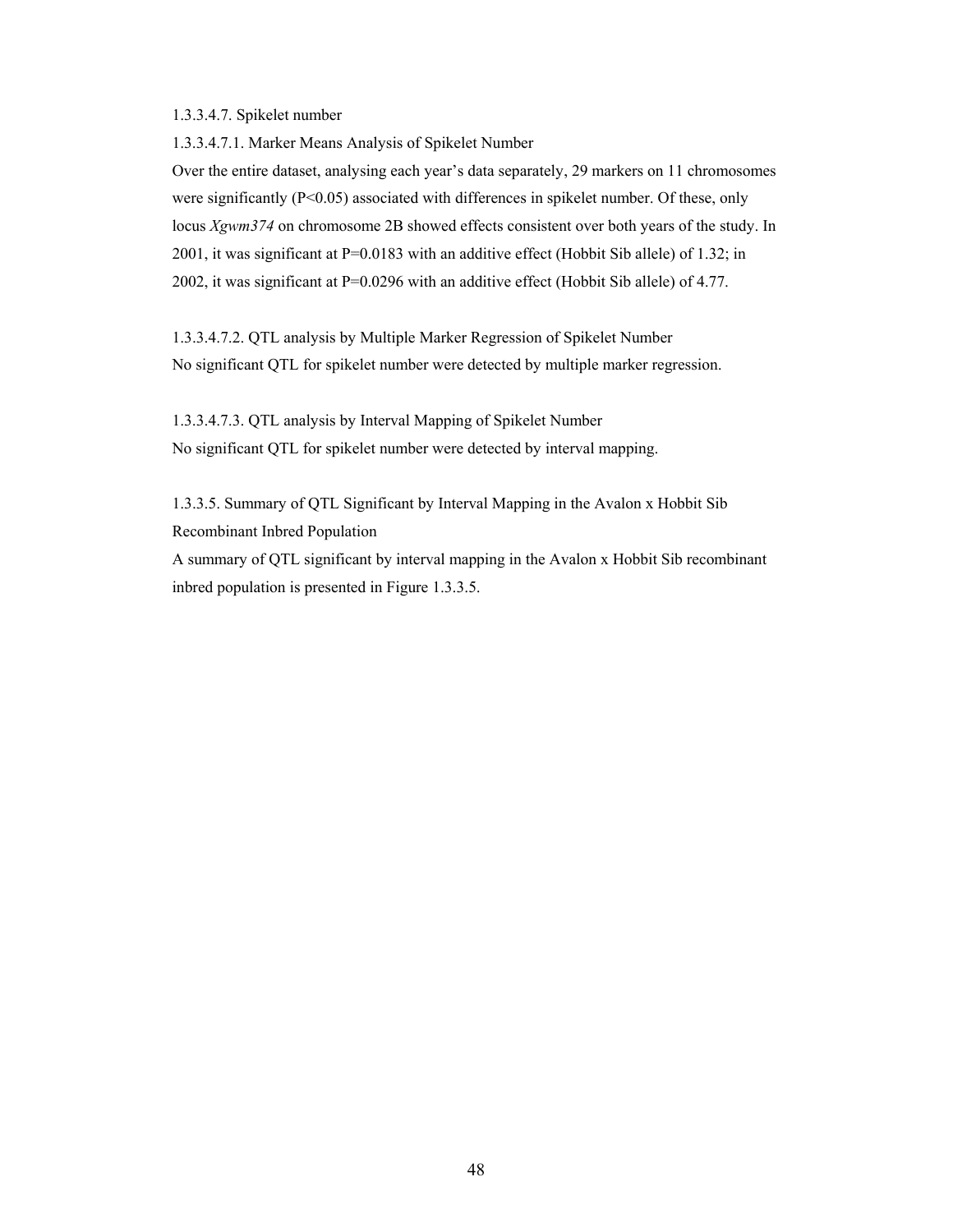# 1.3.3.4.7. Spikelet number

1.3.3.4.7.1. Marker Means Analysis of Spikelet Number

Over the entire dataset, analysing each year's data separately, 29 markers on 11 chromosomes were significantly (P<0.05) associated with differences in spikelet number. Of these, only locus *Xgwm374* on chromosome 2B showed effects consistent over both years of the study. In 2001, it was significant at P=0.0183 with an additive effect (Hobbit Sib allele) of 1.32; in 2002, it was significant at P=0.0296 with an additive effect (Hobbit Sib allele) of 4.77.

1.3.3.4.7.2. QTL analysis by Multiple Marker Regression of Spikelet Number No significant QTL for spikelet number were detected by multiple marker regression.

1.3.3.4.7.3. QTL analysis by Interval Mapping of Spikelet Number No significant QTL for spikelet number were detected by interval mapping.

1.3.3.5. Summary of QTL Significant by Interval Mapping in the Avalon x Hobbit Sib Recombinant Inbred Population

A summary of QTL significant by interval mapping in the Avalon x Hobbit Sib recombinant inbred population is presented in Figure 1.3.3.5.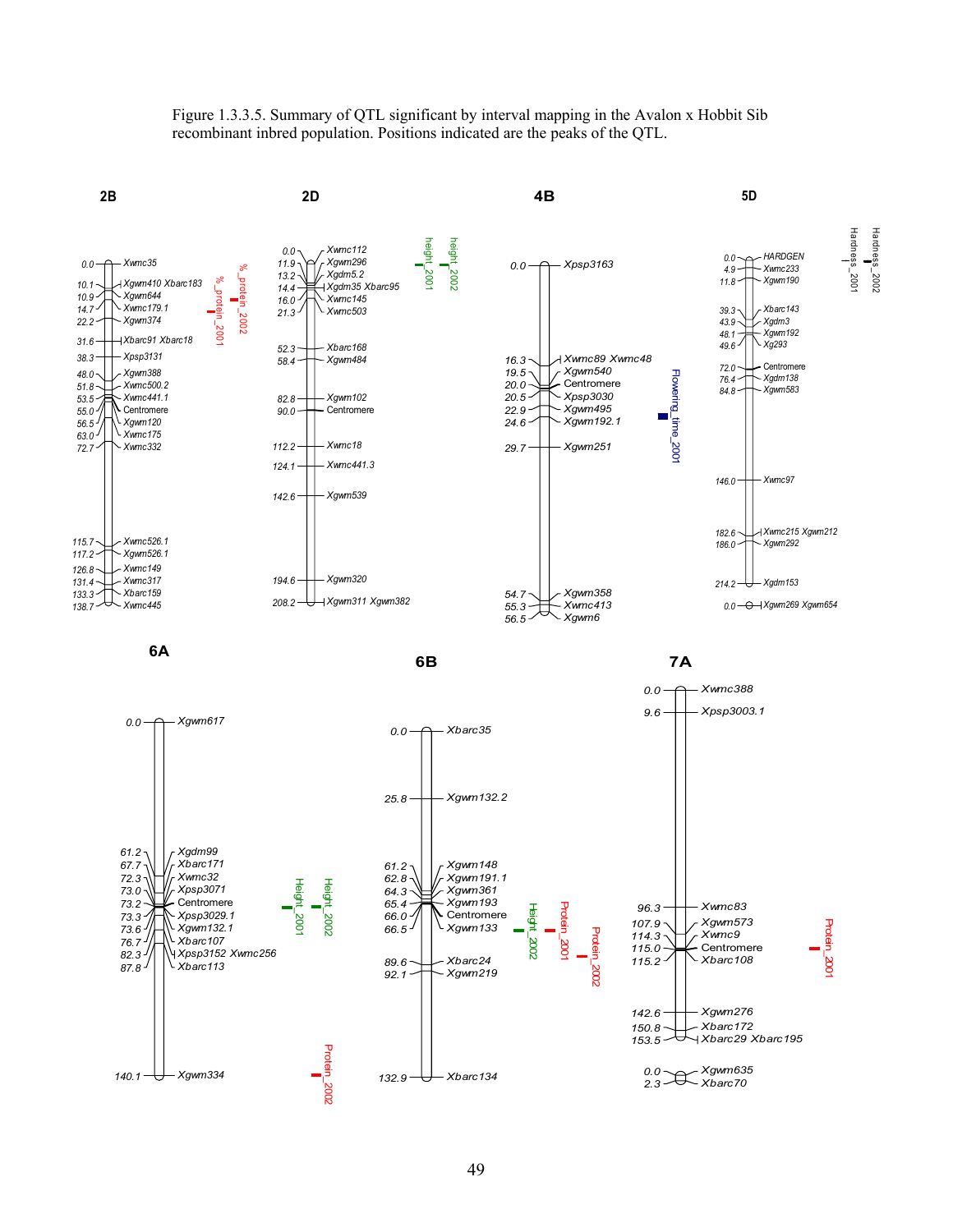Figure 1.3.3.5. Summary of QTL significant by interval mapping in the Avalon x Hobbit Sib recombinant inbred population. Positions indicated are the peaks of the QTL.

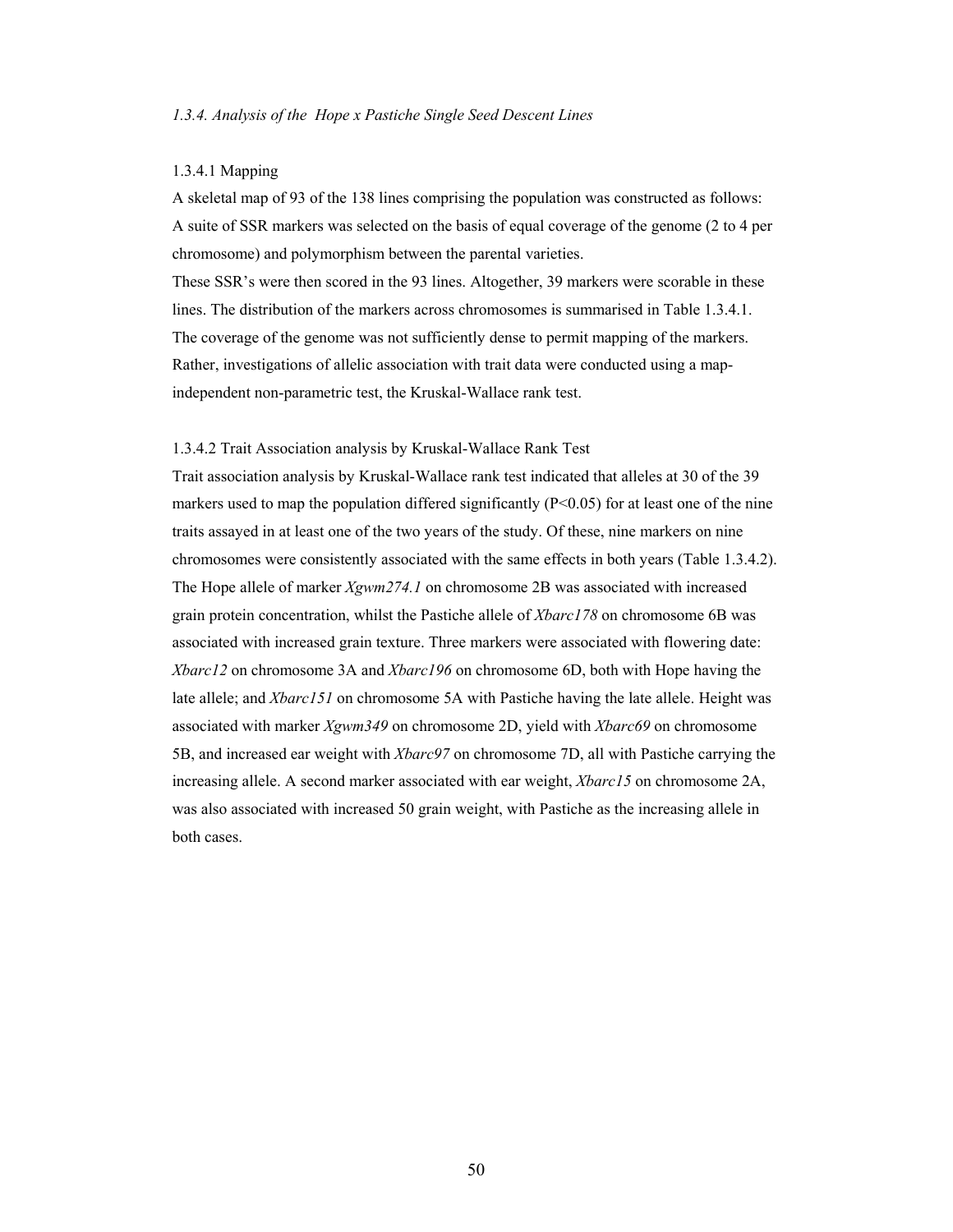#### 1.3.4.1 Mapping

A skeletal map of 93 of the 138 lines comprising the population was constructed as follows: A suite of SSR markers was selected on the basis of equal coverage of the genome (2 to 4 per chromosome) and polymorphism between the parental varieties.

These SSR's were then scored in the 93 lines. Altogether, 39 markers were scorable in these lines. The distribution of the markers across chromosomes is summarised in Table 1.3.4.1. The coverage of the genome was not sufficiently dense to permit mapping of the markers. Rather, investigations of allelic association with trait data were conducted using a mapindependent non-parametric test, the Kruskal-Wallace rank test.

## 1.3.4.2 Trait Association analysis by Kruskal-Wallace Rank Test

Trait association analysis by Kruskal-Wallace rank test indicated that alleles at 30 of the 39 markers used to map the population differed significantly  $(P<0.05)$  for at least one of the nine traits assayed in at least one of the two years of the study. Of these, nine markers on nine chromosomes were consistently associated with the same effects in both years (Table 1.3.4.2). The Hope allele of marker *Xgwm274.1* on chromosome 2B was associated with increased grain protein concentration, whilst the Pastiche allele of *Xbarc178* on chromosome 6B was associated with increased grain texture. Three markers were associated with flowering date: *Xbarc12* on chromosome 3A and *Xbarc196* on chromosome 6D, both with Hope having the late allele; and *Xbarc151* on chromosome 5A with Pastiche having the late allele. Height was associated with marker *Xgwm349* on chromosome 2D, yield with *Xbarc69* on chromosome 5B, and increased ear weight with *Xbarc97* on chromosome 7D, all with Pastiche carrying the increasing allele. A second marker associated with ear weight, *Xbarc15* on chromosome 2A, was also associated with increased 50 grain weight, with Pastiche as the increasing allele in both cases.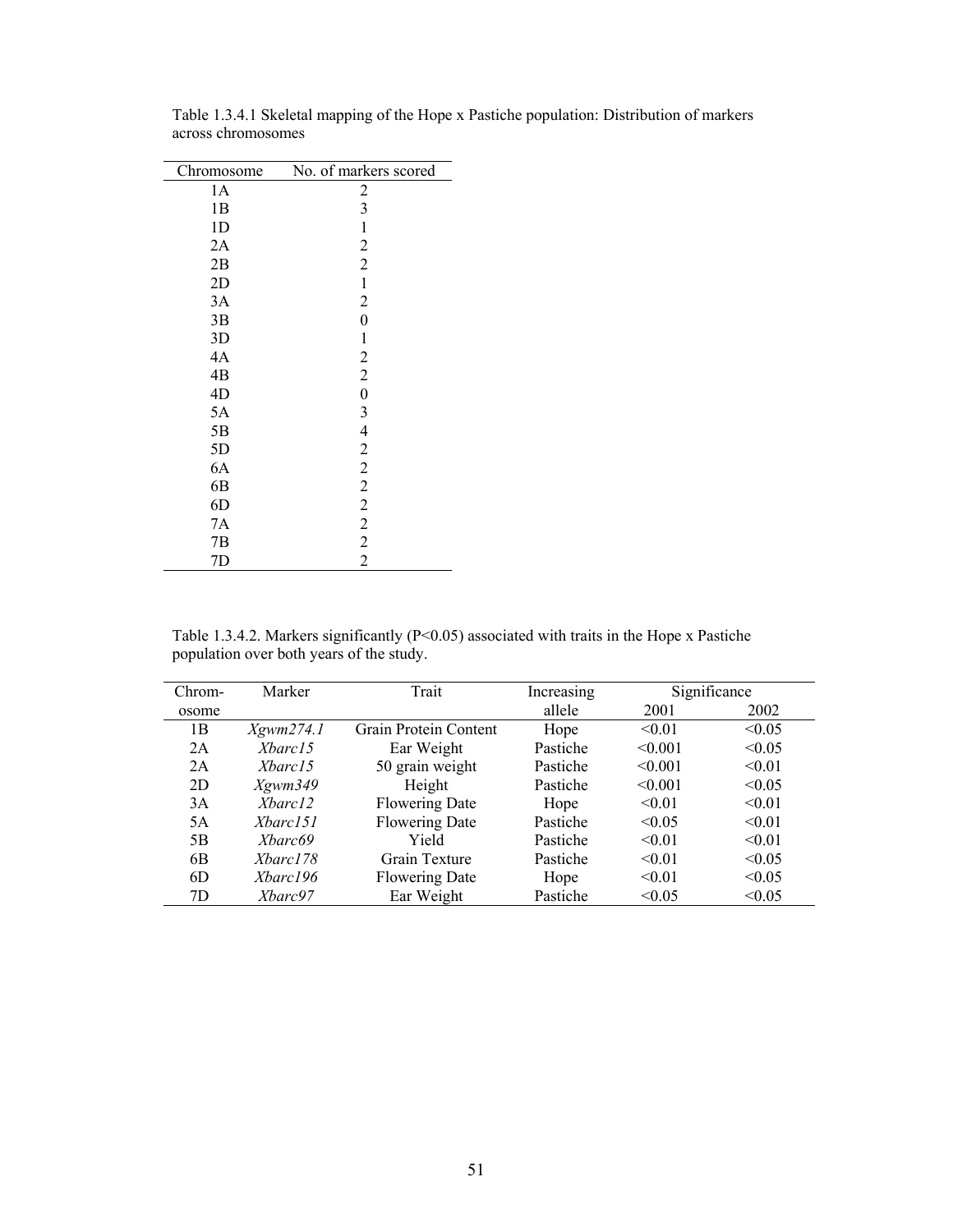| Chromosome     | No. of markers scored |
|----------------|-----------------------|
| 1A             | $\overline{c}$        |
| 1B             | 3                     |
| 1 <sub>D</sub> | $\mathbf{1}$          |
| 2A             | $\overline{c}$        |
| 2B             | $\overline{c}$        |
| 2D             | $\mathbf{1}$          |
| 3A             | $\overline{c}$        |
| 3B             | $\overline{0}$        |
| 3D             | 1                     |
| 4A             | $\overline{c}$        |
| 4B             | $\overline{2}$        |
| 4D             | $\overline{0}$        |
| 5A             | 3                     |
| 5B             | $\overline{4}$        |
| 5D             | $\overline{c}$        |
| 6A             | $\frac{2}{2}$         |
| 6B             |                       |
| 6D             | $\overline{c}$        |
| 7A             | $\frac{2}{2}$         |
| 7B             |                       |
| 7D             | $\overline{c}$        |

Table 1.3.4.1 Skeletal mapping of the Hope x Pastiche population: Distribution of markers across chromosomes

Table 1.3.4.2. Markers significantly ( $P<0.05$ ) associated with traits in the Hope x Pastiche population over both years of the study.

| Chrom-         | Marker               | Trait                 | Increasing |         | Significance |
|----------------|----------------------|-----------------------|------------|---------|--------------|
| osome          |                      |                       | allele     | 2001    | 2002         |
| 1 <sub>B</sub> | Xgwm274.1            | Grain Protein Content | Hope       | < 0.01  | < 0.05       |
| 2A             | Xbarc15              | Ear Weight            | Pastiche   | < 0.001 | < 0.05       |
| 2A             | <i>Xbarc</i> 15      | 50 grain weight       | Pastiche   | < 0.001 | < 0.01       |
| 2D             | X <sub>g</sub> wm349 | Height                | Pastiche   | < 0.001 | < 0.05       |
| 3A             | Xbarc12              | <b>Flowering Date</b> | Hope       | < 0.01  | < 0.01       |
| 5A             | Xbarc151             | <b>Flowering Date</b> | Pastiche   | < 0.05  | < 0.01       |
| 5B             | <i>Xharc</i> 69      | Yield                 | Pastiche   | < 0.01  | < 0.01       |
| 6B             | <i>Xbarc178</i>      | Grain Texture         | Pastiche   | < 0.01  | < 0.05       |
| 6D             | Xbarc196             | <b>Flowering Date</b> | Hope       | < 0.01  | < 0.05       |
| 7D             | Xbarc97              | Ear Weight            | Pastiche   | < 0.05  | < 0.05       |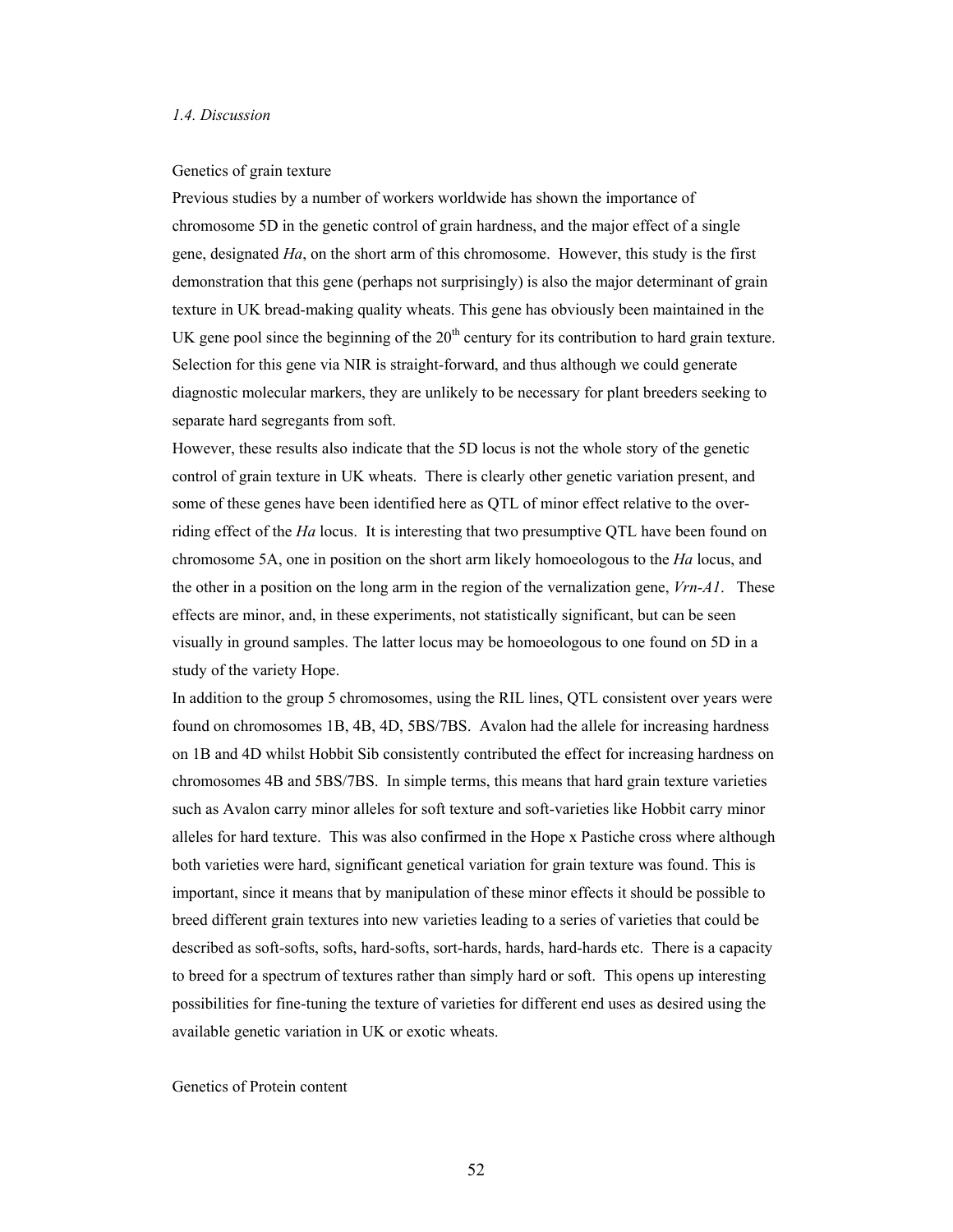#### Genetics of grain texture

Previous studies by a number of workers worldwide has shown the importance of chromosome 5D in the genetic control of grain hardness, and the major effect of a single gene, designated *Ha*, on the short arm of this chromosome. However, this study is the first demonstration that this gene (perhaps not surprisingly) is also the major determinant of grain texture in UK bread-making quality wheats. This gene has obviously been maintained in the UK gene pool since the beginning of the  $20<sup>th</sup>$  century for its contribution to hard grain texture. Selection for this gene via NIR is straight-forward, and thus although we could generate diagnostic molecular markers, they are unlikely to be necessary for plant breeders seeking to separate hard segregants from soft.

However, these results also indicate that the 5D locus is not the whole story of the genetic control of grain texture in UK wheats. There is clearly other genetic variation present, and some of these genes have been identified here as QTL of minor effect relative to the overriding effect of the *Ha* locus. It is interesting that two presumptive QTL have been found on chromosome 5A, one in position on the short arm likely homoeologous to the *Ha* locus, and the other in a position on the long arm in the region of the vernalization gene, *Vrn-A1*. These effects are minor, and, in these experiments, not statistically significant, but can be seen visually in ground samples. The latter locus may be homoeologous to one found on 5D in a study of the variety Hope.

In addition to the group 5 chromosomes, using the RIL lines, QTL consistent over years were found on chromosomes 1B, 4B, 4D, 5BS/7BS. Avalon had the allele for increasing hardness on 1B and 4D whilst Hobbit Sib consistently contributed the effect for increasing hardness on chromosomes 4B and 5BS/7BS. In simple terms, this means that hard grain texture varieties such as Avalon carry minor alleles for soft texture and soft-varieties like Hobbit carry minor alleles for hard texture. This was also confirmed in the Hope x Pastiche cross where although both varieties were hard, significant genetical variation for grain texture was found. This is important, since it means that by manipulation of these minor effects it should be possible to breed different grain textures into new varieties leading to a series of varieties that could be described as soft-softs, softs, hard-softs, sort-hards, hards, hard-hards etc. There is a capacity to breed for a spectrum of textures rather than simply hard or soft. This opens up interesting possibilities for fine-tuning the texture of varieties for different end uses as desired using the available genetic variation in UK or exotic wheats.

# Genetics of Protein content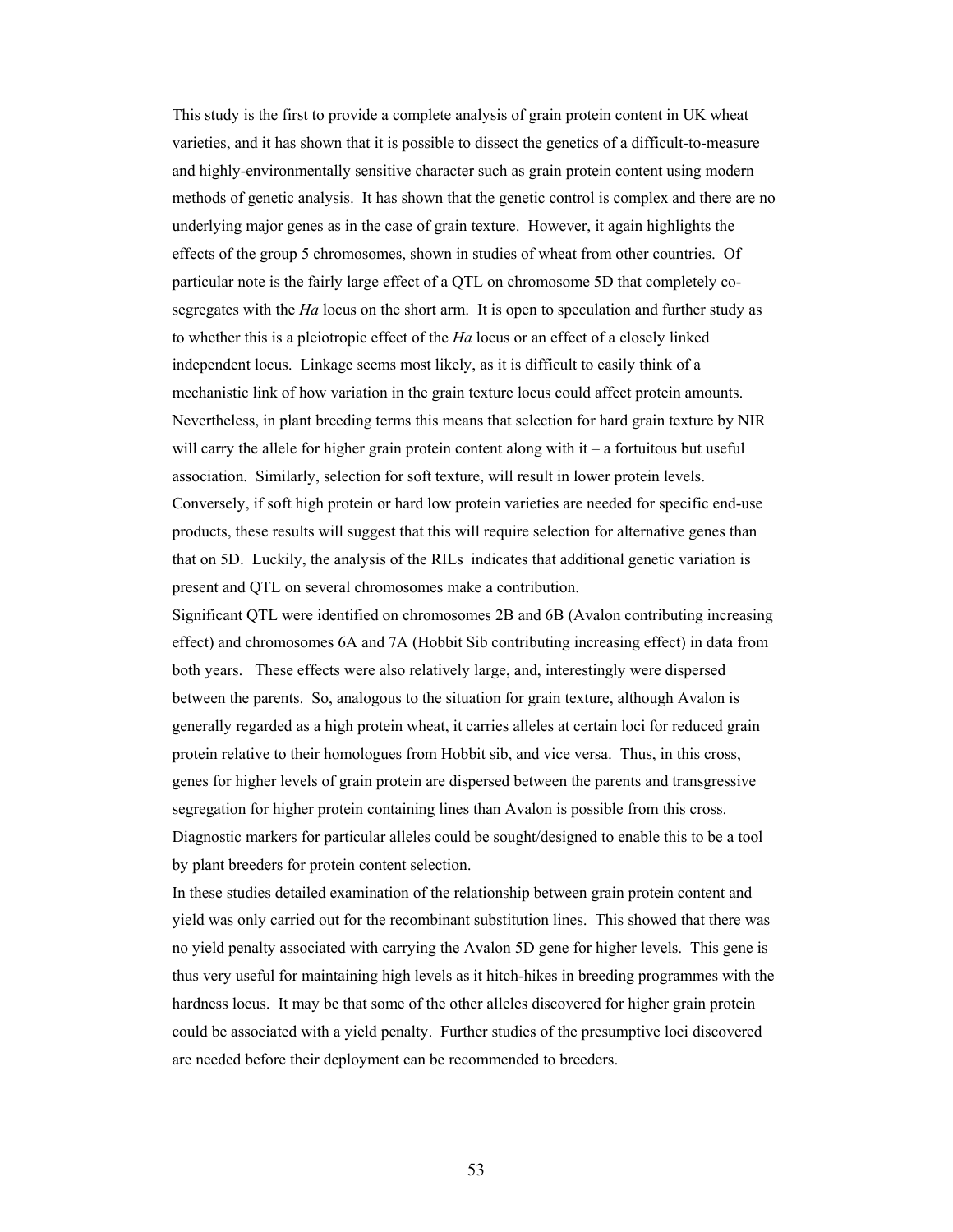This study is the first to provide a complete analysis of grain protein content in UK wheat varieties, and it has shown that it is possible to dissect the genetics of a difficult-to-measure and highly-environmentally sensitive character such as grain protein content using modern methods of genetic analysis. It has shown that the genetic control is complex and there are no underlying major genes as in the case of grain texture. However, it again highlights the effects of the group 5 chromosomes, shown in studies of wheat from other countries. Of particular note is the fairly large effect of a QTL on chromosome 5D that completely cosegregates with the *Ha* locus on the short arm. It is open to speculation and further study as to whether this is a pleiotropic effect of the *Ha* locus or an effect of a closely linked independent locus. Linkage seems most likely, as it is difficult to easily think of a mechanistic link of how variation in the grain texture locus could affect protein amounts. Nevertheless, in plant breeding terms this means that selection for hard grain texture by NIR will carry the allele for higher grain protein content along with  $it - a$  fortuitous but useful association. Similarly, selection for soft texture, will result in lower protein levels. Conversely, if soft high protein or hard low protein varieties are needed for specific end-use products, these results will suggest that this will require selection for alternative genes than that on 5D. Luckily, the analysis of the RILs indicates that additional genetic variation is present and QTL on several chromosomes make a contribution.

Significant QTL were identified on chromosomes 2B and 6B (Avalon contributing increasing effect) and chromosomes 6A and 7A (Hobbit Sib contributing increasing effect) in data from both years. These effects were also relatively large, and, interestingly were dispersed between the parents. So, analogous to the situation for grain texture, although Avalon is generally regarded as a high protein wheat, it carries alleles at certain loci for reduced grain protein relative to their homologues from Hobbit sib, and vice versa. Thus, in this cross, genes for higher levels of grain protein are dispersed between the parents and transgressive segregation for higher protein containing lines than Avalon is possible from this cross. Diagnostic markers for particular alleles could be sought/designed to enable this to be a tool by plant breeders for protein content selection.

In these studies detailed examination of the relationship between grain protein content and yield was only carried out for the recombinant substitution lines. This showed that there was no yield penalty associated with carrying the Avalon 5D gene for higher levels. This gene is thus very useful for maintaining high levels as it hitch-hikes in breeding programmes with the hardness locus. It may be that some of the other alleles discovered for higher grain protein could be associated with a yield penalty. Further studies of the presumptive loci discovered are needed before their deployment can be recommended to breeders.

53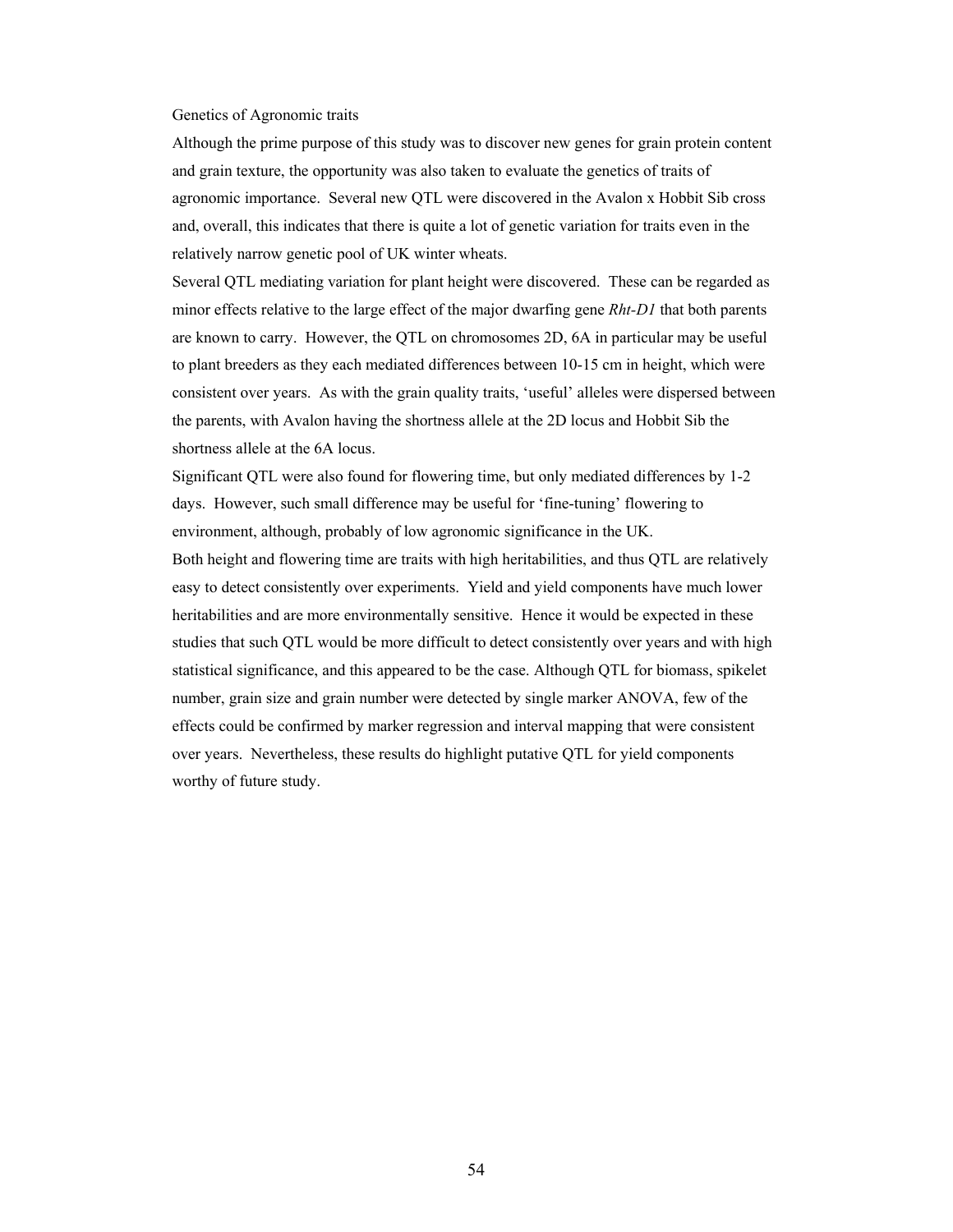#### Genetics of Agronomic traits

Although the prime purpose of this study was to discover new genes for grain protein content and grain texture, the opportunity was also taken to evaluate the genetics of traits of agronomic importance. Several new QTL were discovered in the Avalon x Hobbit Sib cross and, overall, this indicates that there is quite a lot of genetic variation for traits even in the relatively narrow genetic pool of UK winter wheats.

Several QTL mediating variation for plant height were discovered. These can be regarded as minor effects relative to the large effect of the major dwarfing gene *Rht-D1* that both parents are known to carry. However, the QTL on chromosomes 2D, 6A in particular may be useful to plant breeders as they each mediated differences between 10-15 cm in height, which were consistent over years. As with the grain quality traits, 'useful' alleles were dispersed between the parents, with Avalon having the shortness allele at the 2D locus and Hobbit Sib the shortness allele at the 6A locus.

Significant QTL were also found for flowering time, but only mediated differences by 1-2 days. However, such small difference may be useful for 'fine-tuning' flowering to environment, although, probably of low agronomic significance in the UK.

Both height and flowering time are traits with high heritabilities, and thus QTL are relatively easy to detect consistently over experiments. Yield and yield components have much lower heritabilities and are more environmentally sensitive. Hence it would be expected in these studies that such QTL would be more difficult to detect consistently over years and with high statistical significance, and this appeared to be the case. Although QTL for biomass, spikelet number, grain size and grain number were detected by single marker ANOVA, few of the effects could be confirmed by marker regression and interval mapping that were consistent over years. Nevertheless, these results do highlight putative QTL for yield components worthy of future study.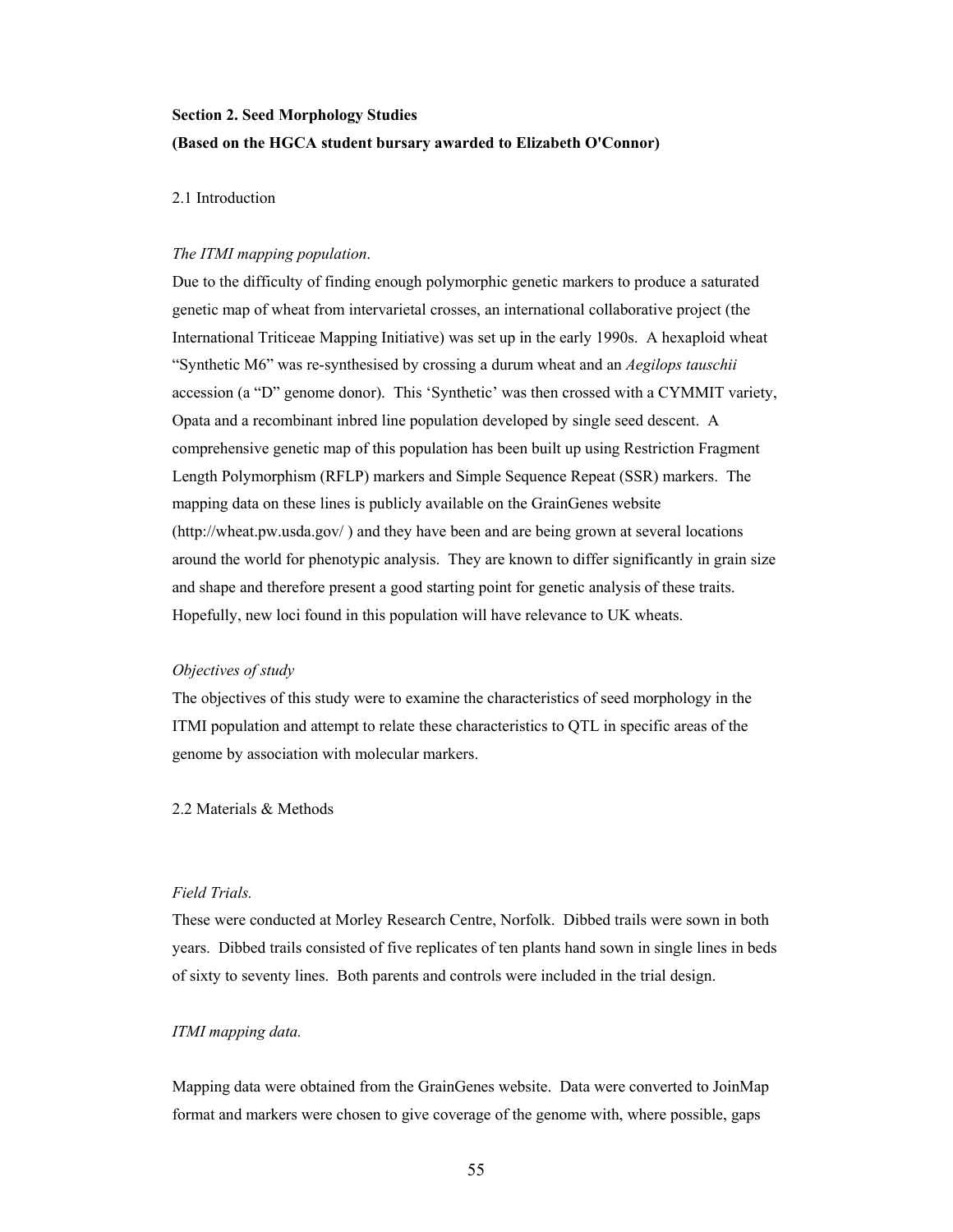# **Section 2. Seed Morphology Studies (Based on the HGCA student bursary awarded to Elizabeth O'Connor)**

## 2.1 Introduction

#### *The ITMI mapping population*.

Due to the difficulty of finding enough polymorphic genetic markers to produce a saturated genetic map of wheat from intervarietal crosses, an international collaborative project (the International Triticeae Mapping Initiative) was set up in the early 1990s. A hexaploid wheat "Synthetic M6" was re-synthesised by crossing a durum wheat and an *Aegilops tauschii* accession (a "D" genome donor). This 'Synthetic' was then crossed with a CYMMIT variety, Opata and a recombinant inbred line population developed by single seed descent. A comprehensive genetic map of this population has been built up using Restriction Fragment Length Polymorphism (RFLP) markers and Simple Sequence Repeat (SSR) markers. The mapping data on these lines is publicly available on the GrainGenes website (http://wheat.pw.usda.gov/ ) and they have been and are being grown at several locations around the world for phenotypic analysis. They are known to differ significantly in grain size and shape and therefore present a good starting point for genetic analysis of these traits. Hopefully, new loci found in this population will have relevance to UK wheats.

#### *Objectives of study*

The objectives of this study were to examine the characteristics of seed morphology in the ITMI population and attempt to relate these characteristics to QTL in specific areas of the genome by association with molecular markers.

#### 2.2 Materials & Methods

#### *Field Trials.*

These were conducted at Morley Research Centre, Norfolk. Dibbed trails were sown in both years. Dibbed trails consisted of five replicates of ten plants hand sown in single lines in beds of sixty to seventy lines. Both parents and controls were included in the trial design.

# *ITMI mapping data.*

Mapping data were obtained from the GrainGenes website. Data were converted to JoinMap format and markers were chosen to give coverage of the genome with, where possible, gaps

55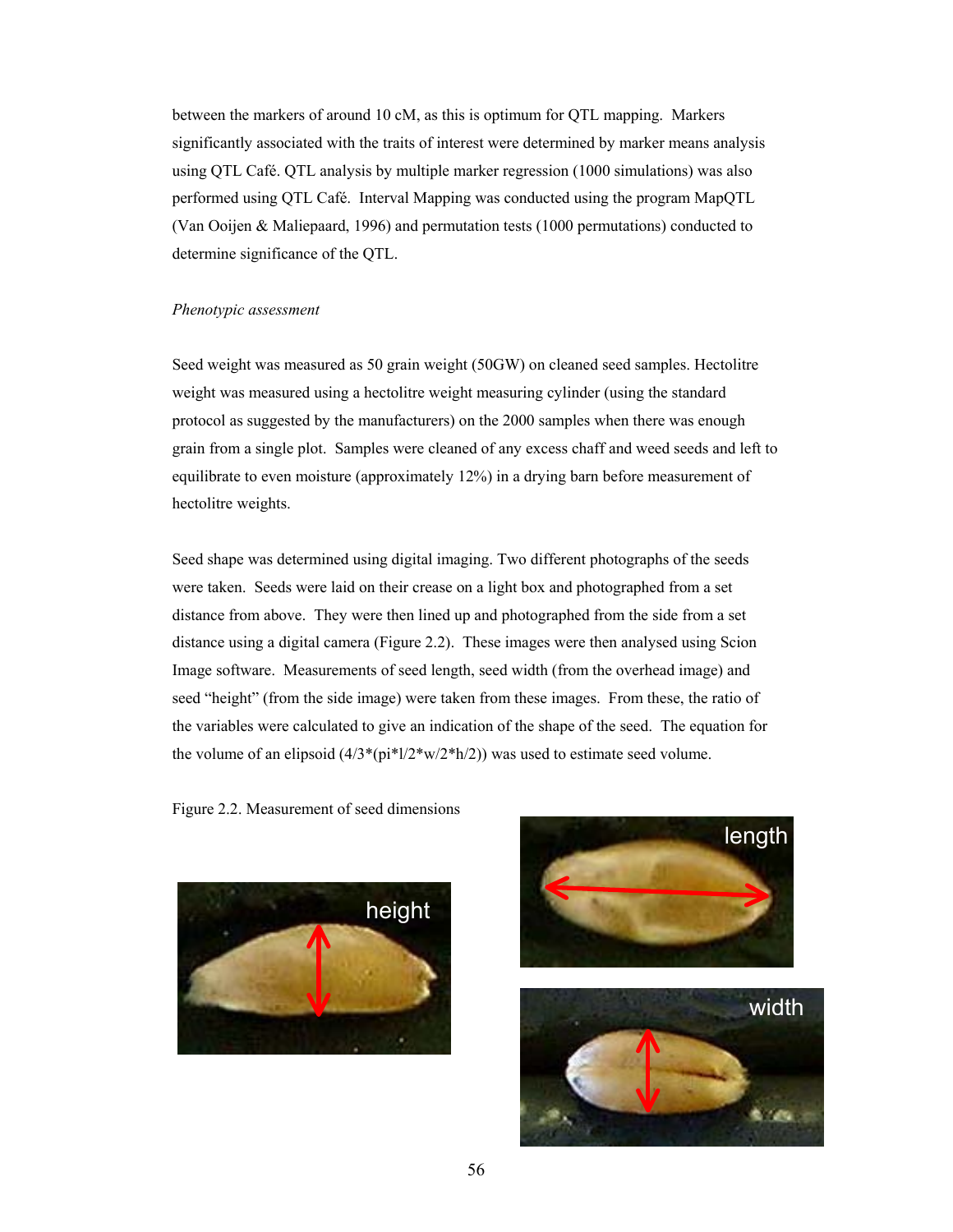between the markers of around 10 cM, as this is optimum for QTL mapping. Markers significantly associated with the traits of interest were determined by marker means analysis using QTL Café. QTL analysis by multiple marker regression (1000 simulations) was also performed using QTL Café. Interval Mapping was conducted using the program MapQTL (Van Ooijen & Maliepaard, 1996) and permutation tests (1000 permutations) conducted to determine significance of the QTL.

#### *Phenotypic assessment*

Seed weight was measured as 50 grain weight (50GW) on cleaned seed samples. Hectolitre weight was measured using a hectolitre weight measuring cylinder (using the standard protocol as suggested by the manufacturers) on the 2000 samples when there was enough grain from a single plot. Samples were cleaned of any excess chaff and weed seeds and left to equilibrate to even moisture (approximately 12%) in a drying barn before measurement of hectolitre weights.

Seed shape was determined using digital imaging. Two different photographs of the seeds were taken. Seeds were laid on their crease on a light box and photographed from a set distance from above. They were then lined up and photographed from the side from a set distance using a digital camera (Figure 2.2). These images were then analysed using Scion Image software. Measurements of seed length, seed width (from the overhead image) and seed "height" (from the side image) were taken from these images. From these, the ratio of the variables were calculated to give an indication of the shape of the seed. The equation for the volume of an elipsoid  $(4/3*(pi*1/2*w/2*h/2))$  was used to estimate seed volume.

Figure 2.2. Measurement of seed dimensions



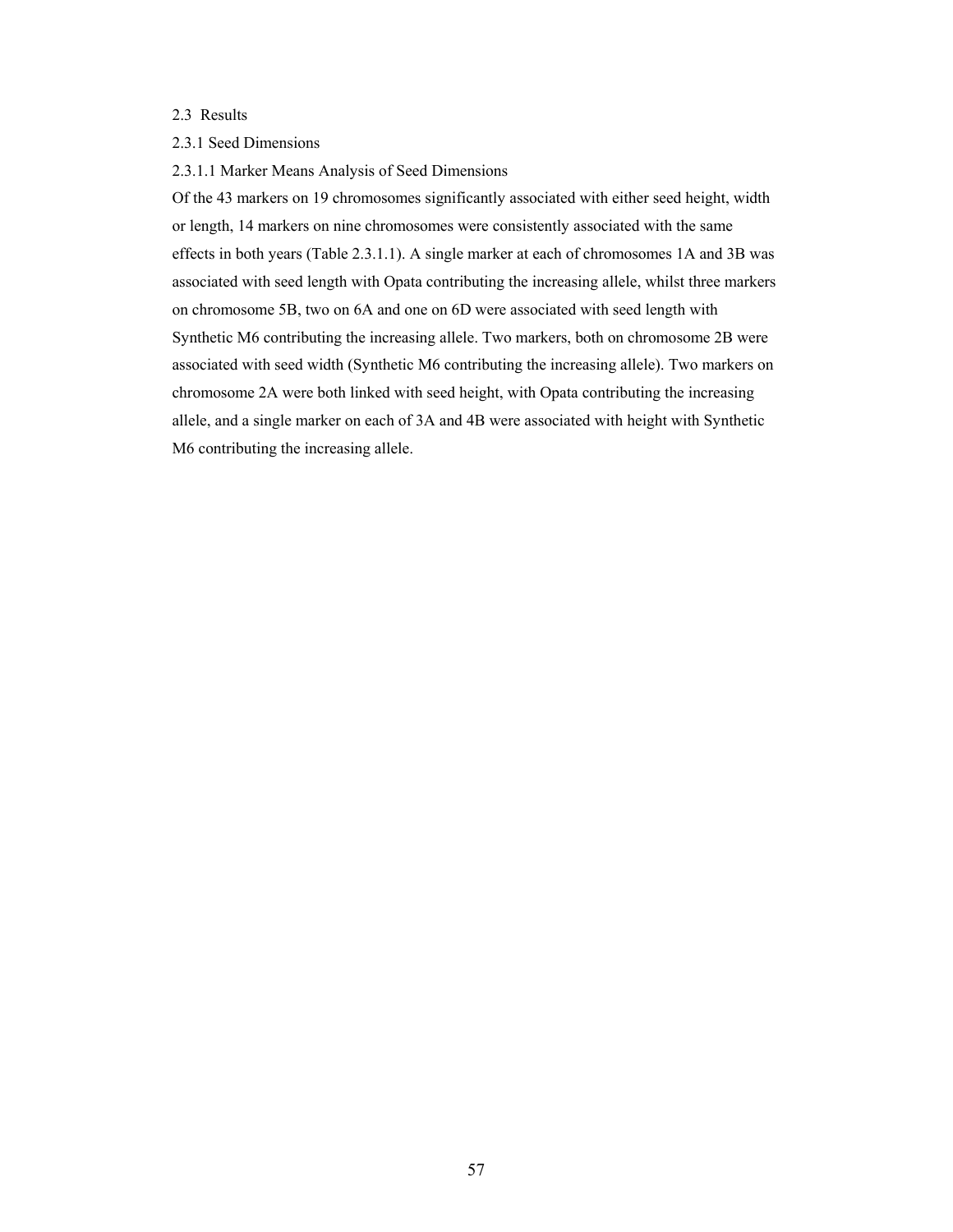# 2.3 Results

#### 2.3.1 Seed Dimensions

2.3.1.1 Marker Means Analysis of Seed Dimensions

Of the 43 markers on 19 chromosomes significantly associated with either seed height, width or length, 14 markers on nine chromosomes were consistently associated with the same effects in both years (Table 2.3.1.1). A single marker at each of chromosomes 1A and 3B was associated with seed length with Opata contributing the increasing allele, whilst three markers on chromosome 5B, two on 6A and one on 6D were associated with seed length with Synthetic M6 contributing the increasing allele. Two markers, both on chromosome 2B were associated with seed width (Synthetic M6 contributing the increasing allele). Two markers on chromosome 2A were both linked with seed height, with Opata contributing the increasing allele, and a single marker on each of 3A and 4B were associated with height with Synthetic M6 contributing the increasing allele.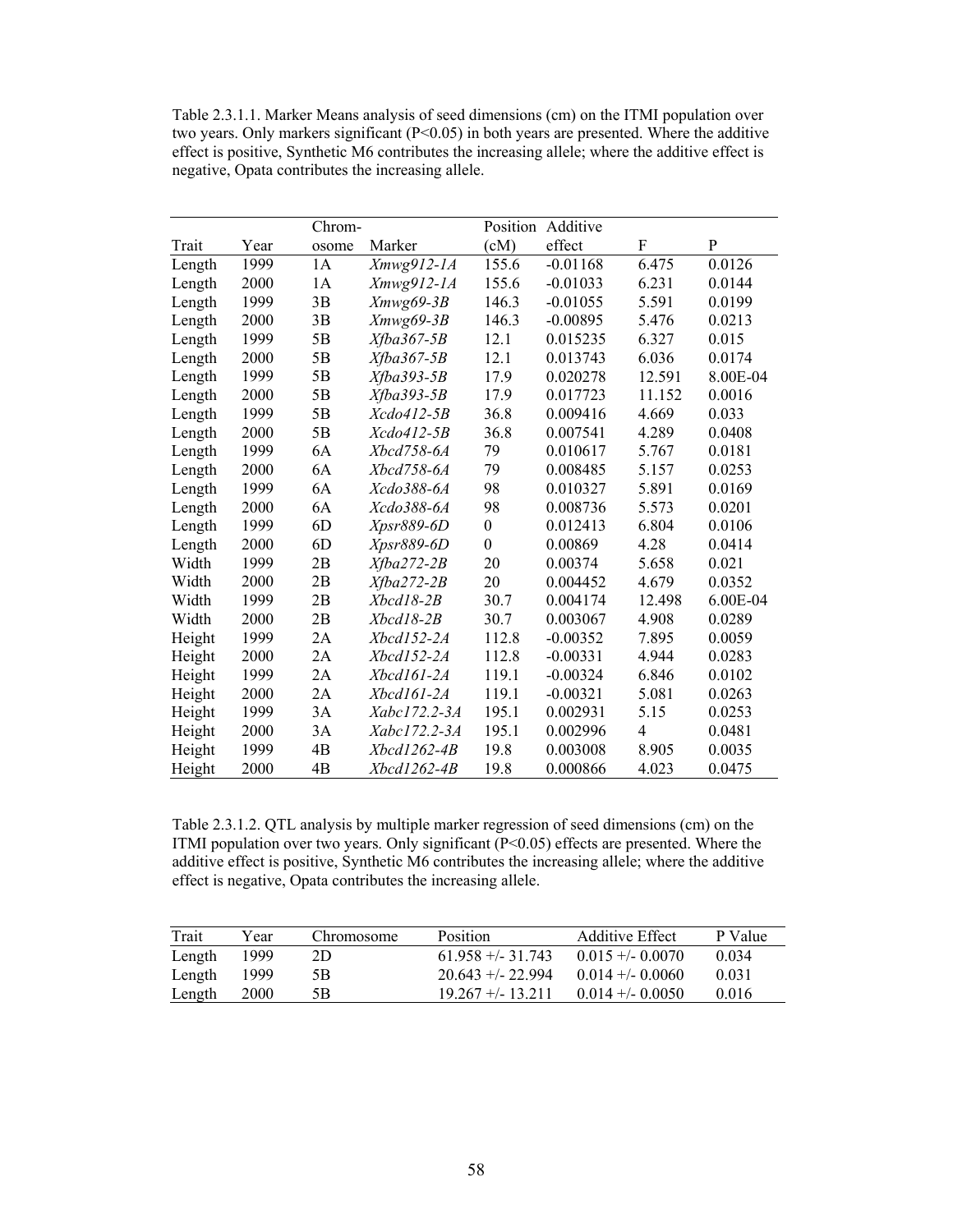Table 2.3.1.1. Marker Means analysis of seed dimensions (cm) on the ITMI population over two years. Only markers significant (P<0.05) in both years are presented. Where the additive effect is positive, Synthetic M6 contributes the increasing allele; where the additive effect is negative, Opata contributes the increasing allele.

|        |      | Chrom- |                    |                  | Position Additive |                |          |
|--------|------|--------|--------------------|------------------|-------------------|----------------|----------|
| Trait  | Year | osome  | Marker             | (cM)             | effect            | F              | P        |
| Length | 1999 | 1A     | $Xmwg912-1A$       | 155.6            | $-0.01168$        | 6.475          | 0.0126   |
| Length | 2000 | 1A     | Xmwg912-1A         | 155.6            | $-0.01033$        | 6.231          | 0.0144   |
| Length | 1999 | 3B     | $Xmwg69-3B$        | 146.3            | $-0.01055$        | 5.591          | 0.0199   |
| Length | 2000 | 3B     | Xmwg69-3B          | 146.3            | $-0.00895$        | 5.476          | 0.0213   |
| Length | 1999 | 5B     | $Xfba367-5B$       | 12.1             | 0.015235          | 6.327          | 0.015    |
| Length | 2000 | 5B     | $Xfba367-5B$       | 12.1             | 0.013743          | 6.036          | 0.0174   |
| Length | 1999 | 5B     | $Xfba393-5B$       | 17.9             | 0.020278          | 12.591         | 8.00E-04 |
| Length | 2000 | 5B     | $Xfba393-5B$       | 17.9             | 0.017723          | 11.152         | 0.0016   |
| Length | 1999 | 5B     | Xcdo412-5B         | 36.8             | 0.009416          | 4.669          | 0.033    |
| Length | 2000 | 5B     | Xcdo412-5B         | 36.8             | 0.007541          | 4.289          | 0.0408   |
| Length | 1999 | 6A     | Xbcd758-6A         | 79               | 0.010617          | 5.767          | 0.0181   |
| Length | 2000 | 6A     | Xbcd758-6A         | 79               | 0.008485          | 5.157          | 0.0253   |
| Length | 1999 | 6A     | Xcdo388-6A         | 98               | 0.010327          | 5.891          | 0.0169   |
| Length | 2000 | 6A     | Xcdo388-6A         | 98               | 0.008736          | 5.573          | 0.0201   |
| Length | 1999 | 6D     | Xpsr889-6D         | $\boldsymbol{0}$ | 0.012413          | 6.804          | 0.0106   |
| Length | 2000 | 6D     | Xpsr889-6D         | $\overline{0}$   | 0.00869           | 4.28           | 0.0414   |
| Width  | 1999 | 2B     | $Xfba272-2B$       | 20               | 0.00374           | 5.658          | 0.021    |
| Width  | 2000 | 2B     | $Xfba272-2B$       | 20               | 0.004452          | 4.679          | 0.0352   |
| Width  | 1999 | 2B     | Xbcd18-2B          | 30.7             | 0.004174          | 12.498         | 6.00E-04 |
| Width  | 2000 | 2B     | Xbcd18-2B          | 30.7             | 0.003067          | 4.908          | 0.0289   |
| Height | 1999 | 2A     | Xbcd152-2A         | 112.8            | $-0.00352$        | 7.895          | 0.0059   |
| Height | 2000 | 2A     | Xbcd152-2A         | 112.8            | $-0.00331$        | 4.944          | 0.0283   |
| Height | 1999 | 2A     | Xbcd161-2A         | 119.1            | $-0.00324$        | 6.846          | 0.0102   |
| Height | 2000 | 2A     | Xbcd161-2A         | 119.1            | $-0.00321$        | 5.081          | 0.0263   |
| Height | 1999 | 3A     | Xabc172.2-3A       | 195.1            | 0.002931          | 5.15           | 0.0253   |
| Height | 2000 | 3A     | Xabc172.2-3A       | 195.1            | 0.002996          | $\overline{4}$ | 0.0481   |
| Height | 1999 | 4B     | Xbcd1262-4B        | 19.8             | 0.003008          | 8.905          | 0.0035   |
| Height | 2000 | 4B     | <i>Xbcd1262-4B</i> | 19.8             | 0.000866          | 4.023          | 0.0475   |

Table 2.3.1.2. QTL analysis by multiple marker regression of seed dimensions (cm) on the ITMI population over two years. Only significant  $(P<0.05)$  effects are presented. Where the additive effect is positive, Synthetic M6 contributes the increasing allele; where the additive effect is negative, Opata contributes the increasing allele.

| Trait  | Year        | Chromosome | <b>Position</b>      | Additive Effect    | P Value |
|--------|-------------|------------|----------------------|--------------------|---------|
| Length | 1999.       | 2D         | $61.958 + (-31.743)$ | $0.015 + - 0.0070$ | 0.034   |
| Length | 1999        | 5Β         | $20.643 + -22.994$   | $0.014 + - 0.0060$ | 0.031   |
| Length | <b>2000</b> | 5Β         | $19.267 + - 13.211$  | $0.014 + - 0.0050$ | 0.016   |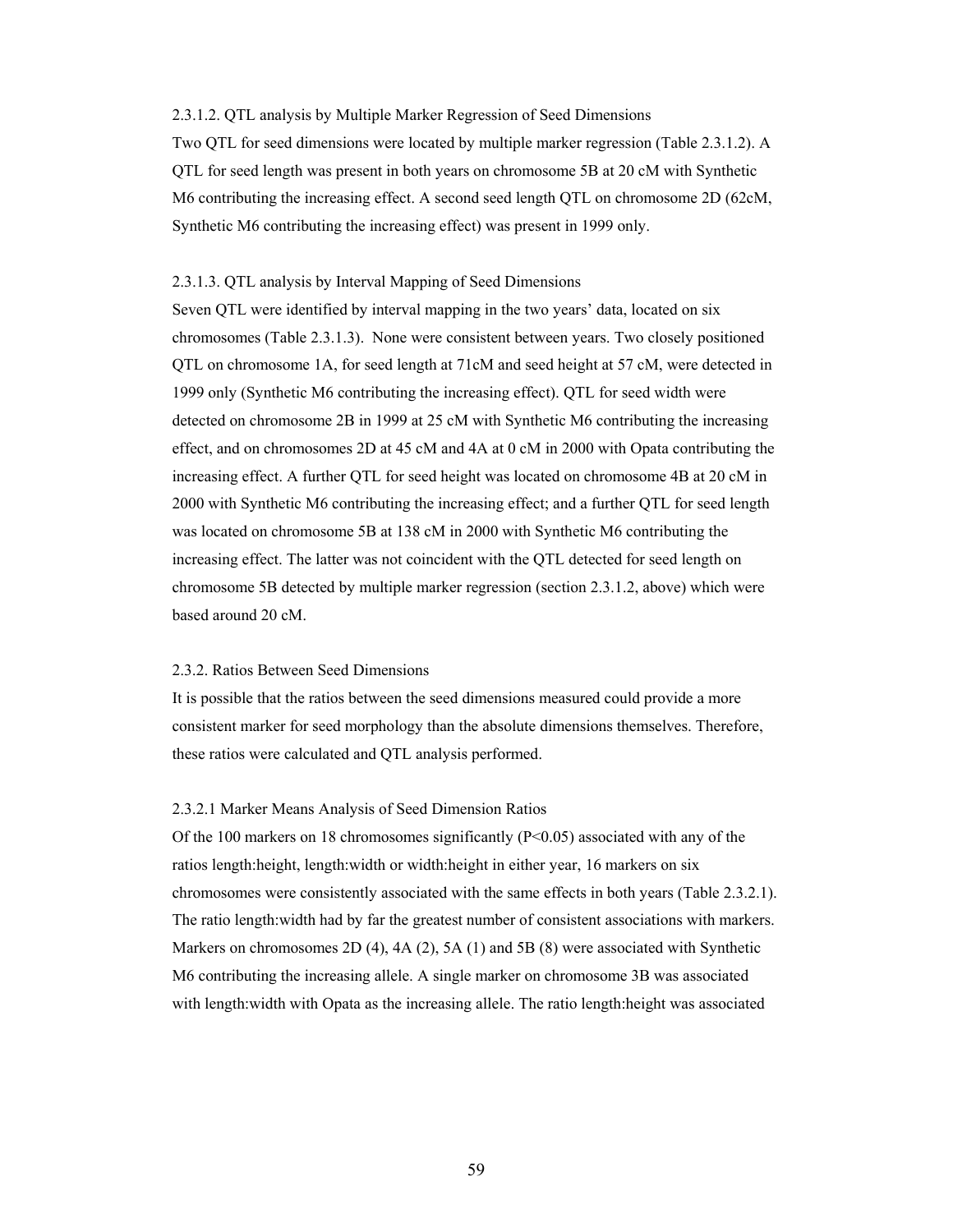#### 2.3.1.2. QTL analysis by Multiple Marker Regression of Seed Dimensions

Two QTL for seed dimensions were located by multiple marker regression (Table 2.3.1.2). A QTL for seed length was present in both years on chromosome 5B at 20 cM with Synthetic M6 contributing the increasing effect. A second seed length QTL on chromosome 2D (62cM, Synthetic M6 contributing the increasing effect) was present in 1999 only.

#### 2.3.1.3. QTL analysis by Interval Mapping of Seed Dimensions

Seven QTL were identified by interval mapping in the two years' data, located on six chromosomes (Table 2.3.1.3). None were consistent between years. Two closely positioned QTL on chromosome 1A, for seed length at 71cM and seed height at 57 cM, were detected in 1999 only (Synthetic M6 contributing the increasing effect). QTL for seed width were detected on chromosome 2B in 1999 at 25 cM with Synthetic M6 contributing the increasing effect, and on chromosomes 2D at 45 cM and 4A at 0 cM in 2000 with Opata contributing the increasing effect. A further QTL for seed height was located on chromosome 4B at 20 cM in 2000 with Synthetic M6 contributing the increasing effect; and a further QTL for seed length was located on chromosome 5B at 138 cM in 2000 with Synthetic M6 contributing the increasing effect. The latter was not coincident with the QTL detected for seed length on chromosome 5B detected by multiple marker regression (section 2.3.1.2, above) which were based around 20 cM.

# 2.3.2. Ratios Between Seed Dimensions

It is possible that the ratios between the seed dimensions measured could provide a more consistent marker for seed morphology than the absolute dimensions themselves. Therefore, these ratios were calculated and QTL analysis performed.

#### 2.3.2.1 Marker Means Analysis of Seed Dimension Ratios

Of the 100 markers on 18 chromosomes significantly (P<0.05) associated with any of the ratios length:height, length:width or width:height in either year, 16 markers on six chromosomes were consistently associated with the same effects in both years (Table 2.3.2.1). The ratio length:width had by far the greatest number of consistent associations with markers. Markers on chromosomes 2D (4), 4A (2), 5A (1) and 5B (8) were associated with Synthetic M6 contributing the increasing allele. A single marker on chromosome 3B was associated with length:width with Opata as the increasing allele. The ratio length:height was associated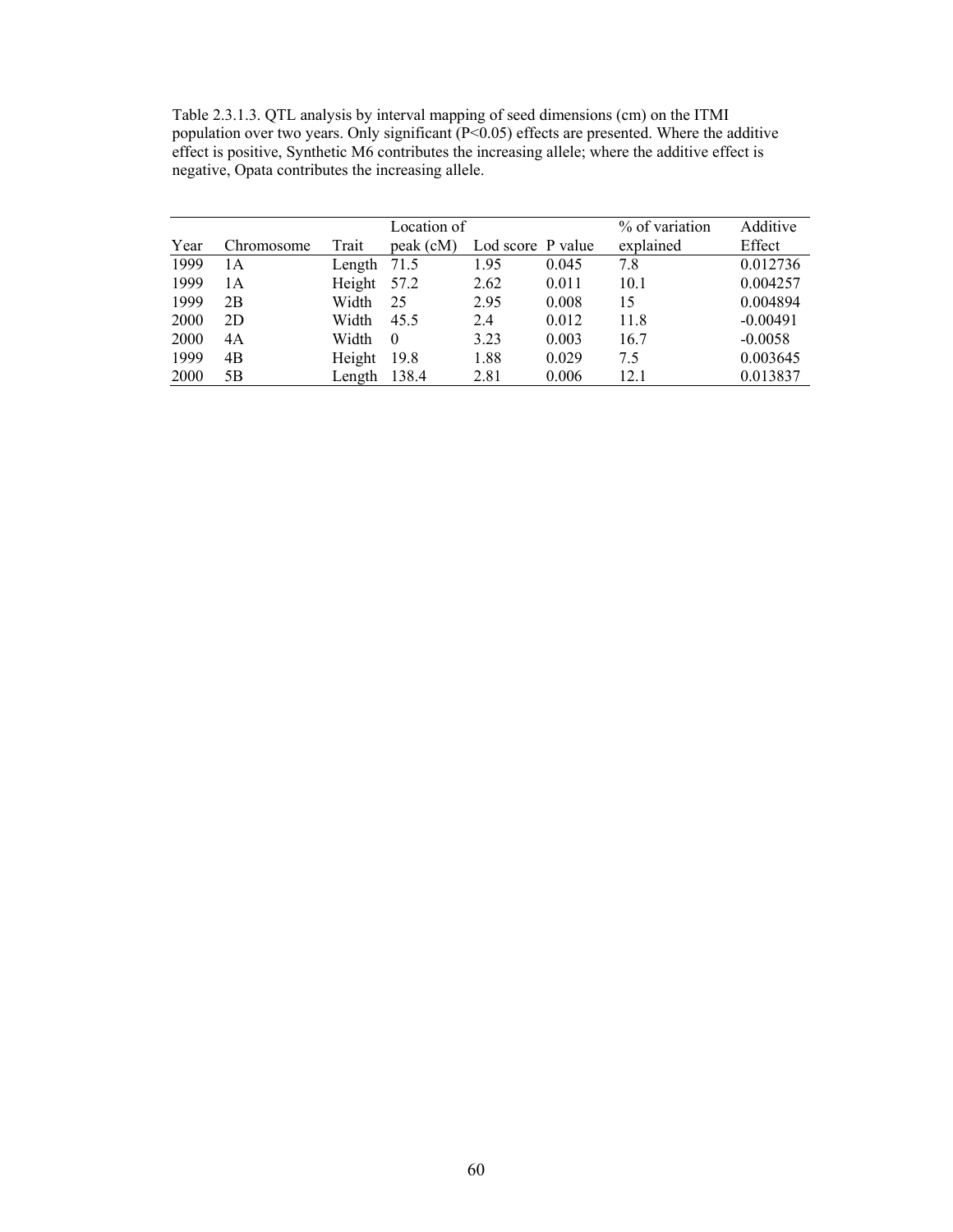Table 2.3.1.3. QTL analysis by interval mapping of seed dimensions (cm) on the ITMI population over two years. Only significant  $(P<0.05)$  effects are presented. Where the additive effect is positive, Synthetic M6 contributes the increasing allele; where the additive effect is negative, Opata contributes the increasing allele.

|      |            |        | Location of |                   |       | % of variation | Additive   |
|------|------------|--------|-------------|-------------------|-------|----------------|------------|
| Year | Chromosome | Trait  | peak (cM)   | Lod score P value |       | explained      | Effect     |
| 1999 | 1 A        | Length | 71.5        | 1.95              | 0.045 | 7.8            | 0.012736   |
| 1999 | 1 A        | Height | 57.2        | 2.62              | 0.011 | 10.1           | 0.004257   |
| 1999 | 2B         | Width  | 25          | 2.95              | 0.008 | 15             | 0.004894   |
| 2000 | 2D         | Width  | 45.5        | 2.4               | 0.012 | 11.8           | $-0.00491$ |
| 2000 | 4A         | Width  | $\theta$    | 3.23              | 0.003 | 16.7           | $-0.0058$  |
| 1999 | 4B         | Height | 19.8        | 1.88              | 0.029 | 7.5            | 0.003645   |
| 2000 | 5Β         | Length | 138.4       | 2.81              | 0.006 | 12.1           | 0.013837   |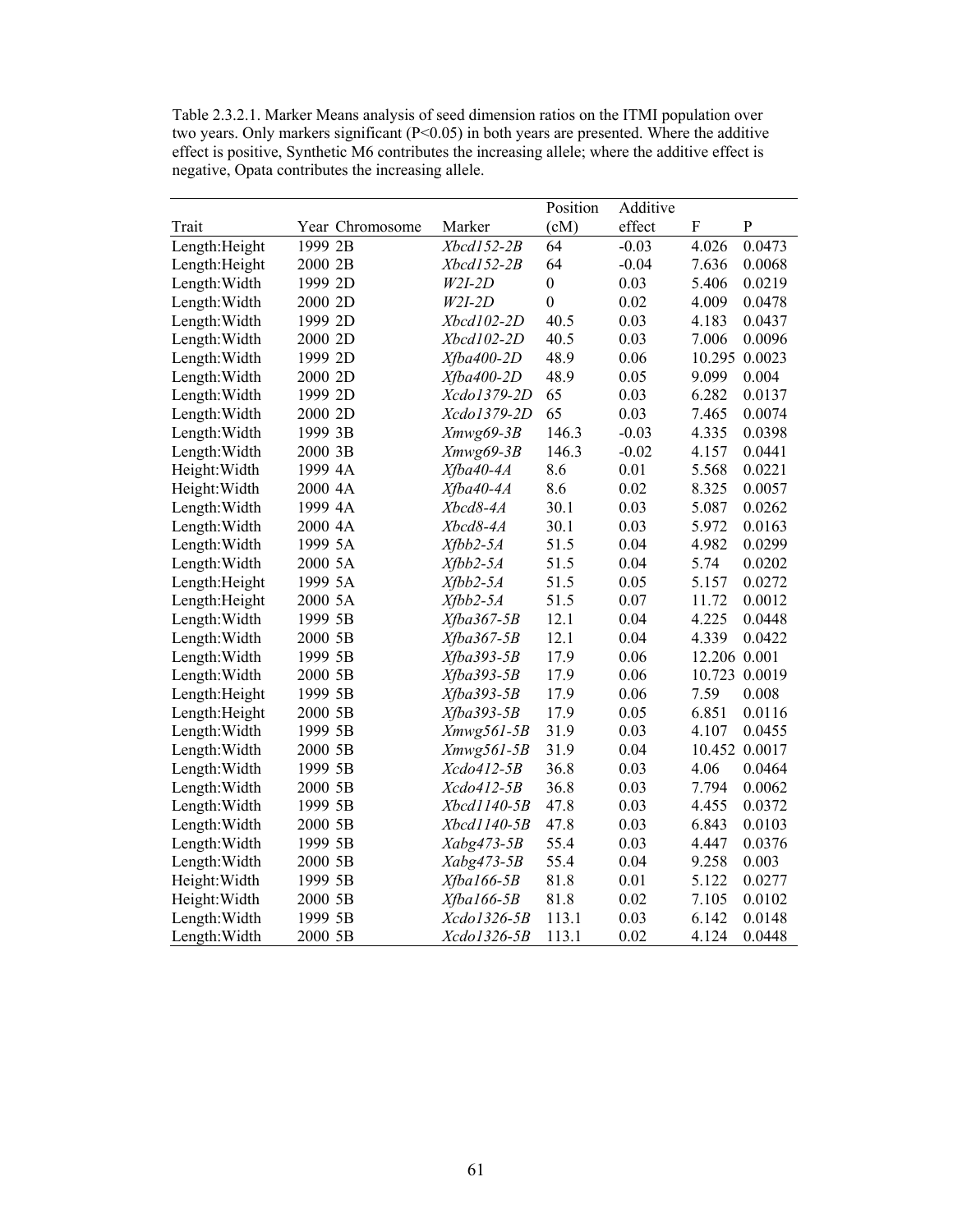Table 2.3.2.1. Marker Means analysis of seed dimension ratios on the ITMI population over two years. Only markers significant  $(P<0.05)$  in both years are presented. Where the additive effect is positive, Synthetic M6 contributes the increasing allele; where the additive effect is negative, Opata contributes the increasing allele.

|                |         |                 |                | Position         | Additive |              |           |
|----------------|---------|-----------------|----------------|------------------|----------|--------------|-----------|
| Trait          |         | Year Chromosome | Marker         | (cM)             | effect   | F            | ${\bf P}$ |
| Length: Height | 1999 2B |                 | Xbcd152-2B     | 64               | $-0.03$  | 4.026        | 0.0473    |
| Length: Height | 2000 2B |                 | Xbcd152-2B     | 64               | $-0.04$  | 7.636        | 0.0068    |
| Length: Width  | 1999 2D |                 | $W2I-2D$       | $\boldsymbol{0}$ | 0.03     | 5.406        | 0.0219    |
| Length: Width  | 2000 2D |                 | $W2I-2D$       | $\boldsymbol{0}$ | 0.02     | 4.009        | 0.0478    |
| Length: Width  | 1999 2D |                 | Xbcd102-2D     | 40.5             | 0.03     | 4.183        | 0.0437    |
| Length: Width  | 2000 2D |                 | Xbcd102-2D     | 40.5             | 0.03     | 7.006        | 0.0096    |
| Length: Width  | 1999 2D |                 | $Xfba400-2D$   | 48.9             | 0.06     | 10.295       | 0.0023    |
| Length: Width  | 2000 2D |                 | $Xfba400-2D$   | 48.9             | 0.05     | 9.099        | 0.004     |
| Length: Width  | 1999 2D |                 | Xcdo1379-2D    | 65               | 0.03     | 6.282        | 0.0137    |
| Length: Width  | 2000 2D |                 | Xcdo1379-2D    | 65               | 0.03     | 7.465        | 0.0074    |
| Length: Width  | 1999 3B |                 | Xmwg69-3B      | 146.3            | $-0.03$  | 4.335        | 0.0398    |
| Length: Width  | 2000 3B |                 | $Xmwg69-3B$    | 146.3            | $-0.02$  | 4.157        | 0.0441    |
| Height: Width  | 1999 4A |                 | Xfba40-4A      | 8.6              | 0.01     | 5.568        | 0.0221    |
| Height: Width  | 2000 4A |                 | Xfba40-4A      | 8.6              | 0.02     | 8.325        | 0.0057    |
| Length: Width  | 1999 4A |                 | Xbcd8-4A       | 30.1             | 0.03     | 5.087        | 0.0262    |
| Length: Width  | 2000 4A |                 | Xbcd8-4A       | 30.1             | 0.03     | 5.972        | 0.0163    |
| Length: Width  | 1999 5A |                 | $Xfbb2-5A$     | 51.5             | 0.04     | 4.982        | 0.0299    |
| Length: Width  | 2000 5A |                 | $Xfbb2-5A$     | 51.5             | 0.04     | 5.74         | 0.0202    |
| Length: Height | 1999 5A |                 | $X f b b 2-5A$ | 51.5             | 0.05     | 5.157        | 0.0272    |
| Length: Height | 2000 5A |                 | $Xfbb2-5A$     | 51.5             | 0.07     | 11.72        | 0.0012    |
| Length: Width  | 1999 5B |                 | $Xfba367-5B$   | 12.1             | 0.04     | 4.225        | 0.0448    |
| Length: Width  | 2000 5B |                 | $Xfba367-5B$   | 12.1             | 0.04     | 4.339        | 0.0422    |
| Length: Width  | 1999 5B |                 | Xfba393-5B     | 17.9             | 0.06     | 12.206 0.001 |           |
| Length: Width  | 2000 5B |                 | Xfba393-5B     | 17.9             | 0.06     | 10.723       | 0.0019    |
| Length: Height | 1999 5B |                 | $Xfba393-5B$   | 17.9             | 0.06     | 7.59         | 0.008     |
| Length: Height | 2000 5B |                 | $Xfba393-5B$   | 17.9             | 0.05     | 6.851        | 0.0116    |
| Length: Width  | 1999 5B |                 | $Xmwg561-5B$   | 31.9             | 0.03     | 4.107        | 0.0455    |
| Length: Width  | 2000 5B |                 | $Xmwg561-5B$   | 31.9             | 0.04     | 10.452       | 0.0017    |
| Length: Width  | 1999 5B |                 | Xcdo412-5B     | 36.8             | 0.03     | 4.06         | 0.0464    |
| Length: Width  | 2000 5B |                 | Xcdo412-5B     | 36.8             | 0.03     | 7.794        | 0.0062    |
| Length: Width  | 1999 5B |                 | Xbcd1140-5B    | 47.8             | 0.03     | 4.455        | 0.0372    |
| Length: Width  | 2000 5B |                 | Xbcd1140-5B    | 47.8             | 0.03     | 6.843        | 0.0103    |
| Length: Width  | 1999 5B |                 | Xabg473-5B     | 55.4             | 0.03     | 4.447        | 0.0376    |
| Length: Width  | 2000 5B |                 | Xabg473-5B     | 55.4             | 0.04     | 9.258        | 0.003     |
| Height: Width  | 1999 5B |                 | $X$ fbal66-5B  | 81.8             | 0.01     | 5.122        | 0.0277    |
| Height: Width  | 2000 5B |                 | $X$ fba 166-5B | 81.8             | 0.02     | 7.105        | 0.0102    |
| Length: Width  | 1999 5B |                 | Xcdo1326-5B    | 113.1            | 0.03     | 6.142        | 0.0148    |
| Length: Width  | 2000 5B |                 | Xcdo1326-5B    | 113.1            | 0.02     | 4.124        | 0.0448    |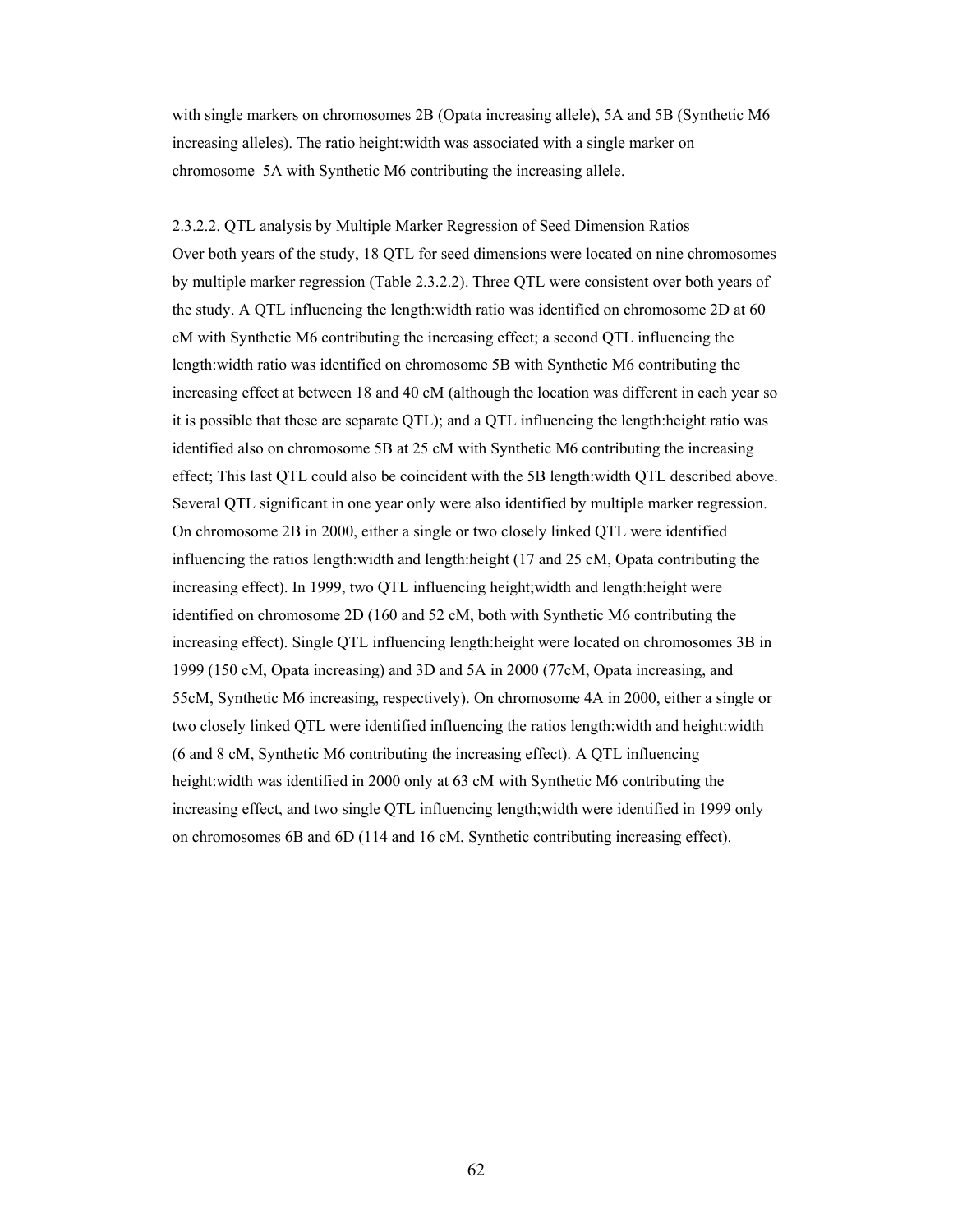with single markers on chromosomes 2B (Opata increasing allele), 5A and 5B (Synthetic M6 increasing alleles). The ratio height:width was associated with a single marker on chromosome 5A with Synthetic M6 contributing the increasing allele.

2.3.2.2. QTL analysis by Multiple Marker Regression of Seed Dimension Ratios Over both years of the study, 18 QTL for seed dimensions were located on nine chromosomes by multiple marker regression (Table 2.3.2.2). Three QTL were consistent over both years of the study. A QTL influencing the length:width ratio was identified on chromosome 2D at 60 cM with Synthetic M6 contributing the increasing effect; a second QTL influencing the length:width ratio was identified on chromosome 5B with Synthetic M6 contributing the increasing effect at between 18 and 40 cM (although the location was different in each year so it is possible that these are separate QTL); and a QTL influencing the length:height ratio was identified also on chromosome 5B at 25 cM with Synthetic M6 contributing the increasing effect; This last QTL could also be coincident with the 5B length:width QTL described above. Several QTL significant in one year only were also identified by multiple marker regression. On chromosome 2B in 2000, either a single or two closely linked QTL were identified influencing the ratios length:width and length:height (17 and 25 cM, Opata contributing the increasing effect). In 1999, two QTL influencing height;width and length:height were identified on chromosome 2D (160 and 52 cM, both with Synthetic M6 contributing the increasing effect). Single QTL influencing length:height were located on chromosomes 3B in 1999 (150 cM, Opata increasing) and 3D and 5A in 2000 (77cM, Opata increasing, and 55cM, Synthetic M6 increasing, respectively). On chromosome 4A in 2000, either a single or two closely linked QTL were identified influencing the ratios length:width and height:width (6 and 8 cM, Synthetic M6 contributing the increasing effect). A QTL influencing height:width was identified in 2000 only at 63 cM with Synthetic M6 contributing the increasing effect, and two single QTL influencing length;width were identified in 1999 only on chromosomes 6B and 6D (114 and 16 cM, Synthetic contributing increasing effect).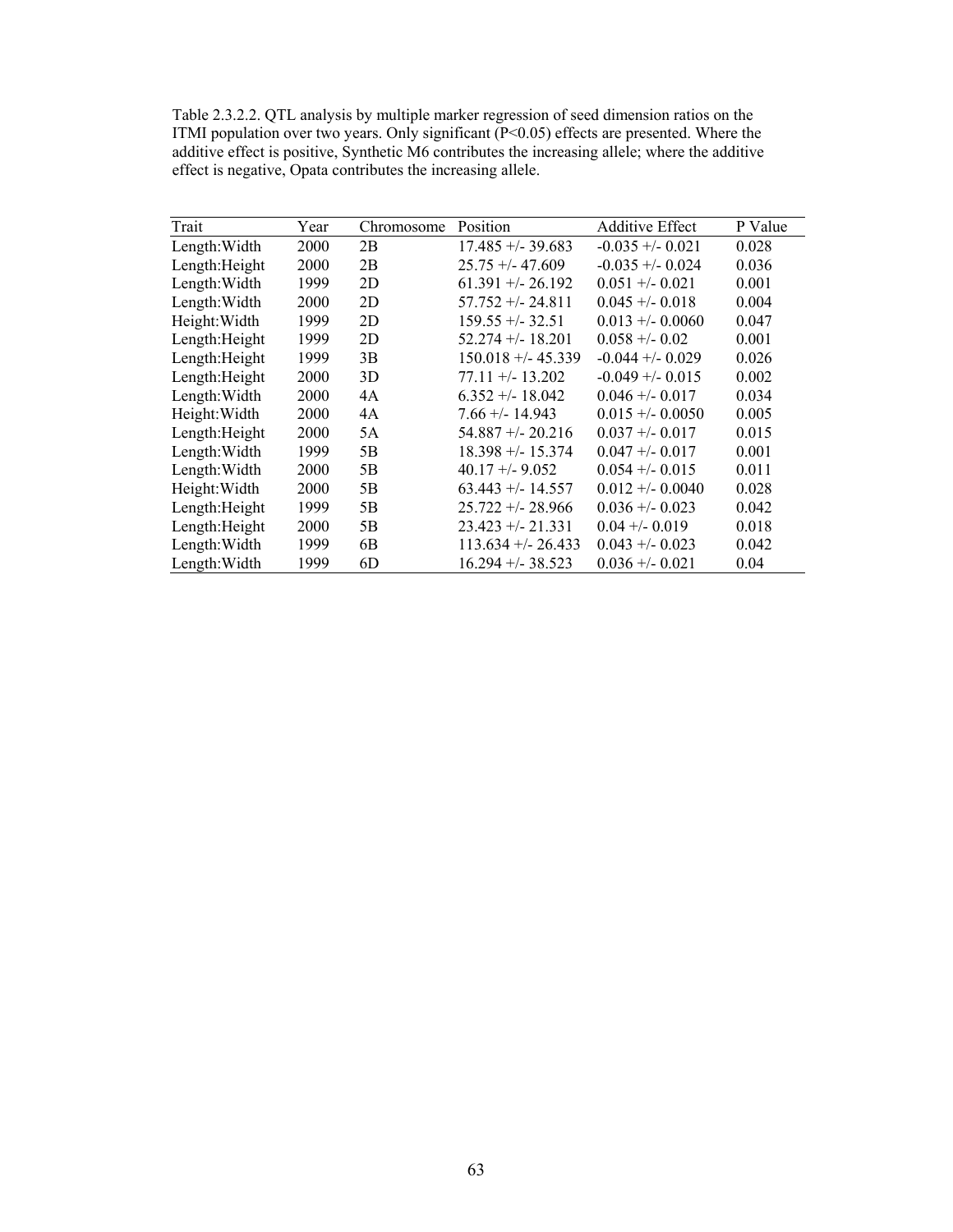Table 2.3.2.2. QTL analysis by multiple marker regression of seed dimension ratios on the ITMI population over two years. Only significant (P<0.05) effects are presented. Where the additive effect is positive, Synthetic M6 contributes the increasing allele; where the additive effect is negative, Opata contributes the increasing allele.

| Trait          | Year        | Chromosome     | Position             | <b>Additive Effect</b> | P Value |
|----------------|-------------|----------------|----------------------|------------------------|---------|
| Length: Width  | 2000        | 2B             | $17.485 + -39.683$   | $-0.035 + (-0.021)$    | 0.028   |
| Length: Height | 2000        | 2B             | $25.75 + -47.609$    | $-0.035 + (-0.024)$    | 0.036   |
| Length: Width  | 1999        | 2D             | $61.391 + - 26.192$  | $0.051 + -0.021$       | 0.001   |
| Length: Width  | 2000        | 2D             | $57.752 + - 24.811$  | $0.045 + -0.018$       | 0.004   |
| Height: Width  | 1999        | 2D             | $159.55 + (-32.51)$  | $0.013 + -0.0060$      | 0.047   |
| Length: Height | 1999        | 2D             | $52.274 + (-18.201)$ | $0.058 + -0.02$        | 0.001   |
| Length: Height | 1999        | 3B             | $150.018 + - 45.339$ | $-0.044 + -0.029$      | 0.026   |
| Length: Height | 2000        | 3D             | $77.11 + (-13.202)$  | $-0.049 + (-0.015)$    | 0.002   |
| Length: Width  | 2000        | 4A             | $6.352 + - 18.042$   | $0.046 + - 0.017$      | 0.034   |
| Height: Width  | <b>2000</b> | 4A             | $7.66 + - 14.943$    | $0.015 + -0.0050$      | 0.005   |
| Length: Height | <b>2000</b> | 5A             | $54.887 + - 20.216$  | $0.037 + -0.017$       | 0.015   |
| Length: Width  | 1999        | 5B             | $18.398 + - 15.374$  | $0.047 + - 0.017$      | 0.001   |
| Length: Width  | 2000        | 5B             | $40.17 + (-9.052)$   | $0.054 + -0.015$       | 0.011   |
| Height: Width  | 2000        | 5B             | $63.443 + - 14.557$  | $0.012 + -0.0040$      | 0.028   |
| Length: Height | 1999        | 5 <sub>B</sub> | $25.722 + - 28.966$  | $0.036 + -0.023$       | 0.042   |
| Length: Height | 2000        | 5B             | $23.423 + -21.331$   | $0.04 + -0.019$        | 0.018   |
| Length: Width  | 1999        | 6B             | $113.634 + - 26.433$ | $0.043 + 0.023$        | 0.042   |
| Length: Width  | 1999        | 6D             | $16.294 + -38.523$   | $0.036 + - 0.021$      | 0.04    |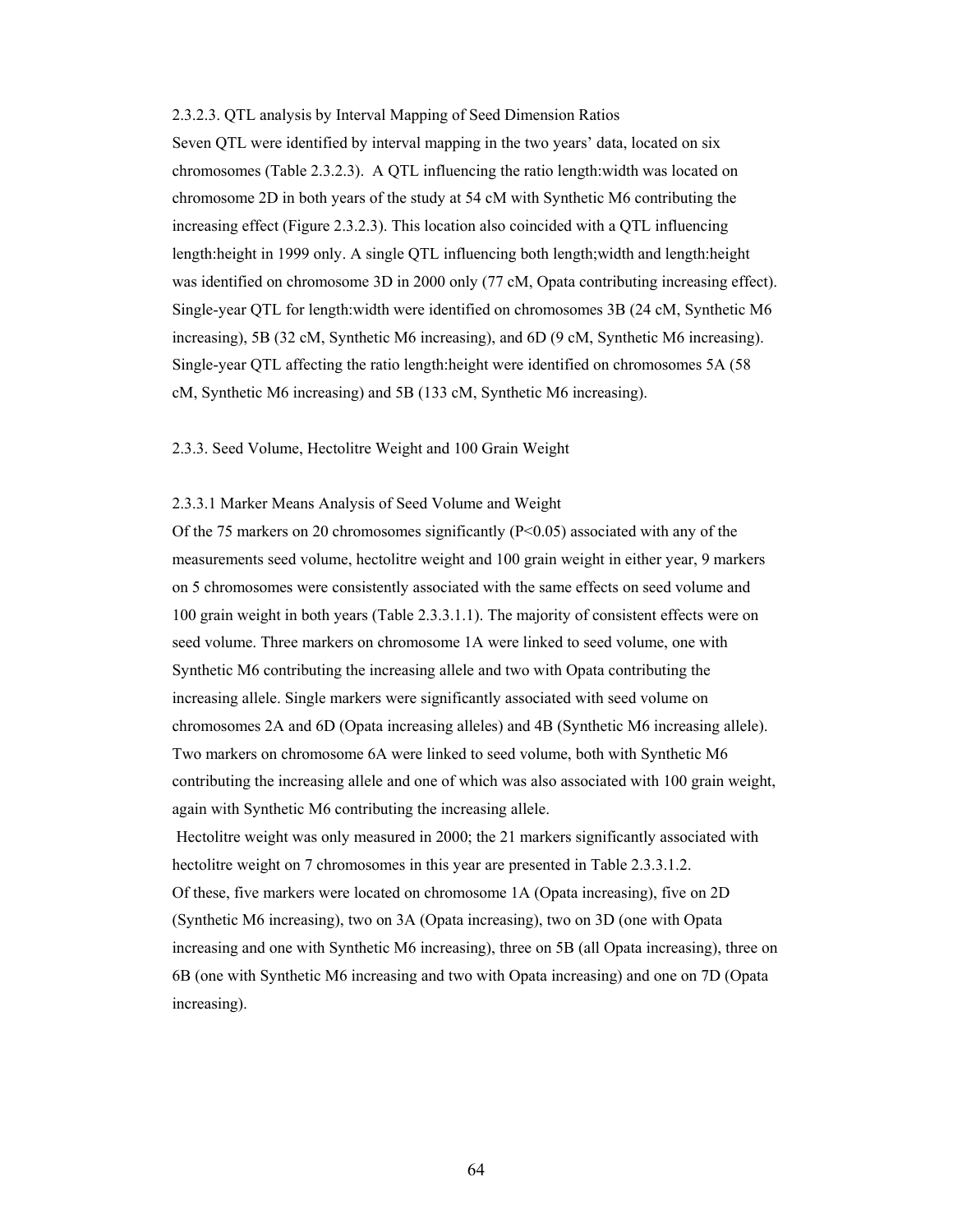#### 2.3.2.3. QTL analysis by Interval Mapping of Seed Dimension Ratios

Seven QTL were identified by interval mapping in the two years' data, located on six chromosomes (Table 2.3.2.3). A QTL influencing the ratio length:width was located on chromosome 2D in both years of the study at 54 cM with Synthetic M6 contributing the increasing effect (Figure 2.3.2.3). This location also coincided with a QTL influencing length:height in 1999 only. A single QTL influencing both length;width and length:height was identified on chromosome 3D in 2000 only (77 cM, Opata contributing increasing effect). Single-year QTL for length:width were identified on chromosomes 3B (24 cM, Synthetic M6 increasing), 5B (32 cM, Synthetic M6 increasing), and 6D (9 cM, Synthetic M6 increasing). Single-year QTL affecting the ratio length:height were identified on chromosomes 5A (58 cM, Synthetic M6 increasing) and 5B (133 cM, Synthetic M6 increasing).

#### 2.3.3. Seed Volume, Hectolitre Weight and 100 Grain Weight

#### 2.3.3.1 Marker Means Analysis of Seed Volume and Weight

Of the 75 markers on 20 chromosomes significantly (P<0.05) associated with any of the measurements seed volume, hectolitre weight and 100 grain weight in either year, 9 markers on 5 chromosomes were consistently associated with the same effects on seed volume and 100 grain weight in both years (Table 2.3.3.1.1). The majority of consistent effects were on seed volume. Three markers on chromosome 1A were linked to seed volume, one with Synthetic M6 contributing the increasing allele and two with Opata contributing the increasing allele. Single markers were significantly associated with seed volume on chromosomes 2A and 6D (Opata increasing alleles) and 4B (Synthetic M6 increasing allele). Two markers on chromosome 6A were linked to seed volume, both with Synthetic M6 contributing the increasing allele and one of which was also associated with 100 grain weight, again with Synthetic M6 contributing the increasing allele.

 Hectolitre weight was only measured in 2000; the 21 markers significantly associated with hectolitre weight on 7 chromosomes in this year are presented in Table 2.3.3.1.2. Of these, five markers were located on chromosome 1A (Opata increasing), five on 2D (Synthetic M6 increasing), two on 3A (Opata increasing), two on 3D (one with Opata increasing and one with Synthetic M6 increasing), three on 5B (all Opata increasing), three on 6B (one with Synthetic M6 increasing and two with Opata increasing) and one on 7D (Opata increasing).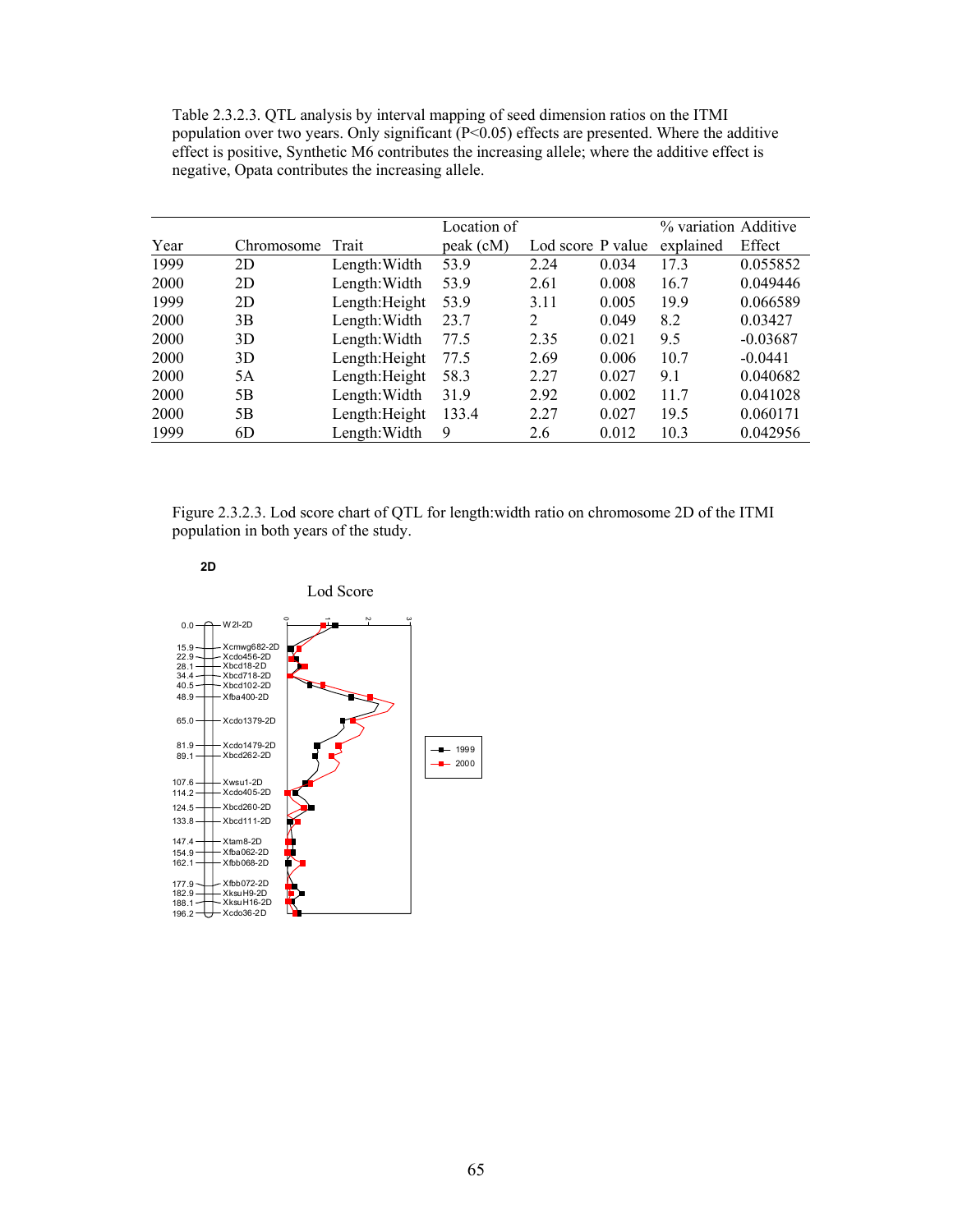Table 2.3.2.3. QTL analysis by interval mapping of seed dimension ratios on the ITMI population over two years. Only significant (P<0.05) effects are presented. Where the additive effect is positive, Synthetic M6 contributes the increasing allele; where the additive effect is negative, Opata contributes the increasing allele.

|      |            |                | Location of |                   |       | % variation Additive |            |
|------|------------|----------------|-------------|-------------------|-------|----------------------|------------|
| Year | Chromosome | Trait          | peak (cM)   | Lod score P value |       | explained            | Effect     |
| 1999 | 2D         | Length: Width  | 53.9        | 2.24              | 0.034 | 17.3                 | 0.055852   |
| 2000 | 2D         | Length: Width  | 53.9        | 2.61              | 0.008 | 16.7                 | 0.049446   |
| 1999 | 2D         | Length: Height | 53.9        | 3.11              | 0.005 | 19.9                 | 0.066589   |
| 2000 | 3B         | Length: Width  | 23.7        | 2                 | 0.049 | 8.2                  | 0.03427    |
| 2000 | 3D         | Length: Width  | 77.5        | 2.35              | 0.021 | 9.5                  | $-0.03687$ |
| 2000 | 3D         | Length: Height | 77.5        | 2.69              | 0.006 | 10.7                 | $-0.0441$  |
| 2000 | 5A         | Length: Height | 58.3        | 2.27              | 0.027 | 9.1                  | 0.040682   |
| 2000 | 5B         | Length: Width  | 31.9        | 2.92              | 0.002 | 11.7                 | 0.041028   |
| 2000 | 5B         | Length: Height | 133.4       | 2.27              | 0.027 | 19.5                 | 0.060171   |
| 1999 | 6D         | Length: Width  | 9           | 2.6               | 0.012 | 10.3                 | 0.042956   |

Figure 2.3.2.3. Lod score chart of QTL for length:width ratio on chromosome 2D of the ITMI population in both years of the study.



147.4 Xtam8-2D<br>154.9 Xfba062-2D<br>162.1 Xfbb068-2D

177.9 - Xfbb072-2D<br>182.9 - XksuH9-2D<br>188.1 - XksuH16-2D<br>196.2 - Xcdo36-2D

 $0.0 -$  W 2I-2D 15.9 Xcmwg682-2D<br>
22.9 Xcdo456-2D<br>
28.1 Xbcd18-2D<br>
34.4 Xbcd718-2D<br>
40.5 Xbcd102-2D  $48.9 + X$ fba400-2D  $65.0 \rightarrow Xcd01379-2D$  $81.9 - \times \text{cdo1479-2D}$ <br> $89.1 - \times \text{bcd262-2D}$ - Xbcd262-2D 107.6 Xwsu1-2D 114.2 Xcdo405-2D  $124.5 + \times \text{bcd}260-2D$  $133.8 \rightarrow Xbc$ d111-2D 0 ÷ Ņ ب  $-$ 1999  $-$  2000 Lod Score

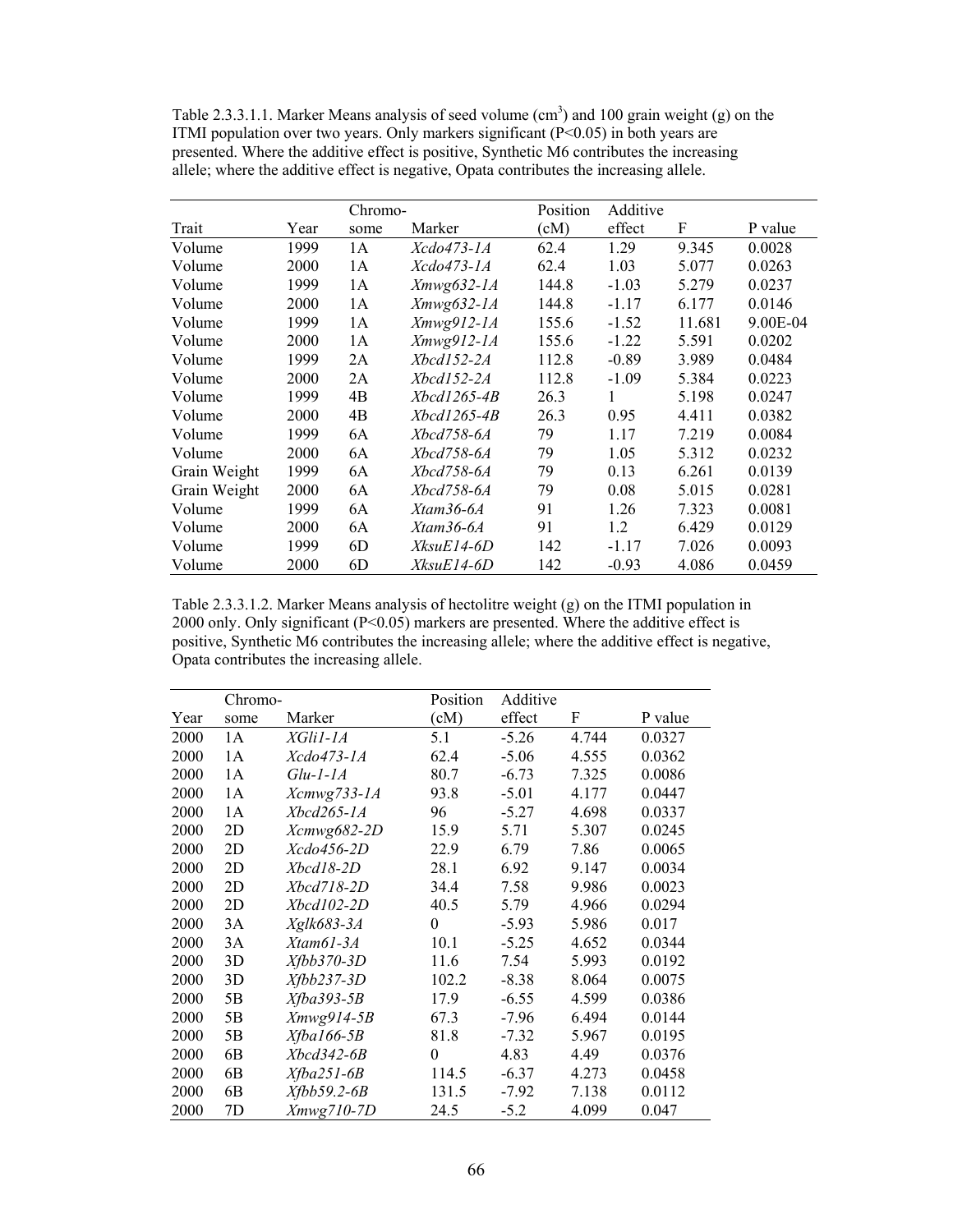Table 2.3.3.1.1. Marker Means analysis of seed volume  $(cm<sup>3</sup>)$  and 100 grain weight (g) on the ITMI population over two years. Only markers significant  $(P<0.05)$  in both years are presented. Where the additive effect is positive, Synthetic M6 contributes the increasing allele; where the additive effect is negative, Opata contributes the increasing allele.

|              |      | Chromo- |                    | Position      | Additive |        |          |
|--------------|------|---------|--------------------|---------------|----------|--------|----------|
| Trait        | Year | some    | Marker             | $\epsilon(M)$ | effect   | F      | P value  |
| Volume       | 1999 | 1 A     | Xcdo473-1A         | 62.4          | 1.29     | 9.345  | 0.0028   |
| Volume       | 2000 | 1A      | <i>Xcdo473-1A</i>  | 62.4          | 1.03     | 5.077  | 0.0263   |
| Volume       | 1999 | 1A      | $Xmwg632-IA$       | 144.8         | $-1.03$  | 5.279  | 0.0237   |
| Volume       | 2000 | 1A      | $Xmwg632-IA$       | 144.8         | $-1.17$  | 6.177  | 0.0146   |
| Volume       | 1999 | 1A      | Xmwg912-1A         | 155.6         | $-1.52$  | 11.681 | 9.00E-04 |
| Volume       | 2000 | 1A      | Xmwg912-1A         | 155.6         | $-1.22$  | 5.591  | 0.0202   |
| Volume       | 1999 | 2A      | Xbcd152-2A         | 112.8         | $-0.89$  | 3.989  | 0.0484   |
| Volume       | 2000 | 2A      | Xbcd152-2A         | 112.8         | $-1.09$  | 5.384  | 0.0223   |
| Volume       | 1999 | 4B      | <i>Xbcd1265-4B</i> | 26.3          |          | 5.198  | 0.0247   |
| Volume       | 2000 | 4B      | <i>Xbcd1265-4B</i> | 26.3          | 0.95     | 4.411  | 0.0382   |
| Volume       | 1999 | 6A      | Xbcd758-6A         | 79            | 1.17     | 7.219  | 0.0084   |
| Volume       | 2000 | 6A      | Xbcd758-6A         | 79            | 1.05     | 5.312  | 0.0232   |
| Grain Weight | 1999 | 6A      | Xbcd758-6A         | 79            | 0.13     | 6.261  | 0.0139   |
| Grain Weight | 2000 | 6A      | <i>Xbcd758-6A</i>  | 79            | 0.08     | 5.015  | 0.0281   |
| Volume       | 1999 | 6A      | $X$ tam 36-6A      | 91            | 1.26     | 7.323  | 0.0081   |
| Volume       | 2000 | 6A      | Xtam36-6A          | 91            | 1.2      | 6.429  | 0.0129   |
| Volume       | 1999 | 6D      | XksuE14-6D         | 142           | $-1.17$  | 7.026  | 0.0093   |
| Volume       | 2000 | 6D      | XksuE14-6D         | 142           | $-0.93$  | 4.086  | 0.0459   |

Table 2.3.3.1.2. Marker Means analysis of hectolitre weight (g) on the ITMI population in 2000 only. Only significant (P<0.05) markers are presented. Where the additive effect is positive, Synthetic M6 contributes the increasing allele; where the additive effect is negative, Opata contributes the increasing allele.

|      | Chromo-        |               | Position | Additive |       |         |
|------|----------------|---------------|----------|----------|-------|---------|
| Year | some           | Marker        | (cM)     | effect   | F     | P value |
| 2000 | 1A             | XGli1-1A      | 5.1      | $-5.26$  | 4.744 | 0.0327  |
| 2000 | 1A             | Xcdo473-1A    | 62.4     | $-5.06$  | 4.555 | 0.0362  |
| 2000 | 1A             | $Glu-I-IA$    | 80.7     | $-6.73$  | 7.325 | 0.0086  |
| 2000 | 1A             | Xcmwg733-1A   | 93.8     | $-5.01$  | 4.177 | 0.0447  |
| 2000 | 1A             | Xbcd265-1A    | 96       | $-5.27$  | 4.698 | 0.0337  |
| 2000 | 2D             | Xcmwg682-2D   | 15.9     | 5.71     | 5.307 | 0.0245  |
| 2000 | 2D             | $X$ cdo456-2D | 22.9     | 6.79     | 7.86  | 0.0065  |
| 2000 | 2D             | Xbcd18-2D     | 28.1     | 6.92     | 9.147 | 0.0034  |
| 2000 | 2D             | Xbcd718-2D    | 34.4     | 7.58     | 9.986 | 0.0023  |
| 2000 | 2D             | Xbcd102-2D    | 40.5     | 5.79     | 4.966 | 0.0294  |
| 2000 | 3A             | Xglk683-3A    | $\theta$ | $-5.93$  | 5.986 | 0.017   |
| 2000 | 3A             | Xtam61-3A     | 10.1     | $-5.25$  | 4.652 | 0.0344  |
| 2000 | 3D             | $Xfbb370-3D$  | 11.6     | 7.54     | 5.993 | 0.0192  |
| 2000 | 3D             | $Xfbb237-3D$  | 102.2    | $-8.38$  | 8.064 | 0.0075  |
| 2000 | 5B             | $Xfba393-5B$  | 17.9     | $-6.55$  | 4.599 | 0.0386  |
| 2000 | 5B             | Xmwg914-5B    | 67.3     | $-7.96$  | 6.494 | 0.0144  |
| 2000 | 5B             | $Xfba166-5B$  | 81.8     | $-7.32$  | 5.967 | 0.0195  |
| 2000 | 6B             | $Xbcd342-6B$  | $\theta$ | 4.83     | 4.49  | 0.0376  |
| 2000 | 6 <sub>B</sub> | $Xfba251-6B$  | 114.5    | $-6.37$  | 4.273 | 0.0458  |
| 2000 | 6 <sub>B</sub> | $Xfbb59.2-6B$ | 131.5    | -7.92    | 7.138 | 0.0112  |
| 2000 | 7D             | Xmwg710-7D    | 24.5     | $-5.2$   | 4.099 | 0.047   |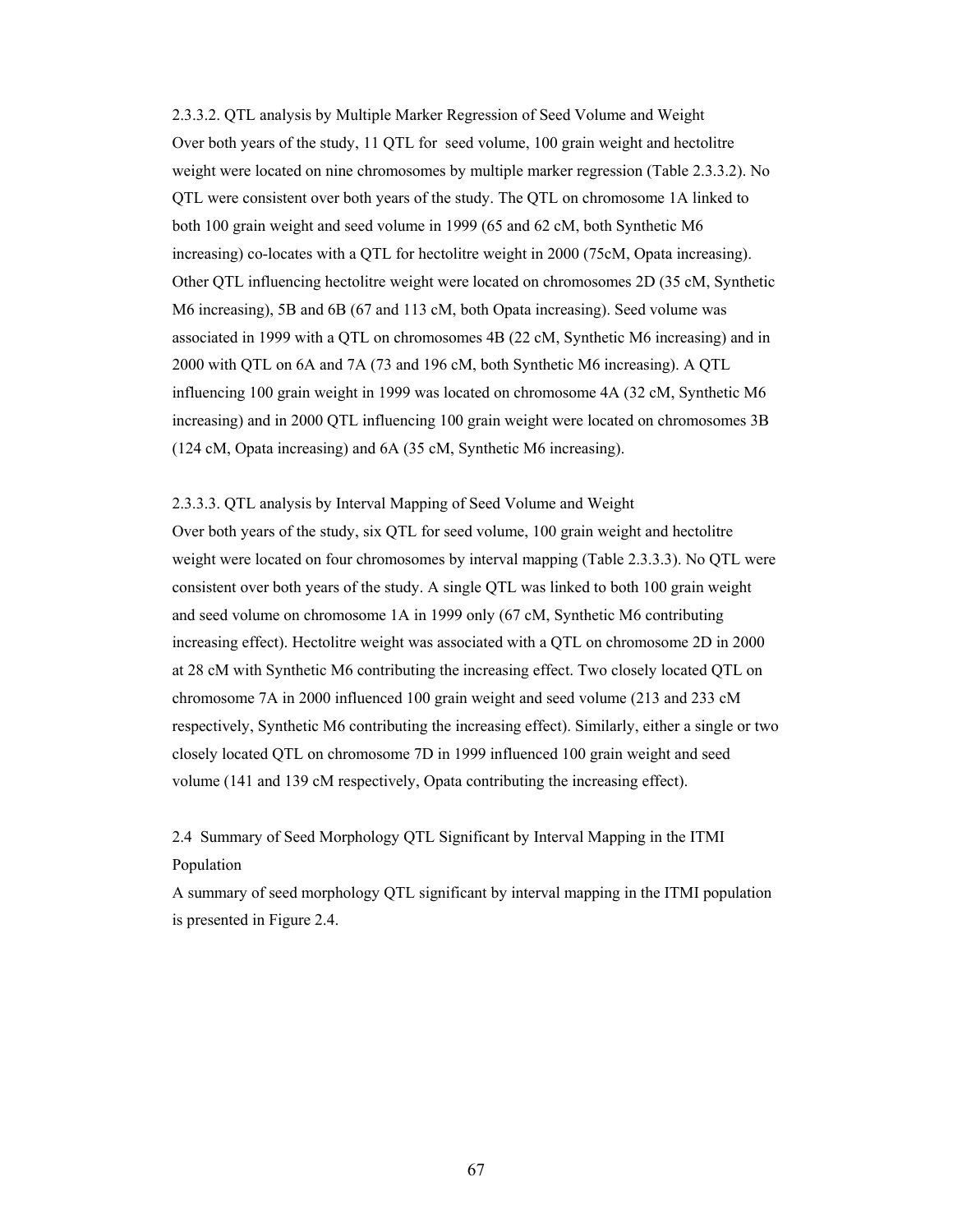2.3.3.2. QTL analysis by Multiple Marker Regression of Seed Volume and Weight Over both years of the study, 11 QTL for seed volume, 100 grain weight and hectolitre weight were located on nine chromosomes by multiple marker regression (Table 2.3.3.2). No QTL were consistent over both years of the study. The QTL on chromosome 1A linked to both 100 grain weight and seed volume in 1999 (65 and 62 cM, both Synthetic M6 increasing) co-locates with a QTL for hectolitre weight in 2000 (75cM, Opata increasing). Other QTL influencing hectolitre weight were located on chromosomes 2D (35 cM, Synthetic M6 increasing), 5B and 6B (67 and 113 cM, both Opata increasing). Seed volume was associated in 1999 with a QTL on chromosomes 4B (22 cM, Synthetic M6 increasing) and in 2000 with QTL on 6A and 7A (73 and 196 cM, both Synthetic M6 increasing). A QTL influencing 100 grain weight in 1999 was located on chromosome 4A (32 cM, Synthetic M6 increasing) and in 2000 QTL influencing 100 grain weight were located on chromosomes 3B (124 cM, Opata increasing) and 6A (35 cM, Synthetic M6 increasing).

2.3.3.3. QTL analysis by Interval Mapping of Seed Volume and Weight Over both years of the study, six QTL for seed volume, 100 grain weight and hectolitre weight were located on four chromosomes by interval mapping (Table 2.3.3.3). No QTL were consistent over both years of the study. A single QTL was linked to both 100 grain weight and seed volume on chromosome 1A in 1999 only (67 cM, Synthetic M6 contributing increasing effect). Hectolitre weight was associated with a QTL on chromosome 2D in 2000 at 28 cM with Synthetic M6 contributing the increasing effect. Two closely located QTL on chromosome 7A in 2000 influenced 100 grain weight and seed volume (213 and 233 cM respectively, Synthetic M6 contributing the increasing effect). Similarly, either a single or two closely located QTL on chromosome 7D in 1999 influenced 100 grain weight and seed volume (141 and 139 cM respectively, Opata contributing the increasing effect).

2.4 Summary of Seed Morphology QTL Significant by Interval Mapping in the ITMI Population

A summary of seed morphology QTL significant by interval mapping in the ITMI population is presented in Figure 2.4.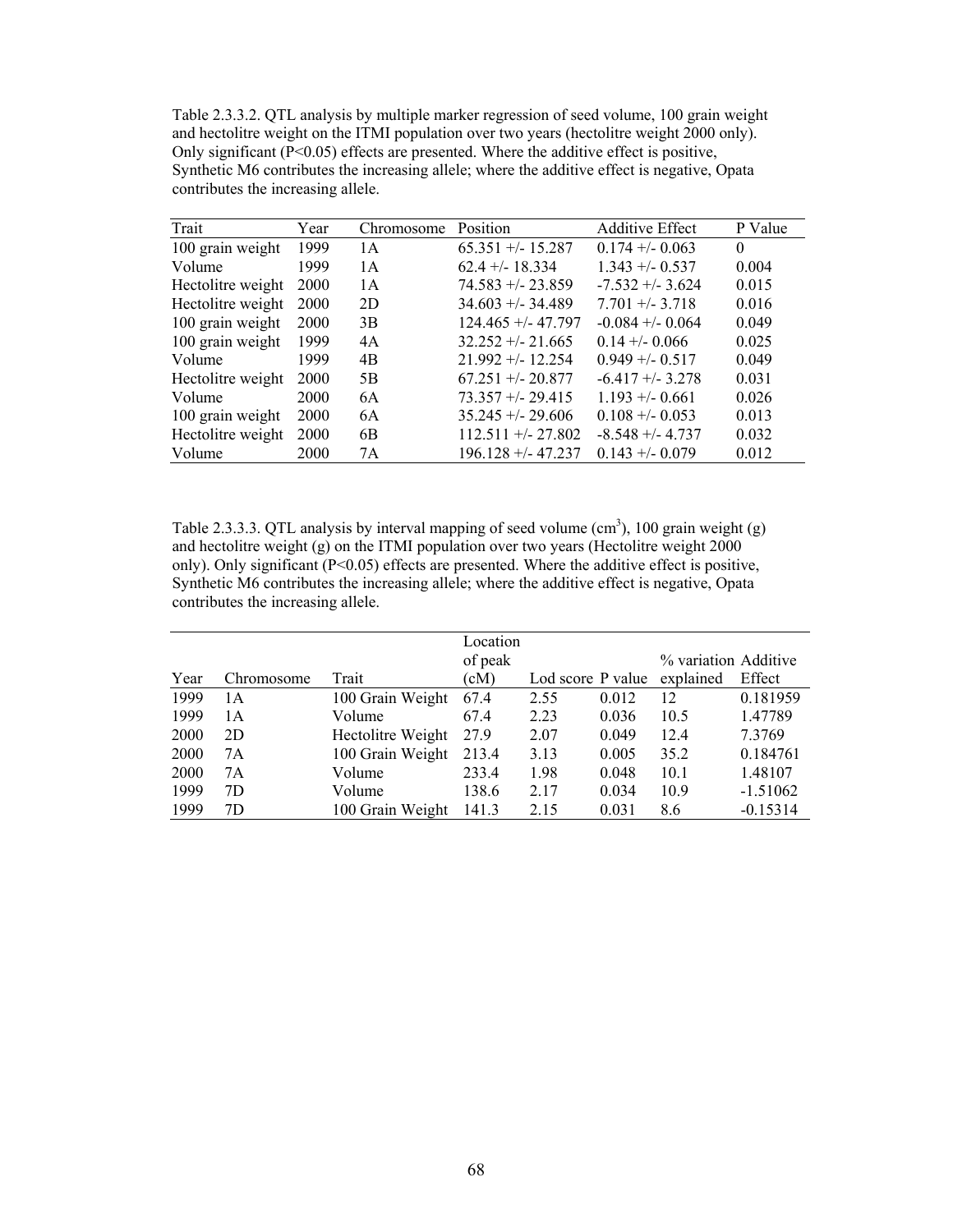Table 2.3.3.2. QTL analysis by multiple marker regression of seed volume, 100 grain weight and hectolitre weight on the ITMI population over two years (hectolitre weight 2000 only). Only significant  $(P<0.05)$  effects are presented. Where the additive effect is positive, Synthetic M6 contributes the increasing allele; where the additive effect is negative, Opata contributes the increasing allele.

| Trait             | Year | Chromosome | Position             | <b>Additive Effect</b> | P Value  |
|-------------------|------|------------|----------------------|------------------------|----------|
| 100 grain weight  | 1999 | 1 A        | $65.351 + (-15.287)$ | $0.174 + - 0.063$      | $\theta$ |
| Volume            | 1999 | 1 A        | $62.4 + (-18.334)$   | $1.343 + 0.537$        | 0.004    |
| Hectolitre weight | 2000 | 1 A        | $74.583 + - 23.859$  | $-7.532 + -3.624$      | 0.015    |
| Hectolitre weight | 2000 | 2D         | $34.603 + - 34.489$  | $7.701 + - 3.718$      | 0.016    |
| 100 grain weight  | 2000 | 3B         | $124.465 + - 47.797$ | $-0.084 + -0.064$      | 0.049    |
| 100 grain weight  | 1999 | 4A         | $32.252 + - 21.665$  | $0.14 + - 0.066$       | 0.025    |
| Volume            | 1999 | 4B         | $21.992 + - 12.254$  | $0.949 + - 0.517$      | 0.049    |
| Hectolitre weight | 2000 | 5B         | $67.251 + (-20.877)$ | $-6.417 + -3.278$      | 0.031    |
| Volume            | 2000 | 6A         | $73.357 + 29.415$    | $1.193 + - 0.661$      | 0.026    |
| 100 grain weight  | 2000 | 6A         | $35.245 + -29.606$   | $0.108 + - 0.053$      | 0.013    |
| Hectolitre weight | 2000 | 6B         | $112.511 + -27.802$  | $-8.548 + -4.737$      | 0.032    |
| Volume            | 2000 | 7A         | $196.128 + - 47.237$ | $0.143 + -0.079$       | 0.012    |

Table 2.3.3.3. QTL analysis by interval mapping of seed volume  $(cm<sup>3</sup>)$ , 100 grain weight (g) and hectolitre weight (g) on the ITMI population over two years (Hectolitre weight 2000 only). Only significant  $(P<0.05)$  effects are presented. Where the additive effect is positive, Synthetic M6 contributes the increasing allele; where the additive effect is negative, Opata contributes the increasing allele.

|      |            |                   | Location |                   |       |                      |            |
|------|------------|-------------------|----------|-------------------|-------|----------------------|------------|
|      |            |                   | of peak  |                   |       | % variation Additive |            |
| Year | Chromosome | Trait             | (cM)     | Lod score P value |       | explained            | Effect     |
| 1999 | 1А         | 100 Grain Weight  | 67.4     | 2.55              | 0.012 | 12                   | 0.181959   |
| 1999 | 1 A        | Volume            | 67.4     | 2.23              | 0.036 | 10.5                 | 1.47789    |
| 2000 | 2D         | Hectolitre Weight | 27.9     | 2.07              | 0.049 | 12.4                 | 7.3769     |
| 2000 | 7A         | 100 Grain Weight  | 213.4    | 3.13              | 0.005 | 35.2                 | 0.184761   |
| 2000 | 7Α         | Volume            | 233.4    | 1.98              | 0.048 | 10.1                 | 1.48107    |
| 1999 | 7D         | Volume            | 138.6    | 2.17              | 0.034 | 10.9                 | $-1.51062$ |
| 1999 | 7D         | 100 Grain Weight  | 141.3    | 2.15              | 0.031 | 8.6                  | $-0.15314$ |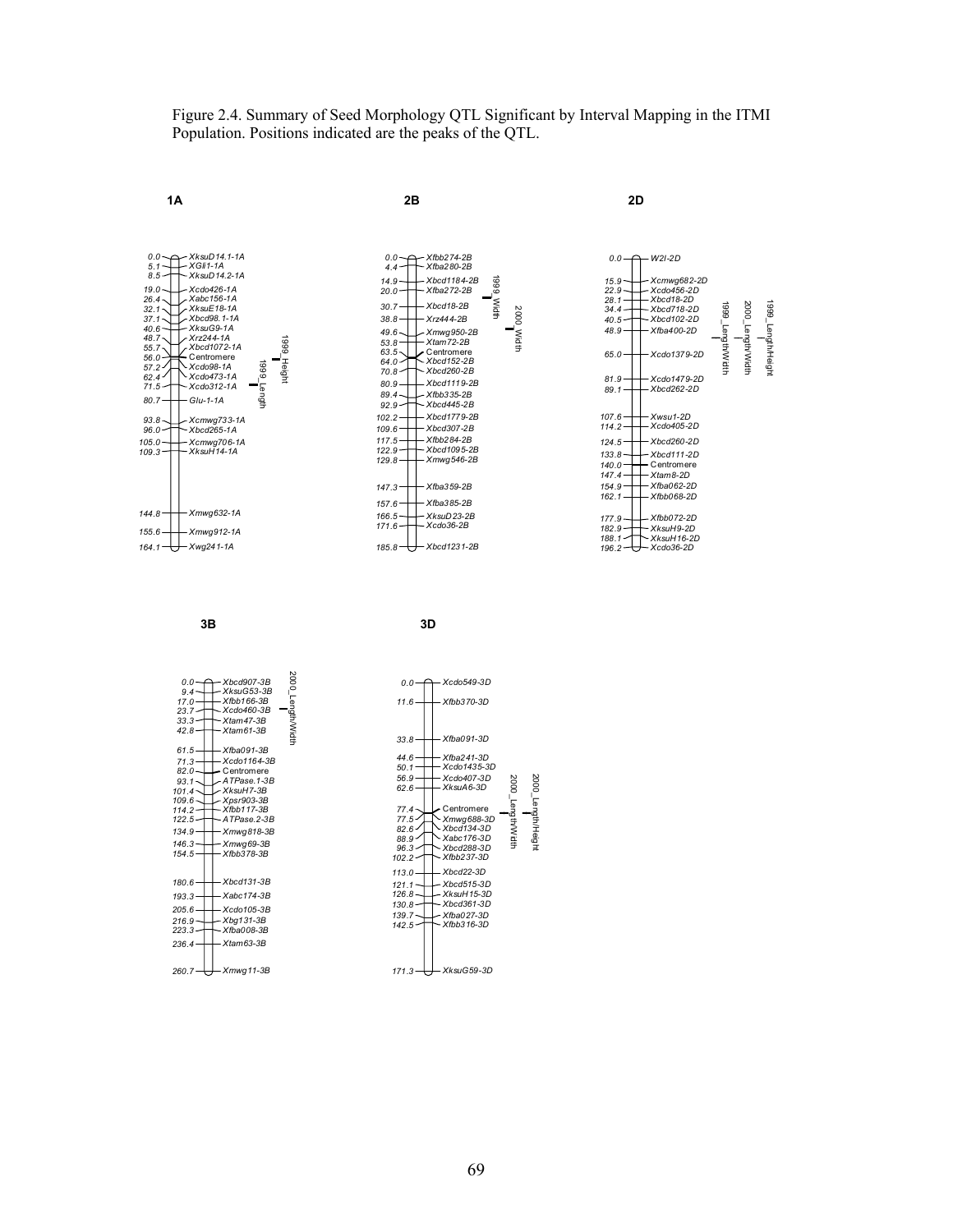Figure 2.4. Summary of Seed Morphology QTL Significant by Interval Mapping in the ITMI Population. Positions indicated are the peaks of the QTL.

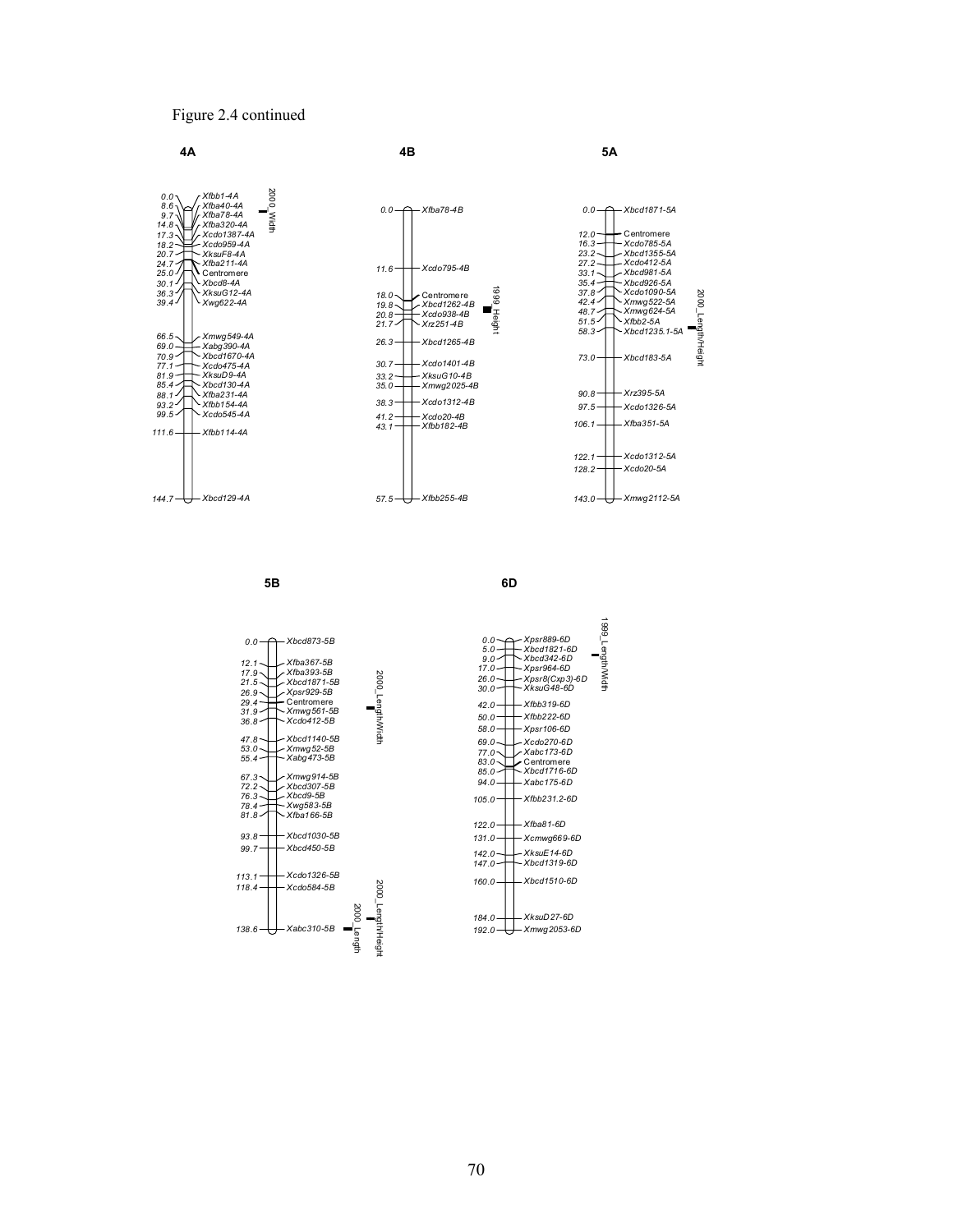#### Figure 2.4 continued



**5B**

**6D**

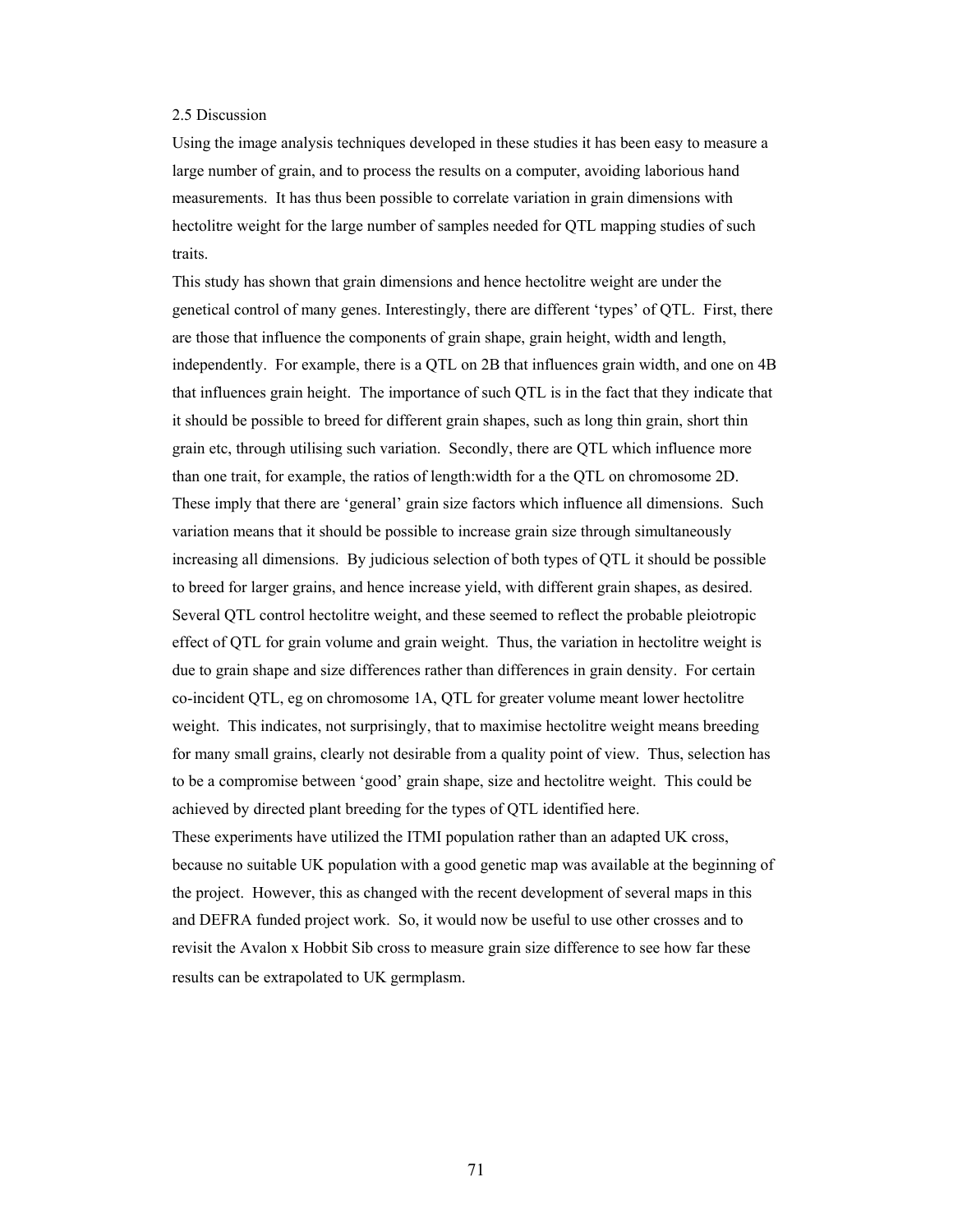#### 2.5 Discussion

Using the image analysis techniques developed in these studies it has been easy to measure a large number of grain, and to process the results on a computer, avoiding laborious hand measurements. It has thus been possible to correlate variation in grain dimensions with hectolitre weight for the large number of samples needed for QTL mapping studies of such traits.

This study has shown that grain dimensions and hence hectolitre weight are under the genetical control of many genes. Interestingly, there are different 'types' of QTL. First, there are those that influence the components of grain shape, grain height, width and length, independently. For example, there is a QTL on 2B that influences grain width, and one on 4B that influences grain height. The importance of such QTL is in the fact that they indicate that it should be possible to breed for different grain shapes, such as long thin grain, short thin grain etc, through utilising such variation. Secondly, there are QTL which influence more than one trait, for example, the ratios of length:width for a the QTL on chromosome 2D. These imply that there are 'general' grain size factors which influence all dimensions. Such variation means that it should be possible to increase grain size through simultaneously increasing all dimensions. By judicious selection of both types of QTL it should be possible to breed for larger grains, and hence increase yield, with different grain shapes, as desired. Several QTL control hectolitre weight, and these seemed to reflect the probable pleiotropic effect of QTL for grain volume and grain weight. Thus, the variation in hectolitre weight is due to grain shape and size differences rather than differences in grain density. For certain co-incident QTL, eg on chromosome 1A, QTL for greater volume meant lower hectolitre weight. This indicates, not surprisingly, that to maximise hectolitre weight means breeding for many small grains, clearly not desirable from a quality point of view. Thus, selection has to be a compromise between 'good' grain shape, size and hectolitre weight. This could be achieved by directed plant breeding for the types of QTL identified here.

These experiments have utilized the ITMI population rather than an adapted UK cross, because no suitable UK population with a good genetic map was available at the beginning of the project. However, this as changed with the recent development of several maps in this and DEFRA funded project work. So, it would now be useful to use other crosses and to revisit the Avalon x Hobbit Sib cross to measure grain size difference to see how far these results can be extrapolated to UK germplasm.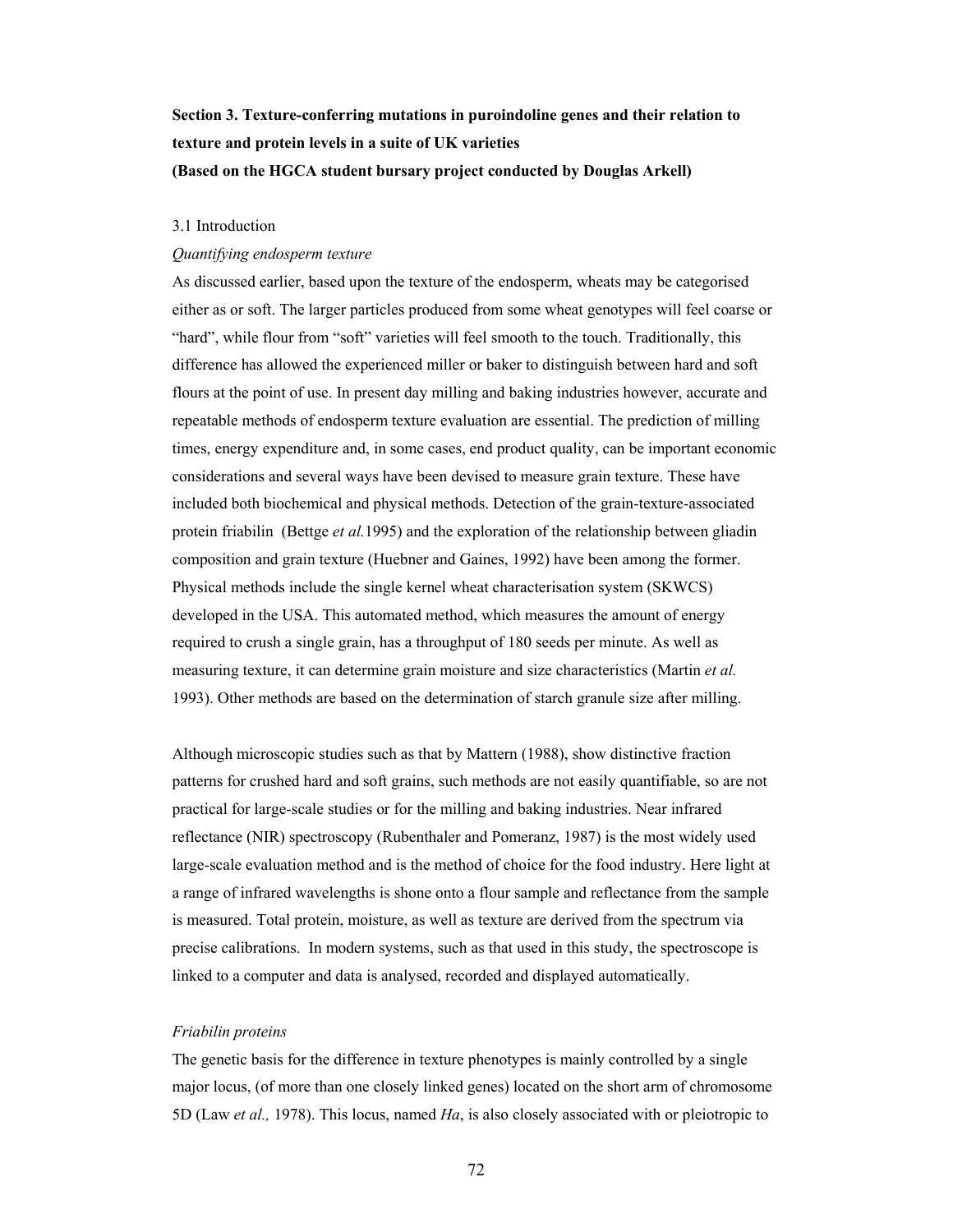# **Section 3. Texture-conferring mutations in puroindoline genes and their relation to texture and protein levels in a suite of UK varieties (Based on the HGCA student bursary project conducted by Douglas Arkell)**

### 3.1 Introduction

## *Quantifying endosperm texture*

As discussed earlier, based upon the texture of the endosperm, wheats may be categorised either as or soft. The larger particles produced from some wheat genotypes will feel coarse or "hard", while flour from "soft" varieties will feel smooth to the touch. Traditionally, this difference has allowed the experienced miller or baker to distinguish between hard and soft flours at the point of use. In present day milling and baking industries however, accurate and repeatable methods of endosperm texture evaluation are essential. The prediction of milling times, energy expenditure and, in some cases, end product quality, can be important economic considerations and several ways have been devised to measure grain texture. These have included both biochemical and physical methods. Detection of the grain-texture-associated protein friabilin (Bettge *et al.*1995) and the exploration of the relationship between gliadin composition and grain texture (Huebner and Gaines, 1992) have been among the former. Physical methods include the single kernel wheat characterisation system (SKWCS) developed in the USA. This automated method, which measures the amount of energy required to crush a single grain, has a throughput of 180 seeds per minute. As well as measuring texture, it can determine grain moisture and size characteristics (Martin *et al.*  1993). Other methods are based on the determination of starch granule size after milling.

Although microscopic studies such as that by Mattern (1988), show distinctive fraction patterns for crushed hard and soft grains, such methods are not easily quantifiable, so are not practical for large-scale studies or for the milling and baking industries. Near infrared reflectance (NIR) spectroscopy (Rubenthaler and Pomeranz, 1987) is the most widely used large-scale evaluation method and is the method of choice for the food industry. Here light at a range of infrared wavelengths is shone onto a flour sample and reflectance from the sample is measured. Total protein, moisture, as well as texture are derived from the spectrum via precise calibrations. In modern systems, such as that used in this study, the spectroscope is linked to a computer and data is analysed, recorded and displayed automatically.

#### *Friabilin proteins*

The genetic basis for the difference in texture phenotypes is mainly controlled by a single major locus, (of more than one closely linked genes) located on the short arm of chromosome 5D (Law *et al.,* 1978). This locus, named *Ha*, is also closely associated with or pleiotropic to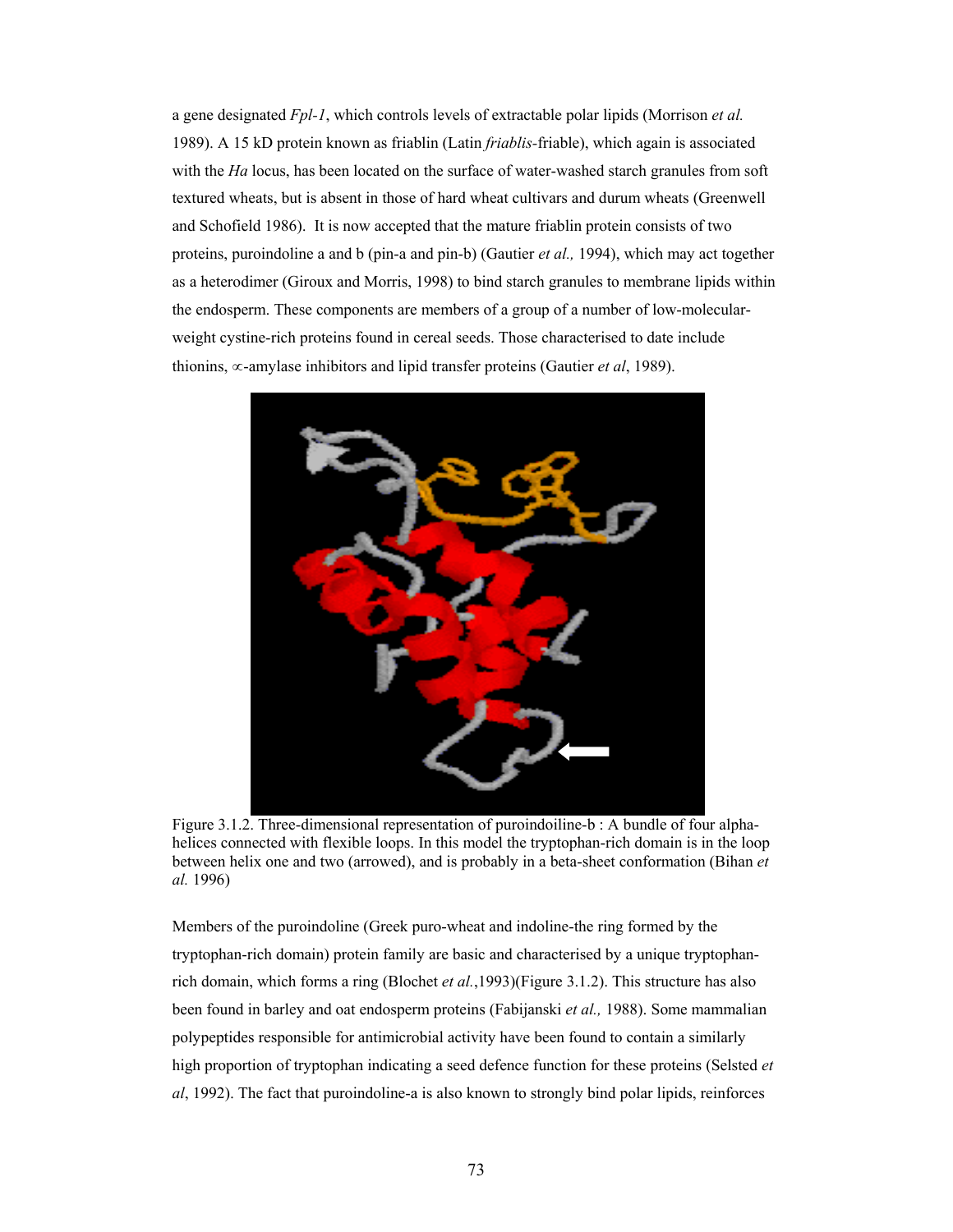a gene designated *Fpl-1*, which controls levels of extractable polar lipids (Morrison *et al.* 1989). A 15 kD protein known as friablin (Latin *friablis-*friable), which again is associated with the *Ha* locus, has been located on the surface of water-washed starch granules from soft textured wheats, but is absent in those of hard wheat cultivars and durum wheats (Greenwell and Schofield 1986). It is now accepted that the mature friablin protein consists of two proteins, puroindoline a and b (pin-a and pin-b) (Gautier *et al.,* 1994), which may act together as a heterodimer (Giroux and Morris, 1998) to bind starch granules to membrane lipids within the endosperm. These components are members of a group of a number of low-molecularweight cystine-rich proteins found in cereal seeds. Those characterised to date include thionins, ∝-amylase inhibitors and lipid transfer proteins (Gautier *et al*, 1989).



Figure 3.1.2. Three-dimensional representation of puroindoiline-b : A bundle of four alphahelices connected with flexible loops. In this model the tryptophan-rich domain is in the loop between helix one and two (arrowed), and is probably in a beta-sheet conformation (Bihan *et al.* 1996)

Members of the puroindoline (Greek puro-wheat and indoline-the ring formed by the tryptophan-rich domain) protein family are basic and characterised by a unique tryptophanrich domain, which forms a ring (Blochet *et al.*,1993)(Figure 3.1.2). This structure has also been found in barley and oat endosperm proteins (Fabijanski *et al.,* 1988). Some mammalian polypeptides responsible for antimicrobial activity have been found to contain a similarly high proportion of tryptophan indicating a seed defence function for these proteins (Selsted *et al*, 1992). The fact that puroindoline-a is also known to strongly bind polar lipids, reinforces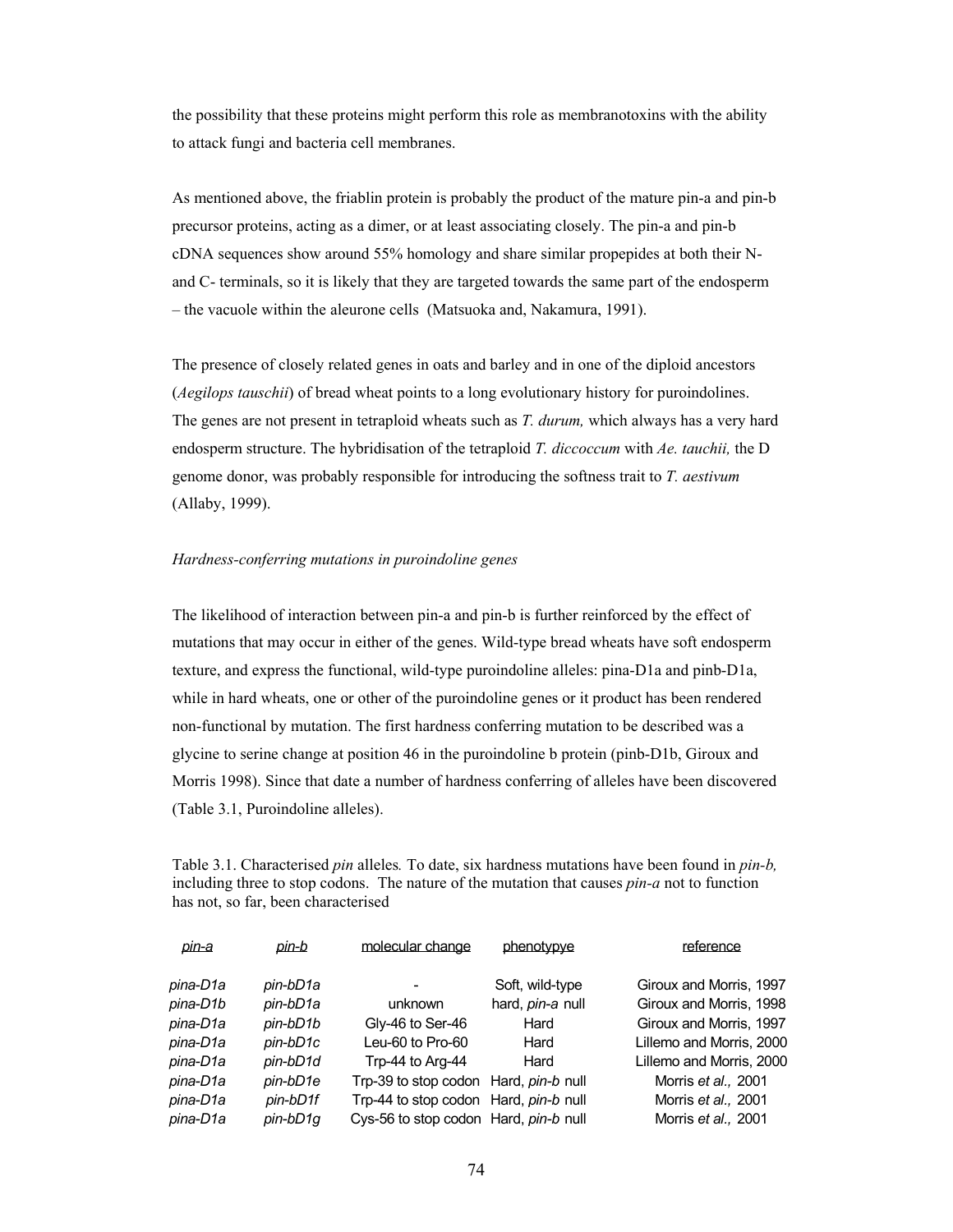the possibility that these proteins might perform this role as membranotoxins with the ability to attack fungi and bacteria cell membranes.

As mentioned above, the friablin protein is probably the product of the mature pin-a and pin-b precursor proteins, acting as a dimer, or at least associating closely. The pin-a and pin-b cDNA sequences show around 55% homology and share similar propepides at both their Nand C- terminals, so it is likely that they are targeted towards the same part of the endosperm – the vacuole within the aleurone cells (Matsuoka and, Nakamura, 1991).

The presence of closely related genes in oats and barley and in one of the diploid ancestors (*Aegilops tauschii*) of bread wheat points to a long evolutionary history for puroindolines. The genes are not present in tetraploid wheats such as *T. durum,* which always has a very hard endosperm structure. The hybridisation of the tetraploid *T. diccoccum* with *Ae. tauchii,* the D genome donor, was probably responsible for introducing the softness trait to *T. aestivum* (Allaby, 1999).

#### *Hardness-conferring mutations in puroindoline genes*

The likelihood of interaction between pin-a and pin-b is further reinforced by the effect of mutations that may occur in either of the genes. Wild-type bread wheats have soft endosperm texture, and express the functional, wild-type puroindoline alleles: pina-D1a and pinb-D1a, while in hard wheats, one or other of the puroindoline genes or it product has been rendered non-functional by mutation. The first hardness conferring mutation to be described was a glycine to serine change at position 46 in the puroindoline b protein (pinb-D1b, Giroux and Morris 1998). Since that date a number of hardness conferring of alleles have been discovered (Table 3.1, Puroindoline alleles).

Table 3.1. Characterised *pin* alleles*.* To date, six hardness mutations have been found in *pin-b,* including three to stop codons. The nature of the mutation that causes *pin-a* not to function has not, so far, been characterised

| pin-a    | pin-b      | molecular change                      | phenotypye       | reference                |
|----------|------------|---------------------------------------|------------------|--------------------------|
| pina-D1a | pin-bD1a   |                                       | Soft, wild-type  | Giroux and Morris, 1997  |
| pina-D1b | pin-bD1a   | unknown                               | hard, pin-a null | Giroux and Morris, 1998  |
| pina-D1a | pin-bD1b   | Gly-46 to Ser-46                      | Hard             | Giroux and Morris, 1997  |
| pina-D1a | pin-bD1c   | Leu-60 to Pro-60                      | Hard             | Lillemo and Morris, 2000 |
| pina-D1a | pin-bD1d   | Trp-44 to Arg-44                      | Hard             | Lillemo and Morris, 2000 |
| pina-D1a | pin-bD1e   | Trp-39 to stop codon Hard, pin-b null |                  | Morris et al., 2001      |
| pina-D1a | pin-bD1f   | Trp-44 to stop codon Hard, pin-b null |                  | Morris et al., 2001      |
| pina-D1a | $pin-bD1q$ | Cys-56 to stop codon Hard, pin-b null |                  | Morris et al., 2001      |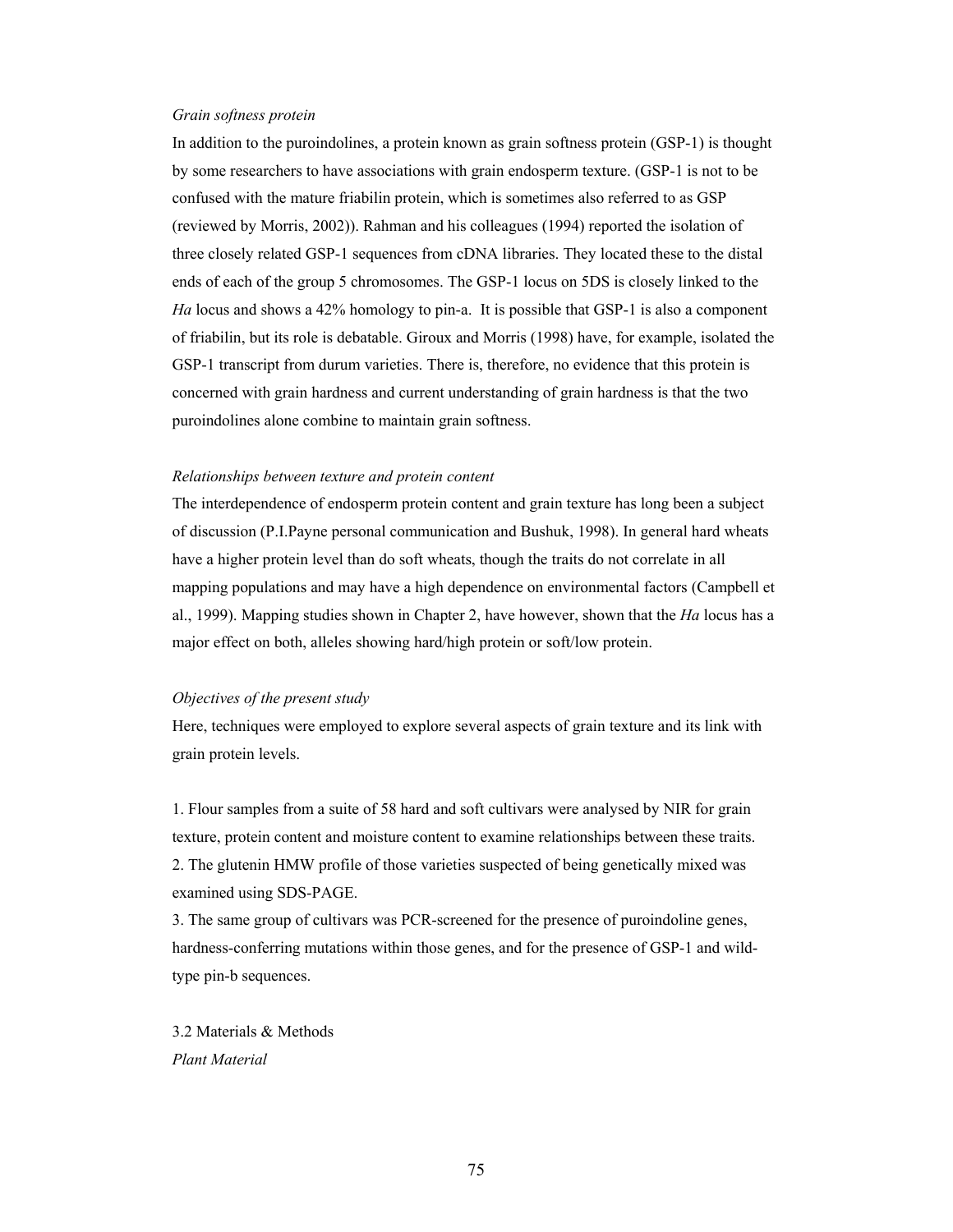## *Grain softness protein*

In addition to the puroindolines, a protein known as grain softness protein (GSP-1) is thought by some researchers to have associations with grain endosperm texture. (GSP-1 is not to be confused with the mature friabilin protein, which is sometimes also referred to as GSP (reviewed by Morris, 2002)). Rahman and his colleagues (1994) reported the isolation of three closely related GSP-1 sequences from cDNA libraries. They located these to the distal ends of each of the group 5 chromosomes. The GSP-1 locus on 5DS is closely linked to the *Ha* locus and shows a 42% homology to pin-a. It is possible that GSP-1 is also a component of friabilin, but its role is debatable. Giroux and Morris (1998) have, for example, isolated the GSP-1 transcript from durum varieties. There is, therefore, no evidence that this protein is concerned with grain hardness and current understanding of grain hardness is that the two puroindolines alone combine to maintain grain softness.

#### *Relationships between texture and protein content*

The interdependence of endosperm protein content and grain texture has long been a subject of discussion (P.I.Payne personal communication and Bushuk, 1998). In general hard wheats have a higher protein level than do soft wheats, though the traits do not correlate in all mapping populations and may have a high dependence on environmental factors (Campbell et al., 1999). Mapping studies shown in Chapter 2, have however, shown that the *Ha* locus has a major effect on both, alleles showing hard/high protein or soft/low protein.

## *Objectives of the present study*

Here, techniques were employed to explore several aspects of grain texture and its link with grain protein levels.

1. Flour samples from a suite of 58 hard and soft cultivars were analysed by NIR for grain texture, protein content and moisture content to examine relationships between these traits. 2. The glutenin HMW profile of those varieties suspected of being genetically mixed was examined using SDS-PAGE.

3. The same group of cultivars was PCR-screened for the presence of puroindoline genes, hardness-conferring mutations within those genes, and for the presence of GSP-1 and wildtype pin-b sequences.

3.2 Materials & Methods *Plant Material*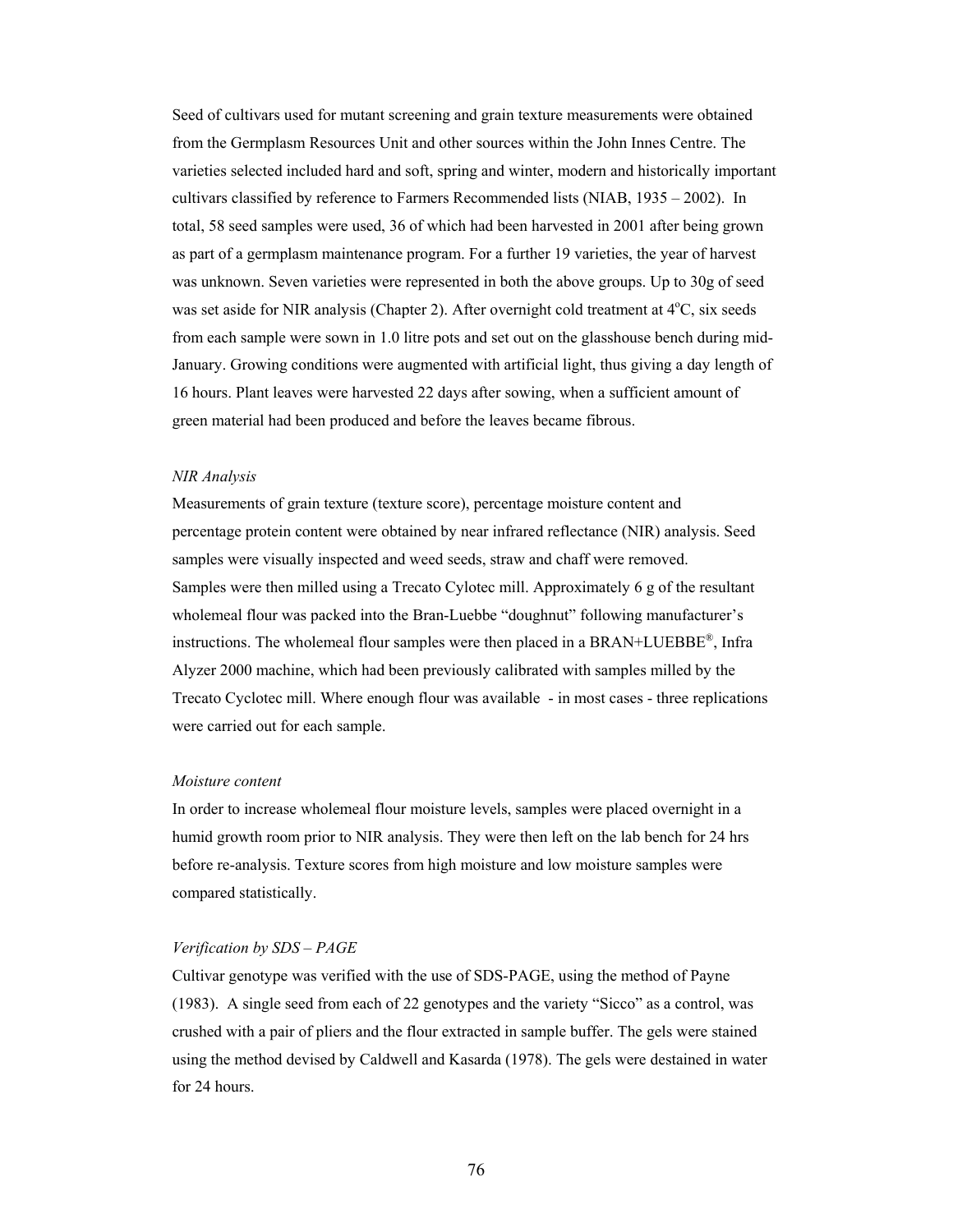Seed of cultivars used for mutant screening and grain texture measurements were obtained from the Germplasm Resources Unit and other sources within the John Innes Centre. The varieties selected included hard and soft, spring and winter, modern and historically important cultivars classified by reference to Farmers Recommended lists (NIAB, 1935 – 2002). In total, 58 seed samples were used, 36 of which had been harvested in 2001 after being grown as part of a germplasm maintenance program. For a further 19 varieties, the year of harvest was unknown. Seven varieties were represented in both the above groups. Up to 30g of seed was set aside for NIR analysis (Chapter 2). After overnight cold treatment at 4°C, six seeds from each sample were sown in 1.0 litre pots and set out on the glasshouse bench during mid-January. Growing conditions were augmented with artificial light, thus giving a day length of 16 hours. Plant leaves were harvested 22 days after sowing, when a sufficient amount of green material had been produced and before the leaves became fibrous.

#### *NIR Analysis*

Measurements of grain texture (texture score), percentage moisture content and percentage protein content were obtained by near infrared reflectance (NIR) analysis. Seed samples were visually inspected and weed seeds, straw and chaff were removed. Samples were then milled using a Trecato Cylotec mill. Approximately 6 g of the resultant wholemeal flour was packed into the Bran-Luebbe "doughnut" following manufacturer's instructions. The wholemeal flour samples were then placed in a BRAN+LUEBBE®, Infra Alyzer 2000 machine, which had been previously calibrated with samples milled by the Trecato Cyclotec mill. Where enough flour was available - in most cases - three replications were carried out for each sample.

#### *Moisture content*

In order to increase wholemeal flour moisture levels, samples were placed overnight in a humid growth room prior to NIR analysis. They were then left on the lab bench for 24 hrs before re-analysis. Texture scores from high moisture and low moisture samples were compared statistically.

# *Verification by SDS – PAGE*

Cultivar genotype was verified with the use of SDS-PAGE, using the method of Payne (1983). A single seed from each of 22 genotypes and the variety "Sicco" as a control, was crushed with a pair of pliers and the flour extracted in sample buffer. The gels were stained using the method devised by Caldwell and Kasarda (1978). The gels were destained in water for 24 hours.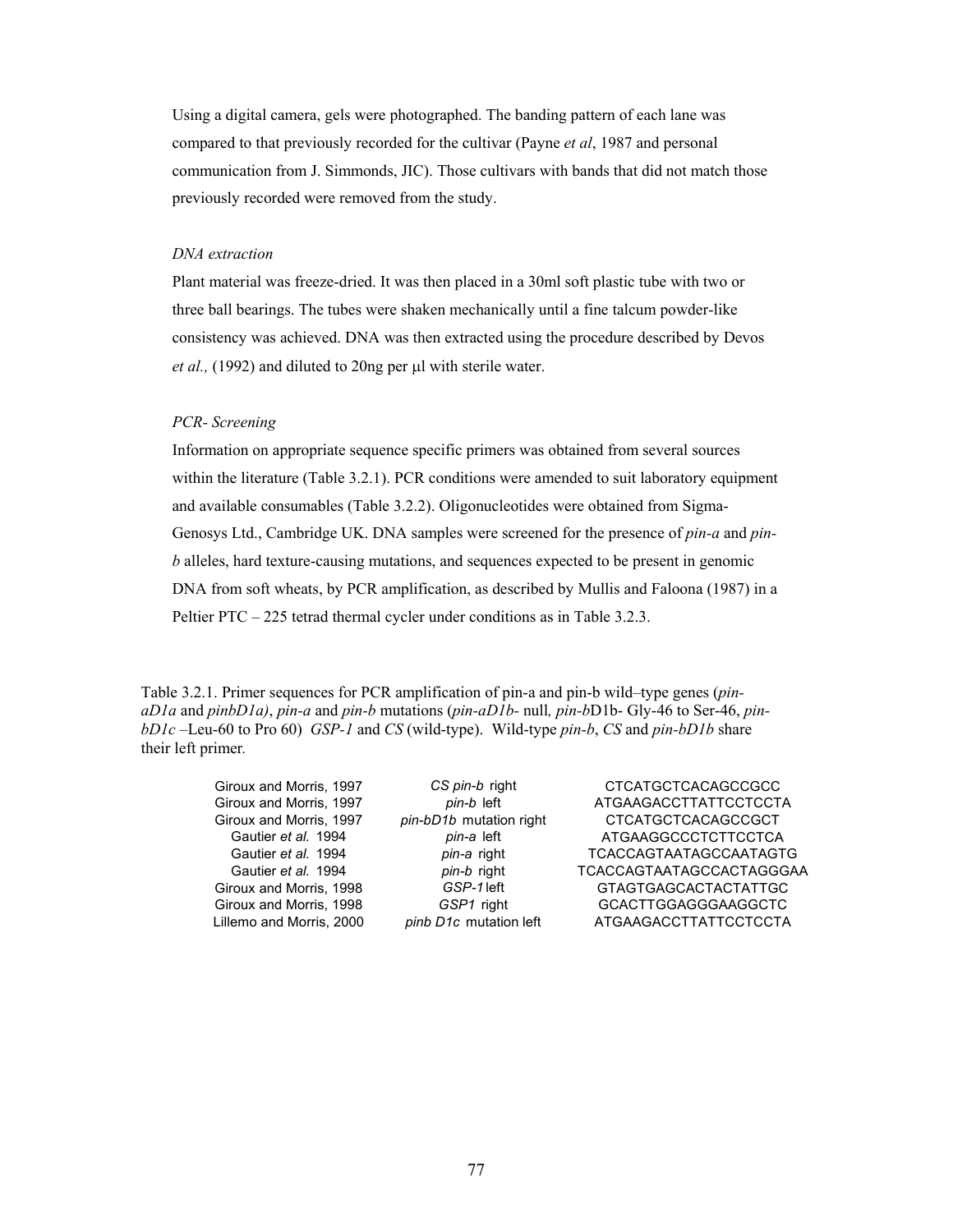Using a digital camera, gels were photographed. The banding pattern of each lane was compared to that previously recorded for the cultivar (Payne *et al*, 1987 and personal communication from J. Simmonds, JIC). Those cultivars with bands that did not match those previously recorded were removed from the study.

#### *DNA extraction*

Plant material was freeze-dried. It was then placed in a 30ml soft plastic tube with two or three ball bearings. The tubes were shaken mechanically until a fine talcum powder-like consistency was achieved. DNA was then extracted using the procedure described by Devos *et al.,* (1992) and diluted to 20ng per µl with sterile water.

## *PCR- Screening*

Information on appropriate sequence specific primers was obtained from several sources within the literature (Table 3.2.1). PCR conditions were amended to suit laboratory equipment and available consumables (Table 3.2.2). Oligonucleotides were obtained from Sigma-Genosys Ltd., Cambridge UK. DNA samples were screened for the presence of *pin-a* and *pinb* alleles, hard texture-causing mutations, and sequences expected to be present in genomic DNA from soft wheats, by PCR amplification, as described by Mullis and Faloona (1987) in a Peltier PTC – 225 tetrad thermal cycler under conditions as in Table 3.2.3.

Table 3.2.1. Primer sequences for PCR amplification of pin-a and pin-b wild–type genes (*pinaD1a* and *pinbD1a)*, *pin-a* and *pin-b* mutations (*pin-aD1b-* null*, pin-b*D1b- Gly-46 to Ser-46, *pinbD1c –*Leu-60 to Pro 60) *GSP-1* and *CS* (wild-type). Wild-type *pin-b*, *CS* and *pin-bD1b* share their left primer*.* 

Giroux and Morris, 1997 **CS pin-b right** CTCATGCTCACAGCCGCC Giroux and Morris, 1997 *pin-b* left **ATGAAGACCTTATTCCTCCTA** Giroux and Morris, 1997 *pin-bD1b* mutation right CTCATGCTCACAGCCGCT Gautier *et al.* 1994 *pin-a* left ATGAAGGCCCTCTTCCTCA Gautier *et al.* 1994 *pin-a* right TCACCAGTAATAGCCAATAGTG Gautier *et al.* 1994 *pin-b* right TCACCAGTAATAGCCACTAGGGAA Giroux and Morris, 1998 **GSP-1** left **GTAGTGAGCACTACTATTGC** Giroux and Morris, 1998 **GSP1** right **GCACTTGGAGGGAAGGCTC** Lillemo and Morris, 2000 *pinb D1c* mutation left ATGAAGACCTTATTCCTCCTA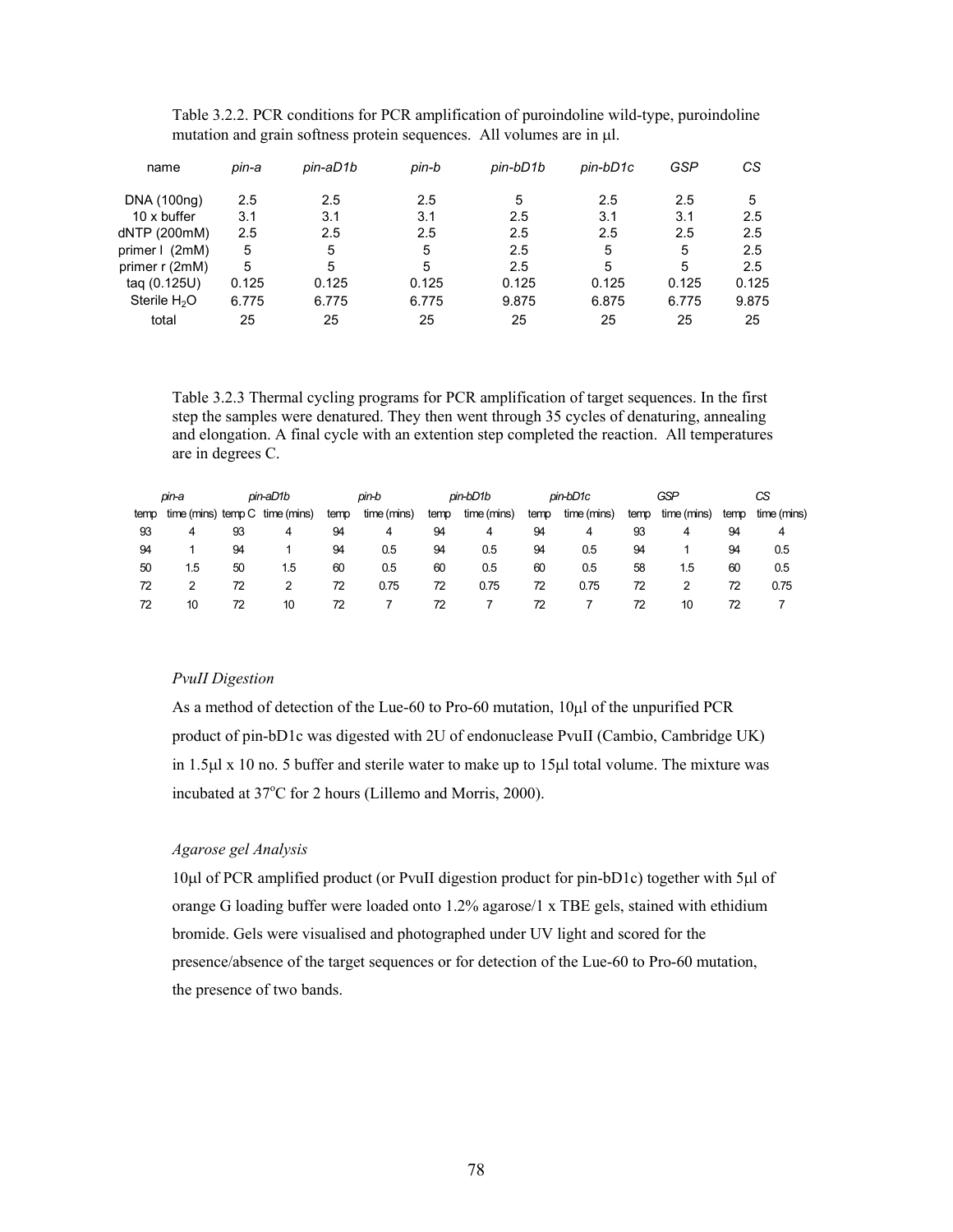| name                     | pin-a | pin-aD1b | pin-b | pin-bD1b | pin-bD1c | GSP   | СS    |
|--------------------------|-------|----------|-------|----------|----------|-------|-------|
| DNA (100ng)              | 2.5   | 2.5      | 2.5   | 5        | 2.5      | 2.5   | 5     |
| 10 x buffer              | 3.1   | 3.1      | 3.1   | 2.5      | 3.1      | 3.1   | 2.5   |
| dNTP (200mM)             | 2.5   | 2.5      | 2.5   | 2.5      | 2.5      | 2.5   | 2.5   |
| primer   (2mM)           | 5     | 5        | 5     | 2.5      | 5        | 5     | 2.5   |
| primer r (2mM)           | 5     | 5        | 5     | 2.5      | 5        | 5     | 2.5   |
| tag (0.125U)             | 0.125 | 0.125    | 0.125 | 0.125    | 0.125    | 0.125 | 0.125 |
| Sterile H <sub>2</sub> O | 6.775 | 6.775    | 6.775 | 9.875    | 6.875    | 6.775 | 9.875 |
| total                    | 25    | 25       | 25    | 25       | 25       | 25    | 25    |

Table 3.2.2. PCR conditions for PCR amplification of puroindoline wild-type, puroindoline mutation and grain softness protein sequences. All volumes are in  $\mu$ l.

Table 3.2.3 Thermal cycling programs for PCR amplification of target sequences. In the first step the samples were denatured. They then went through 35 cycles of denaturing, annealing and elongation. A final cycle with an extention step completed the reaction. All temperatures are in degrees C.

|      | pin-a              |    | pin-aD1b    |      | pin-b       |      | pin-bD1b    |      | pin-bD1c    |      | GSP         |      | СS          |
|------|--------------------|----|-------------|------|-------------|------|-------------|------|-------------|------|-------------|------|-------------|
| temp | time (mins) temp C |    | time (mins) | temp | time (mins) | temp | time (mins) | temp | time (mins) | temp | time (mins) | temp | time (mins) |
| 93   | 4                  | 93 | 4           | 94   | 4           | 94   | 4           | 94   | 4           | 93   | 4           | 94   | 4           |
| 94   |                    | 94 |             | 94   | 0.5         | 94   | 0.5         | 94   | 0.5         | 94   |             | 94   | 0.5         |
| 50   | 1.5                | 50 | 1.5         | 60   | 0.5         | 60   | 0.5         | 60   | 0.5         | 58   | 1.5         | 60   | 0.5         |
| 72   |                    | 72 |             | 72   | 0.75        | 72   | 0.75        | 72   | 0.75        | 72   |             | 72   | 0.75        |
| 72   | 10                 | 72 | 10          | 72   |             | 72   |             | 72   |             | 72   | 10          | 72   |             |

## *PvuII Digestion*

As a method of detection of the Lue-60 to Pro-60 mutation, 10µl of the unpurified PCR product of pin-bD1c was digested with 2U of endonuclease PvuII (Cambio, Cambridge UK) in 1.5µl x 10 no. 5 buffer and sterile water to make up to 15µl total volume. The mixture was incubated at 37°C for 2 hours (Lillemo and Morris, 2000).

## *Agarose gel Analysis*

10µl of PCR amplified product (or PvuII digestion product for pin-bD1c) together with 5µl of orange G loading buffer were loaded onto 1.2% agarose/1 x TBE gels, stained with ethidium bromide. Gels were visualised and photographed under UV light and scored for the presence/absence of the target sequences or for detection of the Lue-60 to Pro-60 mutation, the presence of two bands.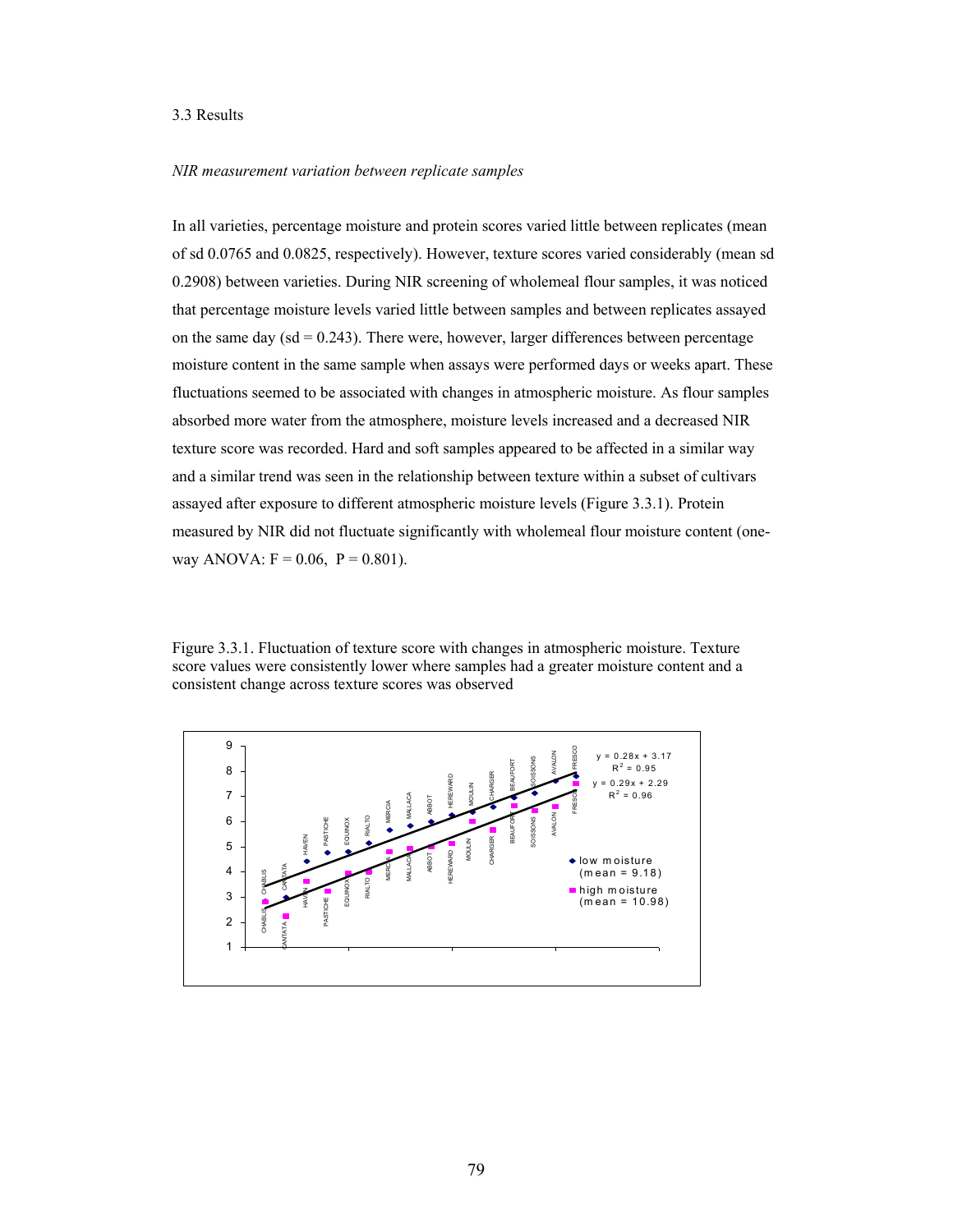## 3.3 Results

## *NIR measurement variation between replicate samples*

In all varieties, percentage moisture and protein scores varied little between replicates (mean of sd 0.0765 and 0.0825, respectively). However, texture scores varied considerably (mean sd 0.2908) between varieties. During NIR screening of wholemeal flour samples, it was noticed that percentage moisture levels varied little between samples and between replicates assayed on the same day  $(sd = 0.243)$ . There were, however, larger differences between percentage moisture content in the same sample when assays were performed days or weeks apart. These fluctuations seemed to be associated with changes in atmospheric moisture. As flour samples absorbed more water from the atmosphere, moisture levels increased and a decreased NIR texture score was recorded. Hard and soft samples appeared to be affected in a similar way and a similar trend was seen in the relationship between texture within a subset of cultivars assayed after exposure to different atmospheric moisture levels (Figure 3.3.1). Protein measured by NIR did not fluctuate significantly with wholemeal flour moisture content (oneway ANOVA:  $F = 0.06$ ,  $P = 0.801$ ).

Figure 3.3.1. Fluctuation of texture score with changes in atmospheric moisture. Texture score values were consistently lower where samples had a greater moisture content and a consistent change across texture scores was observed

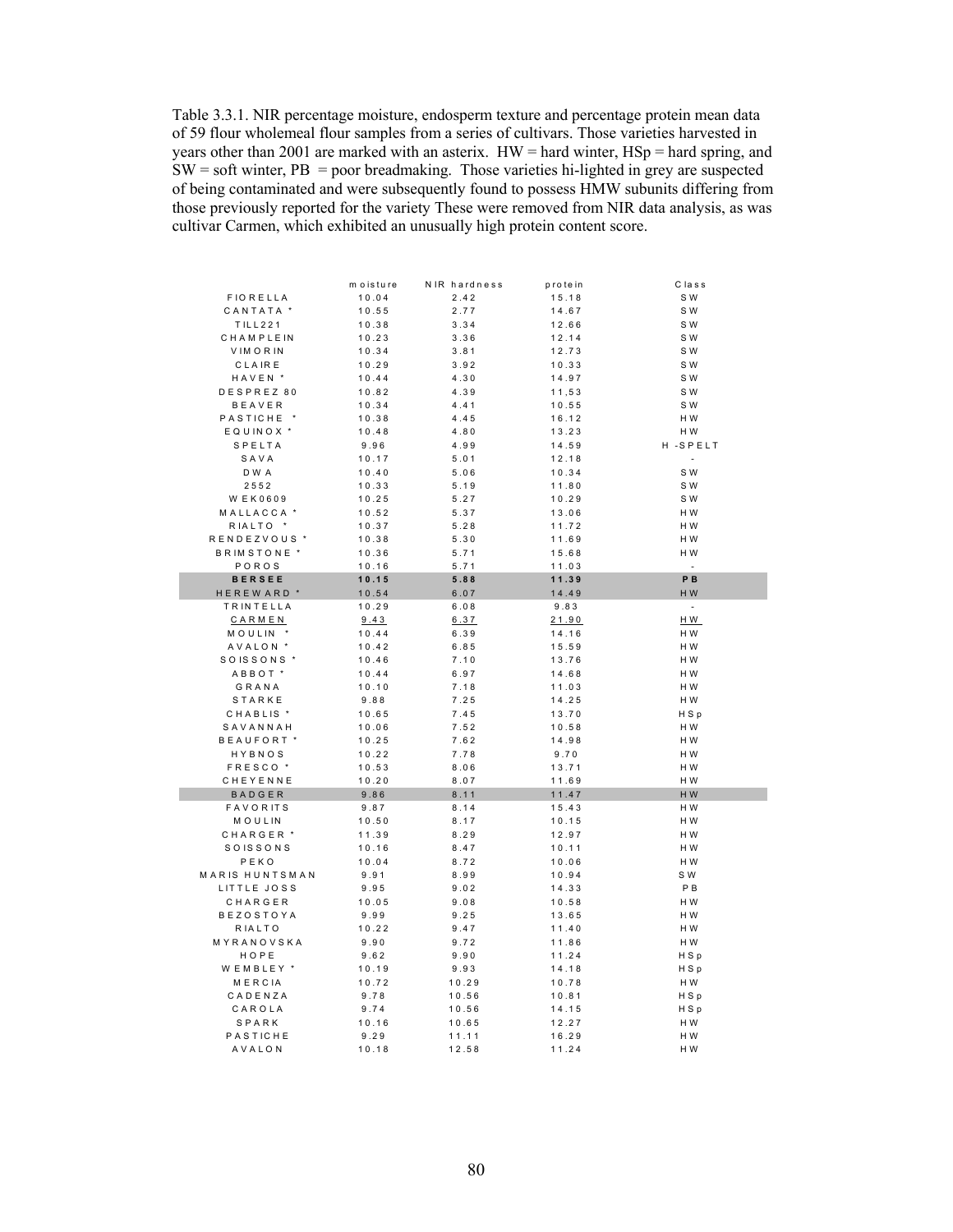Table 3.3.1. NIR percentage moisture, endosperm texture and percentage protein mean data of 59 flour wholemeal flour samples from a series of cultivars. Those varieties harvested in years other than 2001 are marked with an asterix. HW = hard winter, HSp = hard spring, and  $SW = soft$  winter,  $PB = poor$  breadmaking. Those varieties hi-lighted in grey are suspected of being contaminated and were subsequently found to possess HMW subunits differing from those previously reported for the variety These were removed from NIR data analysis, as was cultivar Carmen, which exhibited an unusually high protein content score.

|                        | moisture | NIR hardness | protein | Class   |
|------------------------|----------|--------------|---------|---------|
| <b>FIORELLA</b>        | 10.04    | 2.42         | 15.18   | S W     |
| CANTATA <sup>*</sup>   | 10.55    | 2.77         | 14.67   | S W     |
| TILL221                | 10.38    | 3.34         | 12.66   | S W     |
| CHAMPLEIN              | 10.23    | 3.36         | 12.14   | S W     |
| <b>VIMORIN</b>         | 10.34    | 3.81         | 12.73   | S W     |
| CLAIRE                 | 10.29    | 3.92         | 10.33   | S W     |
| HAVEN <sup>*</sup>     | 10.44    | 4.30         | 14.97   | S W     |
| DESPREZ 80             | 10.82    | 4.39         | 11,53   | S W     |
| <b>BEAVER</b>          | 10.34    | 4.41         | 10.55   | S W     |
| PASTICHE <sup>*</sup>  | 10.38    | 4.45         | 16.12   | H W     |
| EQUINOX <sup>*</sup>   | 10.48    | 4.80         | 13.23   | H W     |
| SPELTA                 | 9.96     | 4.99         | 14.59   | H-SPELT |
| SAVA                   | 10.17    | 5.01         | 12.18   | $\sim$  |
| DWA                    | 10.40    | 5.06         | 10.34   | S W     |
| 2552                   | 10.33    | 5.19         | 11.80   | S W     |
| <b>WEK0609</b>         | 10.25    | 5.27         | 10.29   | S W     |
| MALLACCA <sup>*</sup>  | 10.52    | 5.37         | 13.06   | HW      |
| RIALTO *               | 10.37    | 5.28         | 11.72   | H W     |
| RENDEZVOUS *           | 10.38    | 5.30         | 11.69   | HW      |
| BRIMSTONE <sup>*</sup> | 10.36    | 5.71         | 15.68   | H W     |
| POROS                  | 10.16    | 5.71         | 11.03   | L.      |
| <b>BERSEE</b>          | 10.15    | 5.88         | 11.39   | PB      |
| HEREWARD <sup>*</sup>  | 10.54    | 6.07         | 14.49   | HW      |
| <b>TRINTELLA</b>       | 10.29    | 6.08         | 9.83    | $\sim$  |
| CARMEN                 | 9.43     | 6.37         | 21.90   | HW      |
| MOULIN <sup>*</sup>    | 10.44    | 6.39         | 14.16   | HW      |
| AVALON <sup>*</sup>    | 10.42    | 6.85         | 15.59   | H W     |
| SOISSONS <sup>*</sup>  | 10.46    | 7.10         | 13.76   | H W     |
| ABBOT <sup>*</sup>     | 10.44    | 6.97         | 14.68   | H W     |
| GRANA                  | 10.10    | 7.18         | 11.03   | H W     |
| STARKE                 | 9.88     | 7.25         | 14.25   | HW      |
| CHABLIS <sup>*</sup>   | 10.65    | 7.45         | 13.70   | HSp     |
| SAVANNAH               | 10.06    | 7.52         | 10.58   | HW      |
| BEAUFORT <sup>*</sup>  | 10.25    | 7.62         | 14.98   | H W     |
| HYBNOS                 | 10.22    | 7.78         | 9.70    | HW      |
| FRESCO <sup>*</sup>    | 10.53    | 8.06         | 13.71   | H W     |
| CHEYENNE               | 10.20    | 8.07         | 11.69   | H W     |
| BADGER                 | 9.86     | 8.11         | 11.47   | H W     |
| <b>FAVORITS</b>        | 9.87     | 8.14         | 15.43   | H W     |
| MOULIN                 | 10.50    | 8.17         | 10.15   | H W     |
| CHARGER <sup>*</sup>   | 11.39    | 8.29         | 12.97   | H W     |
| SOISSONS               | 10.16    | 8.47         | 10.11   | H W     |
| PEKO                   | 10.04    | 8.72         | 10.06   | H W     |
| <b>MARIS HUNTSMAN</b>  | 9.91     | 8.99         | 10.94   | S W     |
| LITTLE JOSS            | 9.95     | 9.02         | 14.33   | P B     |
| CHARGER                | 10.05    | 9.08         | 10.58   | HW      |
| <b>BEZOSTOYA</b>       | 9.99     | 9.25         | 13.65   | H W     |
| RIALTO                 | 10.22    | 9.47         | 11.40   | HW      |
| MYRANOVSKA             | 9.90     | 9.72         | 11.86   | HW      |
| HOPE                   | 9.62     | 9.90         | 11.24   | HSp     |
| WEMBLEY *              | 10.19    | 9.93         | 14.18   | HSp     |
| MERCIA                 | 10.72    | 10.29        | 10.78   | HW      |
| CADENZA                | 9.78     | 10.56        | 10.81   | HSp     |
| CAROLA                 | 9.74     | 10.56        | 14.15   | HSp     |
| SPARK                  | 10.16    | 10.65        | 12.27   | HW      |
| PASTICHE               | 9.29     | 11.11        | 16.29   | HW      |
| AVALON                 | 10.18    | 12.58        | 11.24   | H W     |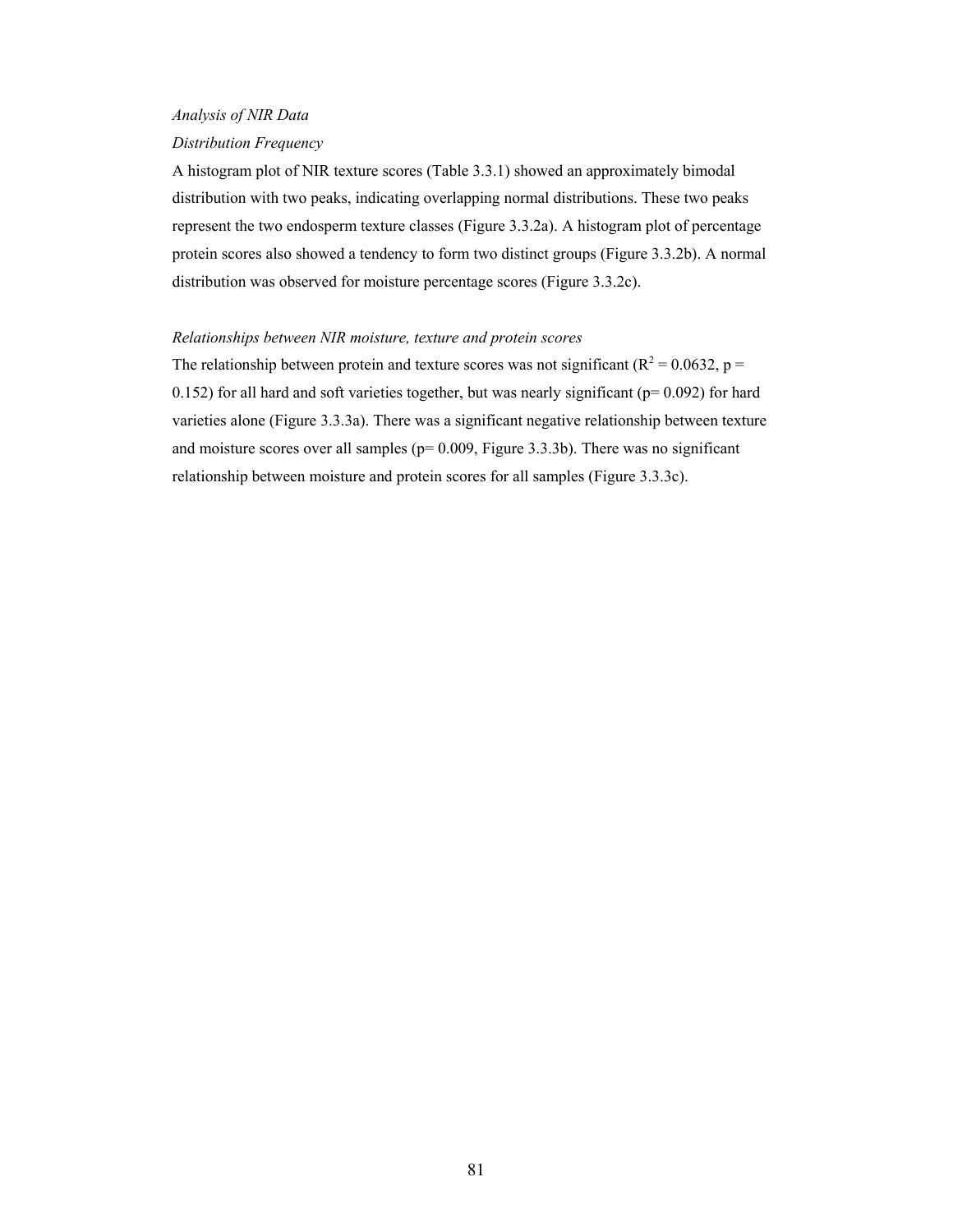# *Analysis of NIR Data*

#### *Distribution Frequency*

A histogram plot of NIR texture scores (Table 3.3.1) showed an approximately bimodal distribution with two peaks, indicating overlapping normal distributions. These two peaks represent the two endosperm texture classes (Figure 3.3.2a). A histogram plot of percentage protein scores also showed a tendency to form two distinct groups (Figure 3.3.2b). A normal distribution was observed for moisture percentage scores (Figure 3.3.2c).

## *Relationships between NIR moisture, texture and protein scores*

The relationship between protein and texture scores was not significant ( $R^2 = 0.0632$ , p = 0.152) for all hard and soft varieties together, but was nearly significant ( $p= 0.092$ ) for hard varieties alone (Figure 3.3.3a). There was a significant negative relationship between texture and moisture scores over all samples ( $p= 0.009$ , Figure 3.3.3b). There was no significant relationship between moisture and protein scores for all samples (Figure 3.3.3c).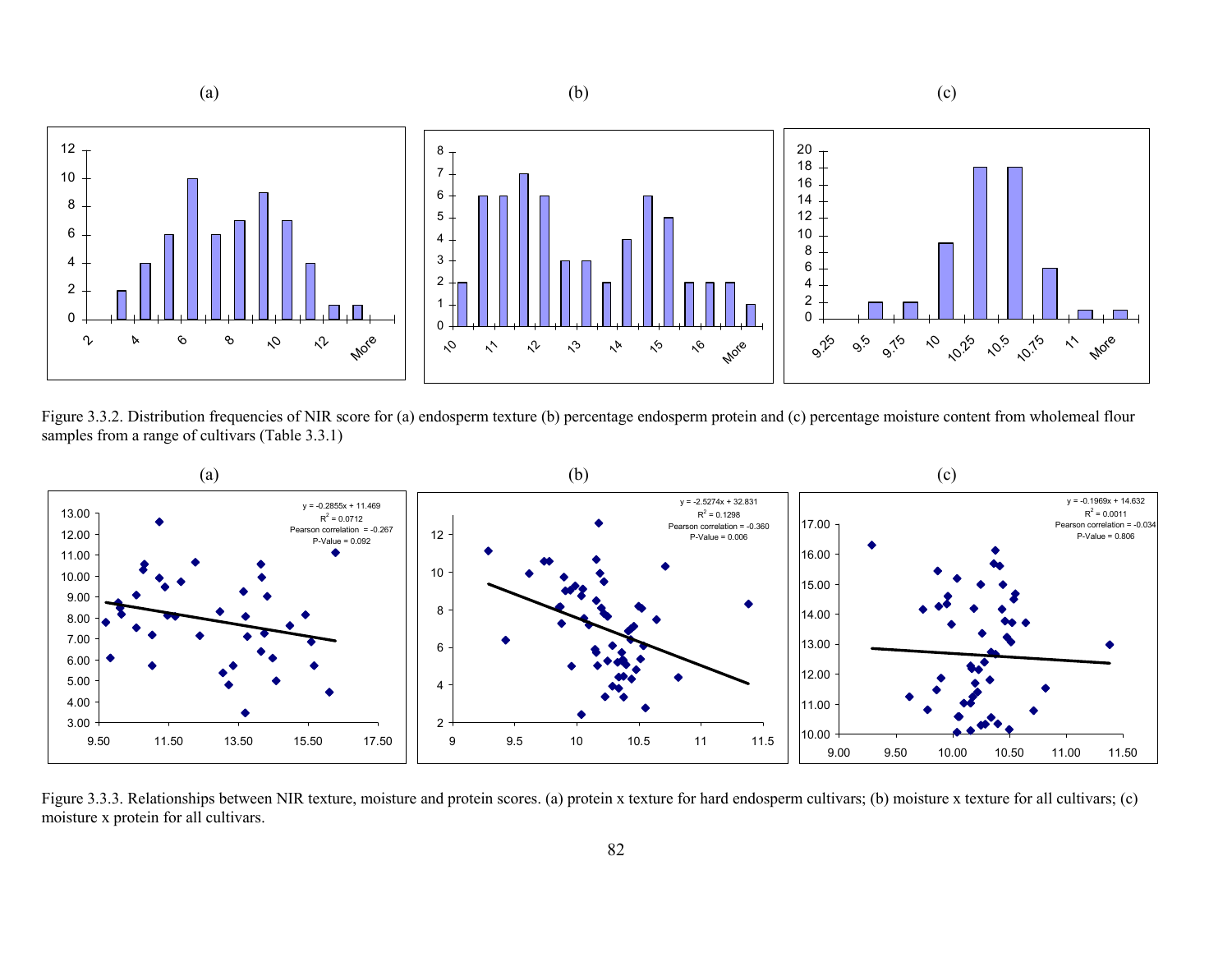

Figure 3.3.2. Distribution frequencies of NIR score for (a) endosperm texture (b) percentage endosperm protein and (c) percentage moisture content from wholemeal flour samples from a range of cultivars (Table 3.3.1)



Figure 3.3.3. Relationships between NIR texture, moisture and protein scores. (a) protein x texture for hard endosperm cultivars; (b) moisture x texture for all cultivars; (c) moisture x protein for all cultivars.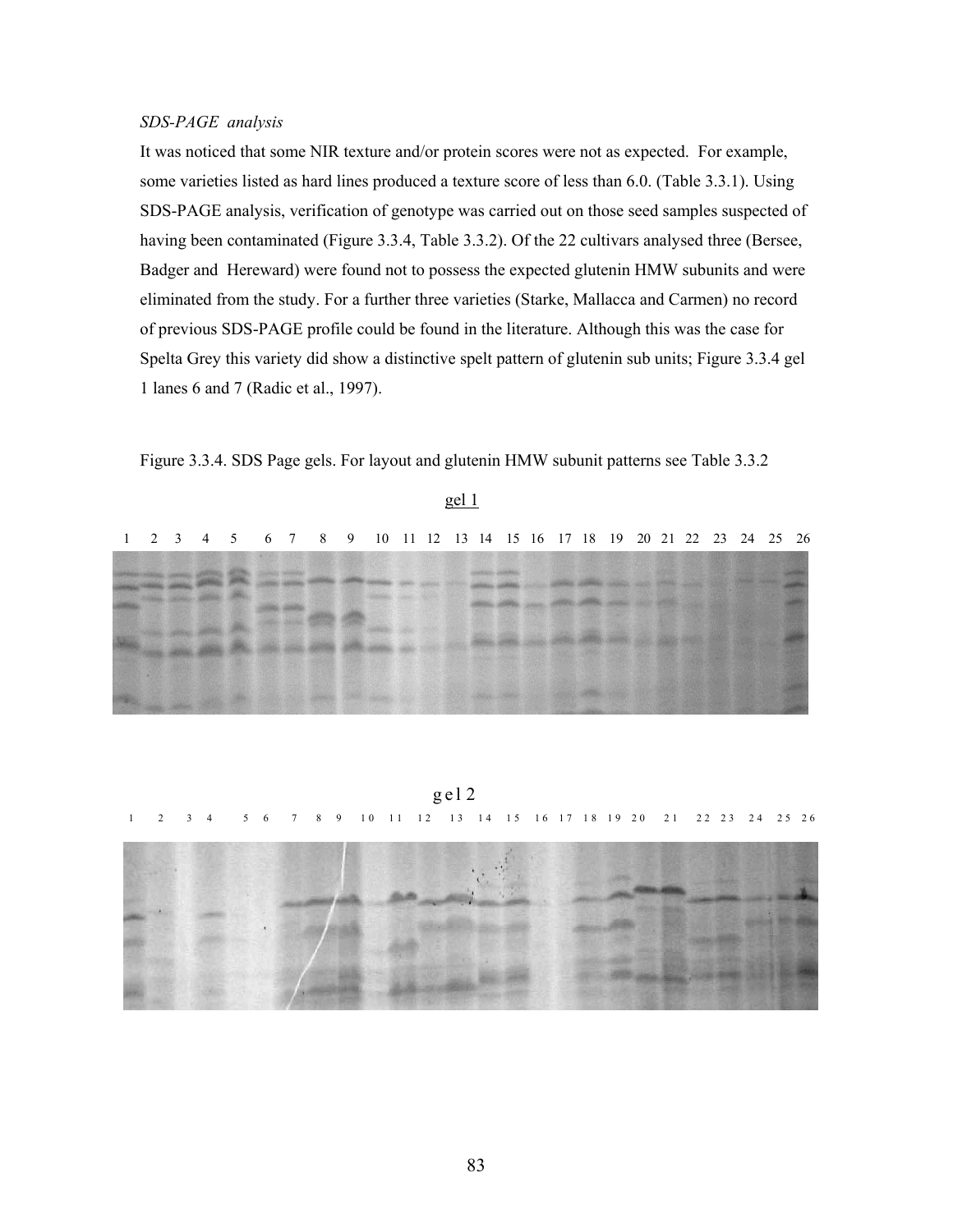# *SDS-PAGE analysis*

It was noticed that some NIR texture and/or protein scores were not as expected. For example, some varieties listed as hard lines produced a texture score of less than 6.0. (Table 3.3.1). Using SDS-PAGE analysis, verification of genotype was carried out on those seed samples suspected of having been contaminated (Figure 3.3.4, Table 3.3.2). Of the 22 cultivars analysed three (Bersee, Badger and Hereward) were found not to possess the expected glutenin HMW subunits and were eliminated from the study. For a further three varieties (Starke, Mallacca and Carmen) no record of previous SDS-PAGE profile could be found in the literature. Although this was the case for Spelta Grey this variety did show a distinctive spelt pattern of glutenin sub units; Figure 3.3.4 gel 1 lanes 6 and 7 (Radic et al., 1997).

Figure 3.3.4. SDS Page gels. For layout and glutenin HMW subunit patterns see Table 3.3.2

|  |  |  | 1 2 3 4 5 6 7 8 9 10 11 12 13 14 15 16 17 18 19 20 21 22 23 24 25 26 |  |  |  |  |  |  |  |  |  |
|--|--|--|----------------------------------------------------------------------|--|--|--|--|--|--|--|--|--|
|  |  |  |                                                                      |  |  |  |  |  |  |  |  |  |

gel 1

g el 2 1 2 3 4 5 6 7 8 9 10 11 12 13 14 15 16 17 18 19 20 21 22 23 24 25 26

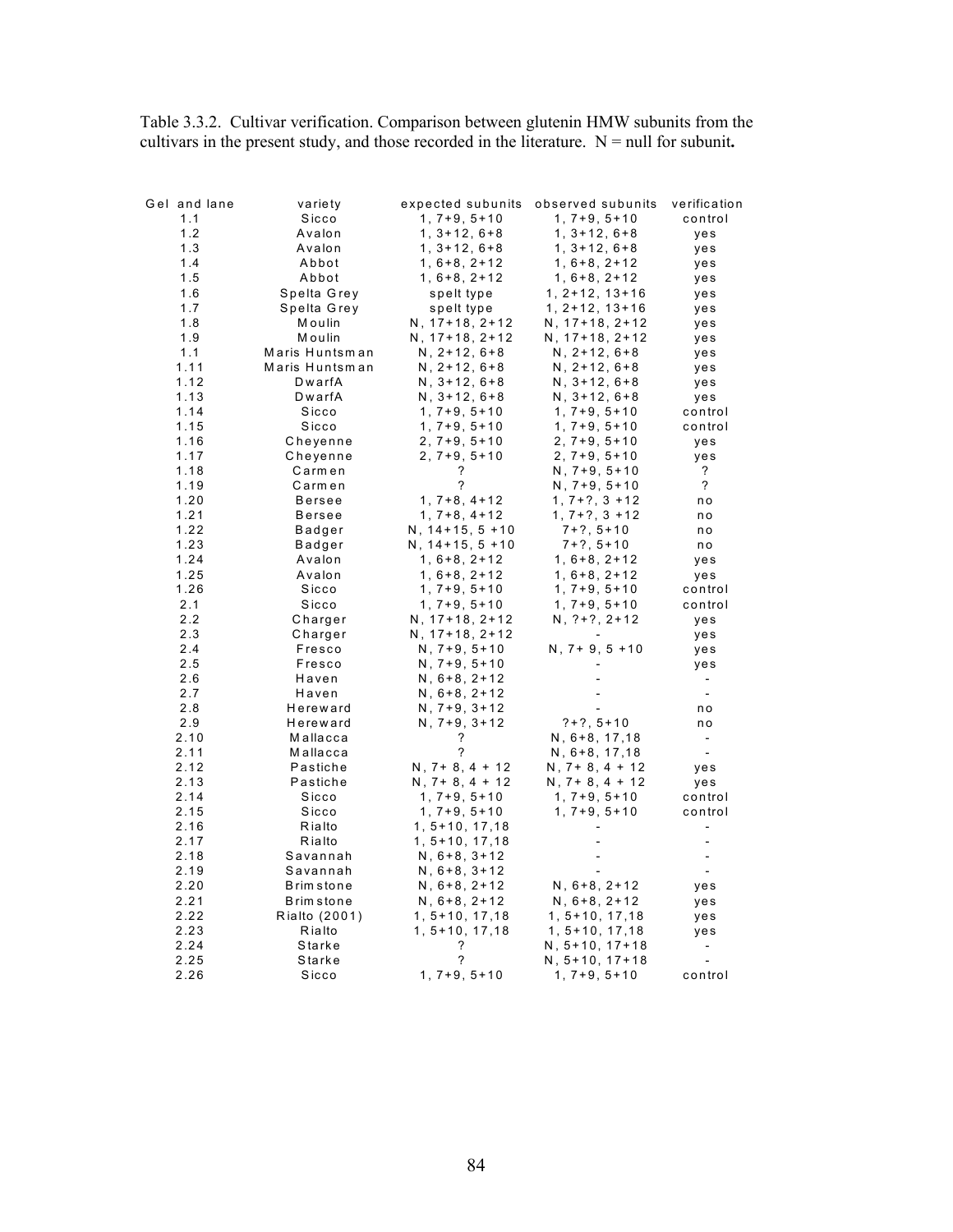Table 3.3.2. Cultivar verification. Comparison between glutenin HMW subunits from the cultivars in the present study, and those recorded in the literature.  $N = null$  for subunit.

| Gel and lane | variety          | expected subunits   | observed subunits   | verification             |
|--------------|------------------|---------------------|---------------------|--------------------------|
| 1.1          | Sicco            | $1, 7+9, 5+10$      | $1, 7+9, 5+10$      | control                  |
| 1.2          | Avalon           | $1, 3+12, 6+8$      | $1, 3 + 12, 6 + 8$  | yes                      |
| 1.3          | Avalon           | $1, 3+12, 6+8$      | $1, 3 + 12, 6 + 8$  | yes                      |
| 1.4          | Abbot            | $1, 6+8, 2+12$      | $1, 6+8, 2+12$      | yes                      |
| 1.5          | Abbot            | $1, 6+8, 2+12$      | $1, 6+8, 2+12$      | yes                      |
| 1.6          | Spelta Grey      | spelt type          | $1, 2+12, 13+16$    | yes                      |
| 1.7          | Spelta Grey      | spelt type          | $1, 2+12, 13+16$    | yes                      |
| 1.8          | Moulin           | $N, 17+18, 2+12$    | $N, 17+18, 2+12$    | yes                      |
| 1.9          | Moulin           | $N, 17+18, 2+12$    | $N, 17+18, 2+12$    | yes                      |
| 1.1          | Maris Huntsman   | $N, 2+12, 6+8$      | $N, 2+12, 6+8$      | yes                      |
| 1.11         | Maris Huntsman   | $N, 2+12, 6+8$      | $N, 2+12, 6+8$      | yes                      |
| 1.12         | DwarfA           | $N, 3+12, 6+8$      | $N, 3+12, 6+8$      | yes                      |
| 1.13         | DwarfA           | $N, 3+12, 6+8$      | $N, 3+12, 6+8$      | yes                      |
| 1.14         | Sicco            | $1, 7+9, 5+10$      | $1, 7+9, 5+10$      | control                  |
| 1.15         | Sicco            | $1, 7+9, 5+10$      | $1, 7+9, 5+10$      | control                  |
| 1.16         | Cheyenne         | $2, 7+9, 5+10$      | $2, 7+9, 5+10$      | yes                      |
| 1.17         | Cheyenne         | $2, 7+9, 5+10$      | $2, 7+9, 5+10$      | yes                      |
| 1.18         | Carmen           | ?                   | $N, 7+9, 5+10$      | ?                        |
| 1.19         | Carmen           | ?                   | $N, 7+9, 5+10$      | ?                        |
| 1.20         | Bersee           | $1, 7+8, 4+12$      | $1, 7+?$ , $3 + 12$ | n o                      |
| 1.21         | <b>Bersee</b>    | $1, 7+8, 4+12$      | $1, 7+?$ , $3 + 12$ | n o                      |
| 1.22         | Badger           | $N, 14+15, 5+10$    | $7+?$ , $5+10$      | n o                      |
| 1.23         | Badger           | $N, 14+15, 5+10$    | $7+?$ , $5+10$      | n o                      |
| 1.24         | Avalon           | $1, 6+8, 2+12$      | $1, 6+8, 2+12$      | yes                      |
| 1.25         | Avalon           | $1, 6+8, 2+12$      | $1, 6+8, 2+12$      | yes                      |
| 1.26         | Sicco            | $1, 7+9, 5+10$      | $1, 7+9, 5+10$      | control                  |
| 2.1          | Sicco            | $1, 7+9, 5+10$      | $1, 7+9, 5+10$      | control                  |
| 2.2          | Charger          | $N, 17+18, 2+12$    | $N, ?+?, 2+12$      | yes                      |
| 2.3          | Charger          | $N, 17+18, 2+12$    |                     | yes                      |
| 2.4          | Fresco           | $N, 7+9, 5+10$      | $N, 7+9, 5+10$      | yes                      |
| 2.5          | Fresco           | $N, 7+9, 5+10$      |                     | yes                      |
| 2.6          | Haven            | $N, 6+8, 2+12$      |                     | $\overline{\phantom{a}}$ |
| 2.7          | Haven            | $N, 6+8, 2+12$      |                     | $\overline{\phantom{a}}$ |
| 2.8          | Hereward         | $N, 7+9, 3+12$      |                     | n o                      |
| 2.9          | Hereward         | $N, 7+9, 3+12$      | $?+?, 5+10$         | n o                      |
| 2.10         | Mallacca         | ?                   | $N, 6+8, 17, 18$    | $\overline{\phantom{a}}$ |
| 2.11         | Mallacca         | ?                   | $N, 6+8, 17, 18$    | $\overline{\phantom{a}}$ |
| 2.12         | Pastiche         | $N, 7+8, 4+12$      | $N, 7+8, 4+12$      | yes                      |
| 2.13         | Pastiche         | $N, 7+8, 4+12$      | $N, 7+8, 4+12$      | yes                      |
| 2.14         | Sicco            | $1, 7+9, 5+10$      | $1, 7+9, 5+10$      | control                  |
| 2.15         | Sicco            | $1, 7+9, 5+10$      | $1, 7+9, 5+10$      | control                  |
| 2.16         | Rialto           | $1, 5+10, 17, 18$   |                     | $\overline{\phantom{a}}$ |
| 2.17         | Rialto           | $1, 5 + 10, 17, 18$ |                     |                          |
| 2.18         | Savannah         | $N, 6+8, 3+12$      |                     |                          |
| 2.19         | Savannah         | $N, 6+8, 3+12$      |                     |                          |
| 2.20         | <b>Brimstone</b> | $N, 6+8, 2+12$      | $N, 6+8, 2+12$      | yes                      |
| 2.21         | <b>Brimstone</b> | $N, 6+8, 2+12$      | $N, 6+8, 2+12$      | yes                      |
| 2.22         | Rialto (2001)    | $1, 5 + 10, 17, 18$ | $1, 5 + 10, 17, 18$ | yes                      |
| 2.23         | Rialto           | 1, 5+10, 17,18      | $1, 5 + 10, 17, 18$ | yes                      |
| 2.24         | Starke           | ?                   | $N, 5+10, 17+18$    |                          |
| 2.25         | Starke           | ?                   | N, 5+10, 17+18      |                          |
| 2.26         | Sicco            | $1, 7+9, 5+10$      | $1, 7+9, 5+10$      | control                  |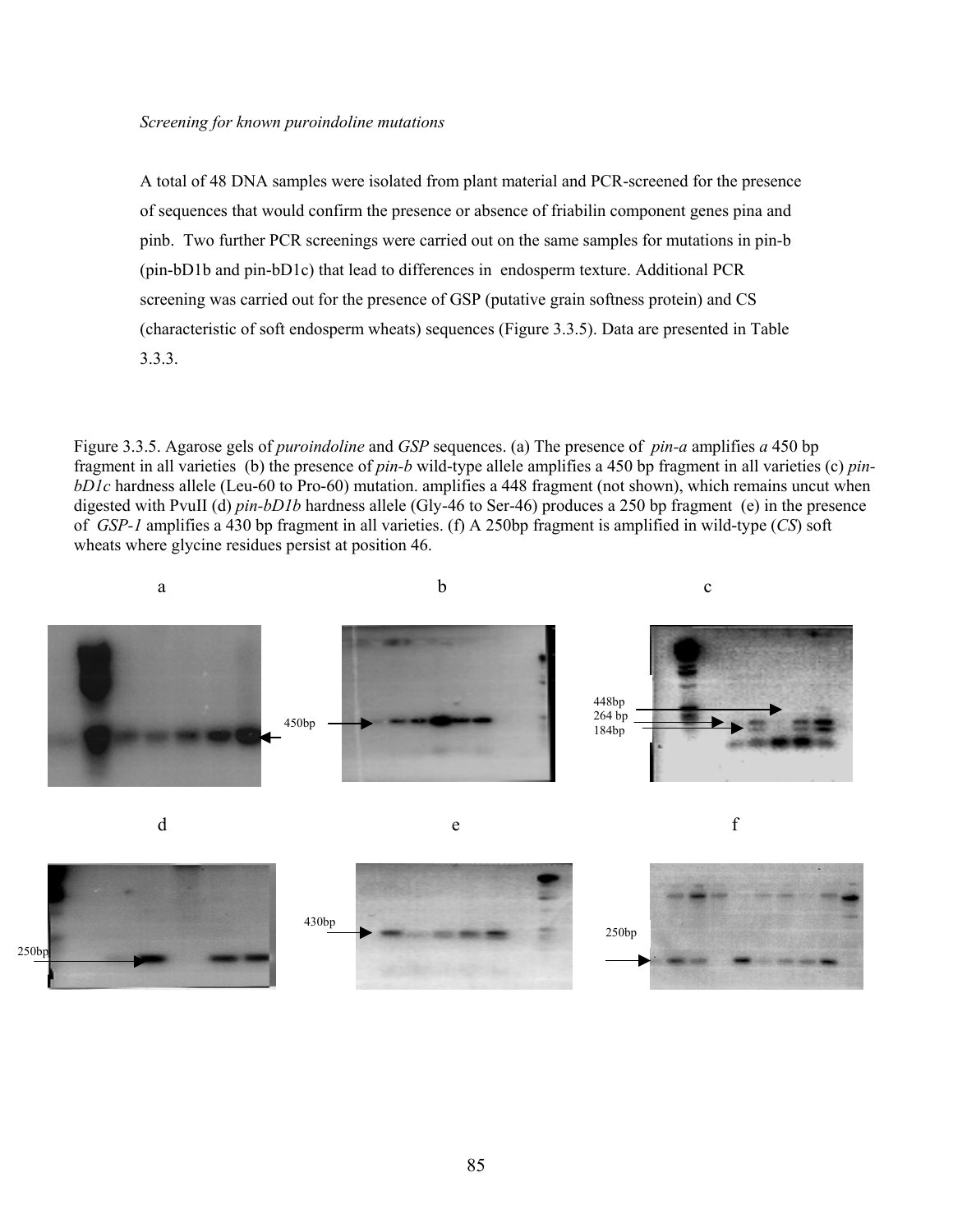## *Screening for known puroindoline mutations*

A total of 48 DNA samples were isolated from plant material and PCR-screened for the presence of sequences that would confirm the presence or absence of friabilin component genes pina and pinb. Two further PCR screenings were carried out on the same samples for mutations in pin-b (pin-bD1b and pin-bD1c) that lead to differences in endosperm texture. Additional PCR screening was carried out for the presence of GSP (putative grain softness protein) and CS (characteristic of soft endosperm wheats) sequences (Figure 3.3.5). Data are presented in Table 3.3.3.

Figure 3.3.5. Agarose gels of *puroindoline* and *GSP* sequences. (a) The presence of *pin-a* amplifies *a* 450 bp fragment in all varieties (b) the presence of *pin-b* wild-type allele amplifies a 450 bp fragment in all varieties (c) *pinbD1c* hardness allele (Leu-60 to Pro-60) mutation. amplifies a 448 fragment (not shown), which remains uncut when digested with PvuII (d) *pin-bD1b* hardness allele (Gly-46 to Ser-46) produces a 250 bp fragment (e) in the presence of *GSP-1* amplifies a 430 bp fragment in all varieties. (f) A 250bp fragment is amplified in wild-type (*CS*) soft wheats where glycine residues persist at position 46.

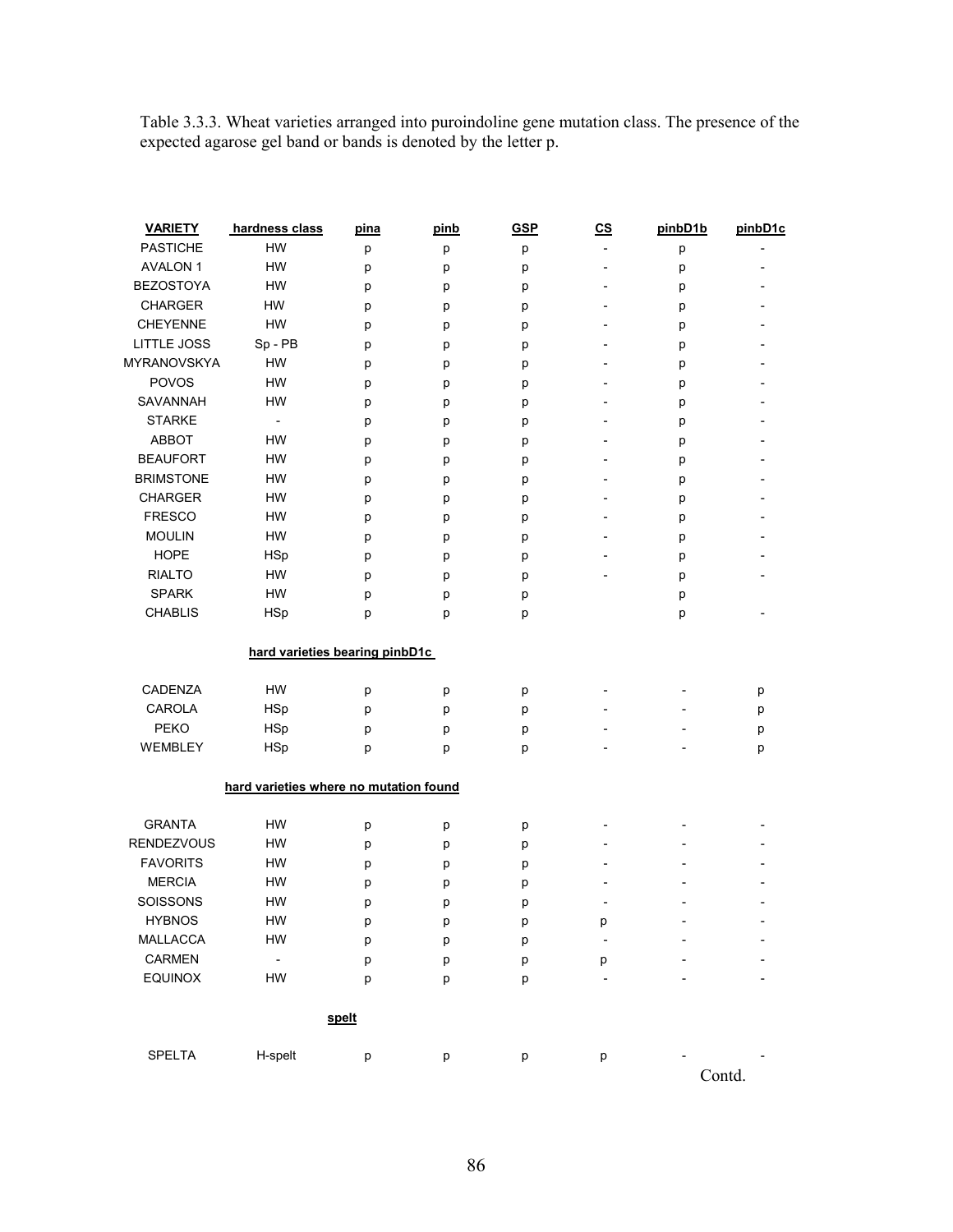Table 3.3.3. Wheat varieties arranged into puroindoline gene mutation class. The presence of the expected agarose gel band or bands is denoted by the letter p.

| <b>VARIETY</b>    | hardness class                         | pina  | pinb | <b>GSP</b> | c <sub>S</sub>           | pinbD1b | pinbD1c |
|-------------------|----------------------------------------|-------|------|------------|--------------------------|---------|---------|
| <b>PASTICHE</b>   | HW                                     | р     | р    | р          | $\overline{a}$           | р       |         |
| <b>AVALON 1</b>   | <b>HW</b>                              | р     | р    | р          | $\overline{a}$           | р       |         |
| <b>BEZOSTOYA</b>  | HW                                     | р     | р    | р          | $\overline{\phantom{a}}$ | р       |         |
| <b>CHARGER</b>    | HW                                     | p     | р    | р          | $\overline{\phantom{a}}$ | p       |         |
| <b>CHEYENNE</b>   | HW                                     | p     | р    | р          | $\overline{\phantom{a}}$ | p       |         |
| LITTLE JOSS       | Sp - PB                                | p     | р    | р          | $\overline{\phantom{a}}$ | p       |         |
| MYRANOVSKYA       | HW                                     | р     | р    | р          |                          | р       |         |
| POVOS             | HW                                     | p     | р    | р          | $\overline{a}$           | p       |         |
| SAVANNAH          | HW                                     | p     | р    | р          | $\overline{\phantom{0}}$ | p       |         |
| <b>STARKE</b>     | $\overline{\phantom{a}}$               | p     | p    | р          | $\overline{a}$           | p       |         |
| ABBOT             | HW                                     | p     | р    | р          |                          | р       |         |
| <b>BEAUFORT</b>   | HW                                     | р     | p    | р          | $\overline{a}$           | р       |         |
| <b>BRIMSTONE</b>  | HW                                     | p     | р    | р          | $\overline{\phantom{a}}$ | р       |         |
| <b>CHARGER</b>    | HW                                     | p     | р    | p          | $\overline{a}$           | p       |         |
| <b>FRESCO</b>     | HW                                     | р     | р    | р          |                          | p       |         |
| <b>MOULIN</b>     | HW                                     | р     | р    | р          |                          | p       |         |
| <b>HOPE</b>       | <b>HSp</b>                             | p     | р    | р          |                          | p       |         |
| <b>RIALTO</b>     | HW                                     | р     | р    | р          |                          | p       |         |
| <b>SPARK</b>      | HW                                     | р     | р    | р          |                          | р       |         |
| <b>CHABLIS</b>    | <b>HSp</b>                             | р     | p    | р          |                          | p       |         |
|                   |                                        |       |      |            |                          |         |         |
|                   | hard varieties bearing pinbD1c         |       |      |            |                          |         |         |
| CADENZA           | HW                                     | р     | р    | р          |                          |         | р       |
| CAROLA            | <b>HSp</b>                             | p     | p    | р          |                          |         | p       |
| PEKO              | <b>HSp</b>                             | p     | p    | р          |                          |         | p       |
| WEMBLEY           | <b>HSp</b>                             | p     | p    | р          |                          |         | p       |
|                   | hard varieties where no mutation found |       |      |            |                          |         |         |
|                   |                                        |       |      |            |                          |         |         |
| <b>GRANTA</b>     | HW                                     | р     | р    | p          |                          |         |         |
| <b>RENDEZVOUS</b> | HW                                     | р     | р    | р          |                          |         |         |
| <b>FAVORITS</b>   | HW                                     | р     | р    | р          |                          |         |         |
| <b>MERCIA</b>     | HW                                     | p     | р    | р          |                          |         |         |
| <b>SOISSONS</b>   | HW                                     | p     | р    | р          |                          |         |         |
| <b>HYBNOS</b>     | HW                                     | р     | р    | р          | р                        |         |         |
| MALLACCA          | HW                                     | р     | p    | р          |                          |         |         |
| CARMEN            | $\overline{\phantom{a}}$               | р     | p    | р          | р                        |         |         |
| <b>EQUINOX</b>    | HW                                     | p     | p    | p          | $\overline{a}$           |         |         |
|                   |                                        | spelt |      |            |                          |         |         |
|                   |                                        |       |      |            |                          |         |         |
| <b>SPELTA</b>     | H-spelt                                | p     | p    | p          | p                        |         |         |
|                   |                                        |       |      |            |                          |         | Contd.  |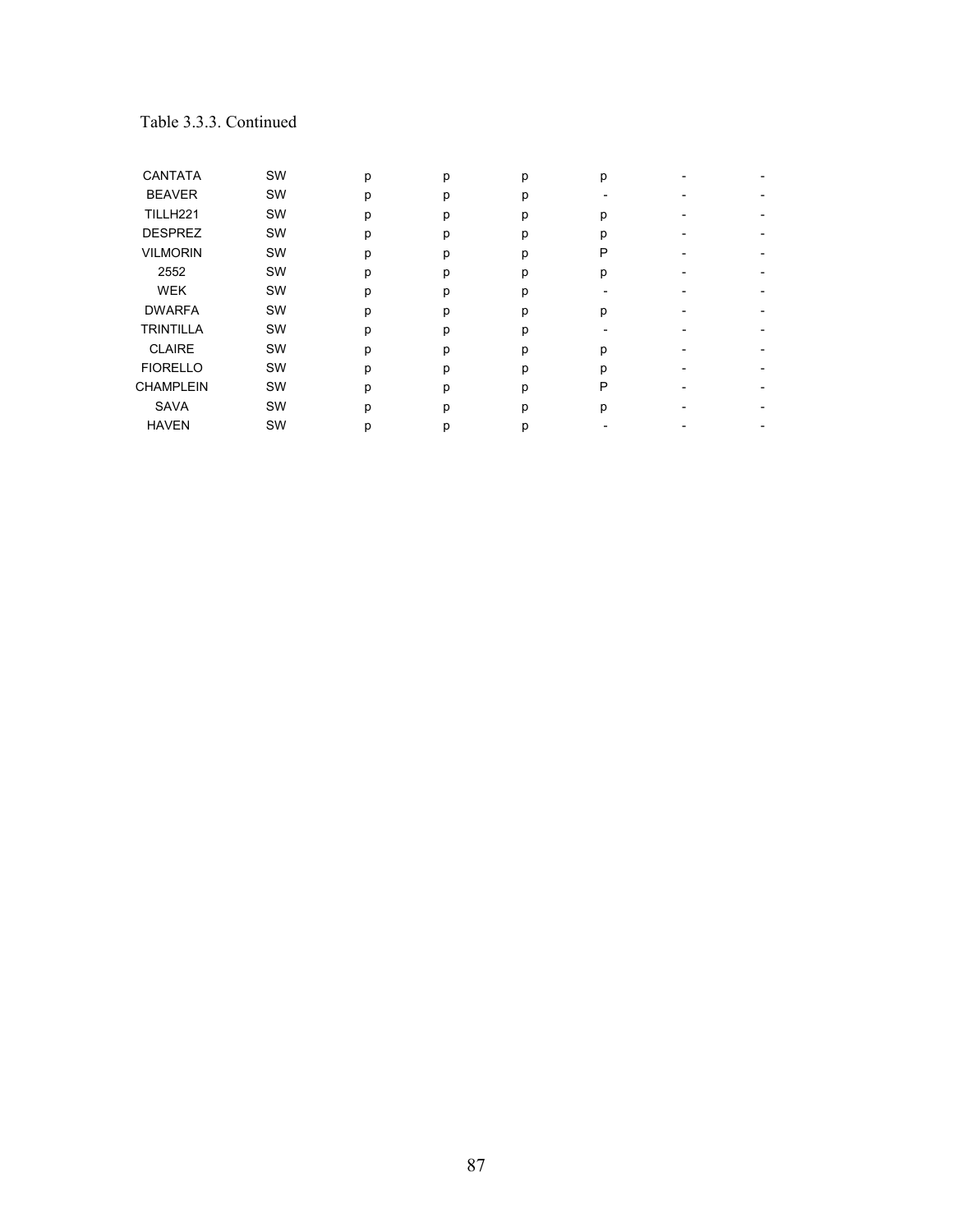# Table 3.3.3. Continued

| <b>CANTATA</b>   | SW        | p | p | р | р |  |
|------------------|-----------|---|---|---|---|--|
| <b>BEAVER</b>    | SW        | p | р | р |   |  |
| TILLH221         | SW        | p | р | р | р |  |
| <b>DESPREZ</b>   | SW        | p | n | р | n |  |
| <b>VILMORIN</b>  | SW        | p | р | р | Ρ |  |
| 2552             | SW        | p | р | р | р |  |
| <b>WEK</b>       | SW        | p | D | р |   |  |
| <b>DWARFA</b>    | <b>SW</b> | p | р | р | р |  |
| <b>TRINTILLA</b> | SW        | p | р | р |   |  |
| <b>CLAIRE</b>    | SW        | p | D | р | р |  |
| <b>FIORELLO</b>  | SW        | p | D | р | D |  |
| <b>CHAMPLEIN</b> | SW        | р | р | р | P |  |
| <b>SAVA</b>      | SW        | р | n | p | р |  |
| <b>HAVEN</b>     | <b>SW</b> | p | р | р |   |  |
|                  |           |   |   |   |   |  |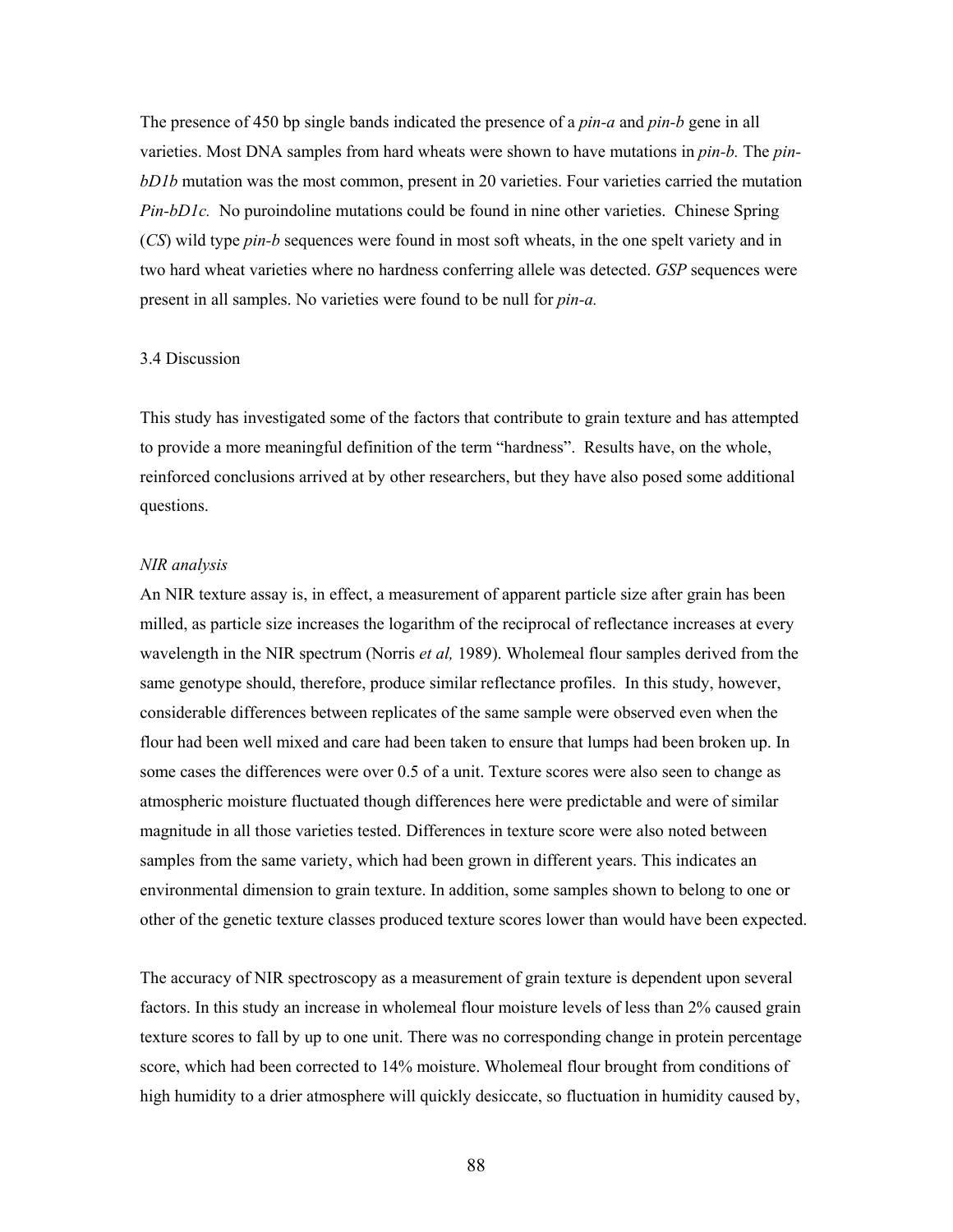The presence of 450 bp single bands indicated the presence of a *pin-a* and *pin-b* gene in all varieties. Most DNA samples from hard wheats were shown to have mutations in *pin-b.* The *pinbD1b* mutation was the most common, present in 20 varieties. Four varieties carried the mutation *Pin-bD1c.* No puroindoline mutations could be found in nine other varieties. Chinese Spring (*CS*) wild type *pin-b* sequences were found in most soft wheats, in the one spelt variety and in two hard wheat varieties where no hardness conferring allele was detected. *GSP* sequences were present in all samples. No varieties were found to be null for *pin-a.*

# 3.4 Discussion

This study has investigated some of the factors that contribute to grain texture and has attempted to provide a more meaningful definition of the term "hardness". Results have, on the whole, reinforced conclusions arrived at by other researchers, but they have also posed some additional questions.

# *NIR analysis*

An NIR texture assay is, in effect, a measurement of apparent particle size after grain has been milled, as particle size increases the logarithm of the reciprocal of reflectance increases at every wavelength in the NIR spectrum (Norris *et al,* 1989). Wholemeal flour samples derived from the same genotype should, therefore, produce similar reflectance profiles. In this study, however, considerable differences between replicates of the same sample were observed even when the flour had been well mixed and care had been taken to ensure that lumps had been broken up. In some cases the differences were over 0.5 of a unit. Texture scores were also seen to change as atmospheric moisture fluctuated though differences here were predictable and were of similar magnitude in all those varieties tested. Differences in texture score were also noted between samples from the same variety, which had been grown in different years. This indicates an environmental dimension to grain texture. In addition, some samples shown to belong to one or other of the genetic texture classes produced texture scores lower than would have been expected.

The accuracy of NIR spectroscopy as a measurement of grain texture is dependent upon several factors. In this study an increase in wholemeal flour moisture levels of less than 2% caused grain texture scores to fall by up to one unit. There was no corresponding change in protein percentage score, which had been corrected to 14% moisture. Wholemeal flour brought from conditions of high humidity to a drier atmosphere will quickly desiccate, so fluctuation in humidity caused by,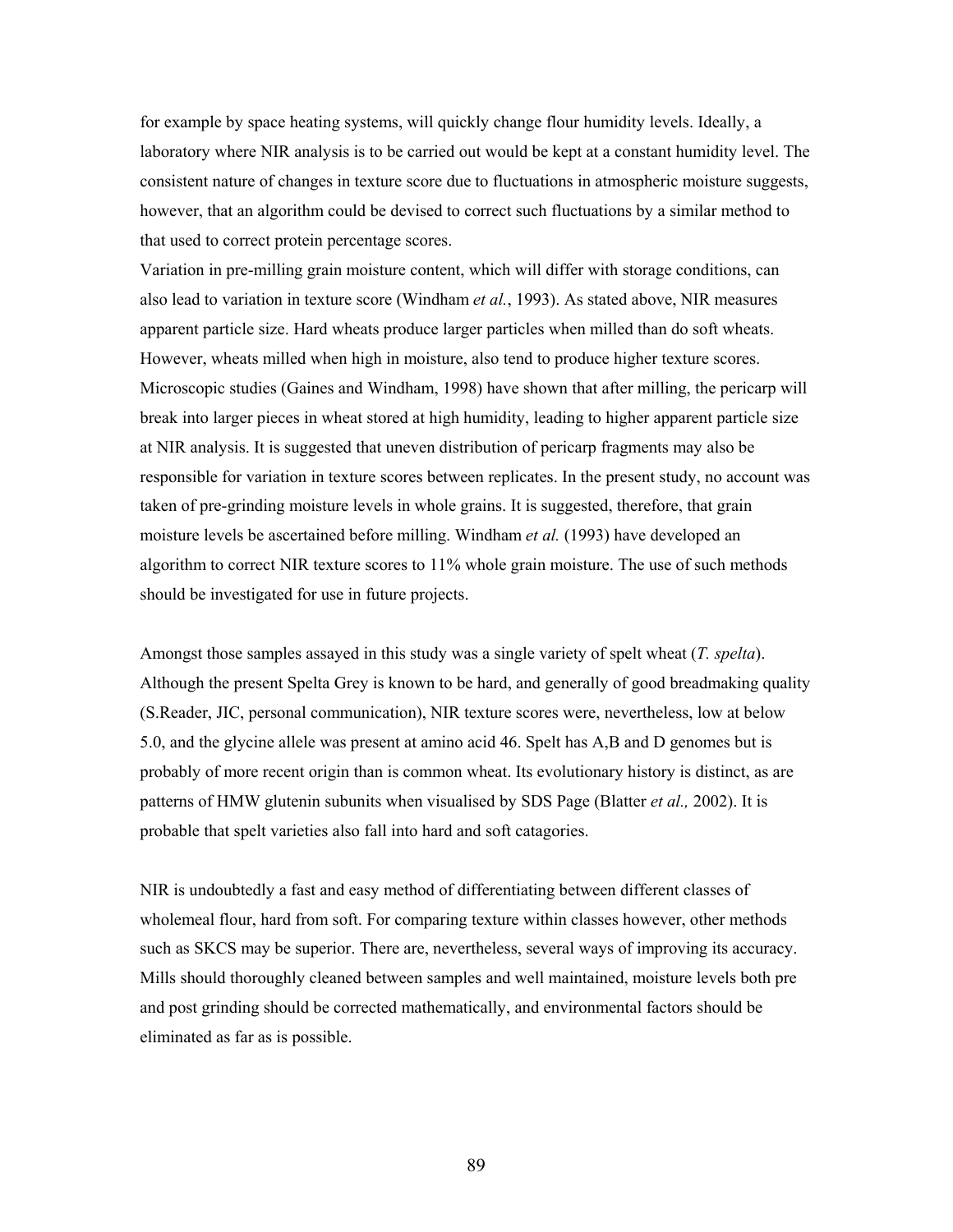for example by space heating systems, will quickly change flour humidity levels. Ideally, a laboratory where NIR analysis is to be carried out would be kept at a constant humidity level. The consistent nature of changes in texture score due to fluctuations in atmospheric moisture suggests, however, that an algorithm could be devised to correct such fluctuations by a similar method to that used to correct protein percentage scores.

Variation in pre-milling grain moisture content, which will differ with storage conditions, can also lead to variation in texture score (Windham *et al.*, 1993). As stated above, NIR measures apparent particle size. Hard wheats produce larger particles when milled than do soft wheats. However, wheats milled when high in moisture, also tend to produce higher texture scores. Microscopic studies (Gaines and Windham, 1998) have shown that after milling, the pericarp will break into larger pieces in wheat stored at high humidity, leading to higher apparent particle size at NIR analysis. It is suggested that uneven distribution of pericarp fragments may also be responsible for variation in texture scores between replicates. In the present study, no account was taken of pre-grinding moisture levels in whole grains. It is suggested, therefore, that grain moisture levels be ascertained before milling. Windham *et al.* (1993) have developed an algorithm to correct NIR texture scores to 11% whole grain moisture. The use of such methods should be investigated for use in future projects.

Amongst those samples assayed in this study was a single variety of spelt wheat (*T. spelta*). Although the present Spelta Grey is known to be hard, and generally of good breadmaking quality (S.Reader, JIC, personal communication), NIR texture scores were, nevertheless, low at below 5.0, and the glycine allele was present at amino acid 46. Spelt has A,B and D genomes but is probably of more recent origin than is common wheat. Its evolutionary history is distinct, as are patterns of HMW glutenin subunits when visualised by SDS Page (Blatter *et al.,* 2002). It is probable that spelt varieties also fall into hard and soft catagories.

NIR is undoubtedly a fast and easy method of differentiating between different classes of wholemeal flour, hard from soft. For comparing texture within classes however, other methods such as SKCS may be superior. There are, nevertheless, several ways of improving its accuracy. Mills should thoroughly cleaned between samples and well maintained, moisture levels both pre and post grinding should be corrected mathematically, and environmental factors should be eliminated as far as is possible.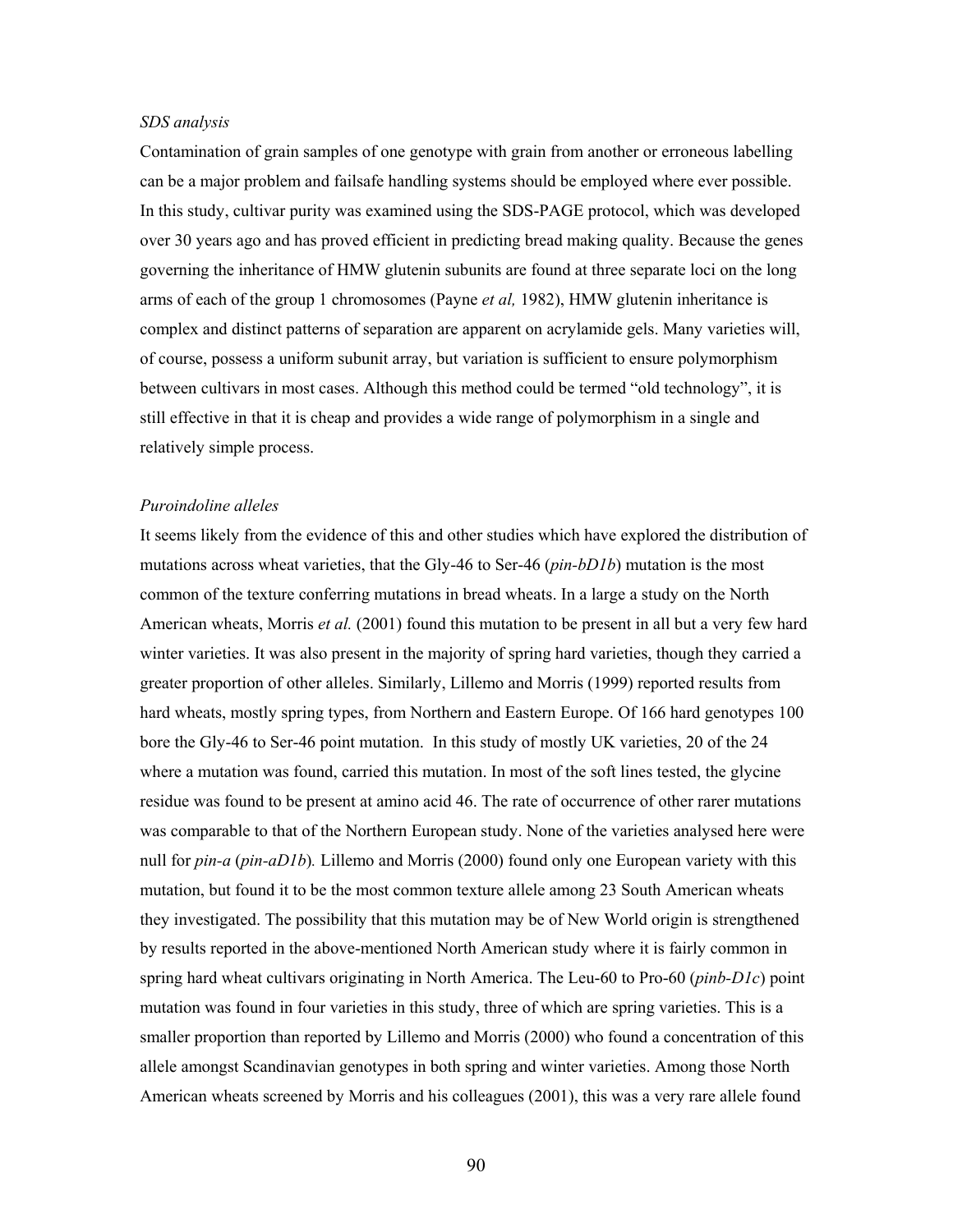## *SDS analysis*

Contamination of grain samples of one genotype with grain from another or erroneous labelling can be a major problem and failsafe handling systems should be employed where ever possible. In this study, cultivar purity was examined using the SDS-PAGE protocol, which was developed over 30 years ago and has proved efficient in predicting bread making quality. Because the genes governing the inheritance of HMW glutenin subunits are found at three separate loci on the long arms of each of the group 1 chromosomes (Payne *et al,* 1982), HMW glutenin inheritance is complex and distinct patterns of separation are apparent on acrylamide gels. Many varieties will, of course, possess a uniform subunit array, but variation is sufficient to ensure polymorphism between cultivars in most cases. Although this method could be termed "old technology", it is still effective in that it is cheap and provides a wide range of polymorphism in a single and relatively simple process.

# *Puroindoline alleles*

It seems likely from the evidence of this and other studies which have explored the distribution of mutations across wheat varieties, that the Gly-46 to Ser-46 (*pin-bD1b*) mutation is the most common of the texture conferring mutations in bread wheats. In a large a study on the North American wheats, Morris *et al.* (2001) found this mutation to be present in all but a very few hard winter varieties. It was also present in the majority of spring hard varieties, though they carried a greater proportion of other alleles. Similarly, Lillemo and Morris (1999) reported results from hard wheats, mostly spring types, from Northern and Eastern Europe. Of 166 hard genotypes 100 bore the Gly-46 to Ser-46 point mutation. In this study of mostly UK varieties, 20 of the 24 where a mutation was found, carried this mutation. In most of the soft lines tested, the glycine residue was found to be present at amino acid 46. The rate of occurrence of other rarer mutations was comparable to that of the Northern European study. None of the varieties analysed here were null for *pin-a* (*pin-aD1b*)*.* Lillemo and Morris (2000) found only one European variety with this mutation, but found it to be the most common texture allele among 23 South American wheats they investigated. The possibility that this mutation may be of New World origin is strengthened by results reported in the above-mentioned North American study where it is fairly common in spring hard wheat cultivars originating in North America. The Leu-60 to Pro-60 (*pinb-D1c*) point mutation was found in four varieties in this study, three of which are spring varieties. This is a smaller proportion than reported by Lillemo and Morris (2000) who found a concentration of this allele amongst Scandinavian genotypes in both spring and winter varieties. Among those North American wheats screened by Morris and his colleagues (2001), this was a very rare allele found

90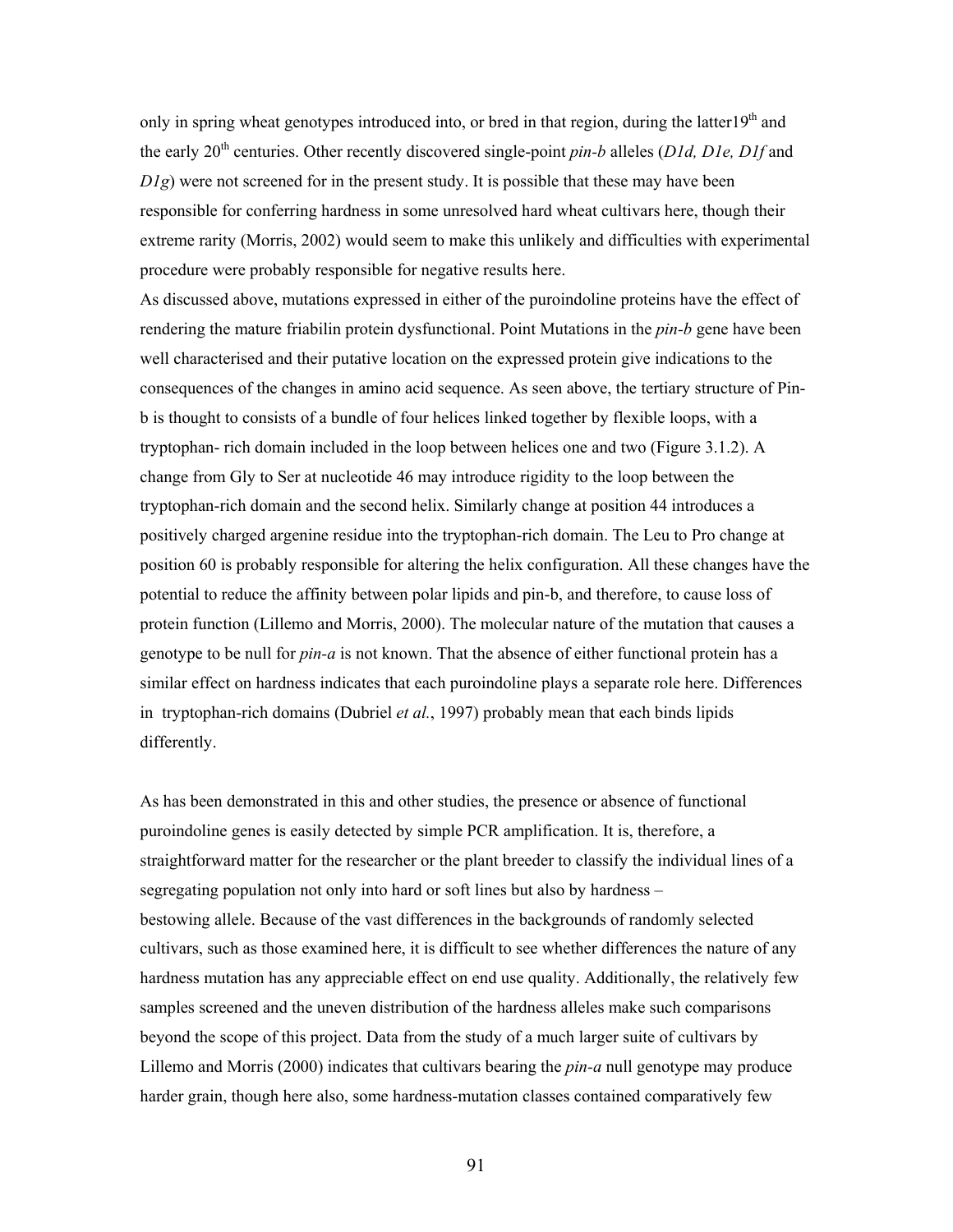only in spring wheat genotypes introduced into, or bred in that region, during the latter19<sup>th</sup> and the early 20th centuries. Other recently discovered single-point *pin-b* alleles (*D1d, D1e, D1f* and *D1g*) were not screened for in the present study. It is possible that these may have been responsible for conferring hardness in some unresolved hard wheat cultivars here, though their extreme rarity (Morris, 2002) would seem to make this unlikely and difficulties with experimental procedure were probably responsible for negative results here.

As discussed above, mutations expressed in either of the puroindoline proteins have the effect of rendering the mature friabilin protein dysfunctional. Point Mutations in the *pin-b* gene have been well characterised and their putative location on the expressed protein give indications to the consequences of the changes in amino acid sequence. As seen above, the tertiary structure of Pinb is thought to consists of a bundle of four helices linked together by flexible loops, with a tryptophan- rich domain included in the loop between helices one and two (Figure 3.1.2). A change from Gly to Ser at nucleotide 46 may introduce rigidity to the loop between the tryptophan-rich domain and the second helix. Similarly change at position 44 introduces a positively charged argenine residue into the tryptophan-rich domain. The Leu to Pro change at position 60 is probably responsible for altering the helix configuration. All these changes have the potential to reduce the affinity between polar lipids and pin-b, and therefore, to cause loss of protein function (Lillemo and Morris, 2000). The molecular nature of the mutation that causes a genotype to be null for *pin-a* is not known. That the absence of either functional protein has a similar effect on hardness indicates that each puroindoline plays a separate role here. Differences in tryptophan-rich domains (Dubriel *et al.*, 1997) probably mean that each binds lipids differently.

As has been demonstrated in this and other studies, the presence or absence of functional puroindoline genes is easily detected by simple PCR amplification. It is, therefore, a straightforward matter for the researcher or the plant breeder to classify the individual lines of a segregating population not only into hard or soft lines but also by hardness – bestowing allele. Because of the vast differences in the backgrounds of randomly selected cultivars, such as those examined here, it is difficult to see whether differences the nature of any hardness mutation has any appreciable effect on end use quality. Additionally, the relatively few samples screened and the uneven distribution of the hardness alleles make such comparisons beyond the scope of this project. Data from the study of a much larger suite of cultivars by Lillemo and Morris (2000) indicates that cultivars bearing the *pin-a* null genotype may produce harder grain, though here also, some hardness-mutation classes contained comparatively few

91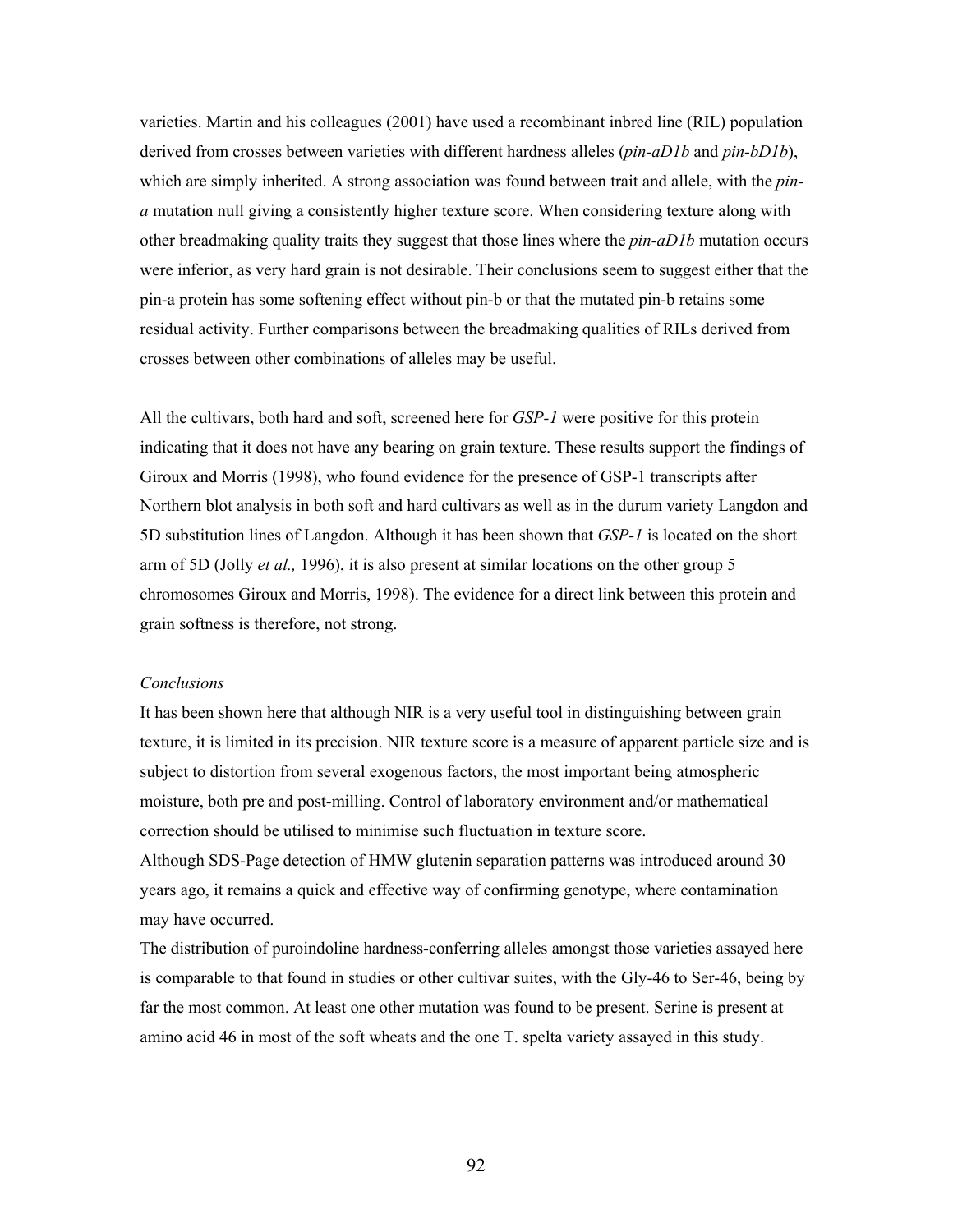varieties. Martin and his colleagues (2001) have used a recombinant inbred line (RIL) population derived from crosses between varieties with different hardness alleles (*pin-aD1b* and *pin-bD1b*), which are simply inherited. A strong association was found between trait and allele, with the *pina* mutation null giving a consistently higher texture score. When considering texture along with other breadmaking quality traits they suggest that those lines where the *pin-aD1b* mutation occurs were inferior, as very hard grain is not desirable. Their conclusions seem to suggest either that the pin-a protein has some softening effect without pin-b or that the mutated pin-b retains some residual activity. Further comparisons between the breadmaking qualities of RILs derived from crosses between other combinations of alleles may be useful.

All the cultivars, both hard and soft, screened here for *GSP-1* were positive for this protein indicating that it does not have any bearing on grain texture. These results support the findings of Giroux and Morris (1998), who found evidence for the presence of GSP-1 transcripts after Northern blot analysis in both soft and hard cultivars as well as in the durum variety Langdon and 5D substitution lines of Langdon. Although it has been shown that *GSP-1* is located on the short arm of 5D (Jolly *et al.,* 1996), it is also present at similar locations on the other group 5 chromosomes Giroux and Morris, 1998). The evidence for a direct link between this protein and grain softness is therefore, not strong.

## *Conclusions*

It has been shown here that although NIR is a very useful tool in distinguishing between grain texture, it is limited in its precision. NIR texture score is a measure of apparent particle size and is subject to distortion from several exogenous factors, the most important being atmospheric moisture, both pre and post-milling. Control of laboratory environment and/or mathematical correction should be utilised to minimise such fluctuation in texture score.

Although SDS-Page detection of HMW glutenin separation patterns was introduced around 30 years ago, it remains a quick and effective way of confirming genotype, where contamination may have occurred.

The distribution of puroindoline hardness-conferring alleles amongst those varieties assayed here is comparable to that found in studies or other cultivar suites, with the Gly-46 to Ser-46, being by far the most common. At least one other mutation was found to be present. Serine is present at amino acid 46 in most of the soft wheats and the one T. spelta variety assayed in this study.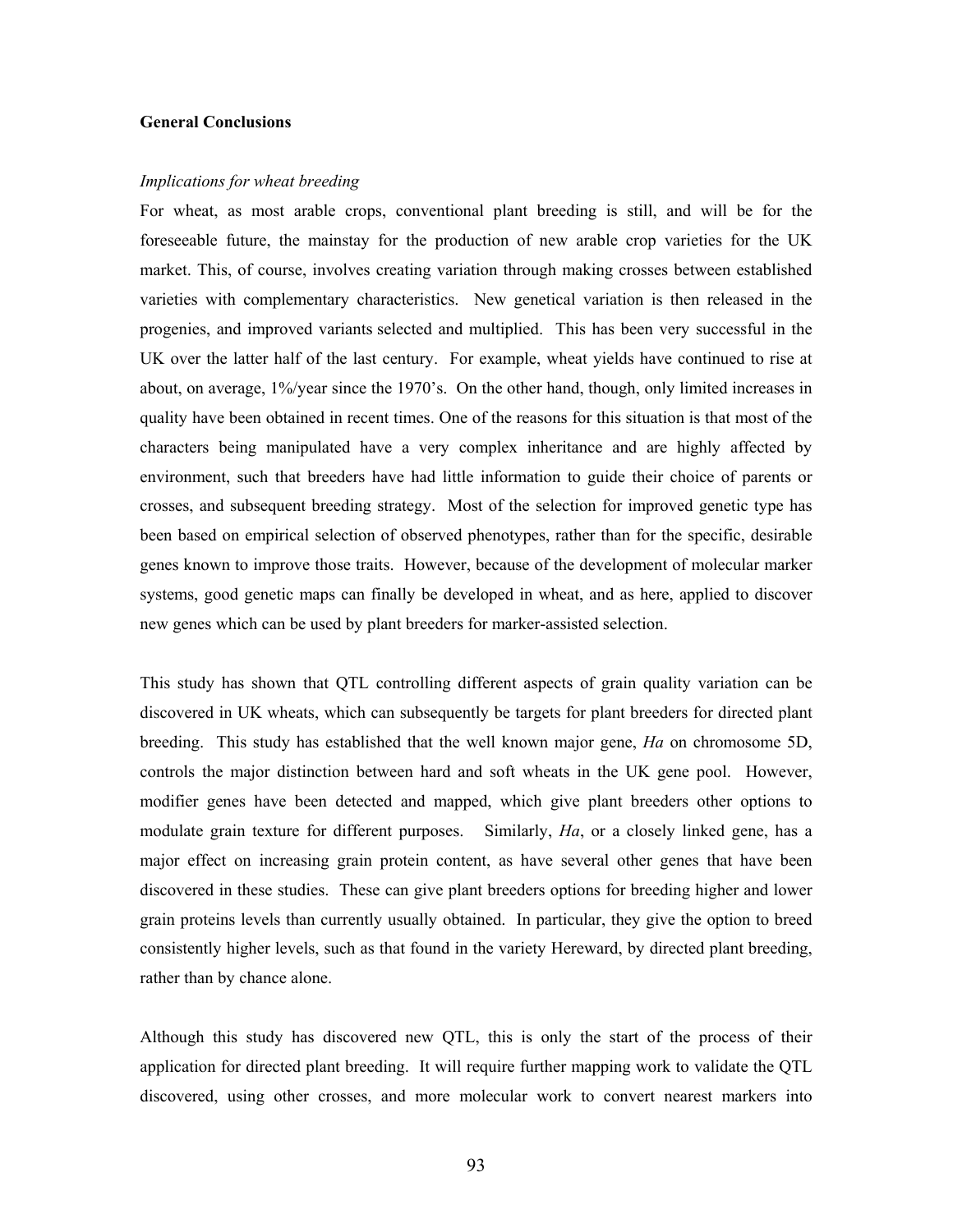# **General Conclusions**

## *Implications for wheat breeding*

For wheat, as most arable crops, conventional plant breeding is still, and will be for the foreseeable future, the mainstay for the production of new arable crop varieties for the UK market. This, of course, involves creating variation through making crosses between established varieties with complementary characteristics. New genetical variation is then released in the progenies, and improved variants selected and multiplied. This has been very successful in the UK over the latter half of the last century. For example, wheat yields have continued to rise at about, on average, 1%/year since the 1970's. On the other hand, though, only limited increases in quality have been obtained in recent times. One of the reasons for this situation is that most of the characters being manipulated have a very complex inheritance and are highly affected by environment, such that breeders have had little information to guide their choice of parents or crosses, and subsequent breeding strategy. Most of the selection for improved genetic type has been based on empirical selection of observed phenotypes, rather than for the specific, desirable genes known to improve those traits. However, because of the development of molecular marker systems, good genetic maps can finally be developed in wheat, and as here, applied to discover new genes which can be used by plant breeders for marker-assisted selection.

This study has shown that QTL controlling different aspects of grain quality variation can be discovered in UK wheats, which can subsequently be targets for plant breeders for directed plant breeding. This study has established that the well known major gene, *Ha* on chromosome 5D, controls the major distinction between hard and soft wheats in the UK gene pool. However, modifier genes have been detected and mapped, which give plant breeders other options to modulate grain texture for different purposes. Similarly, *Ha*, or a closely linked gene, has a major effect on increasing grain protein content, as have several other genes that have been discovered in these studies. These can give plant breeders options for breeding higher and lower grain proteins levels than currently usually obtained. In particular, they give the option to breed consistently higher levels, such as that found in the variety Hereward, by directed plant breeding, rather than by chance alone.

Although this study has discovered new QTL, this is only the start of the process of their application for directed plant breeding. It will require further mapping work to validate the QTL discovered, using other crosses, and more molecular work to convert nearest markers into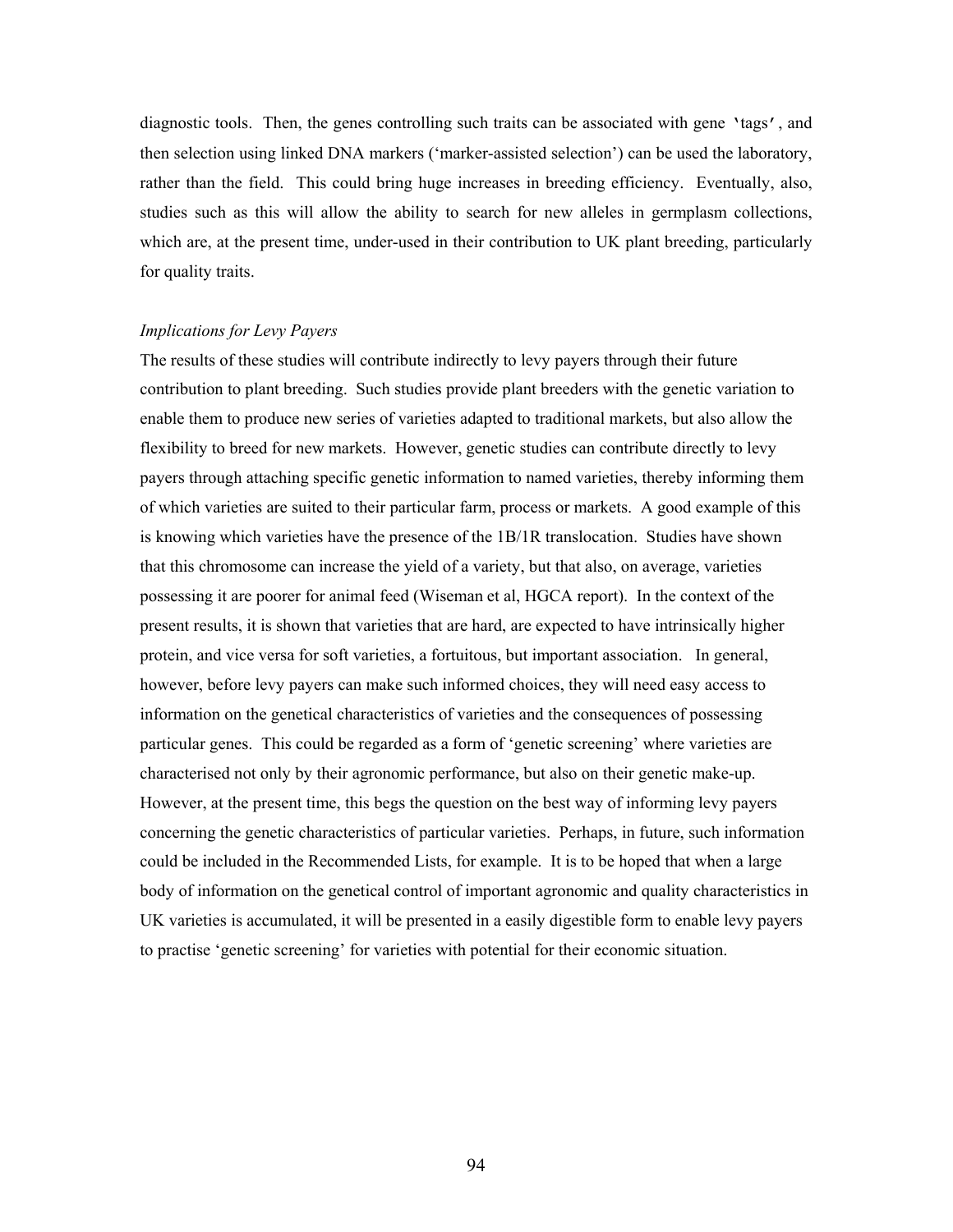diagnostic tools. Then, the genes controlling such traits can be associated with gene 'tags', and then selection using linked DNA markers ('marker-assisted selection') can be used the laboratory, rather than the field. This could bring huge increases in breeding efficiency. Eventually, also, studies such as this will allow the ability to search for new alleles in germplasm collections, which are, at the present time, under-used in their contribution to UK plant breeding, particularly for quality traits.

## *Implications for Levy Payers*

The results of these studies will contribute indirectly to levy payers through their future contribution to plant breeding. Such studies provide plant breeders with the genetic variation to enable them to produce new series of varieties adapted to traditional markets, but also allow the flexibility to breed for new markets. However, genetic studies can contribute directly to levy payers through attaching specific genetic information to named varieties, thereby informing them of which varieties are suited to their particular farm, process or markets. A good example of this is knowing which varieties have the presence of the 1B/1R translocation. Studies have shown that this chromosome can increase the yield of a variety, but that also, on average, varieties possessing it are poorer for animal feed (Wiseman et al, HGCA report). In the context of the present results, it is shown that varieties that are hard, are expected to have intrinsically higher protein, and vice versa for soft varieties, a fortuitous, but important association. In general, however, before levy payers can make such informed choices, they will need easy access to information on the genetical characteristics of varieties and the consequences of possessing particular genes. This could be regarded as a form of 'genetic screening' where varieties are characterised not only by their agronomic performance, but also on their genetic make-up. However, at the present time, this begs the question on the best way of informing levy payers concerning the genetic characteristics of particular varieties. Perhaps, in future, such information could be included in the Recommended Lists, for example. It is to be hoped that when a large body of information on the genetical control of important agronomic and quality characteristics in UK varieties is accumulated, it will be presented in a easily digestible form to enable levy payers to practise 'genetic screening' for varieties with potential for their economic situation.

94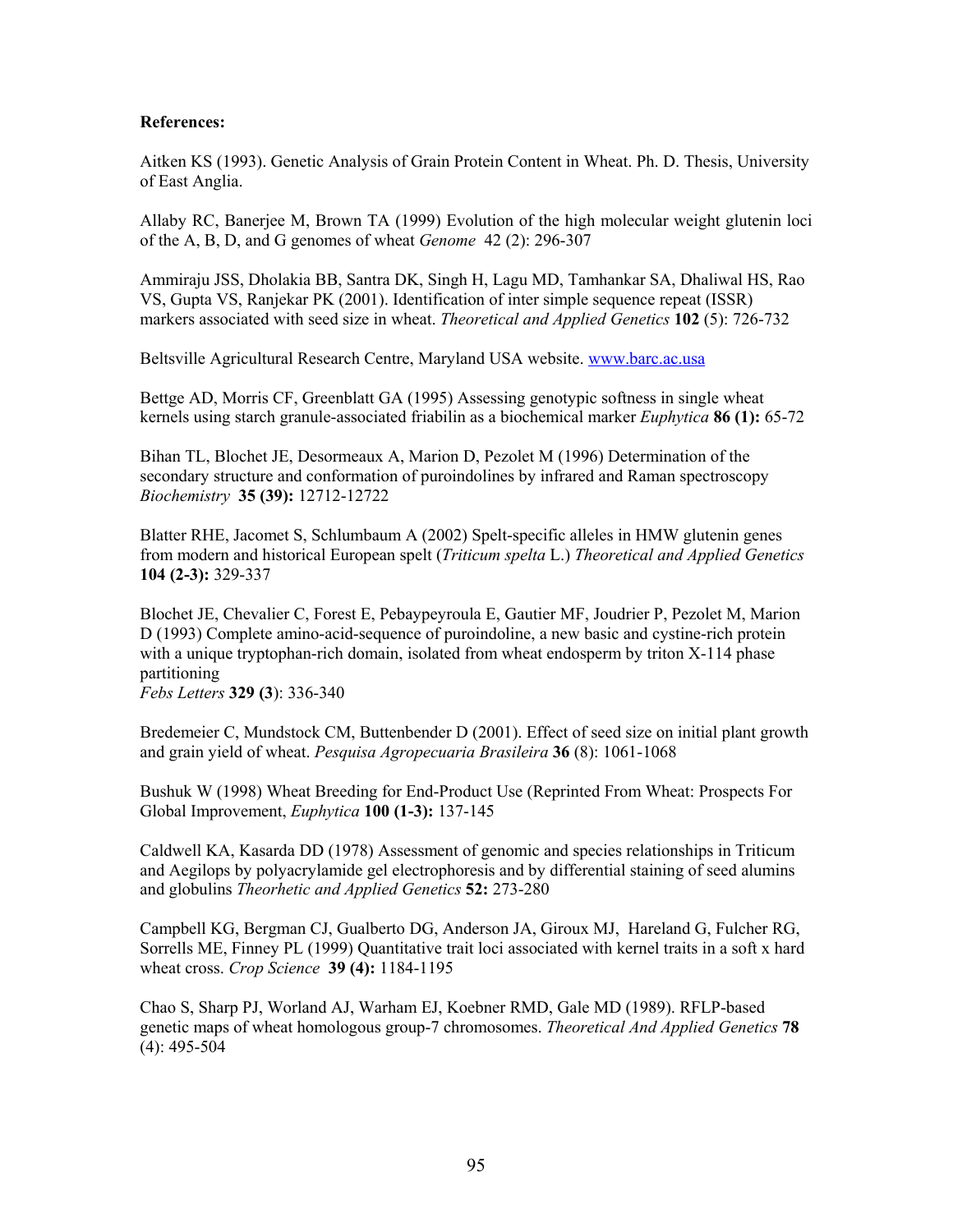# **References:**

Aitken KS (1993). Genetic Analysis of Grain Protein Content in Wheat. Ph. D. Thesis, University of East Anglia.

Allaby RC, Banerjee M, Brown TA (1999) Evolution of the high molecular weight glutenin loci of the A, B, D, and G genomes of wheat *Genome* 42 (2): 296-307

Ammiraju JSS, Dholakia BB, Santra DK, Singh H, Lagu MD, Tamhankar SA, Dhaliwal HS, Rao VS, Gupta VS, Ranjekar PK (2001). Identification of inter simple sequence repeat (ISSR) markers associated with seed size in wheat. *Theoretical and Applied Genetics* **102** (5): 726-732

Beltsville Agricultural Research Centre, Maryland USA website. www.barc.ac.usa

Bettge AD, Morris CF, Greenblatt GA (1995) Assessing genotypic softness in single wheat kernels using starch granule-associated friabilin as a biochemical marker *Euphytica* **86 (1):** 65-72

Bihan TL, Blochet JE, Desormeaux A, Marion D, Pezolet M (1996) Determination of the secondary structure and conformation of puroindolines by infrared and Raman spectroscopy *Biochemistry* **35 (39):** 12712-12722

Blatter RHE, Jacomet S, Schlumbaum A (2002) Spelt-specific alleles in HMW glutenin genes from modern and historical European spelt (*Triticum spelta* L.) *Theoretical and Applied Genetics*  **104 (2-3):** 329-337

Blochet JE, Chevalier C, Forest E, Pebaypeyroula E, Gautier MF, Joudrier P, Pezolet M, Marion D (1993) Complete amino-acid-sequence of puroindoline, a new basic and cystine-rich protein with a unique tryptophan-rich domain, isolated from wheat endosperm by triton X-114 phase partitioning *Febs Letters* **329 (3**): 336-340

Bredemeier C, Mundstock CM, Buttenbender D (2001). Effect of seed size on initial plant growth and grain yield of wheat. *Pesquisa Agropecuaria Brasileira* **36** (8): 1061-1068

Bushuk W (1998) Wheat Breeding for End-Product Use (Reprinted From Wheat: Prospects For Global Improvement, *Euphytica* **100 (1-3):** 137-145

Caldwell KA, Kasarda DD (1978) Assessment of genomic and species relationships in Triticum and Aegilops by polyacrylamide gel electrophoresis and by differential staining of seed alumins and globulins *Theorhetic and Applied Genetics* **52:** 273-280

Campbell KG, Bergman CJ, Gualberto DG, Anderson JA, Giroux MJ, Hareland G, Fulcher RG, Sorrells ME, Finney PL (1999) Quantitative trait loci associated with kernel traits in a soft x hard wheat cross. *Crop Science* **39 (4):** 1184-1195

Chao S, Sharp PJ, Worland AJ, Warham EJ, Koebner RMD, Gale MD (1989). RFLP-based genetic maps of wheat homologous group-7 chromosomes. *Theoretical And Applied Genetics* **78** (4): 495-504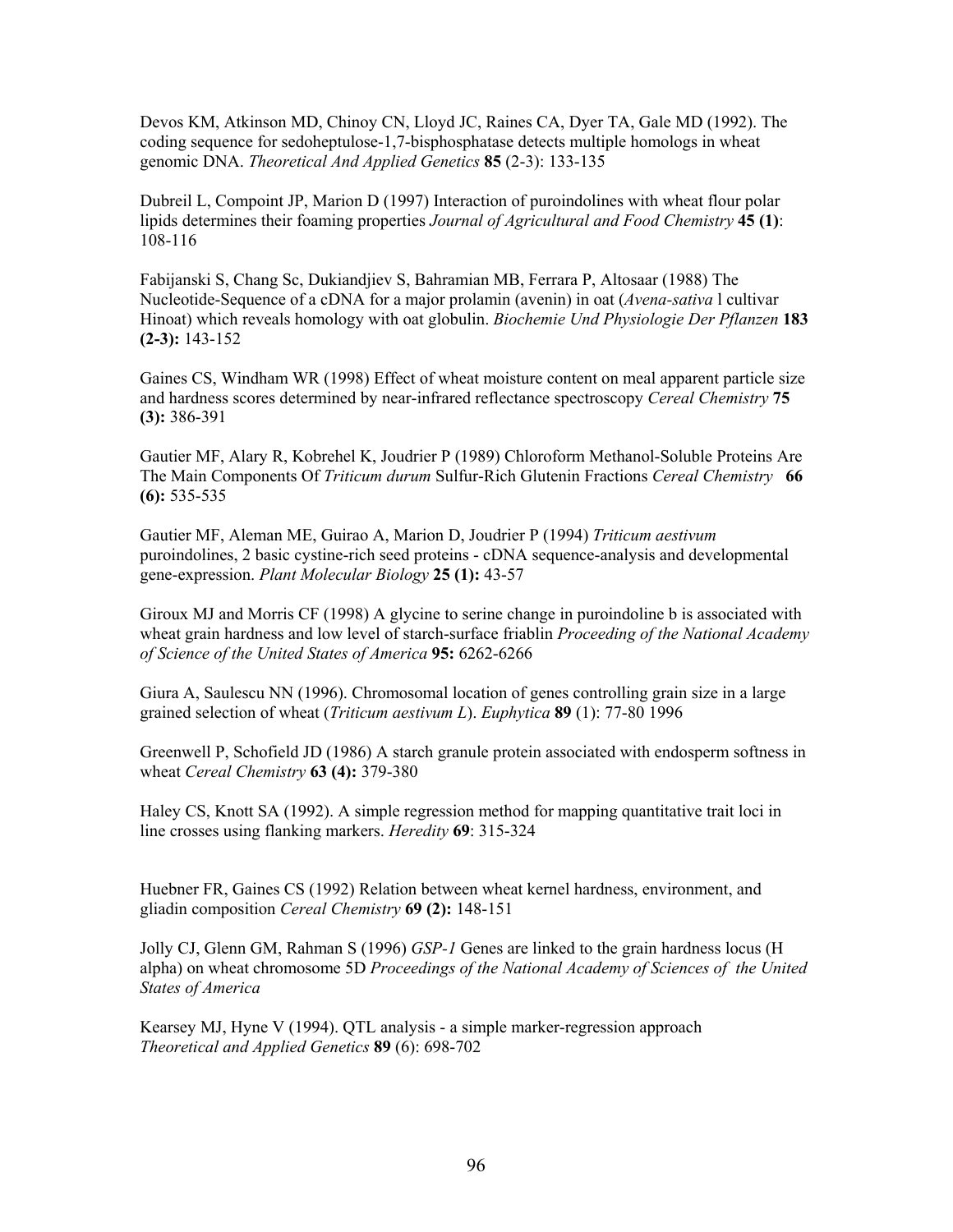Devos KM, Atkinson MD, Chinoy CN, Lloyd JC, Raines CA, Dyer TA, Gale MD (1992). The coding sequence for sedoheptulose-1,7-bisphosphatase detects multiple homologs in wheat genomic DNA. *Theoretical And Applied Genetics* **85** (2-3): 133-135

Dubreil L, Compoint JP, Marion D (1997) Interaction of puroindolines with wheat flour polar lipids determines their foaming properties *Journal of Agricultural and Food Chemistry* **45 (1)**: 108-116

Fabijanski S, Chang Sc, Dukiandjiev S, Bahramian MB, Ferrara P, Altosaar (1988) The Nucleotide-Sequence of a cDNA for a major prolamin (avenin) in oat (*Avena-sativa* l cultivar Hinoat) which reveals homology with oat globulin. *Biochemie Und Physiologie Der Pflanzen* **183 (2-3):** 143-152

Gaines CS, Windham WR (1998) Effect of wheat moisture content on meal apparent particle size and hardness scores determined by near-infrared reflectance spectroscopy *Cereal Chemistry* **75 (3):** 386-391

Gautier MF, Alary R, Kobrehel K, Joudrier P (1989) Chloroform Methanol-Soluble Proteins Are The Main Components Of *Triticum durum* Sulfur-Rich Glutenin Fractions *Cereal Chemistry* **66 (6):** 535-535

Gautier MF, Aleman ME, Guirao A, Marion D, Joudrier P (1994) *Triticum aestivum* puroindolines, 2 basic cystine-rich seed proteins - cDNA sequence-analysis and developmental gene-expression. *Plant Molecular Biology* **25 (1):** 43-57

Giroux MJ and Morris CF (1998) A glycine to serine change in puroindoline b is associated with wheat grain hardness and low level of starch-surface friablin *Proceeding of the National Academy of Science of the United States of America* **95:** 6262-6266

Giura A, Saulescu NN (1996). Chromosomal location of genes controlling grain size in a large grained selection of wheat (*Triticum aestivum L*). *Euphytica* **89** (1): 77-80 1996

Greenwell P, Schofield JD (1986) A starch granule protein associated with endosperm softness in wheat *Cereal Chemistry* **63 (4):** 379-380

Haley CS, Knott SA (1992). A simple regression method for mapping quantitative trait loci in line crosses using flanking markers. *Heredity* **69**: 315-324

Huebner FR, Gaines CS (1992) Relation between wheat kernel hardness, environment, and gliadin composition *Cereal Chemistry* **69 (2):** 148-151

Jolly CJ, Glenn GM, Rahman S (1996) *GSP-1* Genes are linked to the grain hardness locus (H alpha) on wheat chromosome 5D *Proceedings of the National Academy of Sciences of the United States of America* 

Kearsey MJ, Hyne V (1994). QTL analysis - a simple marker-regression approach *Theoretical and Applied Genetics* **89** (6): 698-702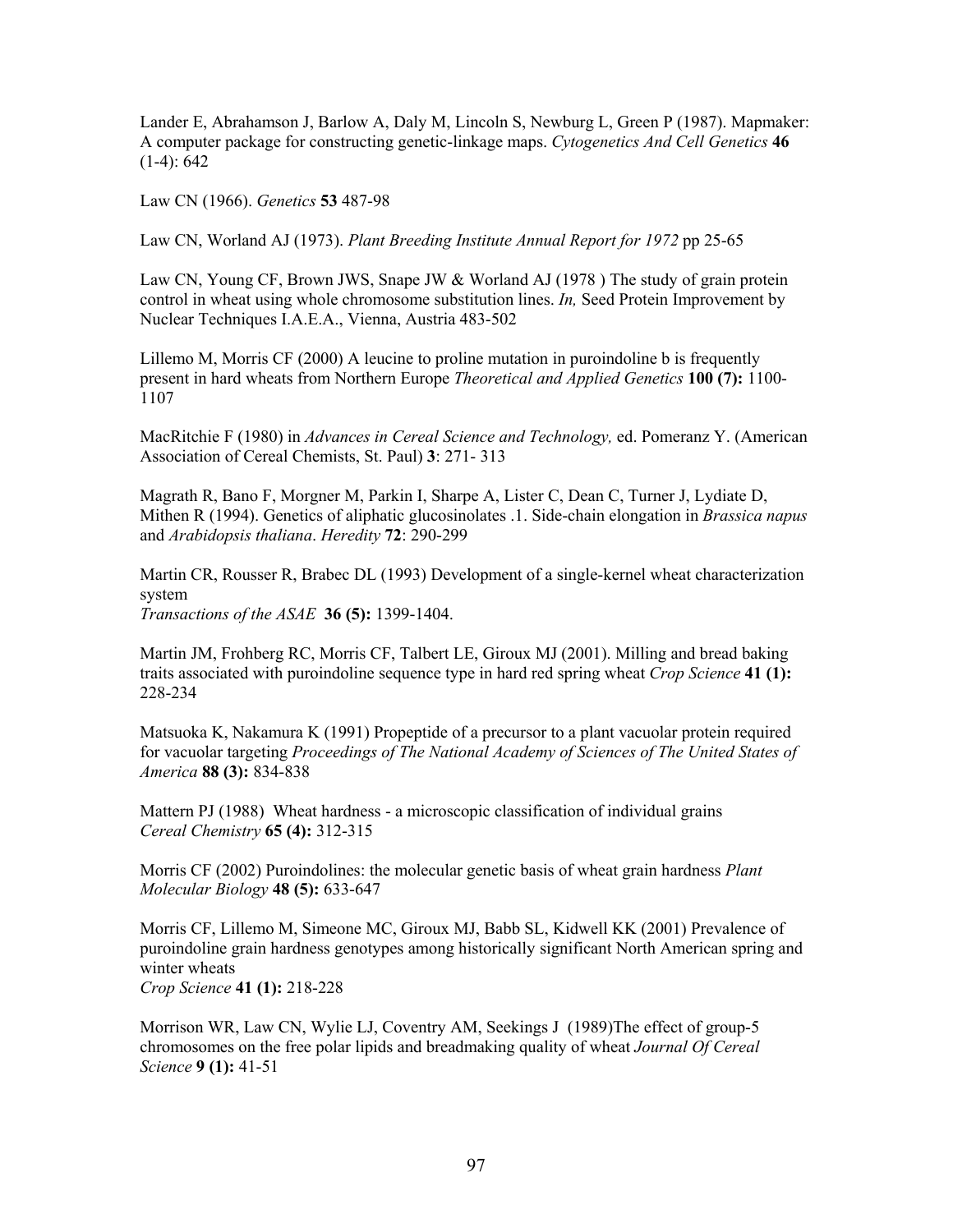Lander E, Abrahamson J, Barlow A, Daly M, Lincoln S, Newburg L, Green P (1987). Mapmaker: A computer package for constructing genetic-linkage maps. *Cytogenetics And Cell Genetics* **46**  $(1-4): 642$ 

Law CN (1966). *Genetics* **53** 487-98

Law CN, Worland AJ (1973). *Plant Breeding Institute Annual Report for 1972* pp 25-65

Law CN, Young CF, Brown JWS, Snape JW & Worland AJ (1978) The study of grain protein control in wheat using whole chromosome substitution lines. *In,* Seed Protein Improvement by Nuclear Techniques I.A.E.A., Vienna, Austria 483-502

Lillemo M, Morris CF (2000) A leucine to proline mutation in puroindoline b is frequently present in hard wheats from Northern Europe *Theoretical and Applied Genetics* **100 (7):** 1100- 1107

MacRitchie F (1980) in *Advances in Cereal Science and Technology,* ed. Pomeranz Y. (American Association of Cereal Chemists, St. Paul) **3**: 271- 313

Magrath R, Bano F, Morgner M, Parkin I, Sharpe A, Lister C, Dean C, Turner J, Lydiate D, Mithen R (1994). Genetics of aliphatic glucosinolates .1. Side-chain elongation in *Brassica napus* and *Arabidopsis thaliana*. *Heredity* **72**: 290-299

Martin CR, Rousser R, Brabec DL (1993) Development of a single-kernel wheat characterization system *Transactions of the ASAE* **36 (5):** 1399-1404.

Martin JM, Frohberg RC, Morris CF, Talbert LE, Giroux MJ (2001). Milling and bread baking traits associated with puroindoline sequence type in hard red spring wheat *Crop Science* **41 (1):** 228-234

Matsuoka K, Nakamura K (1991) Propeptide of a precursor to a plant vacuolar protein required for vacuolar targeting *Proceedings of The National Academy of Sciences of The United States of America* **88 (3):** 834-838

Mattern PJ (1988) Wheat hardness - a microscopic classification of individual grains *Cereal Chemistry* **65 (4):** 312-315

Morris CF (2002) Puroindolines: the molecular genetic basis of wheat grain hardness *Plant Molecular Biology* **48 (5):** 633-647

Morris CF, Lillemo M, Simeone MC, Giroux MJ, Babb SL, Kidwell KK (2001) Prevalence of puroindoline grain hardness genotypes among historically significant North American spring and winter wheats

*Crop Science* **41 (1):** 218-228

Morrison WR, Law CN, Wylie LJ, Coventry AM, Seekings J (1989)The effect of group-5 chromosomes on the free polar lipids and breadmaking quality of wheat *Journal Of Cereal Science* **9 (1):** 41-51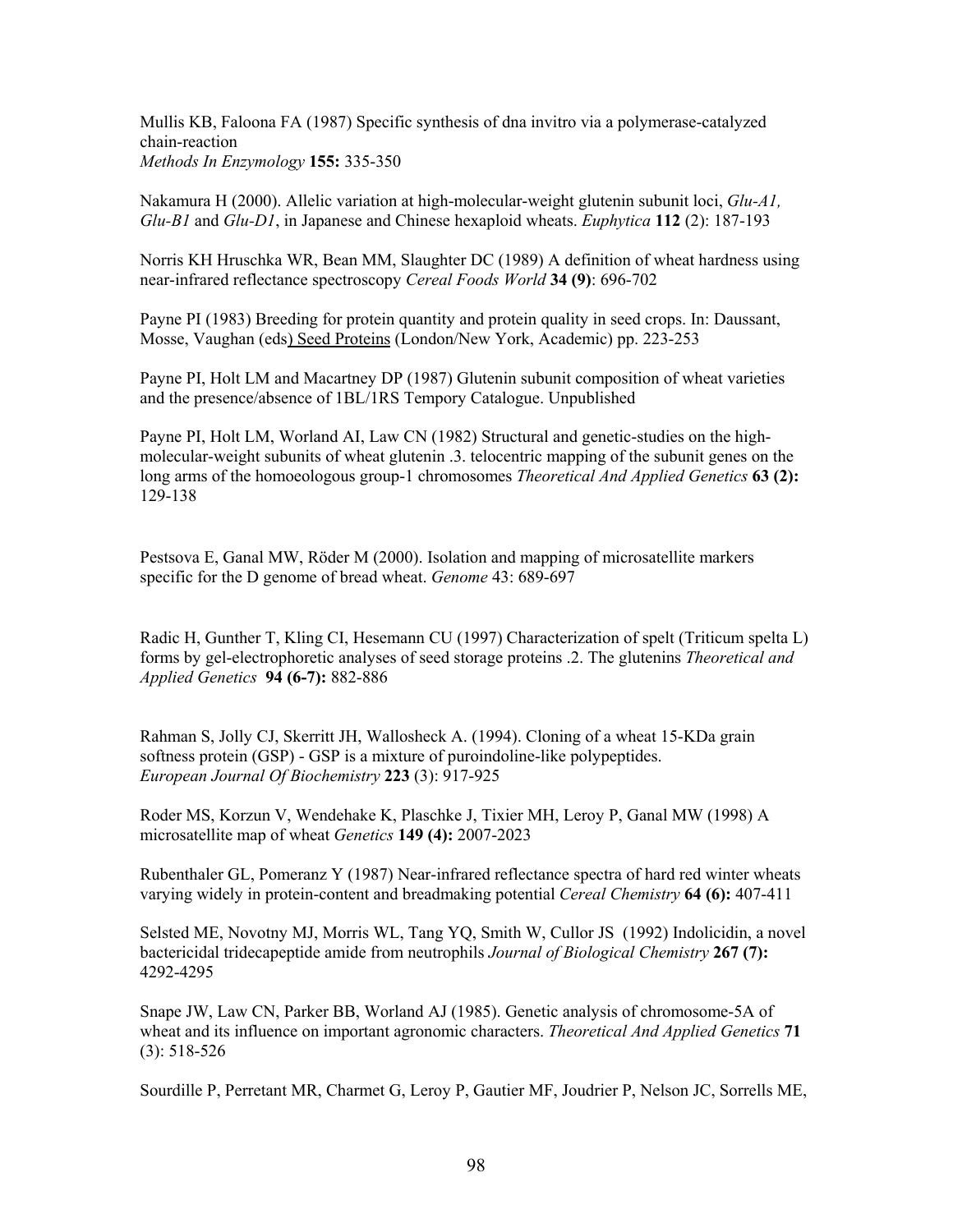Mullis KB, Faloona FA (1987) Specific synthesis of dna invitro via a polymerase-catalyzed chain-reaction *Methods In Enzymology* **155:** 335-350

Nakamura H (2000). Allelic variation at high-molecular-weight glutenin subunit loci, *Glu-A1, Glu-B1* and *Glu-D1*, in Japanese and Chinese hexaploid wheats. *Euphytica* **112** (2): 187-193

Norris KH Hruschka WR, Bean MM, Slaughter DC (1989) A definition of wheat hardness using near-infrared reflectance spectroscopy *Cereal Foods World* **34 (9)**: 696-702

Payne PI (1983) Breeding for protein quantity and protein quality in seed crops. In: Daussant, Mosse, Vaughan (eds) Seed Proteins (London/New York, Academic) pp. 223-253

Payne PI, Holt LM and Macartney DP (1987) Glutenin subunit composition of wheat varieties and the presence/absence of 1BL/1RS Tempory Catalogue. Unpublished

Payne PI, Holt LM, Worland AI, Law CN (1982) Structural and genetic-studies on the highmolecular-weight subunits of wheat glutenin .3. telocentric mapping of the subunit genes on the long arms of the homoeologous group-1 chromosomes *Theoretical And Applied Genetics* **63 (2):** 129-138

Pestsova E, Ganal MW, Röder M (2000). Isolation and mapping of microsatellite markers specific for the D genome of bread wheat. *Genome* 43: 689-697

Radic H, Gunther T, Kling CI, Hesemann CU (1997) Characterization of spelt (Triticum spelta L) forms by gel-electrophoretic analyses of seed storage proteins .2. The glutenins *Theoretical and Applied Genetics* **94 (6-7):** 882-886

Rahman S, Jolly CJ, Skerritt JH, Wallosheck A. (1994). Cloning of a wheat 15-KDa grain softness protein (GSP) - GSP is a mixture of puroindoline-like polypeptides. *European Journal Of Biochemistry* **223** (3): 917-925

Roder MS, Korzun V, Wendehake K, Plaschke J, Tixier MH, Leroy P, Ganal MW (1998) A microsatellite map of wheat *Genetics* **149 (4):** 2007-2023

Rubenthaler GL, Pomeranz Y (1987) Near-infrared reflectance spectra of hard red winter wheats varying widely in protein-content and breadmaking potential *Cereal Chemistry* **64 (6):** 407-411

Selsted ME, Novotny MJ, Morris WL, Tang YQ, Smith W, Cullor JS (1992) Indolicidin, a novel bactericidal tridecapeptide amide from neutrophils *Journal of Biological Chemistry* **267 (7):** 4292-4295

Snape JW, Law CN, Parker BB, Worland AJ (1985). Genetic analysis of chromosome-5A of wheat and its influence on important agronomic characters. *Theoretical And Applied Genetics* **71** (3): 518-526

Sourdille P, Perretant MR, Charmet G, Leroy P, Gautier MF, Joudrier P, Nelson JC, Sorrells ME,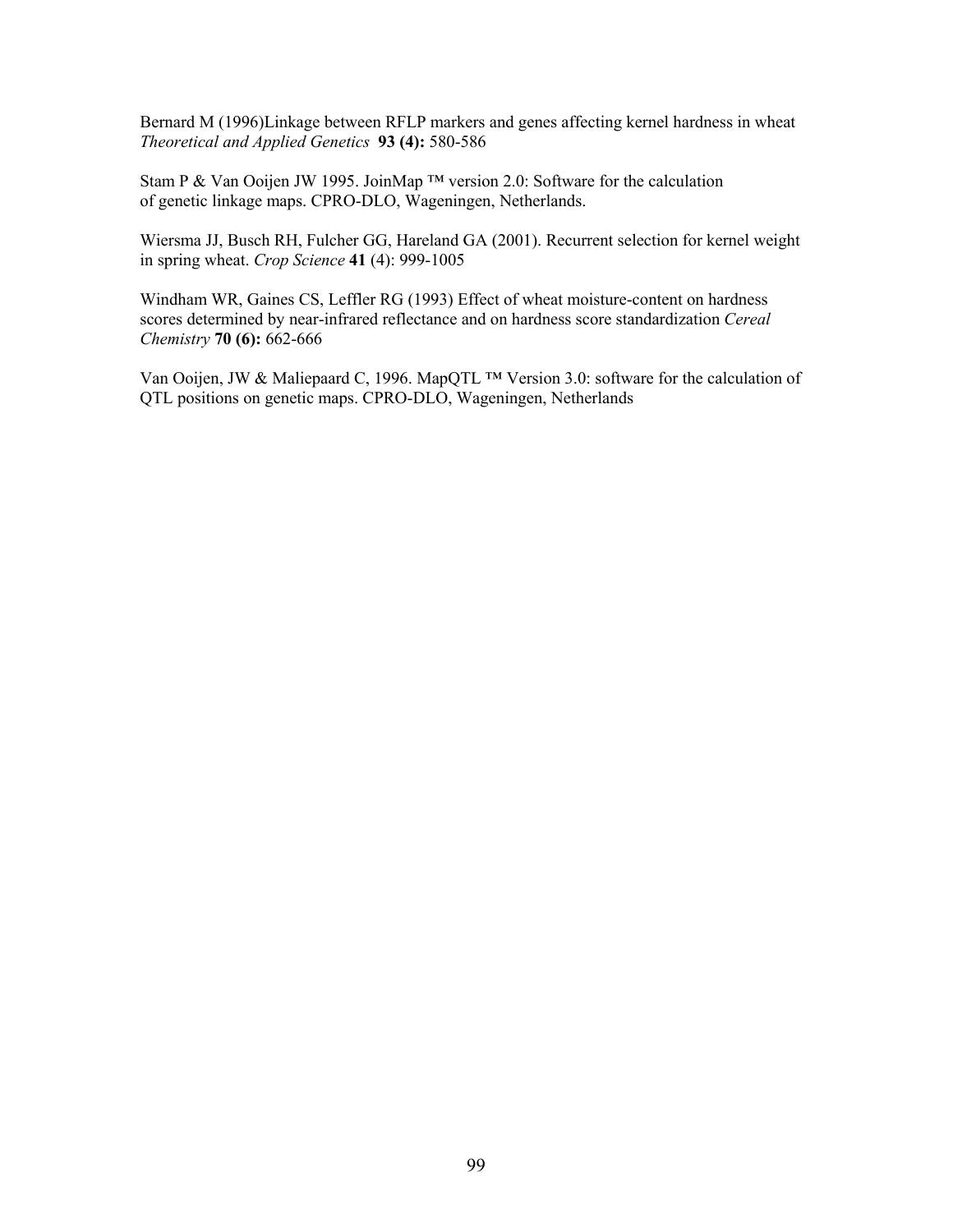Bernard M (1996)Linkage between RFLP markers and genes affecting kernel hardness in wheat *Theoretical and Applied Genetics* **93 (4):** 580-586

Stam P & Van Ooijen JW 1995. JoinMap <sup>™</sup> version 2.0: Software for the calculation of genetic linkage maps. CPRO-DLO, Wageningen, Netherlands.

Wiersma JJ, Busch RH, Fulcher GG, Hareland GA (2001). Recurrent selection for kernel weight in spring wheat. *Crop Science* **41** (4): 999-1005

Windham WR, Gaines CS, Leffler RG (1993) Effect of wheat moisture-content on hardness scores determined by near-infrared reflectance and on hardness score standardization *Cereal Chemistry* **70 (6):** 662-666

Van Ooijen, JW & Maliepaard C, 1996. MapQTL ™ Version 3.0: software for the calculation of QTL positions on genetic maps. CPRO-DLO, Wageningen, Netherlands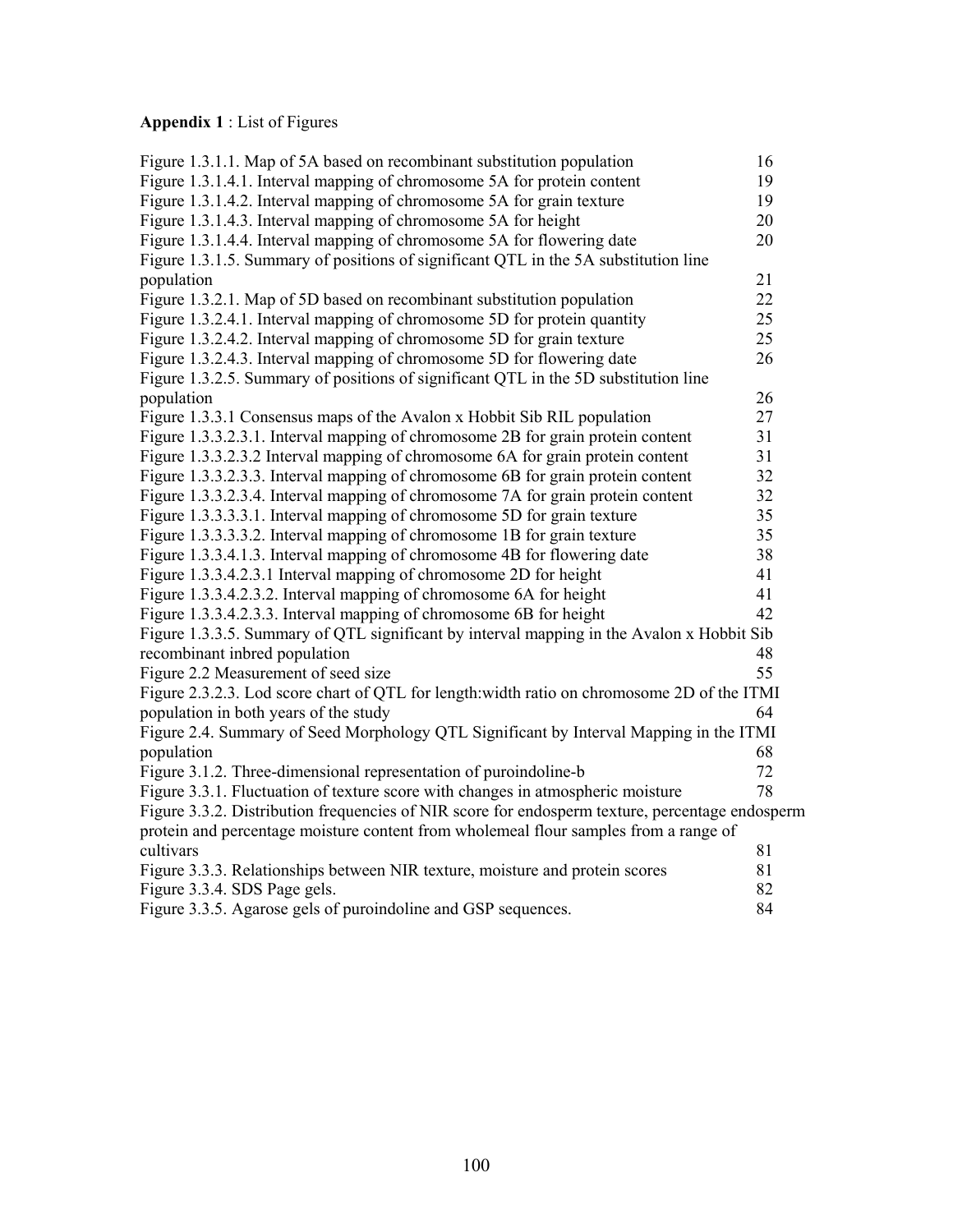# **Appendix 1** : List of Figures

| Figure 1.3.1.1. Map of 5A based on recombinant substitution population                          | 16 |
|-------------------------------------------------------------------------------------------------|----|
| Figure 1.3.1.4.1. Interval mapping of chromosome 5A for protein content                         | 19 |
| Figure 1.3.1.4.2. Interval mapping of chromosome 5A for grain texture                           | 19 |
| Figure 1.3.1.4.3. Interval mapping of chromosome 5A for height                                  | 20 |
| Figure 1.3.1.4.4. Interval mapping of chromosome 5A for flowering date                          | 20 |
| Figure 1.3.1.5. Summary of positions of significant QTL in the 5A substitution line             |    |
| population                                                                                      | 21 |
| Figure 1.3.2.1. Map of 5D based on recombinant substitution population                          | 22 |
| Figure 1.3.2.4.1. Interval mapping of chromosome 5D for protein quantity                        | 25 |
| Figure 1.3.2.4.2. Interval mapping of chromosome 5D for grain texture                           | 25 |
| Figure 1.3.2.4.3. Interval mapping of chromosome 5D for flowering date                          | 26 |
| Figure 1.3.2.5. Summary of positions of significant QTL in the 5D substitution line             |    |
| population                                                                                      | 26 |
| Figure 1.3.3.1 Consensus maps of the Avalon x Hobbit Sib RIL population                         | 27 |
| Figure 1.3.3.2.3.1. Interval mapping of chromosome 2B for grain protein content                 | 31 |
| Figure 1.3.3.2.3.2 Interval mapping of chromosome 6A for grain protein content                  | 31 |
| Figure 1.3.3.2.3.3. Interval mapping of chromosome 6B for grain protein content                 | 32 |
| Figure 1.3.3.2.3.4. Interval mapping of chromosome 7A for grain protein content                 | 32 |
| Figure 1.3.3.3.3.1. Interval mapping of chromosome 5D for grain texture                         | 35 |
| Figure 1.3.3.3.3.2. Interval mapping of chromosome 1B for grain texture                         | 35 |
| Figure 1.3.3.4.1.3. Interval mapping of chromosome 4B for flowering date                        | 38 |
| Figure 1.3.3.4.2.3.1 Interval mapping of chromosome 2D for height                               | 41 |
| Figure 1.3.3.4.2.3.2. Interval mapping of chromosome 6A for height                              | 41 |
| Figure 1.3.3.4.2.3.3. Interval mapping of chromosome 6B for height                              | 42 |
| Figure 1.3.3.5. Summary of QTL significant by interval mapping in the Avalon x Hobbit Sib       |    |
| recombinant inbred population                                                                   | 48 |
| Figure 2.2 Measurement of seed size                                                             | 55 |
| Figure 2.3.2.3. Lod score chart of QTL for length: width ratio on chromosome 2D of the ITMI     |    |
| population in both years of the study                                                           | 64 |
| Figure 2.4. Summary of Seed Morphology QTL Significant by Interval Mapping in the ITMI          |    |
| population                                                                                      | 68 |
| Figure 3.1.2. Three-dimensional representation of puroindoline-b                                | 72 |
| Figure 3.3.1. Fluctuation of texture score with changes in atmospheric moisture                 | 78 |
| Figure 3.3.2. Distribution frequencies of NIR score for endosperm texture, percentage endosperm |    |
| protein and percentage moisture content from wholemeal flour samples from a range of            |    |
| cultivars                                                                                       | 81 |
| Figure 3.3.3. Relationships between NIR texture, moisture and protein scores                    | 81 |
| Figure 3.3.4. SDS Page gels.                                                                    | 82 |
| Figure 3.3.5. Agarose gels of puroindoline and GSP sequences.                                   | 84 |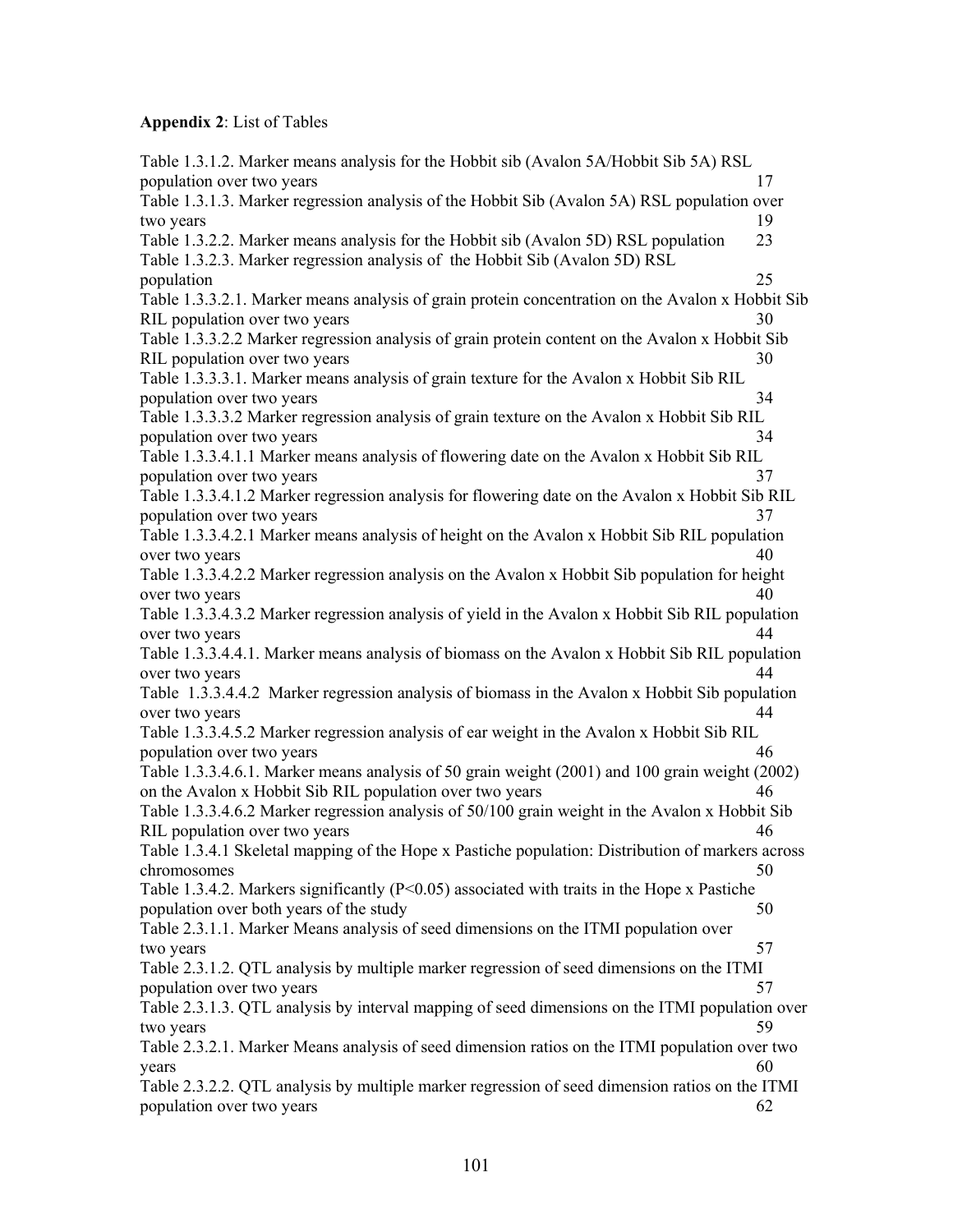# **Appendix 2**: List of Tables

| Table 1.3.1.2. Marker means analysis for the Hobbit sib (Avalon 5A/Hobbit Sib 5A) RSL                           |    |
|-----------------------------------------------------------------------------------------------------------------|----|
| population over two years                                                                                       | 17 |
| Table 1.3.1.3. Marker regression analysis of the Hobbit Sib (Avalon 5A) RSL population over                     |    |
| two years                                                                                                       | 19 |
| Table 1.3.2.2. Marker means analysis for the Hobbit sib (Avalon 5D) RSL population                              | 23 |
| Table 1.3.2.3. Marker regression analysis of the Hobbit Sib (Avalon 5D) RSL                                     |    |
| population                                                                                                      | 25 |
| Table 1.3.3.2.1. Marker means analysis of grain protein concentration on the Avalon x Hobbit Sib                |    |
| RIL population over two years                                                                                   | 30 |
| Table 1.3.3.2.2 Marker regression analysis of grain protein content on the Avalon x Hobbit Sib                  |    |
| RIL population over two years                                                                                   | 30 |
| Table 1.3.3.3.1. Marker means analysis of grain texture for the Avalon x Hobbit Sib RIL                         |    |
| population over two years                                                                                       | 34 |
| Table 1.3.3.3.2 Marker regression analysis of grain texture on the Avalon x Hobbit Sib RIL                      |    |
| population over two years                                                                                       | 34 |
| Table 1.3.3.4.1.1 Marker means analysis of flowering date on the Avalon x Hobbit Sib RIL                        |    |
| population over two years                                                                                       | 37 |
| Table 1.3.3.4.1.2 Marker regression analysis for flowering date on the Avalon x Hobbit Sib RIL                  |    |
| population over two years                                                                                       | 37 |
| Table 1.3.3.4.2.1 Marker means analysis of height on the Avalon x Hobbit Sib RIL population                     |    |
| over two years                                                                                                  | 40 |
| Table 1.3.3.4.2.2 Marker regression analysis on the Avalon x Hobbit Sib population for height                   |    |
| over two years                                                                                                  | 40 |
| Table 1.3.3.4.3.2 Marker regression analysis of yield in the Avalon x Hobbit Sib RIL population                 |    |
| over two years                                                                                                  | 44 |
| Table 1.3.3.4.4.1. Marker means analysis of biomass on the Avalon x Hobbit Sib RIL population                   | 44 |
| over two years<br>Table 1.3.3.4.4.2 Marker regression analysis of biomass in the Avalon x Hobbit Sib population |    |
| over two years                                                                                                  | 44 |
| Table 1.3.3.4.5.2 Marker regression analysis of ear weight in the Avalon x Hobbit Sib RIL                       |    |
| population over two years                                                                                       | 46 |
| Table 1.3.3.4.6.1. Marker means analysis of 50 grain weight (2001) and 100 grain weight (2002)                  |    |
| on the Avalon x Hobbit Sib RIL population over two years                                                        | 46 |
| Table 1.3.3.4.6.2 Marker regression analysis of 50/100 grain weight in the Avalon x Hobbit Sib                  |    |
| RIL population over two years                                                                                   | 46 |
| Table 1.3.4.1 Skeletal mapping of the Hope x Pastiche population: Distribution of markers across                |    |
| chromosomes                                                                                                     | 50 |
| Table 1.3.4.2. Markers significantly ( $P<0.05$ ) associated with traits in the Hope x Pastiche                 |    |
| population over both years of the study                                                                         | 50 |
| Table 2.3.1.1. Marker Means analysis of seed dimensions on the ITMI population over                             |    |
| two years                                                                                                       | 57 |
| Table 2.3.1.2. QTL analysis by multiple marker regression of seed dimensions on the ITMI                        |    |
| population over two years                                                                                       | 57 |
| Table 2.3.1.3. QTL analysis by interval mapping of seed dimensions on the ITMI population over                  |    |
| two years                                                                                                       | 59 |
| Table 2.3.2.1. Marker Means analysis of seed dimension ratios on the ITMI population over two                   |    |
| years                                                                                                           | 60 |
| Table 2.3.2.2. QTL analysis by multiple marker regression of seed dimension ratios on the ITMI                  |    |
| population over two years                                                                                       | 62 |